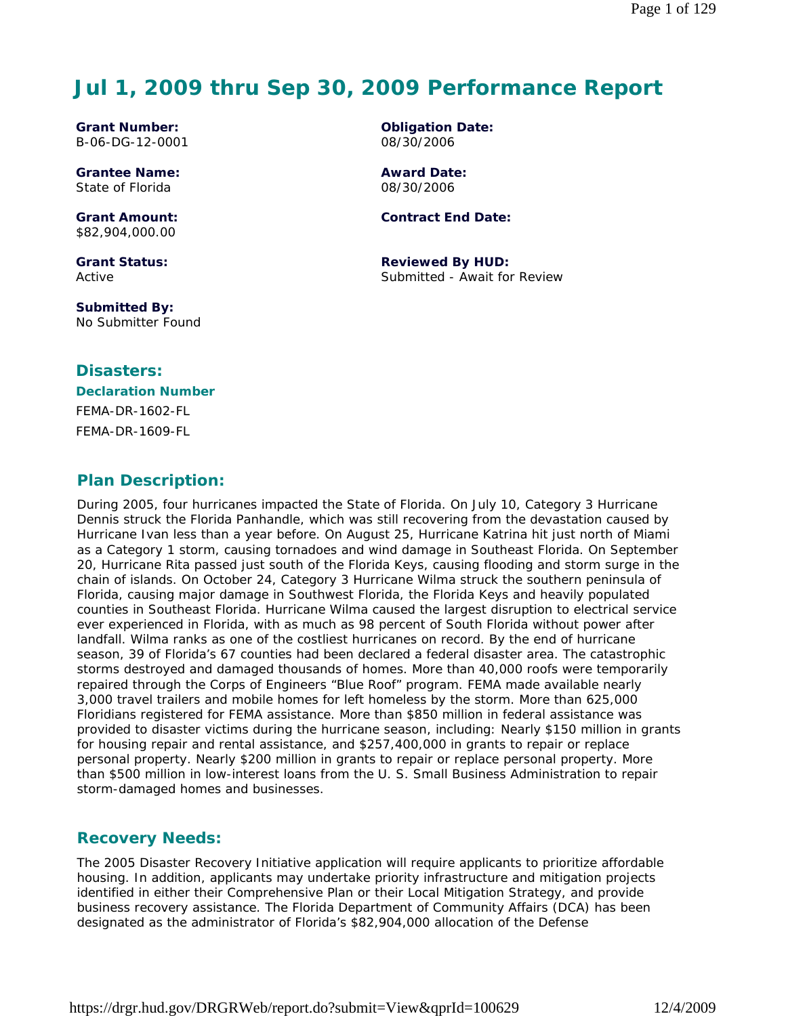# **Jul 1, 2009 thru Sep 30, 2009 Performance Report**

**Grant Number:** B-06-DG-12-0001

**Grantee Name:** State of Florida

**Grant Amount:** \$82,904,000.00

**Grant Status:** Active

**Submitted By:**  No Submitter Found

#### **Disasters:**

#### **Declaration Number** FEMA-DR-1602-FL

FEMA-DR-1609-FL

# **Plan Description:**

During 2005, four hurricanes impacted the State of Florida. On July 10, Category 3 Hurricane Dennis struck the Florida Panhandle, which was still recovering from the devastation caused by Hurricane Ivan less than a year before. On August 25, Hurricane Katrina hit just north of Miami as a Category 1 storm, causing tornadoes and wind damage in Southeast Florida. On September 20, Hurricane Rita passed just south of the Florida Keys, causing flooding and storm surge in the chain of islands. On October 24, Category 3 Hurricane Wilma struck the southern peninsula of Florida, causing major damage in Southwest Florida, the Florida Keys and heavily populated counties in Southeast Florida. Hurricane Wilma caused the largest disruption to electrical service ever experienced in Florida, with as much as 98 percent of South Florida without power after landfall. Wilma ranks as one of the costliest hurricanes on record. By the end of hurricane season, 39 of Florida's 67 counties had been declared a federal disaster area. The catastrophic storms destroyed and damaged thousands of homes. More than 40,000 roofs were temporarily repaired through the Corps of Engineers "Blue Roof" program. FEMA made available nearly 3,000 travel trailers and mobile homes for left homeless by the storm. More than 625,000 Floridians registered for FEMA assistance. More than \$850 million in federal assistance was provided to disaster victims during the hurricane season, including: Nearly \$150 million in grants for housing repair and rental assistance, and \$257,400,000 in grants to repair or replace personal property. Nearly \$200 million in grants to repair or replace personal property. More than \$500 million in low-interest loans from the U. S. Small Business Administration to repair storm-damaged homes and businesses.

#### **Recovery Needs:**

The 2005 Disaster Recovery Initiative application will require applicants to prioritize affordable housing. In addition, applicants may undertake priority infrastructure and mitigation projects identified in either their Comprehensive Plan or their Local Mitigation Strategy, and provide business recovery assistance. The Florida Department of Community Affairs (DCA) has been designated as the administrator of Florida's \$82,904,000 allocation of the Defense

**Award Date:** 08/30/2006

**Contract End Date:**

**Reviewed By HUD:** Submitted - Await for Review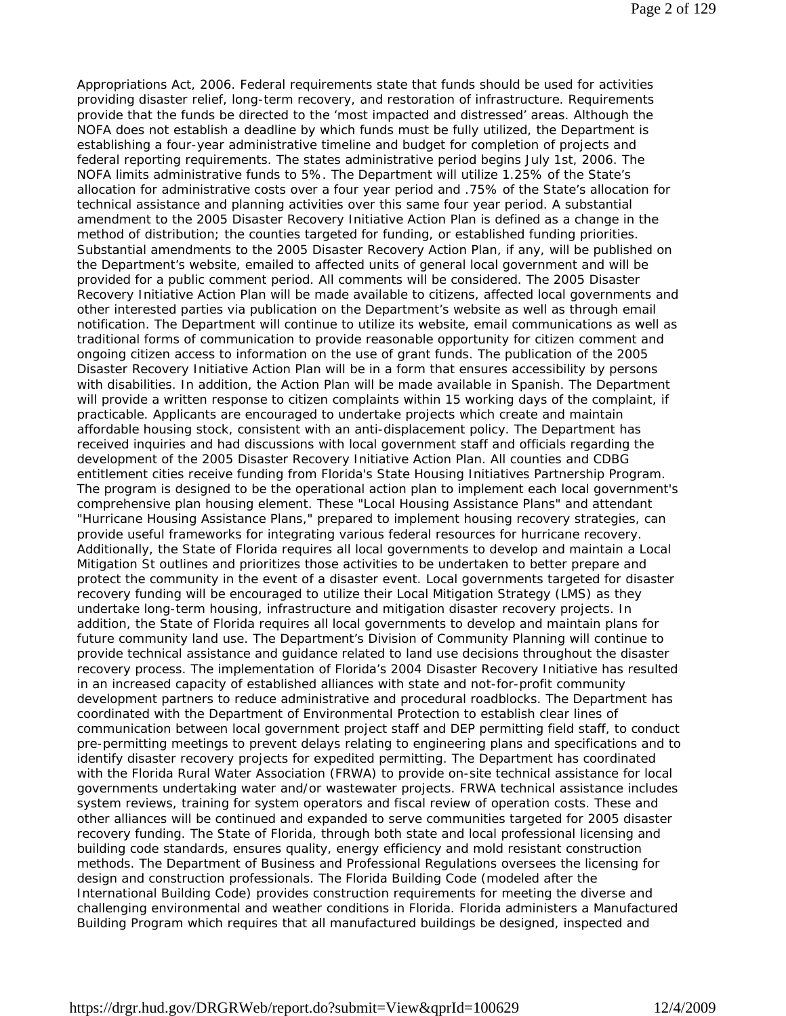Appropriations Act, 2006. Federal requirements state that funds should be used for activities providing disaster relief, long-term recovery, and restoration of infrastructure. Requirements provide that the funds be directed to the 'most impacted and distressed' areas. Although the NOFA does not establish a deadline by which funds must be fully utilized, the Department is establishing a four-year administrative timeline and budget for completion of projects and federal reporting requirements. The states administrative period begins July 1st, 2006. The NOFA limits administrative funds to 5%. The Department will utilize 1.25% of the State's allocation for administrative costs over a four year period and .75% of the State's allocation for technical assistance and planning activities over this same four year period. A substantial amendment to the 2005 Disaster Recovery Initiative Action Plan is defined as a change in the method of distribution; the counties targeted for funding, or established funding priorities. Substantial amendments to the 2005 Disaster Recovery Action Plan, if any, will be published on the Department's website, emailed to affected units of general local government and will be provided for a public comment period. All comments will be considered. The 2005 Disaster Recovery Initiative Action Plan will be made available to citizens, affected local governments and other interested parties via publication on the Department's website as well as through email notification. The Department will continue to utilize its website, email communications as well as traditional forms of communication to provide reasonable opportunity for citizen comment and ongoing citizen access to information on the use of grant funds. The publication of the 2005 Disaster Recovery Initiative Action Plan will be in a form that ensures accessibility by persons with disabilities. In addition, the Action Plan will be made available in Spanish. The Department will provide a written response to citizen complaints within 15 working days of the complaint, if practicable. Applicants are encouraged to undertake projects which create and maintain affordable housing stock, consistent with an anti-displacement policy. The Department has received inquiries and had discussions with local government staff and officials regarding the development of the 2005 Disaster Recovery Initiative Action Plan. All counties and CDBG entitlement cities receive funding from Florida's State Housing Initiatives Partnership Program. The program is designed to be the operational action plan to implement each local government's comprehensive plan housing element. These "Local Housing Assistance Plans" and attendant "Hurricane Housing Assistance Plans," prepared to implement housing recovery strategies, can provide useful frameworks for integrating various federal resources for hurricane recovery. Additionally, the State of Florida requires all local governments to develop and maintain a Local Mitigation St outlines and prioritizes those activities to be undertaken to better prepare and protect the community in the event of a disaster event. Local governments targeted for disaster recovery funding will be encouraged to utilize their Local Mitigation Strategy (LMS) as they undertake long-term housing, infrastructure and mitigation disaster recovery projects. In addition, the State of Florida requires all local governments to develop and maintain plans for future community land use. The Department's Division of Community Planning will continue to provide technical assistance and guidance related to land use decisions throughout the disaster recovery process. The implementation of Florida's 2004 Disaster Recovery Initiative has resulted in an increased capacity of established alliances with state and not-for-profit community development partners to reduce administrative and procedural roadblocks. The Department has coordinated with the Department of Environmental Protection to establish clear lines of communication between local government project staff and DEP permitting field staff, to conduct pre-permitting meetings to prevent delays relating to engineering plans and specifications and to identify disaster recovery projects for expedited permitting. The Department has coordinated with the Florida Rural Water Association (FRWA) to provide on-site technical assistance for local governments undertaking water and/or wastewater projects. FRWA technical assistance includes system reviews, training for system operators and fiscal review of operation costs. These and other alliances will be continued and expanded to serve communities targeted for 2005 disaster recovery funding. The State of Florida, through both state and local professional licensing and building code standards, ensures quality, energy efficiency and mold resistant construction methods. The Department of Business and Professional Regulations oversees the licensing for design and construction professionals. The Florida Building Code (modeled after the International Building Code) provides construction requirements for meeting the diverse and challenging environmental and weather conditions in Florida. Florida administers a Manufactured Building Program which requires that all manufactured buildings be designed, inspected and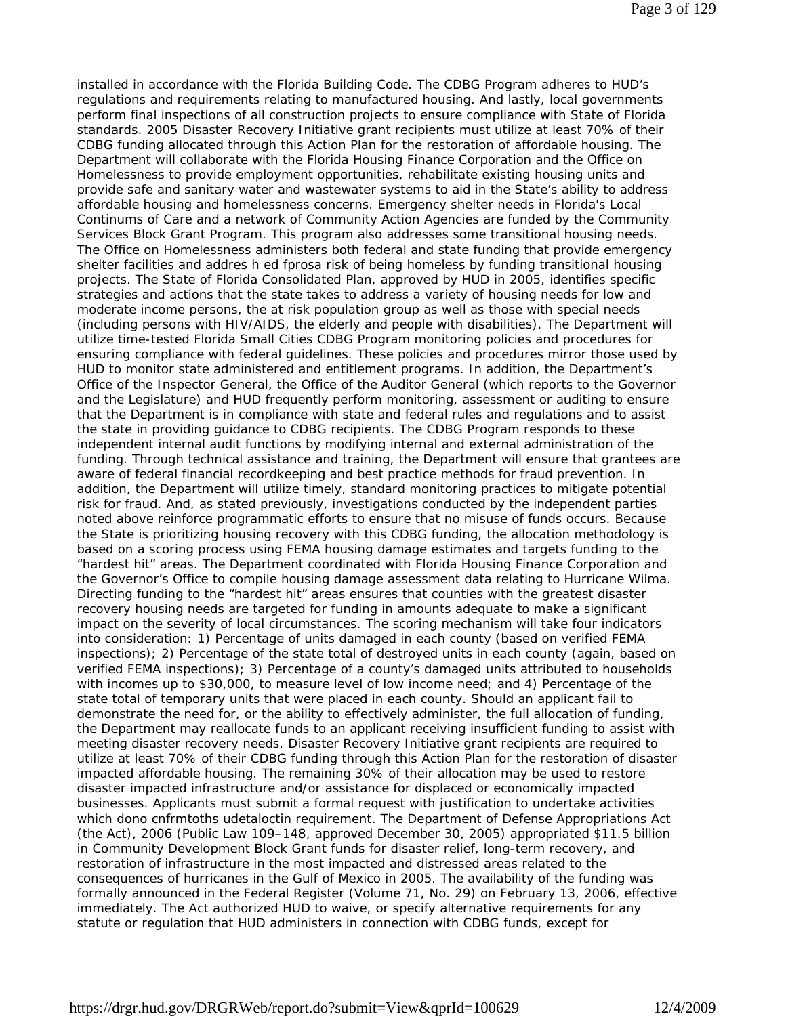installed in accordance with the Florida Building Code. The CDBG Program adheres to HUD's regulations and requirements relating to manufactured housing. And lastly, local governments perform final inspections of all construction projects to ensure compliance with State of Florida standards. 2005 Disaster Recovery Initiative grant recipients must utilize at least 70% of their CDBG funding allocated through this Action Plan for the restoration of affordable housing. The Department will collaborate with the Florida Housing Finance Corporation and the Office on Homelessness to provide employment opportunities, rehabilitate existing housing units and provide safe and sanitary water and wastewater systems to aid in the State's ability to address affordable housing and homelessness concerns. Emergency shelter needs in Florida's Local Continums of Care and a network of Community Action Agencies are funded by the Community Services Block Grant Program. This program also addresses some transitional housing needs. The Office on Homelessness administers both federal and state funding that provide emergency shelter facilities and addres h ed fprosa risk of being homeless by funding transitional housing projects. The State of Florida Consolidated Plan, approved by HUD in 2005, identifies specific strategies and actions that the state takes to address a variety of housing needs for low and moderate income persons, the at risk population group as well as those with special needs (including persons with HIV/AIDS, the elderly and people with disabilities). The Department will utilize time-tested Florida Small Cities CDBG Program monitoring policies and procedures for ensuring compliance with federal guidelines. These policies and procedures mirror those used by HUD to monitor state administered and entitlement programs. In addition, the Department's Office of the Inspector General, the Office of the Auditor General (which reports to the Governor and the Legislature) and HUD frequently perform monitoring, assessment or auditing to ensure that the Department is in compliance with state and federal rules and regulations and to assist the state in providing guidance to CDBG recipients. The CDBG Program responds to these independent internal audit functions by modifying internal and external administration of the funding. Through technical assistance and training, the Department will ensure that grantees are aware of federal financial recordkeeping and best practice methods for fraud prevention. In addition, the Department will utilize timely, standard monitoring practices to mitigate potential risk for fraud. And, as stated previously, investigations conducted by the independent parties noted above reinforce programmatic efforts to ensure that no misuse of funds occurs. Because the State is prioritizing housing recovery with this CDBG funding, the allocation methodology is based on a scoring process using FEMA housing damage estimates and targets funding to the "hardest hit" areas. The Department coordinated with Florida Housing Finance Corporation and the Governor's Office to compile housing damage assessment data relating to Hurricane Wilma. Directing funding to the "hardest hit" areas ensures that counties with the greatest disaster recovery housing needs are targeted for funding in amounts adequate to make a significant impact on the severity of local circumstances. The scoring mechanism will take four indicators into consideration: 1) Percentage of units damaged in each county (based on verified FEMA inspections); 2) Percentage of the state total of destroyed units in each county (again, based on verified FEMA inspections); 3) Percentage of a county's damaged units attributed to households with incomes up to \$30,000, to measure level of low income need; and 4) Percentage of the state total of temporary units that were placed in each county. Should an applicant fail to demonstrate the need for, or the ability to effectively administer, the full allocation of funding, the Department may reallocate funds to an applicant receiving insufficient funding to assist with meeting disaster recovery needs. Disaster Recovery Initiative grant recipients are required to utilize at least 70% of their CDBG funding through this Action Plan for the restoration of disaster impacted affordable housing. The remaining 30% of their allocation may be used to restore disaster impacted infrastructure and/or assistance for displaced or economically impacted businesses. Applicants must submit a formal request with justification to undertake activities which dono cnfrmtoths udetaloctin requirement. The Department of Defense Appropriations Act (the Act), 2006 (Public Law 109–148, approved December 30, 2005) appropriated \$11.5 billion in Community Development Block Grant funds for disaster relief, long-term recovery, and restoration of infrastructure in the most impacted and distressed areas related to the consequences of hurricanes in the Gulf of Mexico in 2005. The availability of the funding was formally announced in the Federal Register (Volume 71, No. 29) on February 13, 2006, effective immediately. The Act authorized HUD to waive, or specify alternative requirements for any statute or regulation that HUD administers in connection with CDBG funds, except for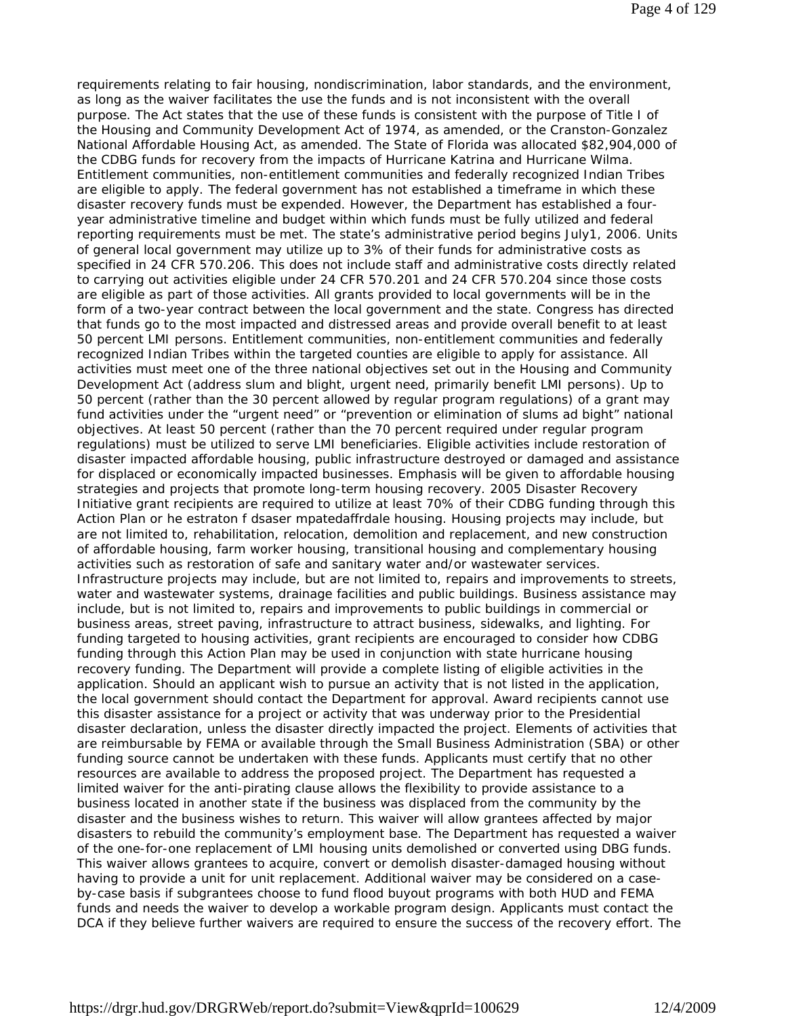requirements relating to fair housing, nondiscrimination, labor standards, and the environment, as long as the waiver facilitates the use the funds and is not inconsistent with the overall purpose. The Act states that the use of these funds is consistent with the purpose of Title I of the Housing and Community Development Act of 1974, as amended, or the Cranston-Gonzalez National Affordable Housing Act, as amended. The State of Florida was allocated \$82,904,000 of the CDBG funds for recovery from the impacts of Hurricane Katrina and Hurricane Wilma. Entitlement communities, non-entitlement communities and federally recognized Indian Tribes are eligible to apply. The federal government has not established a timeframe in which these disaster recovery funds must be expended. However, the Department has established a fouryear administrative timeline and budget within which funds must be fully utilized and federal reporting requirements must be met. The state's administrative period begins July1, 2006. Units of general local government may utilize up to 3% of their funds for administrative costs as specified in 24 CFR 570.206. This does not include staff and administrative costs directly related to carrying out activities eligible under 24 CFR 570.201 and 24 CFR 570.204 since those costs are eligible as part of those activities. All grants provided to local governments will be in the form of a two-year contract between the local government and the state. Congress has directed that funds go to the most impacted and distressed areas and provide overall benefit to at least 50 percent LMI persons. Entitlement communities, non-entitlement communities and federally recognized Indian Tribes within the targeted counties are eligible to apply for assistance. All activities must meet one of the three national objectives set out in the Housing and Community Development Act (address slum and blight, urgent need, primarily benefit LMI persons). Up to 50 percent (rather than the 30 percent allowed by regular program regulations) of a grant may fund activities under the "urgent need" or "prevention or elimination of slums ad bight" national objectives. At least 50 percent (rather than the 70 percent required under regular program regulations) must be utilized to serve LMI beneficiaries. Eligible activities include restoration of disaster impacted affordable housing, public infrastructure destroyed or damaged and assistance for displaced or economically impacted businesses. Emphasis will be given to affordable housing strategies and projects that promote long-term housing recovery. 2005 Disaster Recovery Initiative grant recipients are required to utilize at least 70% of their CDBG funding through this Action Plan or he estraton f dsaser mpatedaffrdale housing. Housing projects may include, but are not limited to, rehabilitation, relocation, demolition and replacement, and new construction of affordable housing, farm worker housing, transitional housing and complementary housing activities such as restoration of safe and sanitary water and/or wastewater services. Infrastructure projects may include, but are not limited to, repairs and improvements to streets, water and wastewater systems, drainage facilities and public buildings. Business assistance may include, but is not limited to, repairs and improvements to public buildings in commercial or business areas, street paving, infrastructure to attract business, sidewalks, and lighting. For funding targeted to housing activities, grant recipients are encouraged to consider how CDBG funding through this Action Plan may be used in conjunction with state hurricane housing recovery funding. The Department will provide a complete listing of eligible activities in the application. Should an applicant wish to pursue an activity that is not listed in the application, the local government should contact the Department for approval. Award recipients cannot use this disaster assistance for a project or activity that was underway prior to the Presidential disaster declaration, unless the disaster directly impacted the project. Elements of activities that are reimbursable by FEMA or available through the Small Business Administration (SBA) or other funding source cannot be undertaken with these funds. Applicants must certify that no other resources are available to address the proposed project. The Department has requested a limited waiver for the anti-pirating clause allows the flexibility to provide assistance to a business located in another state if the business was displaced from the community by the disaster and the business wishes to return. This waiver will allow grantees affected by major disasters to rebuild the community's employment base. The Department has requested a waiver of the one-for-one replacement of LMI housing units demolished or converted using DBG funds. This waiver allows grantees to acquire, convert or demolish disaster-damaged housing without having to provide a unit for unit replacement. Additional waiver may be considered on a caseby-case basis if subgrantees choose to fund flood buyout programs with both HUD and FEMA funds and needs the waiver to develop a workable program design. Applicants must contact the DCA if they believe further waivers are required to ensure the success of the recovery effort. The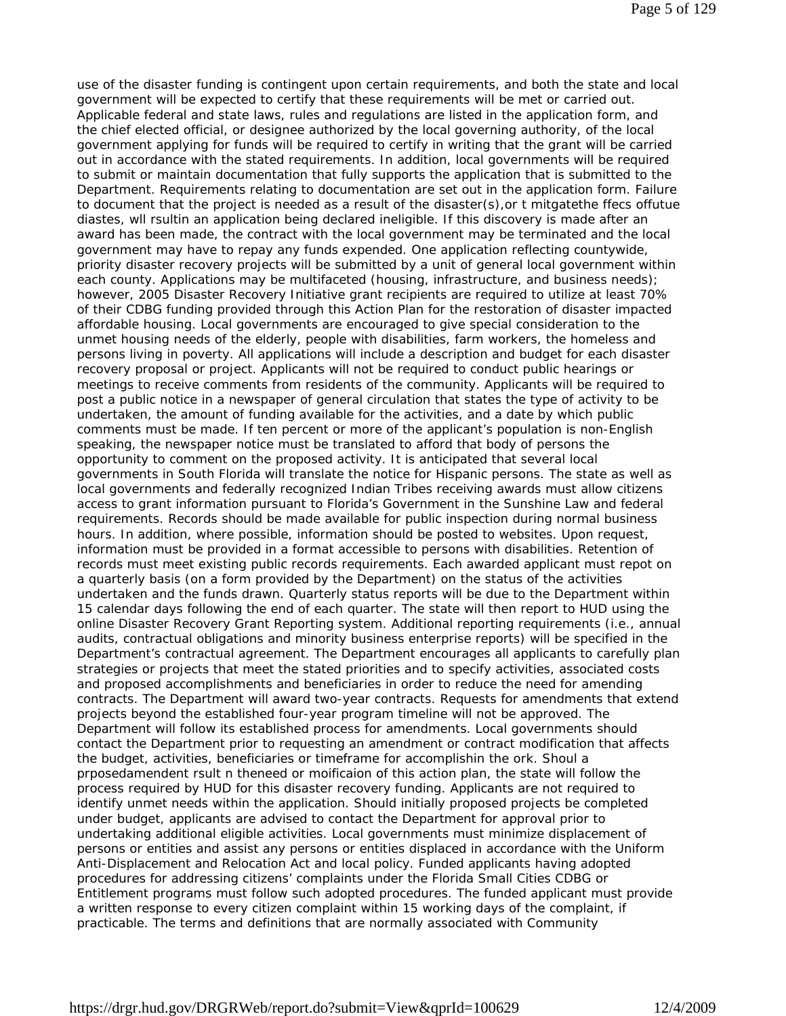use of the disaster funding is contingent upon certain requirements, and both the state and local government will be expected to certify that these requirements will be met or carried out. Applicable federal and state laws, rules and regulations are listed in the application form, and the chief elected official, or designee authorized by the local governing authority, of the local government applying for funds will be required to certify in writing that the grant will be carried out in accordance with the stated requirements. In addition, local governments will be required to submit or maintain documentation that fully supports the application that is submitted to the Department. Requirements relating to documentation are set out in the application form. Failure to document that the project is needed as a result of the disaster(s),or t mitgatethe ffecs offutue diastes, wll rsultin an application being declared ineligible. If this discovery is made after an award has been made, the contract with the local government may be terminated and the local government may have to repay any funds expended. One application reflecting countywide, priority disaster recovery projects will be submitted by a unit of general local government within each county. Applications may be multifaceted (housing, infrastructure, and business needs); however, 2005 Disaster Recovery Initiative grant recipients are required to utilize at least 70% of their CDBG funding provided through this Action Plan for the restoration of disaster impacted affordable housing. Local governments are encouraged to give special consideration to the unmet housing needs of the elderly, people with disabilities, farm workers, the homeless and persons living in poverty. All applications will include a description and budget for each disaster recovery proposal or project. Applicants will not be required to conduct public hearings or meetings to receive comments from residents of the community. Applicants will be required to post a public notice in a newspaper of general circulation that states the type of activity to be undertaken, the amount of funding available for the activities, and a date by which public comments must be made. If ten percent or more of the applicant's population is non-English speaking, the newspaper notice must be translated to afford that body of persons the opportunity to comment on the proposed activity. It is anticipated that several local governments in South Florida will translate the notice for Hispanic persons. The state as well as local governments and federally recognized Indian Tribes receiving awards must allow citizens access to grant information pursuant to Florida's Government in the Sunshine Law and federal requirements. Records should be made available for public inspection during normal business hours. In addition, where possible, information should be posted to websites. Upon request, information must be provided in a format accessible to persons with disabilities. Retention of records must meet existing public records requirements. Each awarded applicant must repot on a quarterly basis (on a form provided by the Department) on the status of the activities undertaken and the funds drawn. Quarterly status reports will be due to the Department within 15 calendar days following the end of each quarter. The state will then report to HUD using the online Disaster Recovery Grant Reporting system. Additional reporting requirements (i.e., annual audits, contractual obligations and minority business enterprise reports) will be specified in the Department's contractual agreement. The Department encourages all applicants to carefully plan strategies or projects that meet the stated priorities and to specify activities, associated costs and proposed accomplishments and beneficiaries in order to reduce the need for amending contracts. The Department will award two-year contracts. Requests for amendments that extend projects beyond the established four-year program timeline will not be approved. The Department will follow its established process for amendments. Local governments should contact the Department prior to requesting an amendment or contract modification that affects the budget, activities, beneficiaries or timeframe for accomplishin the ork. Shoul a prposedamendent rsult n theneed or moificaion of this action plan, the state will follow the process required by HUD for this disaster recovery funding. Applicants are not required to identify unmet needs within the application. Should initially proposed projects be completed under budget, applicants are advised to contact the Department for approval prior to undertaking additional eligible activities. Local governments must minimize displacement of persons or entities and assist any persons or entities displaced in accordance with the Uniform Anti-Displacement and Relocation Act and local policy. Funded applicants having adopted procedures for addressing citizens' complaints under the Florida Small Cities CDBG or Entitlement programs must follow such adopted procedures. The funded applicant must provide a written response to every citizen complaint within 15 working days of the complaint, if practicable. The terms and definitions that are normally associated with Community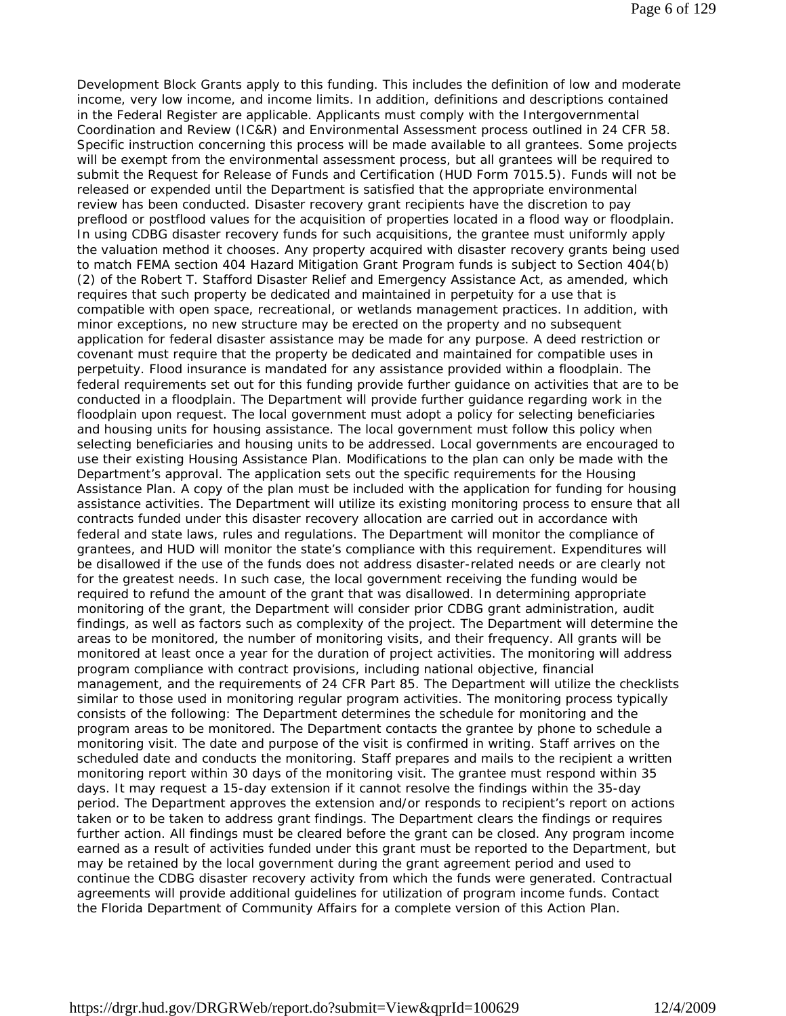Development Block Grants apply to this funding. This includes the definition of low and moderate income, very low income, and income limits. In addition, definitions and descriptions contained in the Federal Register are applicable. Applicants must comply with the Intergovernmental Coordination and Review (IC&R) and Environmental Assessment process outlined in 24 CFR 58. Specific instruction concerning this process will be made available to all grantees. Some projects will be exempt from the environmental assessment process, but all grantees will be required to submit the Request for Release of Funds and Certification (HUD Form 7015.5). Funds will not be released or expended until the Department is satisfied that the appropriate environmental review has been conducted. Disaster recovery grant recipients have the discretion to pay preflood or postflood values for the acquisition of properties located in a flood way or floodplain. In using CDBG disaster recovery funds for such acquisitions, the grantee must uniformly apply the valuation method it chooses. Any property acquired with disaster recovery grants being used to match FEMA section 404 Hazard Mitigation Grant Program funds is subject to Section 404(b) (2) of the Robert T. Stafford Disaster Relief and Emergency Assistance Act, as amended, which requires that such property be dedicated and maintained in perpetuity for a use that is compatible with open space, recreational, or wetlands management practices. In addition, with minor exceptions, no new structure may be erected on the property and no subsequent application for federal disaster assistance may be made for any purpose. A deed restriction or covenant must require that the property be dedicated and maintained for compatible uses in perpetuity. Flood insurance is mandated for any assistance provided within a floodplain. The federal requirements set out for this funding provide further guidance on activities that are to be conducted in a floodplain. The Department will provide further guidance regarding work in the floodplain upon request. The local government must adopt a policy for selecting beneficiaries and housing units for housing assistance. The local government must follow this policy when selecting beneficiaries and housing units to be addressed. Local governments are encouraged to use their existing Housing Assistance Plan. Modifications to the plan can only be made with the Department's approval. The application sets out the specific requirements for the Housing Assistance Plan. A copy of the plan must be included with the application for funding for housing assistance activities. The Department will utilize its existing monitoring process to ensure that all contracts funded under this disaster recovery allocation are carried out in accordance with federal and state laws, rules and regulations. The Department will monitor the compliance of grantees, and HUD will monitor the state's compliance with this requirement. Expenditures will be disallowed if the use of the funds does not address disaster-related needs or are clearly not for the greatest needs. In such case, the local government receiving the funding would be required to refund the amount of the grant that was disallowed. In determining appropriate monitoring of the grant, the Department will consider prior CDBG grant administration, audit findings, as well as factors such as complexity of the project. The Department will determine the areas to be monitored, the number of monitoring visits, and their frequency. All grants will be monitored at least once a year for the duration of project activities. The monitoring will address program compliance with contract provisions, including national objective, financial management, and the requirements of 24 CFR Part 85. The Department will utilize the checklists similar to those used in monitoring regular program activities. The monitoring process typically consists of the following: The Department determines the schedule for monitoring and the program areas to be monitored. The Department contacts the grantee by phone to schedule a monitoring visit. The date and purpose of the visit is confirmed in writing. Staff arrives on the scheduled date and conducts the monitoring. Staff prepares and mails to the recipient a written monitoring report within 30 days of the monitoring visit. The grantee must respond within 35 days. It may request a 15-day extension if it cannot resolve the findings within the 35-day period. The Department approves the extension and/or responds to recipient's report on actions taken or to be taken to address grant findings. The Department clears the findings or requires further action. All findings must be cleared before the grant can be closed. Any program income earned as a result of activities funded under this grant must be reported to the Department, but may be retained by the local government during the grant agreement period and used to continue the CDBG disaster recovery activity from which the funds were generated. Contractual agreements will provide additional guidelines for utilization of program income funds. Contact the Florida Department of Community Affairs for a complete version of this Action Plan.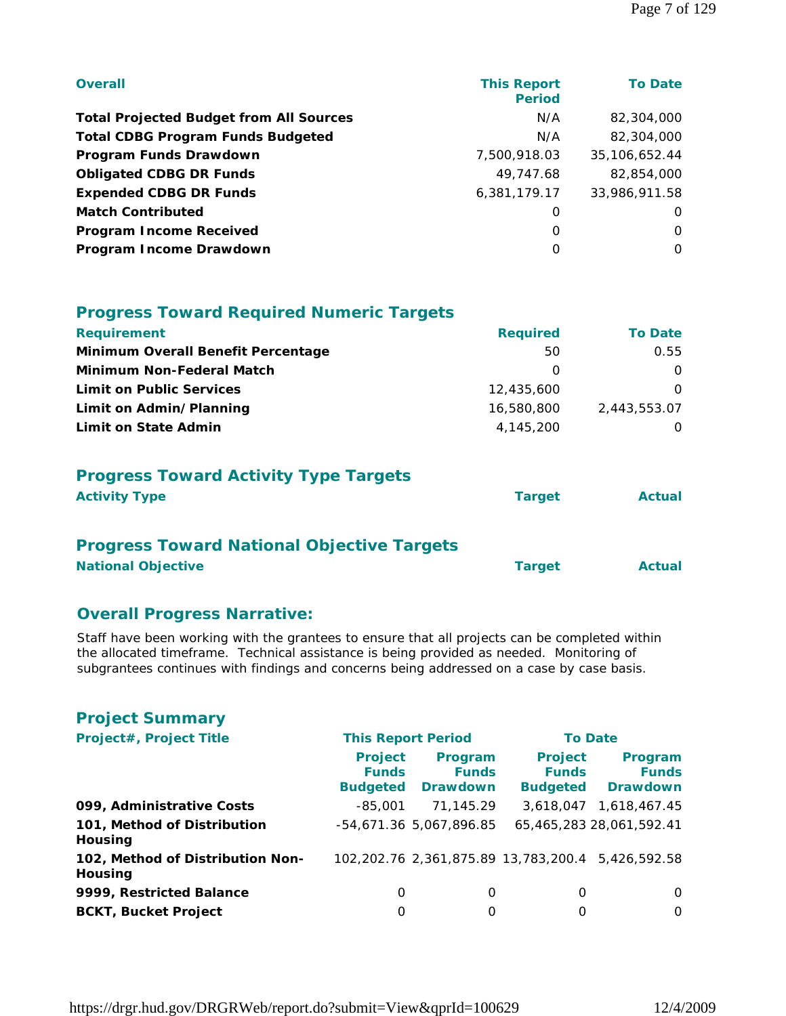| <b>Overall</b>                                 | <b>This Report</b><br><b>Period</b> | <b>To Date</b> |
|------------------------------------------------|-------------------------------------|----------------|
| <b>Total Projected Budget from All Sources</b> | N/A                                 | 82,304,000     |
| <b>Total CDBG Program Funds Budgeted</b>       | N/A                                 | 82,304,000     |
| Program Funds Drawdown                         | 7,500,918.03                        | 35,106,652.44  |
| <b>Obligated CDBG DR Funds</b>                 | 49,747.68                           | 82,854,000     |
| <b>Expended CDBG DR Funds</b>                  | 6,381,179.17                        | 33,986,911.58  |
| <b>Match Contributed</b>                       | 0                                   | $\Omega$       |
| <b>Program Income Received</b>                 | O                                   | $\Omega$       |
| Program Income Drawdown                        | 0                                   | $\Omega$       |

| <b>Progress Toward Required Numeric Targets</b> |
|-------------------------------------------------|
|-------------------------------------------------|

| <b>Requirement</b>                 | <b>Required</b>  | <b>To Date</b> |
|------------------------------------|------------------|----------------|
| Minimum Overall Benefit Percentage | 50               | 0.55           |
| <b>Minimum Non-Federal Match</b>   | $\left( \right)$ |                |
| <b>Limit on Public Services</b>    | 12,435,600       |                |
| Limit on Admin/Planning            | 16,580,800       | 2,443,553.07   |
| Limit on State Admin               | 4,145,200        |                |

# **Progress Toward Activity Type Targets**

| <b>Activity Type</b> | <b>Target</b> | <b>Actual</b> |
|----------------------|---------------|---------------|
|                      |               |               |

#### **Progress Toward National Objective Targets**

| <b>National Objective</b> |  | <b>Target</b> | <b>Actual</b> |
|---------------------------|--|---------------|---------------|
|                           |  |               |               |

#### **Overall Progress Narrative:**

Staff have been working with the grantees to ensure that all projects can be completed within the allocated timeframe. Technical assistance is being provided as needed. Monitoring of subgrantees continues with findings and concerns being addressed on a case by case basis.

| <b>Project Summary</b>                      |                                                   |                                            |                                                   |                                            |  |
|---------------------------------------------|---------------------------------------------------|--------------------------------------------|---------------------------------------------------|--------------------------------------------|--|
| Project#, Project Title                     | <b>This Report Period</b>                         |                                            | <b>To Date</b>                                    |                                            |  |
|                                             | <b>Project</b><br><b>Funds</b><br><b>Budgeted</b> | Program<br><b>Funds</b><br><b>Drawdown</b> | <b>Project</b><br><b>Funds</b><br><b>Budgeted</b> | Program<br><b>Funds</b><br><b>Drawdown</b> |  |
| 099, Administrative Costs                   | $-85.001$                                         | 71.145.29                                  |                                                   | 3,618,047 1,618,467.45                     |  |
| 101, Method of Distribution<br>Housing      |                                                   | -54,671.36 5,067,896.85                    |                                                   | 65,465,283 28,061,592.41                   |  |
| 102, Method of Distribution Non-<br>Housing |                                                   | 102,202.76 2,361,875.89 13,783,200.4       |                                                   | 5.426.592.58                               |  |
| 9999, Restricted Balance                    | 0                                                 | O                                          | 0                                                 | $\Omega$                                   |  |
| <b>BCKT, Bucket Project</b>                 | 0                                                 | 0                                          | 0                                                 | 0                                          |  |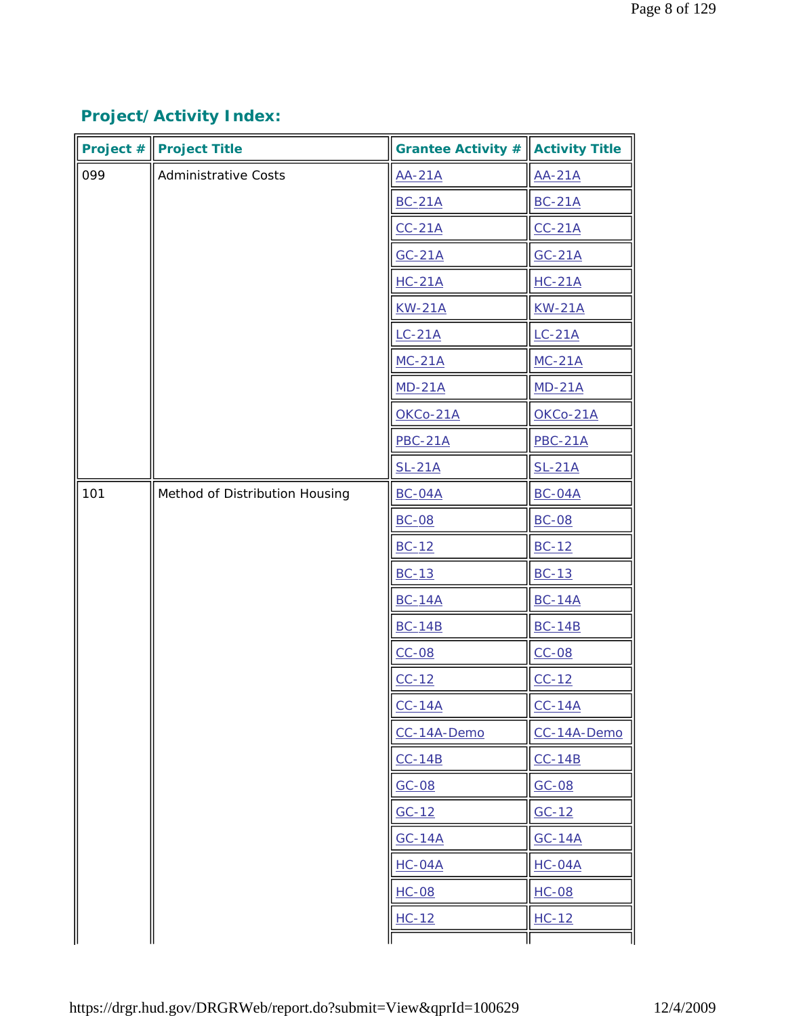# **Project/Activity Index:**

|     | Project $\#\ $ Project Title   | Grantee Activity $\#\ $ Activity Title |                |
|-----|--------------------------------|----------------------------------------|----------------|
| 099 | <b>Administrative Costs</b>    | <b>AA-21A</b>                          | $AA-21A$       |
|     |                                | <b>BC-21A</b>                          | $BC-21A$       |
|     |                                | $CC-21A$                               | $CC-21A$       |
|     |                                | $GC-21A$                               | $GC-21A$       |
|     |                                | $HC-21A$                               | $HC-21A$       |
|     |                                | <b>KW-21A</b>                          | <b>KW-21A</b>  |
|     |                                | $LC-21A$                               | $LC-21A$       |
|     |                                | $MC-21A$                               | $MC-21A$       |
|     |                                | $MD-21A$                               | $MD-21A$       |
|     |                                | OKCo-21A                               | OKCo-21A       |
|     |                                | <b>PBC-21A</b>                         | <b>PBC-21A</b> |
|     |                                | $SL-21A$                               | $SL-21A$       |
| 101 | Method of Distribution Housing | <b>BC-04A</b>                          | <b>BC-04A</b>  |
|     |                                | <b>BC-08</b>                           | <b>BC-08</b>   |
|     |                                | $BC-12$                                | $BC-12$        |
|     |                                | $BC-13$                                | $BC-13$        |
|     |                                | <b>BC-14A</b>                          | <b>BC-14A</b>  |
|     |                                | <b>BC-14B</b>                          | <b>BC-14B</b>  |
|     |                                | $CC-08$                                | $CC-08$        |
|     |                                | $CC-12$                                | $CC-12$        |
|     |                                | $CC-14A$                               | $CC-14A$       |
|     |                                | CC-14A-Demo                            | CC-14A-Demo    |
|     |                                | $CC-14B$                               | $CC-14B$       |
|     |                                | $GC-08$                                | $GC-08$        |
|     |                                | $GC-12$                                | $GC-12$        |
|     |                                | $GC-14A$                               | $GC-14A$       |
|     |                                | $HC-04A$                               | $HC-04A$       |
|     |                                | $HC-08$                                | $HC-08$        |
|     |                                | $HC-12$                                | $HC-12$        |
|     |                                |                                        |                |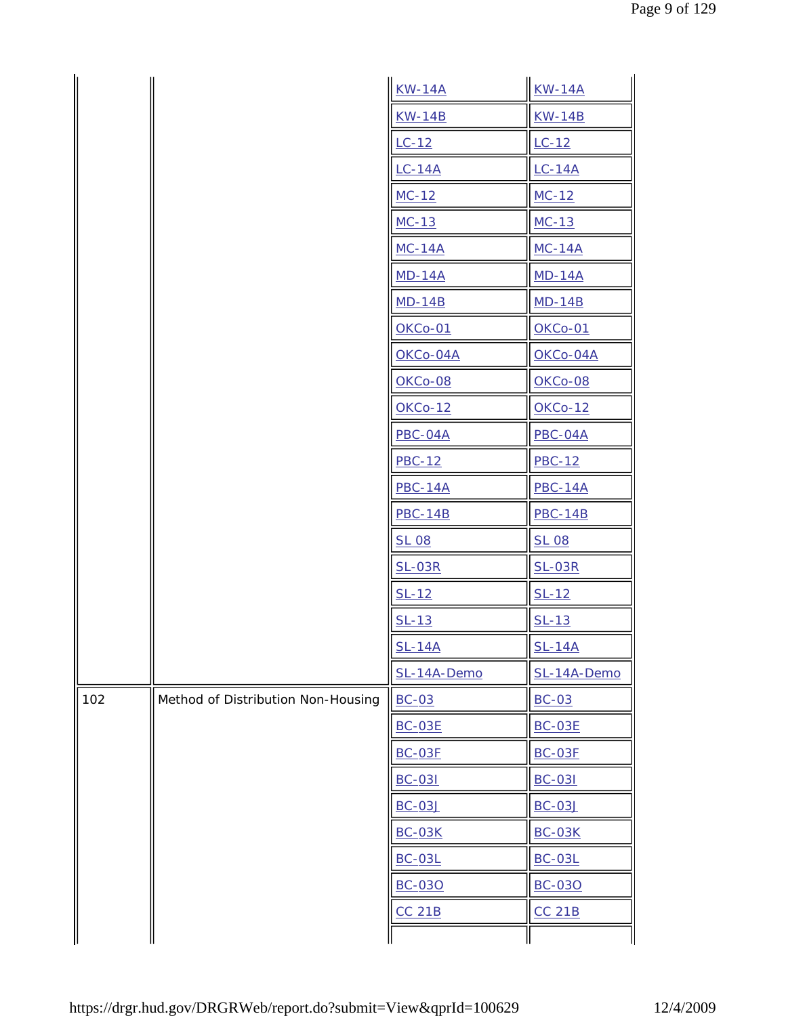|     |                                    | $KW-14A$       | <b>KW-14A</b>  |
|-----|------------------------------------|----------------|----------------|
|     |                                    | <b>KW-14B</b>  | <b>KW-14B</b>  |
|     |                                    | $LC-12$        | $LC-12$        |
|     |                                    | $LC-14A$       | $LC-14A$       |
|     |                                    | $MC-12$        | $MC-12$        |
|     |                                    | $MC-13$        | $MC-13$        |
|     |                                    | $MC-14A$       | $MC-14A$       |
|     |                                    | $MD-14A$       | $MD-14A$       |
|     |                                    | $MD-14B$       | $MD-14B$       |
|     |                                    | <b>OKCo-01</b> | <b>OKCo-01</b> |
|     |                                    | OKCo-04A       | OKCo-04A       |
|     |                                    | OKCo-08        | OKCo-08        |
|     |                                    | <b>OKCo-12</b> | <b>OKCo-12</b> |
|     |                                    | <b>PBC-04A</b> | PBC-04A        |
|     |                                    | $PBC-12$       | <b>PBC-12</b>  |
|     |                                    | <b>PBC-14A</b> | $PBC-14A$      |
|     |                                    | <b>PBC-14B</b> | <b>PBC-14B</b> |
|     |                                    | <b>SL 08</b>   | <b>SL 08</b>   |
|     |                                    | $SL-03R$       | $SL-03R$       |
|     |                                    | $SL-12$        | $SL-12$        |
|     |                                    | $SL-13$        | $SL-13$        |
|     |                                    | <b>SL-14A</b>  | <b>SL-14A</b>  |
|     |                                    | SL-14A-Demo    | SL-14A-Demo    |
| 102 | Method of Distribution Non-Housing | $BC-03$        | $BC-03$        |
|     |                                    | <b>BC-03E</b>  | <b>BC-03E</b>  |
|     |                                    | <b>BC-03F</b>  | <b>BC-03F</b>  |
|     |                                    | <b>BC-031</b>  | <b>BC-031</b>  |
|     |                                    | <b>BC-03J</b>  | <b>BC-03J</b>  |
|     |                                    | <b>BC-03K</b>  | <b>BC-03K</b>  |
|     |                                    | <b>BC-03L</b>  | <b>BC-03L</b>  |
|     |                                    | <b>BC-030</b>  | <b>BC-030</b>  |
|     |                                    | <b>CC 21B</b>  | <b>CC 21B</b>  |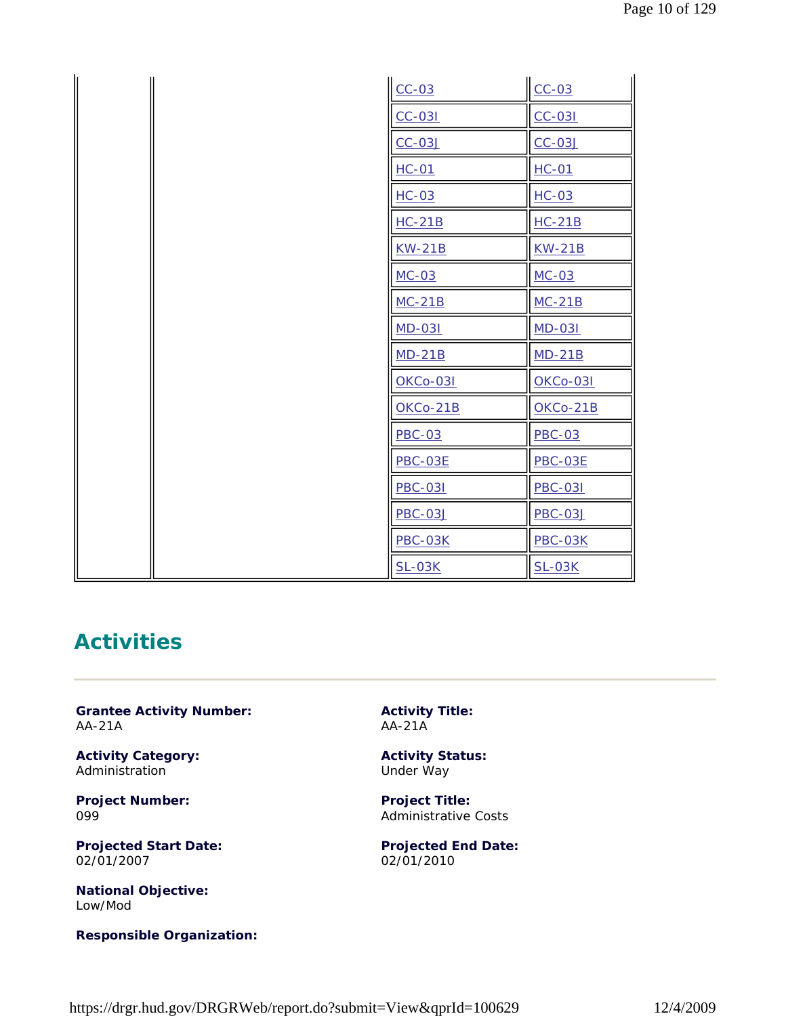|  | $CC-03$         | $CC-03$         |
|--|-----------------|-----------------|
|  | $CC-031$        | $CC-031$        |
|  | $CC-03J$        | $CC-03J$        |
|  | $HC-01$         | $HC-01$         |
|  | $HC-03$         | $HC-03$         |
|  | $HC-21B$        | $HC-21B$        |
|  | <b>KW-21B</b>   | <b>KW-21B</b>   |
|  | $MC-03$         | $MC-03$         |
|  | $MC-21B$        | $MC-21B$        |
|  | <b>MD-031</b>   | <b>MD-031</b>   |
|  | $MD-21B$        | $MD-21B$        |
|  | <b>OKCo-031</b> | <b>OKCo-031</b> |
|  | OKCo-21B        | $OKCo-21B$      |
|  | <b>PBC-03</b>   | <b>PBC-03</b>   |
|  | <b>PBC-03E</b>  | <b>PBC-03E</b>  |
|  | <b>PBC-031</b>  | <b>PBC-031</b>  |
|  | <b>PBC-03J</b>  | <b>PBC-03J</b>  |
|  | <b>PBC-03K</b>  | <b>PBC-03K</b>  |
|  | <b>SL-03K</b>   | $SL-03K$        |

# **Activities**

**Grantee Activity Number:** AA-21A

**Activity Category:** Administration

**Project Number:** 099

**Projected Start Date:** 02/01/2007

**National Objective:** Low/Mod

**Responsible Organization:**

**Activity Title:** AA-21A

**Activity Status:** Under Way

**Project Title:** Administrative Costs

**Projected End Date:** 02/01/2010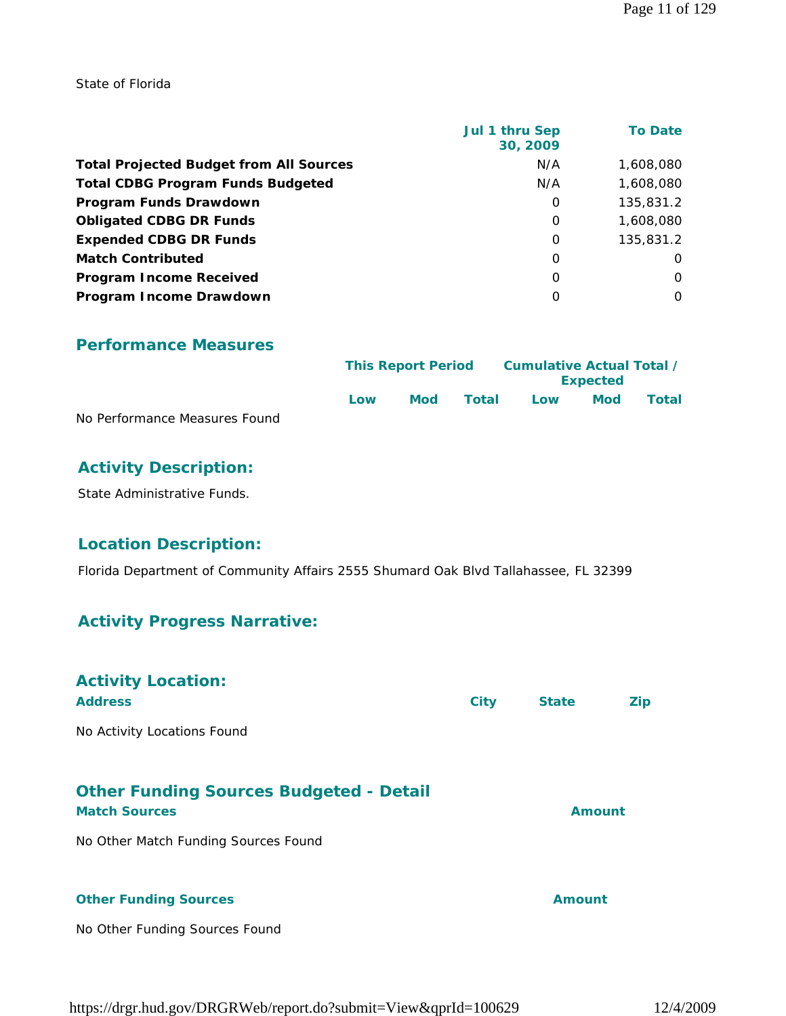State of Florida

|                                                | Jul 1 thru Sep<br>30, 2009 | <b>To Date</b> |
|------------------------------------------------|----------------------------|----------------|
| <b>Total Projected Budget from All Sources</b> | N/A                        | 1,608,080      |
| <b>Total CDBG Program Funds Budgeted</b>       | N/A                        | 1,608,080      |
| Program Funds Drawdown                         | 0                          | 135,831.2      |
| <b>Obligated CDBG DR Funds</b>                 | 0                          | 1,608,080      |
| <b>Expended CDBG DR Funds</b>                  | 0                          | 135,831.2      |
| <b>Match Contributed</b>                       | $\Omega$                   | $\Omega$       |
| <b>Program Income Received</b>                 | $\Omega$                   | $\Omega$       |
| Program Income Drawdown                        | $\Omega$                   | $\Omega$       |

#### **Performance Measures**

|                               | <b>This Report Period</b> |     | Cumulative Actual Total / |     |                 |       |  |
|-------------------------------|---------------------------|-----|---------------------------|-----|-----------------|-------|--|
|                               |                           |     |                           |     | <b>Expected</b> |       |  |
|                               | Low                       | Mod | Total                     | Low | <b>Mod</b>      | Total |  |
| No Performance Measures Found |                           |     |                           |     |                 |       |  |

#### **Activity Description:**

State Administrative Funds.

# **Location Description:**

Florida Department of Community Affairs 2555 Shumard Oak Blvd Tallahassee, FL 32399

#### **Activity Progress Narrative:**

| <b>Activity Location:</b><br><b>Address</b>                            | <b>City</b> | <b>State</b>  | Zip |
|------------------------------------------------------------------------|-------------|---------------|-----|
| No Activity Locations Found                                            |             |               |     |
| <b>Other Funding Sources Budgeted - Detail</b><br><b>Match Sources</b> |             | <b>Amount</b> |     |
| No Other Match Funding Sources Found                                   |             |               |     |
| <b>Other Funding Sources</b>                                           |             | Amount        |     |

No Other Funding Sources Found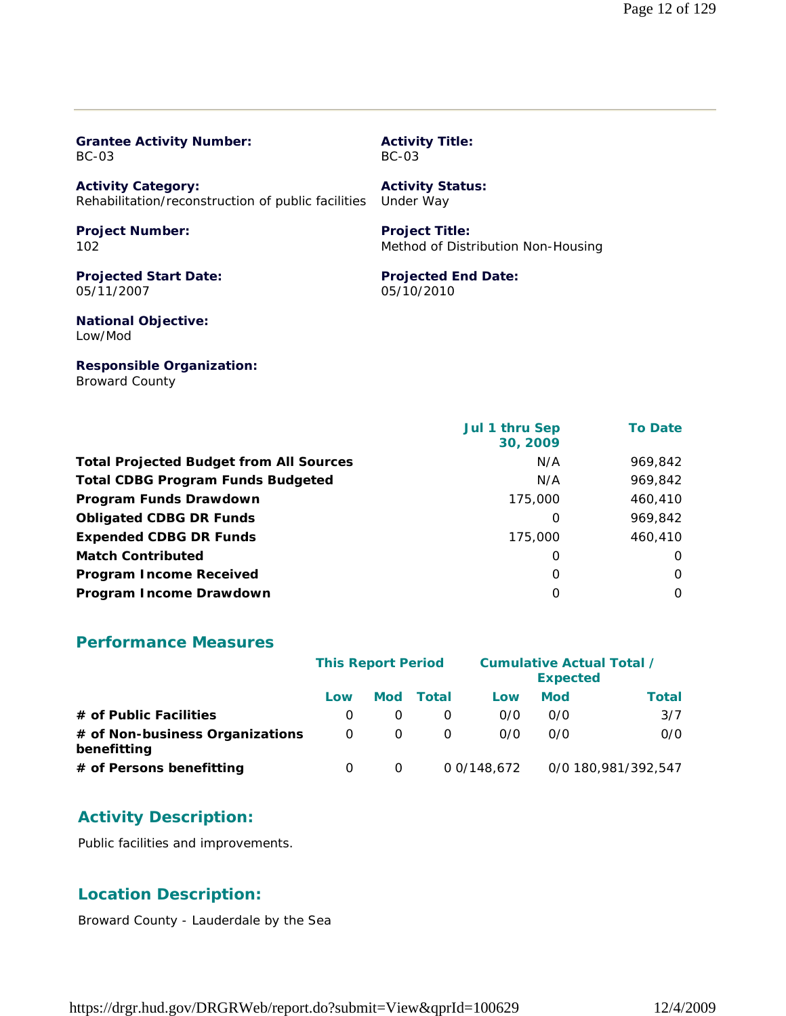| <b>Grantee Activity Number:</b>                    | <b>Activity Title:</b>             |
|----------------------------------------------------|------------------------------------|
| BC-03                                              | BC-03                              |
| <b>Activity Category:</b>                          | <b>Activity Status:</b>            |
| Rehabilitation/reconstruction of public facilities | Under Way                          |
| <b>Project Number:</b>                             | <b>Project Title:</b>              |
| 102                                                | Method of Distribution Non-Housing |
| <b>Projected Start Date:</b>                       | <b>Projected End Date:</b>         |
| 05/11/2007                                         | 05/10/2010                         |
| <b>National Objective:</b><br>Low/Mod              |                                    |
| <b>Responsible Organization:</b>                   |                                    |

 **Jul 1 thru Sep 30, 2009 To Date** Total Projected Budget from All Sources N/A 969,842 **Total CDBG Program Funds Budgeted** N/A 969,842 **Program Funds Drawdown** 175,000 460,410 **Obligated CDBG DR Funds 0** 969,842 **Expended CDBG DR Funds** 175,000 460,410 **Match Contributed** 0 0 **Program Income Received** 0 0 **Program Income Drawdown** 0 0

#### **Performance Measures**

Broward County

|                                                | <b>This Report Period</b> |          |       | <b>Cumulative Actual Total /</b><br><b>Expected</b> |            |                     |
|------------------------------------------------|---------------------------|----------|-------|-----------------------------------------------------|------------|---------------------|
|                                                | Low                       | Mod      | Total | Low                                                 | <b>Mod</b> | Total               |
| # of Public Facilities                         |                           |          |       | 0/0                                                 | 0/0        | 3/7                 |
| # of Non-business Organizations<br>benefitting | 0                         | $\Omega$ |       | 0/0                                                 | 0/0        | 0/0                 |
| # of Persons benefitting                       | O                         | O        |       | 0 0/148.672                                         |            | 0/0 180,981/392,547 |

# **Activity Description:**

Public facilities and improvements.

# **Location Description:**

Broward County - Lauderdale by the Sea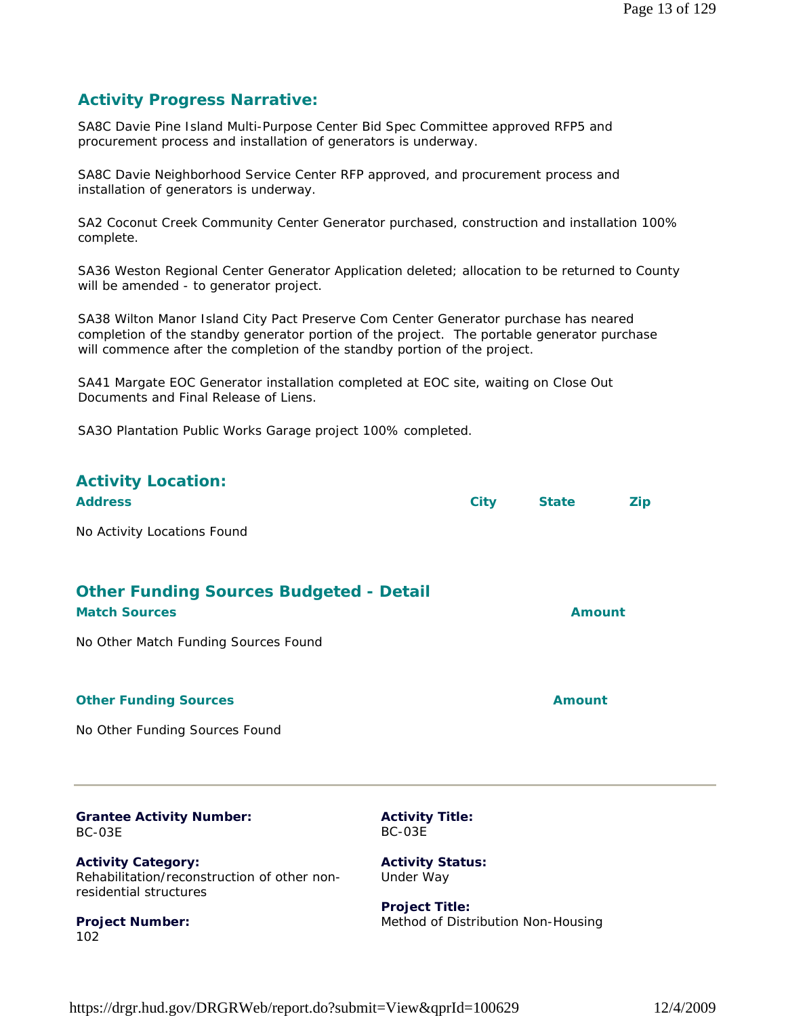# **Activity Progress Narrative:**

SA8C Davie Pine Island Multi-Purpose Center Bid Spec Committee approved RFP5 and procurement process and installation of generators is underway.

SA8C Davie Neighborhood Service Center RFP approved, and procurement process and installation of generators is underway.

SA2 Coconut Creek Community Center Generator purchased, construction and installation 100% complete.

SA36 Weston Regional Center Generator Application deleted; allocation to be returned to County will be amended - to generator project.

SA38 Wilton Manor Island City Pact Preserve Com Center Generator purchase has neared completion of the standby generator portion of the project. The portable generator purchase will commence after the completion of the standby portion of the project.

SA41 Margate EOC Generator installation completed at EOC site, waiting on Close Out Documents and Final Release of Liens.

SA3O Plantation Public Works Garage project 100% completed.

| <b>Activity Location:</b><br><b>Address</b>                            | <b>City</b> | <b>State</b>  | <b>Zip</b> |
|------------------------------------------------------------------------|-------------|---------------|------------|
| No Activity Locations Found                                            |             |               |            |
| <b>Other Funding Sources Budgeted - Detail</b><br><b>Match Sources</b> |             | <b>Amount</b> |            |
| No Other Match Funding Sources Found                                   |             |               |            |
| <b>Other Funding Sources</b>                                           |             | <b>Amount</b> |            |
| No Other Funding Sources Found                                         |             |               |            |
|                                                                        |             |               |            |
|                                                                        |             |               |            |

#### **Grantee Activity Number:** BC-03E

**Activity Category:** Rehabilitation/reconstruction of other nonresidential structures

**Project Number:** 102

**Activity Title:** BC-03E

**Activity Status:** Under Way

**Project Title:** Method of Distribution Non-Housing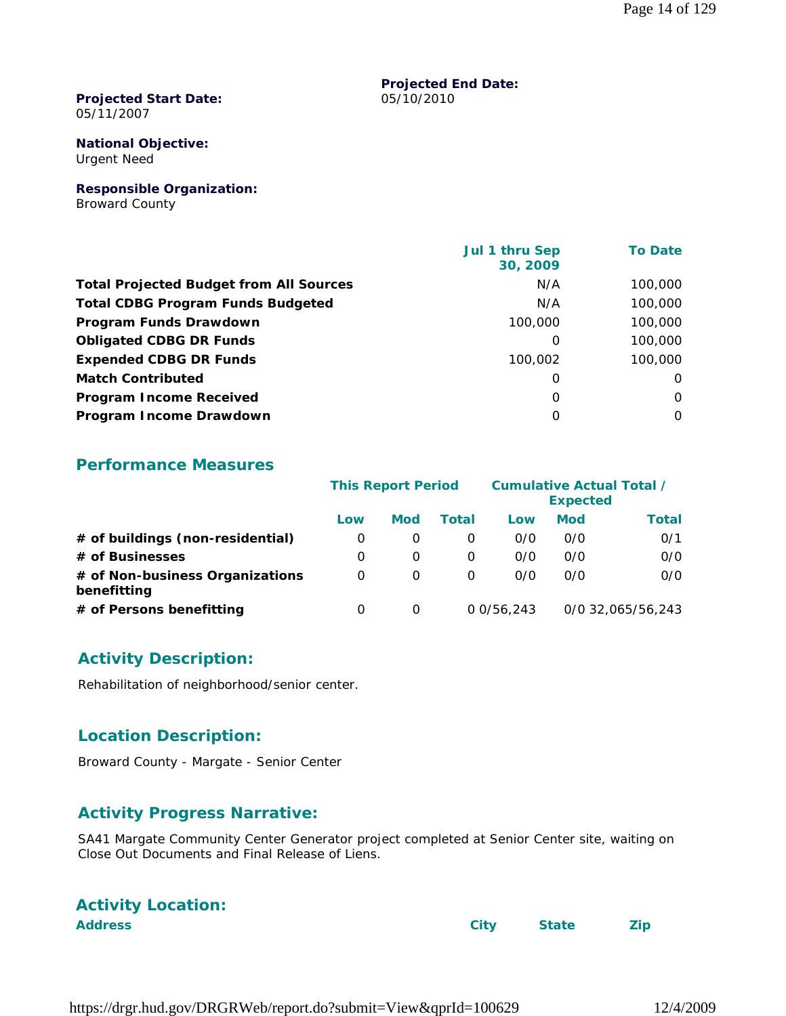#### **Projected Start Date:** 05/11/2007

#### **National Objective:** Urgent Need

**Responsible Organization:** Broward County

|                                                | <b>Jul 1 thru Sep</b><br>30, 2009 | <b>To Date</b> |
|------------------------------------------------|-----------------------------------|----------------|
| <b>Total Projected Budget from All Sources</b> | N/A                               | 100,000        |
| <b>Total CDBG Program Funds Budgeted</b>       | N/A                               | 100,000        |
| Program Funds Drawdown                         | 100,000                           | 100,000        |
| <b>Obligated CDBG DR Funds</b>                 | 0                                 | 100,000        |
| <b>Expended CDBG DR Funds</b>                  | 100,002                           | 100,000        |
| <b>Match Contributed</b>                       | 0                                 | $\Omega$       |
| <b>Program Income Received</b>                 | $\Omega$                          | $\Omega$       |
| Program Income Drawdown                        | O                                 | $\Omega$       |

**Projected End Date:**

05/10/2010

#### **Performance Measures**

|                                                | <b>This Report Period</b> |            |              | <b>Cumulative Actual Total /</b><br><b>Expected</b> |            |                   |
|------------------------------------------------|---------------------------|------------|--------------|-----------------------------------------------------|------------|-------------------|
|                                                | Low                       | <b>Mod</b> | <b>Total</b> | Low                                                 | <b>Mod</b> | <b>Total</b>      |
| # of buildings (non-residential)               | O                         |            | $\Omega$     | O/O                                                 | 0/0        | 0/1               |
| # of Businesses                                | 0                         | $\Omega$   | 0            | O/O                                                 | 0/0        | 0/0               |
| # of Non-business Organizations<br>benefitting | 0                         | $\Omega$   | 0            | 0/0                                                 | 0/0        | 0/0               |
| # of Persons benefitting                       | O                         |            |              | 0.0/56.243                                          |            | 0/0 32,065/56,243 |

# **Activity Description:**

Rehabilitation of neighborhood/senior center.

# **Location Description:**

Broward County - Margate - Senior Center

#### **Activity Progress Narrative:**

SA41 Margate Community Center Generator project completed at Senior Center site, waiting on Close Out Documents and Final Release of Liens.

| <b>Activity Location:</b> |  |
|---------------------------|--|
|                           |  |

**Address City State Zip**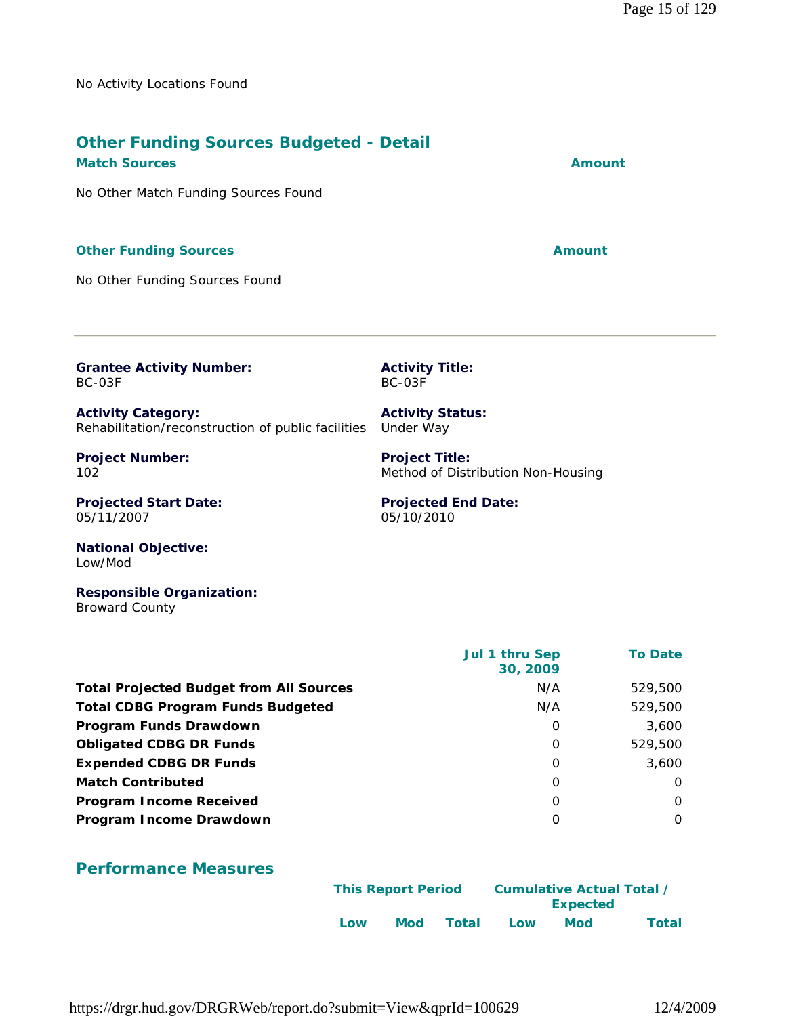No Activity Locations Found

#### **Other Funding Sources Budgeted - Detail Match Sources Amount**

No Other Match Funding Sources Found

# **Other Funding Sources Amount**

No Other Funding Sources Found

**Grantee Activity Number:** BC-03F

**Activity Category:** Rehabilitation/reconstruction of public facilities Under Way

**Project Number:** 102

**Projected Start Date:** 05/11/2007

**Activity Title:** BC-03F

**Activity Status:**

**Project Title:** Method of Distribution Non-Housing

**Projected End Date:** 05/10/2010

**National Objective:** Low/Mod

**Responsible Organization:** Broward County

|                                                | Jul 1 thru Sep<br>30, 2009 | <b>To Date</b> |
|------------------------------------------------|----------------------------|----------------|
| <b>Total Projected Budget from All Sources</b> | N/A                        | 529,500        |
| <b>Total CDBG Program Funds Budgeted</b>       | N/A                        | 529,500        |
| Program Funds Drawdown                         | 0                          | 3,600          |
| <b>Obligated CDBG DR Funds</b>                 | $\Omega$                   | 529,500        |
| <b>Expended CDBG DR Funds</b>                  | 0                          | 3,600          |
| <b>Match Contributed</b>                       | 0                          | $\Omega$       |
| <b>Program Income Received</b>                 | 0                          | $\Omega$       |
| Program Income Drawdown                        | O                          | $\Omega$       |

#### **Performance Measures**

|     | Cumulative Actual Total /<br><b>This Report Period</b> |       |     |          |              |
|-----|--------------------------------------------------------|-------|-----|----------|--------------|
|     |                                                        |       |     | Expected |              |
| Low | Mod                                                    | Total | Low | Mod      | <b>Total</b> |

https://drgr.hud.gov/DRGRWeb/report.do?submit=View&qprId=100629 12/4/2009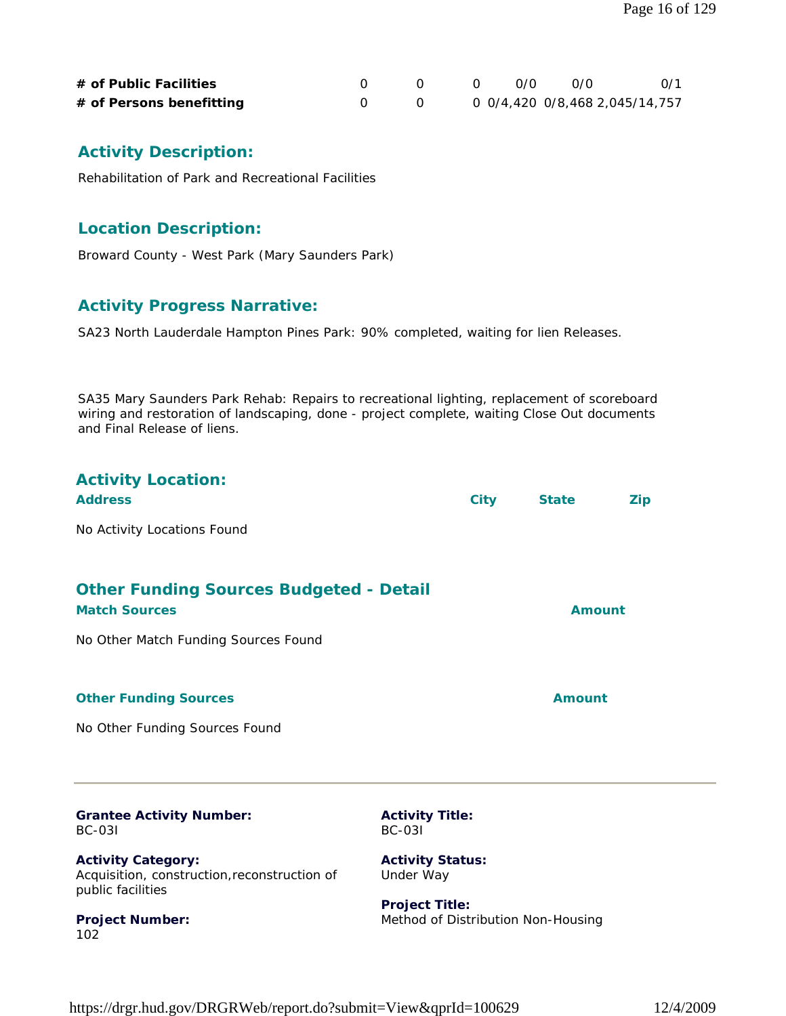| # of Public Facilities   |  | റ ⁄റ | - N.O                          | 0/1 |
|--------------------------|--|------|--------------------------------|-----|
| # of Persons benefitting |  |      | 0 0/4,420 0/8,468 2,045/14,757 |     |

# **Activity Description:**

Rehabilitation of Park and Recreational Facilities

#### **Location Description:**

Broward County - West Park (Mary Saunders Park)

# **Activity Progress Narrative:**

SA23 North Lauderdale Hampton Pines Park: 90% completed, waiting for lien Releases.

SA35 Mary Saunders Park Rehab: Repairs to recreational lighting, replacement of scoreboard wiring and restoration of landscaping, done - project complete, waiting Close Out documents and Final Release of liens.

| <b>Activity Location:</b><br><b>Address</b>                                                    |                                         | <b>City</b> | <b>State</b>                       | <b>Zip</b> |
|------------------------------------------------------------------------------------------------|-----------------------------------------|-------------|------------------------------------|------------|
| No Activity Locations Found                                                                    |                                         |             |                                    |            |
| <b>Other Funding Sources Budgeted - Detail</b><br><b>Match Sources</b>                         |                                         |             | <b>Amount</b>                      |            |
| No Other Match Funding Sources Found                                                           |                                         |             |                                    |            |
| <b>Other Funding Sources</b>                                                                   |                                         |             | <b>Amount</b>                      |            |
| No Other Funding Sources Found                                                                 |                                         |             |                                    |            |
|                                                                                                |                                         |             |                                    |            |
| <b>Grantee Activity Number:</b><br><b>BC-031</b>                                               | <b>Activity Title:</b><br><b>BC-031</b> |             |                                    |            |
| <b>Activity Category:</b><br>Acquisition, construction, reconstruction of<br>public facilities | <b>Activity Status:</b><br>Under Way    |             |                                    |            |
| <b>Project Number:</b>                                                                         | <b>Project Title:</b>                   |             | Method of Distribution Non-Housing |            |

https://drgr.hud.gov/DRGRWeb/report.do?submit=View&qprId=100629 12/4/2009

 $102$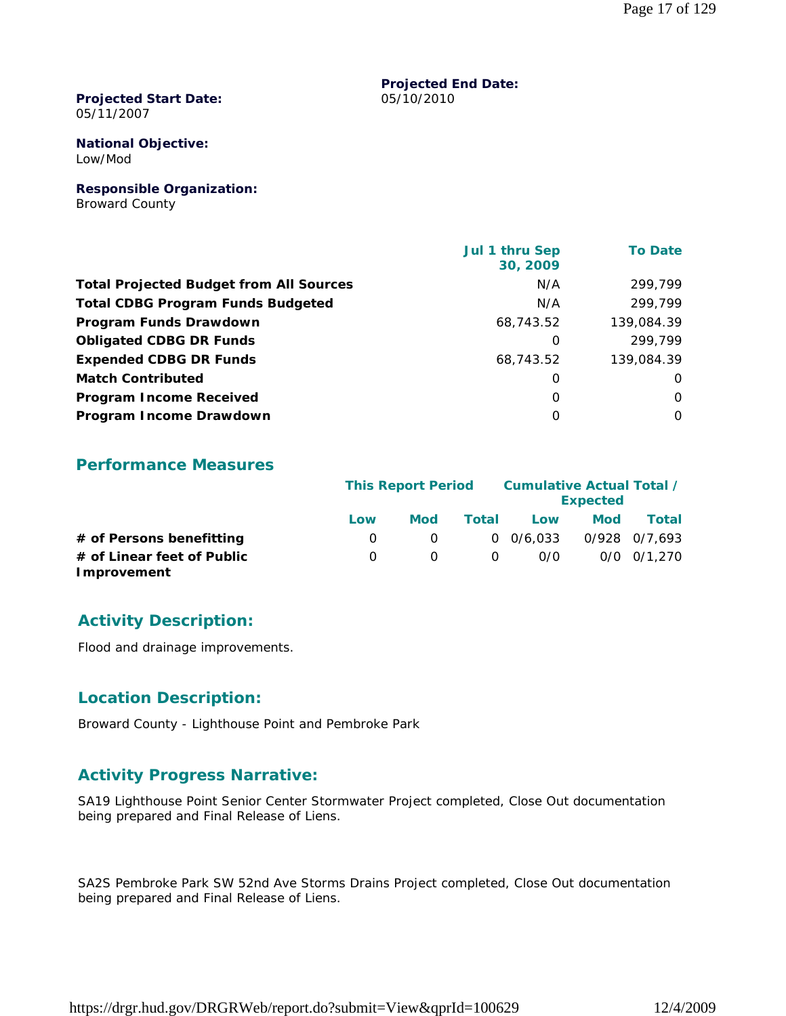#### **Projected Start Date:** 05/11/2007

**National Objective:** Low/Mod

**Responsible Organization:** Broward County

| Jul 1 thru Sep<br>30, 2009 | <b>To Date</b> |
|----------------------------|----------------|
| N/A                        | 299,799        |
| N/A                        | 299,799        |
| 68,743.52                  | 139,084.39     |
| 0                          | 299,799        |
| 68,743.52                  | 139,084.39     |
| 0                          | 0              |
| $\Omega$                   | $\Omega$       |
| 0                          | $\Omega$       |
|                            |                |

**Projected End Date:**

05/10/2010

#### **Performance Measures**

|                                           |              | <b>This Report Period</b> |          |                  |            | Cumulative Actual Total /<br><b>Expected</b> |  |  |  |
|-------------------------------------------|--------------|---------------------------|----------|------------------|------------|----------------------------------------------|--|--|--|
|                                           | Low          | Mod                       | Total    | Low              | <b>Mod</b> | Total                                        |  |  |  |
| # of Persons benefitting                  | $\Omega$     | 0                         |          | $0\quad 0/6.033$ |            | 0/928 0/7.693                                |  |  |  |
| # of Linear feet of Public<br>Improvement | <sup>n</sup> | $\Omega$                  | $\Omega$ | 0/0              |            | $0/0$ $0/1.270$                              |  |  |  |

# **Activity Description:**

Flood and drainage improvements.

#### **Location Description:**

Broward County - Lighthouse Point and Pembroke Park

# **Activity Progress Narrative:**

SA19 Lighthouse Point Senior Center Stormwater Project completed, Close Out documentation being prepared and Final Release of Liens.

SA2S Pembroke Park SW 52nd Ave Storms Drains Project completed, Close Out documentation being prepared and Final Release of Liens.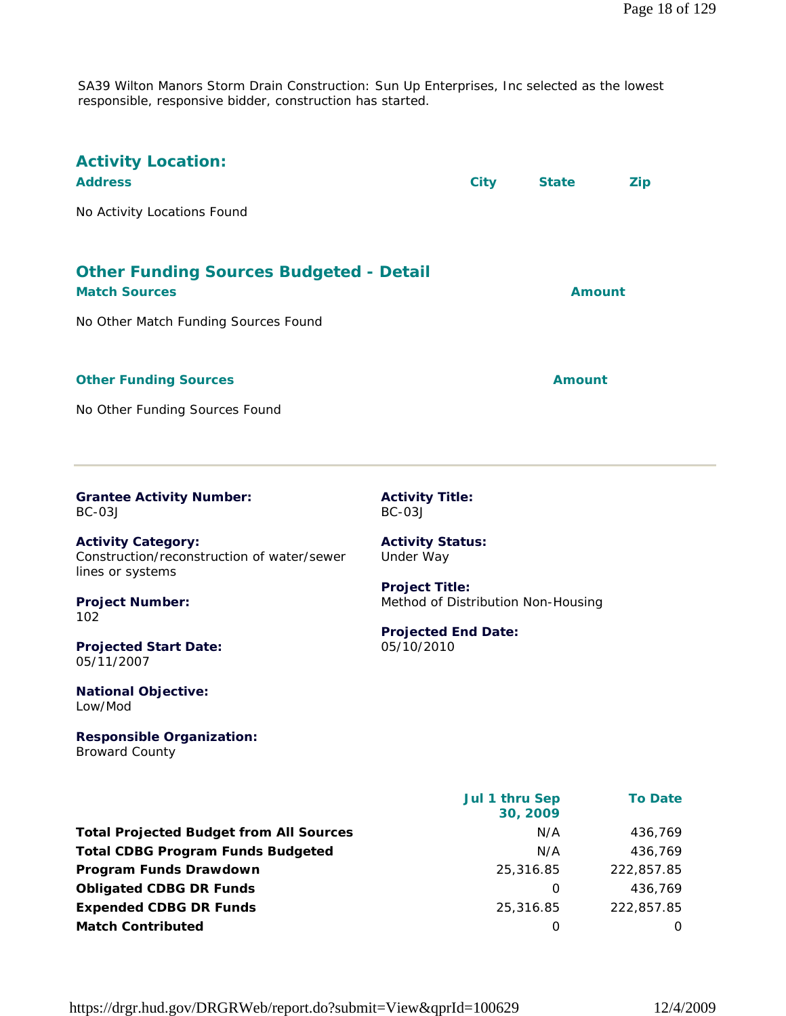SA39 Wilton Manors Storm Drain Construction: Sun Up Enterprises, Inc selected as the lowest responsible, responsive bidder, construction has started.

| <b>Activity Location:</b><br><b>Address</b><br>No Activity Locations Found                                            |                                                                                                     | <b>City</b>    | <b>State</b>  | <b>Zip</b>     |
|-----------------------------------------------------------------------------------------------------------------------|-----------------------------------------------------------------------------------------------------|----------------|---------------|----------------|
| <b>Other Funding Sources Budgeted - Detail</b><br><b>Match Sources</b><br>No Other Match Funding Sources Found        |                                                                                                     |                |               | Amount         |
| <b>Other Funding Sources</b><br>No Other Funding Sources Found                                                        |                                                                                                     |                | <b>Amount</b> |                |
| <b>Grantee Activity Number:</b><br><b>BC-03J</b>                                                                      | <b>Activity Title:</b><br>$BC-03J$                                                                  |                |               |                |
| <b>Activity Category:</b><br>Construction/reconstruction of water/sewer<br>lines or systems<br><b>Project Number:</b> | <b>Activity Status:</b><br>Under Way<br><b>Project Title:</b><br>Method of Distribution Non-Housing |                |               |                |
| 102<br><b>Projected Start Date:</b><br>05/11/2007                                                                     | <b>Projected End Date:</b><br>05/10/2010                                                            |                |               |                |
| <b>National Objective:</b><br>Low/Mod                                                                                 |                                                                                                     |                |               |                |
| <b>Responsible Organization:</b><br><b>Broward County</b>                                                             |                                                                                                     |                |               |                |
|                                                                                                                       |                                                                                                     | Jul 1 thru Sep | 30, 2009      | <b>To Date</b> |
| <b>Total Projected Budget from All Sources</b>                                                                        |                                                                                                     |                | N/A           | 436,769        |
| <b>Total CDBG Program Funds Budgeted</b>                                                                              |                                                                                                     |                | N/A           | 436,769        |
| Program Funds Drawdown                                                                                                |                                                                                                     |                | 25,316.85     | 222,857.85     |

**Obligated CDBG DR Funds 0** 436,769 **Expended CDBG DR Funds** 25,316.85 222,857.85 **Match Contributed** 0 0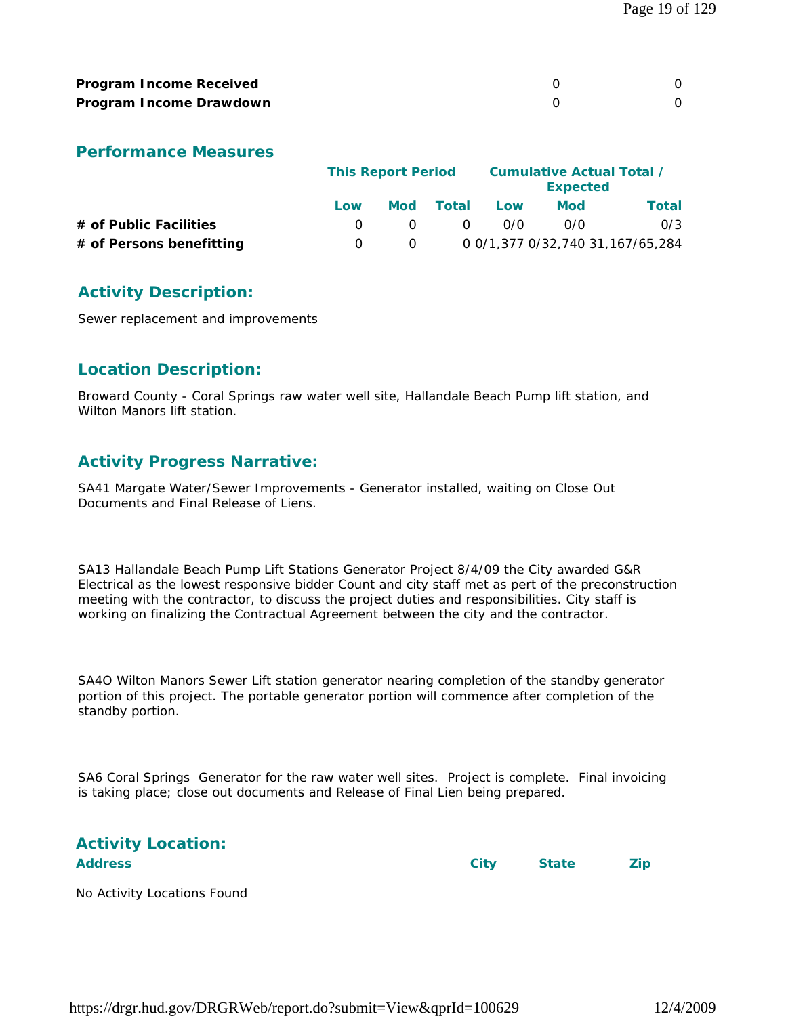| <b>Program Income Received</b> |  |
|--------------------------------|--|
| Program Income Drawdown        |  |

#### **Performance Measures**

|                          |     | <b>This Report Period</b> |               |     | Cumulative Actual Total /<br><b>Expected</b> |                                  |
|--------------------------|-----|---------------------------|---------------|-----|----------------------------------------------|----------------------------------|
|                          | Low | Mod                       | <b>Total</b>  | Low | Mod                                          | Total                            |
| # of Public Facilities   |     | $\Omega$                  | <sup>()</sup> | 0/0 | 0/0                                          | 0/3                              |
| # of Persons benefitting |     | $\Omega$                  |               |     |                                              | 0 0/1,377 0/32,740 31,167/65,284 |

# **Activity Description:**

Sewer replacement and improvements

# **Location Description:**

Broward County - Coral Springs raw water well site, Hallandale Beach Pump lift station, and Wilton Manors lift station.

# **Activity Progress Narrative:**

SA41 Margate Water/Sewer Improvements - Generator installed, waiting on Close Out Documents and Final Release of Liens.

SA13 Hallandale Beach Pump Lift Stations Generator Project 8/4/09 the City awarded G&R Electrical as the lowest responsive bidder Count and city staff met as pert of the preconstruction meeting with the contractor, to discuss the project duties and responsibilities. City staff is working on finalizing the Contractual Agreement between the city and the contractor.

SA4O Wilton Manors Sewer Lift station generator nearing completion of the standby generator portion of this project. The portable generator portion will commence after completion of the standby portion.

SA6 Coral Springs Generator for the raw water well sites. Project is complete. Final invoicing is taking place; close out documents and Release of Final Lien being prepared.

|                | <b>Activity Location:</b> |
|----------------|---------------------------|
| <b>Addrocc</b> |                           |

**Address City State Zip**

No Activity Locations Found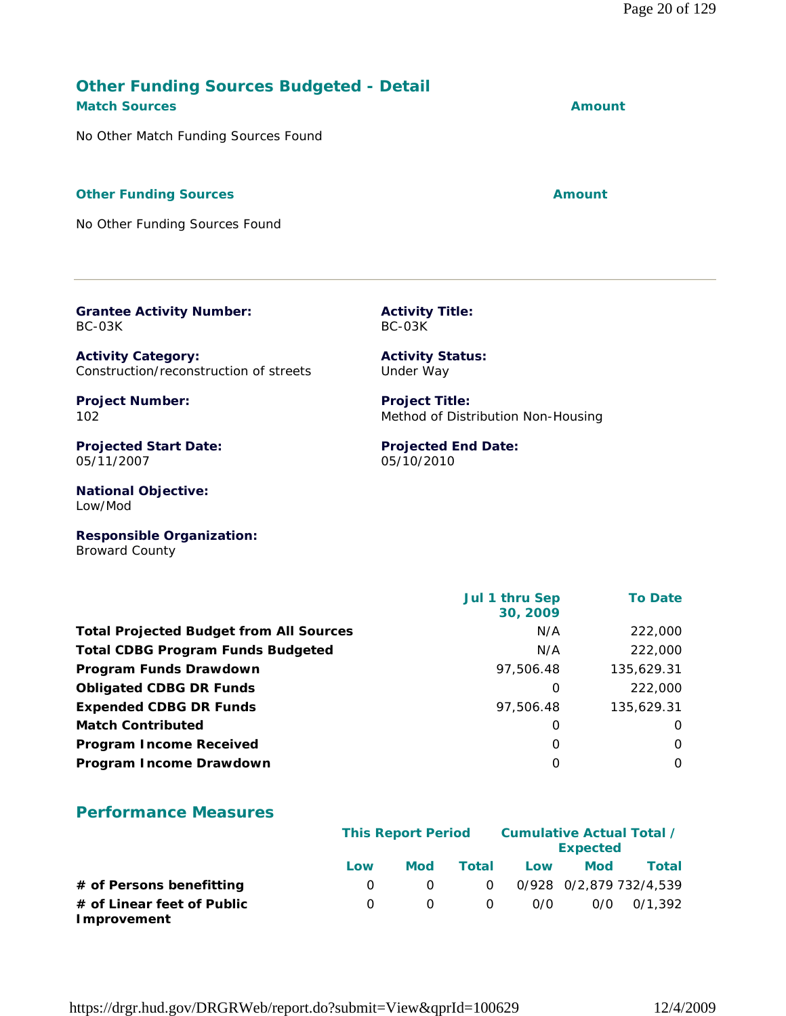# **Other Funding Sources Budgeted - Detail**

**Match Sources Amount** 

No Other Match Funding Sources Found

#### **Other Funding Sources Amount Amount Amount**

No Other Funding Sources Found

**Grantee Activity Number:**

BC-03K

**Activity Category:** Construction/reconstruction of streets **Project Number:** 102 **Projected Start Date:** 05/11/2007 **National Objective:** Low/Mod **Responsible Organization:** Broward County Under Way **Project Title:** Method of Distribution Non-Housing **Projected End Date:** 05/10/2010  **Jul 1 thru Sep 30, 2009 To Date**

**Activity Title:**

**Activity Status:**

BC-03K

**Total Projected Budget from All Sources** M/A 222,000 **Total CDBG Program Funds Budgeted No. 222,000 Program Funds Drawdown** 2008 2014 125,629.31 **Obligated CDBG DR Funds** 0 222,000 **Expended CDBG DR Funds 135,629.31 Match Contributed** 0 0 **Program Income Received** 0 0 **Program Income Drawdown** 0 0

# **Performance Measures**

|                                           |     | <b>This Report Period</b> |          |     | Cumulative Actual Total /<br><b>Expected</b> |                         |  |
|-------------------------------------------|-----|---------------------------|----------|-----|----------------------------------------------|-------------------------|--|
|                                           | Low | <b>Mod</b>                | Total    | Low | <b>Mod</b>                                   | <b>Total</b>            |  |
| # of Persons benefitting                  |     | $\Omega$                  | $\Omega$ |     |                                              | 0/928 0/2,879 732/4,539 |  |
| # of Linear feet of Public<br>Improvement |     | $\Omega$                  | $\Omega$ | O/O |                                              | $0/0$ $0/1.392$         |  |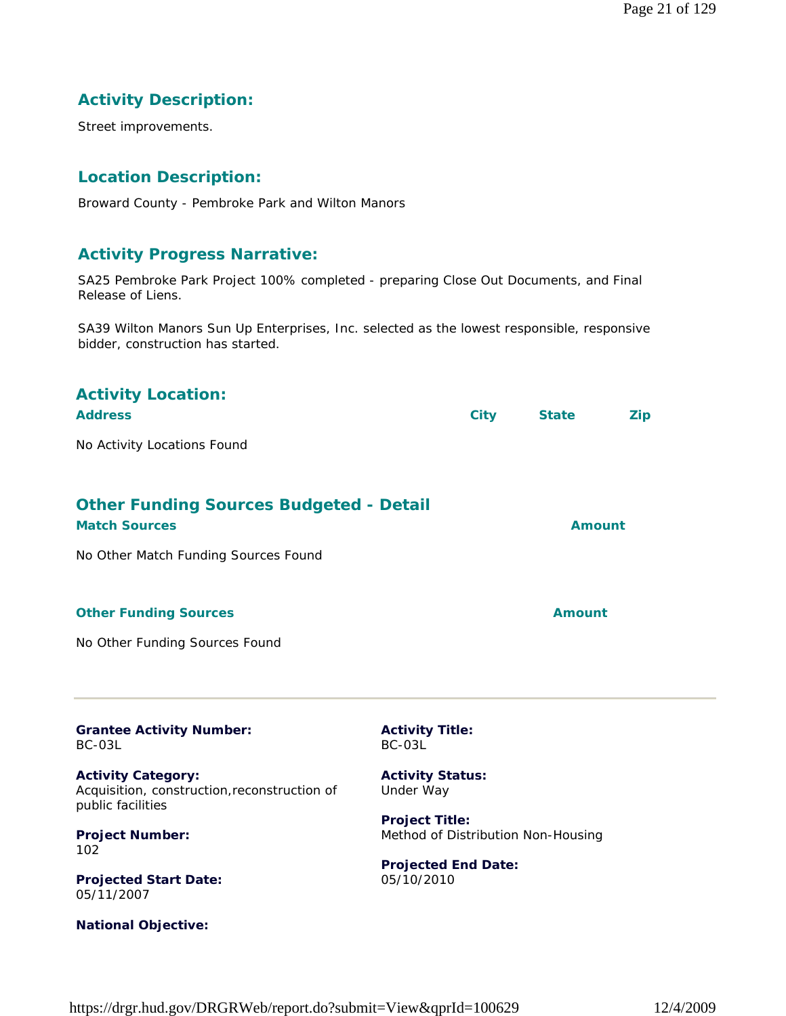Page 21 of 129

# **Activity Description:**

Street improvements.

# **Location Description:**

Broward County - Pembroke Park and Wilton Manors

#### **Activity Progress Narrative:**

SA25 Pembroke Park Project 100% completed - preparing Close Out Documents, and Final Release of Liens.

SA39 Wilton Manors Sun Up Enterprises, Inc. selected as the lowest responsible, responsive bidder, construction has started.

| <b>Activity Location:</b><br><b>Address</b>                            |                                  | <b>City</b> | <b>State</b>  | <b>Zip</b> |
|------------------------------------------------------------------------|----------------------------------|-------------|---------------|------------|
| No Activity Locations Found                                            |                                  |             |               |            |
| <b>Other Funding Sources Budgeted - Detail</b><br><b>Match Sources</b> |                                  |             | <b>Amount</b> |            |
| No Other Match Funding Sources Found                                   |                                  |             |               |            |
| <b>Other Funding Sources</b>                                           |                                  |             | <b>Amount</b> |            |
| No Other Funding Sources Found                                         |                                  |             |               |            |
|                                                                        |                                  |             |               |            |
| <b>Grantee Activity Number:</b><br>BC-03L                              | <b>Activity Title:</b><br>BC-03L |             |               |            |
| .                                                                      | .    .                           |             |               |            |

**Activity Category:** Acquisition, construction,reconstruction of public facilities

**Project Number:** 102

**Projected Start Date:** 05/11/2007

**National Objective:**

**Activity Status:** Under Way

**Project Title:** Method of Distribution Non-Housing

**Projected End Date:** 05/10/2010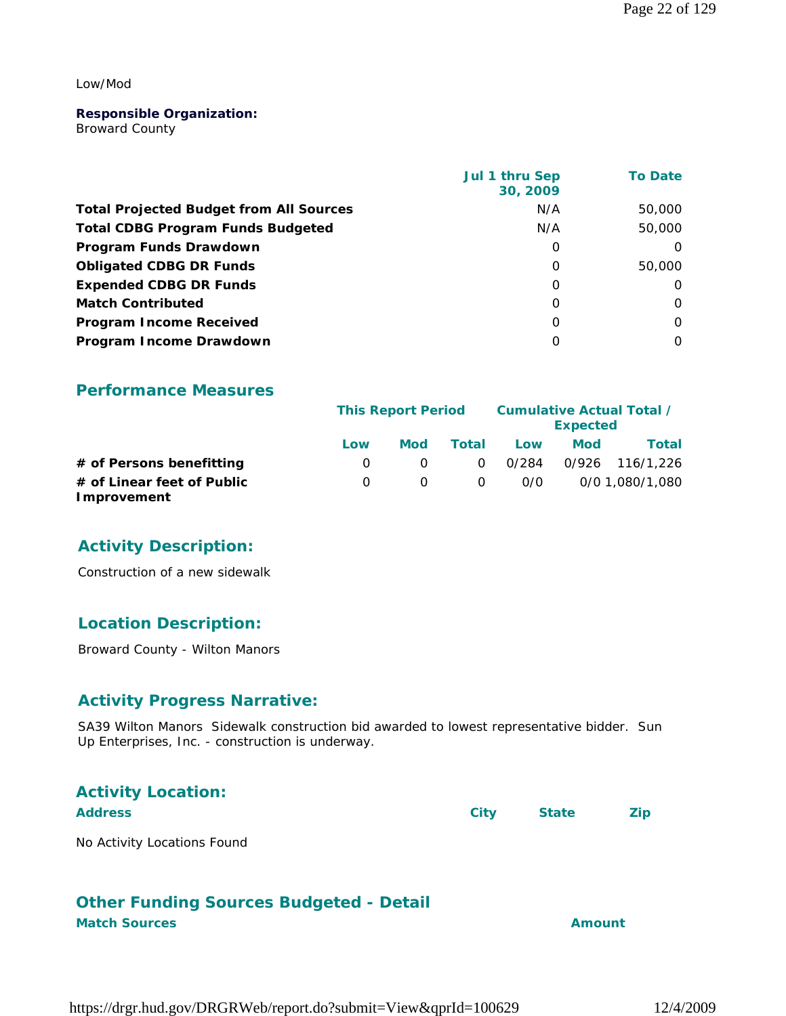#### Low/Mod

#### **Responsible Organization:**

Broward County

|                                                | Jul 1 thru Sep<br>30, 2009 | <b>To Date</b> |
|------------------------------------------------|----------------------------|----------------|
| <b>Total Projected Budget from All Sources</b> | N/A                        | 50,000         |
| <b>Total CDBG Program Funds Budgeted</b>       | N/A                        | 50,000         |
| Program Funds Drawdown                         | 0                          | $\Omega$       |
| <b>Obligated CDBG DR Funds</b>                 | $\Omega$                   | 50,000         |
| <b>Expended CDBG DR Funds</b>                  | 0                          | $\Omega$       |
| <b>Match Contributed</b>                       | $\Omega$                   | 0              |
| <b>Program Income Received</b>                 | $\Omega$                   | $\Omega$       |
| Program Income Drawdown                        | Ω                          | $\Omega$       |

#### **Performance Measures**

|                                           |     | <b>This Report Period</b> |                |       | Cumulative Actual Total /<br><b>Expected</b> |                 |  |
|-------------------------------------------|-----|---------------------------|----------------|-------|----------------------------------------------|-----------------|--|
|                                           | Low | Mod                       | Total          | Low   | <b>Mod</b>                                   | Total           |  |
| # of Persons benefitting                  |     |                           | $\overline{O}$ | 0/284 |                                              | 0/926 116/1.226 |  |
| # of Linear feet of Public<br>Improvement |     |                           | - 0            | 0/0   |                                              | 0/0 1.080/1.080 |  |

# **Activity Description:**

Construction of a new sidewalk

# **Location Description:**

Broward County - Wilton Manors

#### **Activity Progress Narrative:**

SA39 Wilton Manors Sidewalk construction bid awarded to lowest representative bidder. Sun Up Enterprises, Inc. - construction is underway.

| <b>Activity Location:</b>   |      |              |            |
|-----------------------------|------|--------------|------------|
| <b>Address</b>              | City | <b>State</b> | <b>Zip</b> |
| No Activity Locations Found |      |              |            |

#### **Other Funding Sources Budgeted - Detail Match Sources Amount**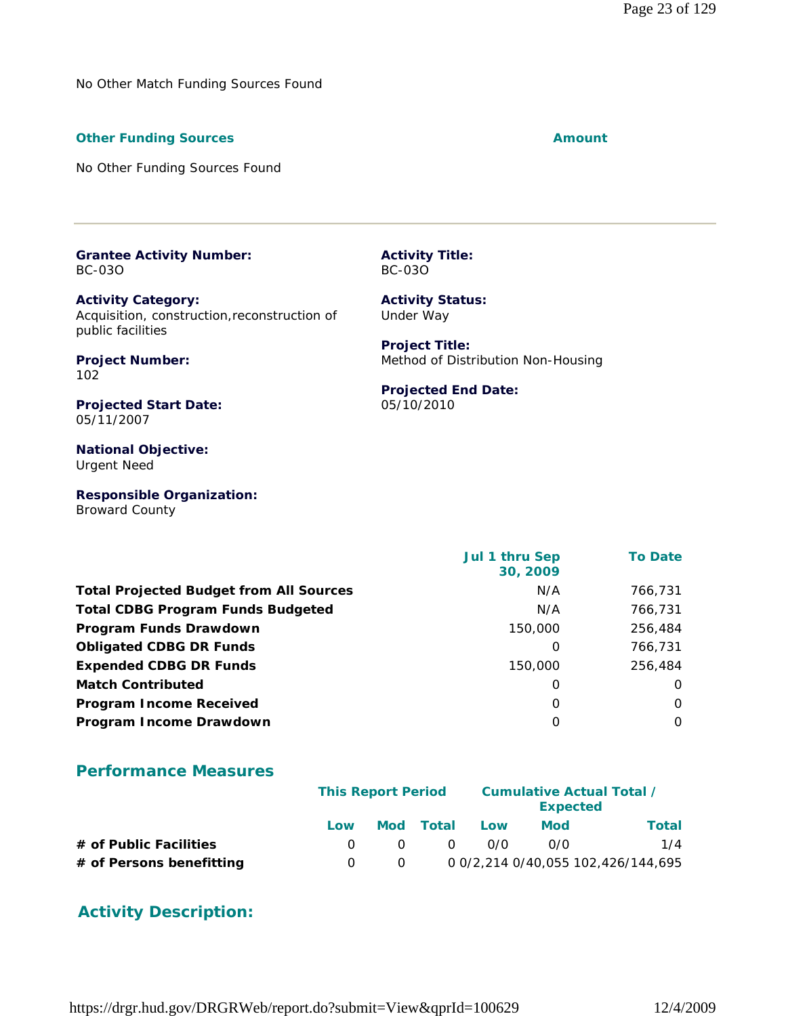No Other Match Funding Sources Found

#### **Other Funding Sources Amount Amount Amount**

No Other Funding Sources Found

**Grantee Activity Number:** BC-03O

**Activity Category:** Acquisition, construction,reconstruction of public facilities

**Project Number:** 102

**Projected Start Date:** 05/11/2007

**National Objective:** Urgent Need

**Responsible Organization:** Broward County

 **Jul 1 thru Sep 30, 2009 To Date Total Projected Budget from All Sources** N/A 766,731 **Total CDBG Program Funds Budgeted NA 766,731 Program Funds Drawdown** 256,484 **150,000** 256,484 **Obligated CDBG DR Funds** 0 766,731 **Expended CDBG DR Funds** 150,000 256,484 **Match Contributed** 0 0 **Program Income Received** 0 0 **Program Income Drawdown** 0 0

#### **Performance Measures**

|                          |     | <b>This Report Period</b> |           |     | <b>Expected</b> | <b>Cumulative Actual Total /</b>   |
|--------------------------|-----|---------------------------|-----------|-----|-----------------|------------------------------------|
|                          | Low |                           | Mod Total | Low | Mod             | Total                              |
| # of Public Facilities   |     | $\Omega$                  | $\Omega$  | 0/0 | 0/0             | 1/4                                |
| # of Persons benefitting |     |                           |           |     |                 | 0 0/2,214 0/40,055 102,426/144,695 |

# **Activity Description:**

**Activity Title:** BC-03O **Activity Status:** Under Way

> **Project Title:** Method of Distribution Non-Housing

#### **Projected End Date:** 05/10/2010

https://drgr.hud.gov/DRGRWeb/report.do?submit=View&qprId=100629 12/4/2009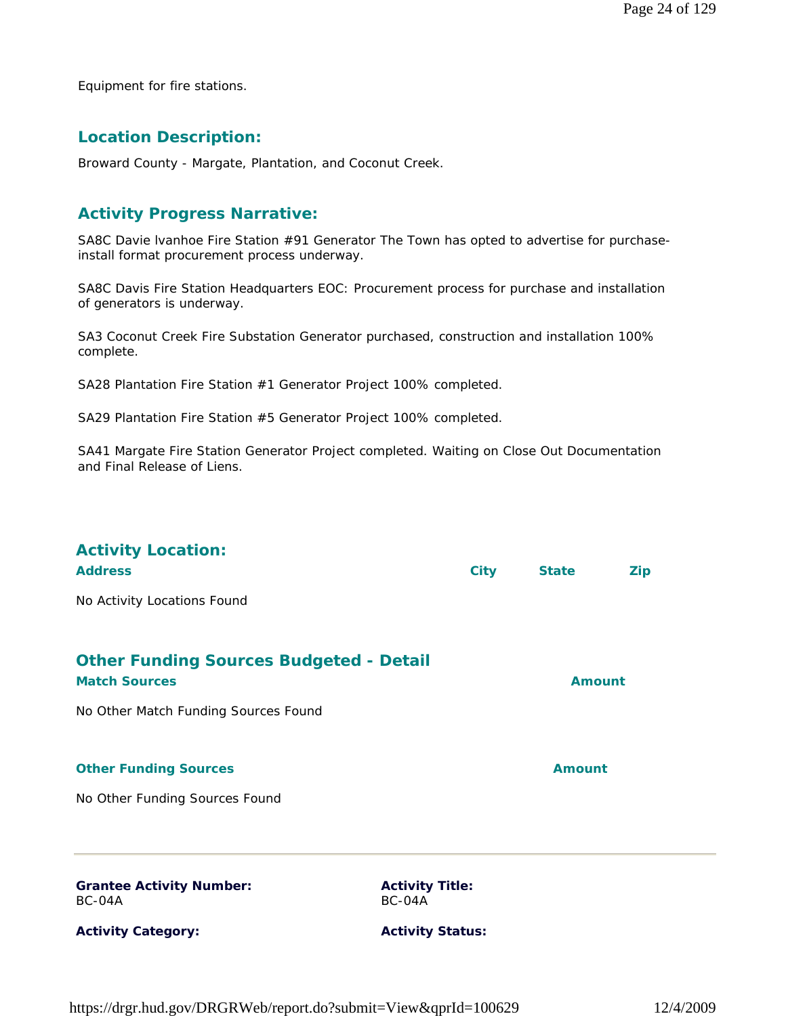Equipment for fire stations.

#### **Location Description:**

Broward County - Margate, Plantation, and Coconut Creek.

#### **Activity Progress Narrative:**

SA8C Davie Ivanhoe Fire Station #91 Generator The Town has opted to advertise for purchaseinstall format procurement process underway.

SA8C Davis Fire Station Headquarters EOC: Procurement process for purchase and installation of generators is underway.

SA3 Coconut Creek Fire Substation Generator purchased, construction and installation 100% complete.

SA28 Plantation Fire Station #1 Generator Project 100% completed.

SA29 Plantation Fire Station #5 Generator Project 100% completed.

SA41 Margate Fire Station Generator Project completed. Waiting on Close Out Documentation and Final Release of Liens.

| <b>Activity Location:</b><br><b>Address</b>                                                                    |                                  | <b>City</b> | <b>State</b>  | <b>Zip</b> |
|----------------------------------------------------------------------------------------------------------------|----------------------------------|-------------|---------------|------------|
| No Activity Locations Found                                                                                    |                                  |             |               |            |
| <b>Other Funding Sources Budgeted - Detail</b><br><b>Match Sources</b><br>No Other Match Funding Sources Found |                                  |             | <b>Amount</b> |            |
| <b>Other Funding Sources</b>                                                                                   |                                  |             | <b>Amount</b> |            |
| No Other Funding Sources Found                                                                                 |                                  |             |               |            |
| <b>Grantee Activity Number:</b><br>BC-04A                                                                      | <b>Activity Title:</b><br>BC-04A |             |               |            |
| <b>Activity Category:</b>                                                                                      | <b>Activity Status:</b>          |             |               |            |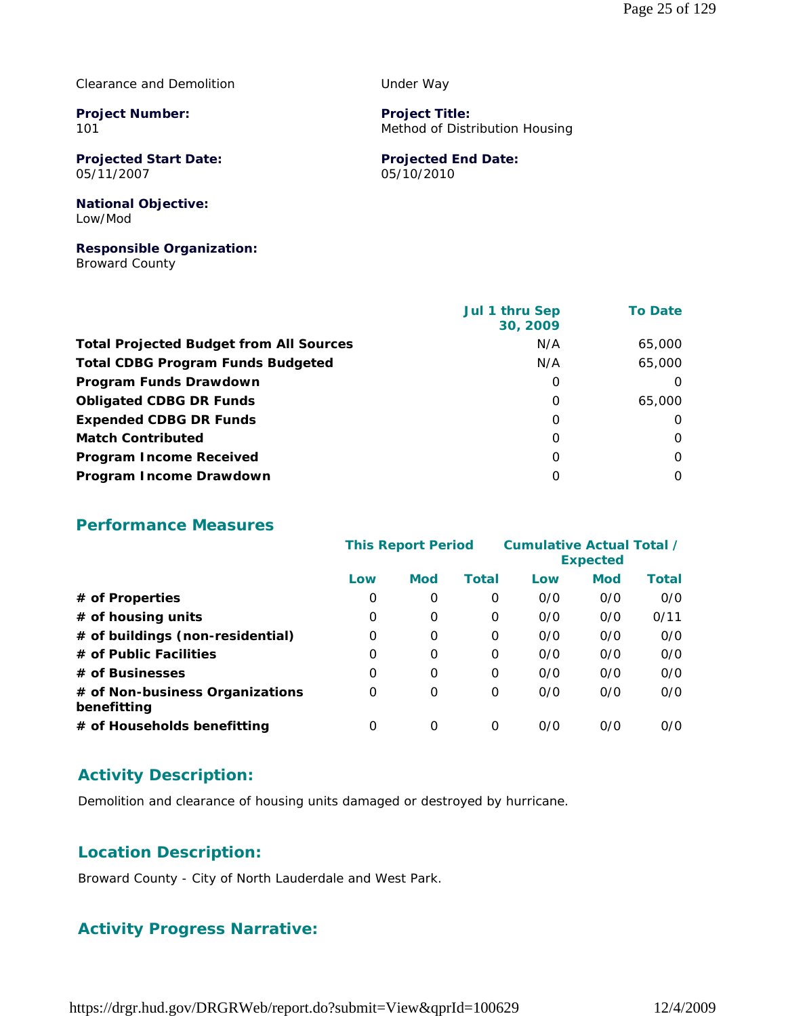#### Clearance and Demolition

**Project Number:** 101

**Projected Start Date:** 05/11/2007

Under Way

**Project Title:** Method of Distribution Housing

**Projected End Date:** 05/10/2010

#### **National Objective:** Low/Mod

# **Responsible Organization:**

Broward County

|                                                | Jul 1 thru Sep<br>30, 2009 | <b>To Date</b> |
|------------------------------------------------|----------------------------|----------------|
| <b>Total Projected Budget from All Sources</b> | N/A                        | 65,000         |
| <b>Total CDBG Program Funds Budgeted</b>       | N/A                        | 65,000         |
| Program Funds Drawdown                         | 0                          | $\Omega$       |
| <b>Obligated CDBG DR Funds</b>                 | $\Omega$                   | 65,000         |
| <b>Expended CDBG DR Funds</b>                  | 0                          | $\Omega$       |
| <b>Match Contributed</b>                       | 0                          | $\Omega$       |
| <b>Program Income Received</b>                 | $\Omega$                   | $\Omega$       |
| Program Income Drawdown                        | O                          | $\Omega$       |

#### **Performance Measures**

|                                                | <b>This Report Period</b> |            | <b>Cumulative Actual Total /</b><br><b>Expected</b> |     |            |              |
|------------------------------------------------|---------------------------|------------|-----------------------------------------------------|-----|------------|--------------|
|                                                | Low                       | <b>Mod</b> | Total                                               | Low | <b>Mod</b> | <b>Total</b> |
| # of Properties                                | 0                         | 0          | 0                                                   | 0/0 | 0/0        | O/O          |
| # of housing units                             | 0                         | $\Omega$   | 0                                                   | 0/0 | 0/0        | 0/11         |
| # of buildings (non-residential)               | O                         | 0          | 0                                                   | 0/0 | 0/0        | O/O          |
| # of Public Facilities                         | O                         | $\Omega$   | 0                                                   | 0/0 | 0/0        | O/O          |
| # of Businesses                                | O                         | 0          | O                                                   | 0/0 | 0/0        | O/O          |
| # of Non-business Organizations<br>benefitting | 0                         | 0          | $\Omega$                                            | 0/0 | 0/0        | O/O          |
| # of Households benefitting                    | 0                         | $\Omega$   | 0                                                   | 0/0 | 0/0        | O/O          |

# **Activity Description:**

Demolition and clearance of housing units damaged or destroyed by hurricane.

# **Location Description:**

Broward County - City of North Lauderdale and West Park.

# **Activity Progress Narrative:**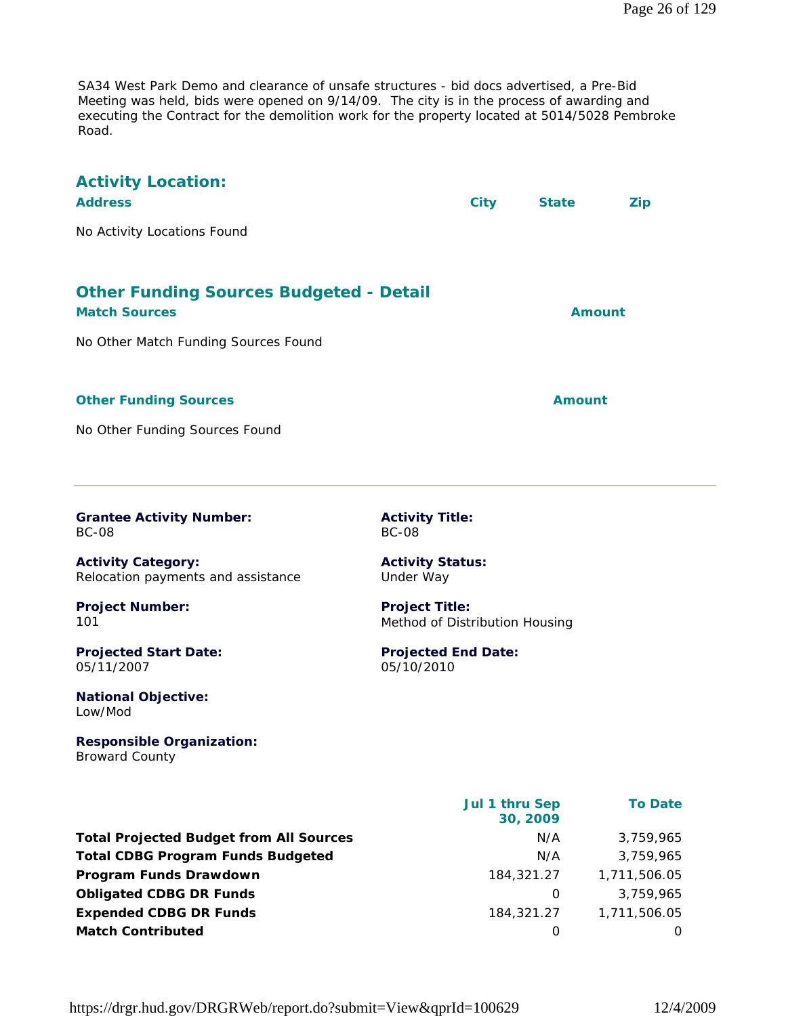SA34 West Park Demo and clearance of unsafe structures - bid docs advertised, a Pre-Bid Meeting was held, bids were opened on 9/14/09. The city is in the process of awarding and executing the Contract for the demolition work for the property located at 5014/5028 Pembroke Road.

| <b>Activity Location:</b><br><b>Address</b><br>No Activity Locations Found                                     | <b>City</b>                                                          | <b>State</b><br><b>Zip</b> |  |
|----------------------------------------------------------------------------------------------------------------|----------------------------------------------------------------------|----------------------------|--|
| <b>Other Funding Sources Budgeted - Detail</b><br><b>Match Sources</b><br>No Other Match Funding Sources Found |                                                                      | <b>Amount</b>              |  |
| <b>Other Funding Sources</b><br>No Other Funding Sources Found                                                 |                                                                      | <b>Amount</b>              |  |
| <b>Grantee Activity Number:</b><br><b>BC-08</b><br><b>Activity Category:</b>                                   | <b>Activity Title:</b><br><b>BC-08</b><br><b>Activity Status:</b>    |                            |  |
| Relocation payments and assistance<br><b>Project Number:</b><br>101                                            | Under Way<br><b>Project Title:</b><br>Method of Distribution Housing |                            |  |
| <b>Projected Start Date:</b><br>05/11/2007<br><b>National Objective:</b><br>Low/Mod                            | <b>Projected End Date:</b><br>05/10/2010                             |                            |  |
| <b>Responsible Organization:</b><br><b>Broward County</b>                                                      |                                                                      |                            |  |
|                                                                                                                | Jul 1 thru Sep<br>30, 2009                                           | <b>To Date</b>             |  |
| <b>Total Projected Budget from All Sources</b>                                                                 | N/A                                                                  | 3,759,965                  |  |

| <b>Total Projected Budget from All Sources</b> | N/A              | 3,759,965    |
|------------------------------------------------|------------------|--------------|
| <b>Total CDBG Program Funds Budgeted</b>       | N/A              | 3,759,965    |
| Program Funds Drawdown                         | 184,321.27       | 1,711,506.05 |
| <b>Obligated CDBG DR Funds</b>                 | $\left( \right)$ | 3.759.965    |
| <b>Expended CDBG DR Funds</b>                  | 184,321,27       | 1,711,506.05 |
| <b>Match Contributed</b>                       |                  | $\Omega$     |
|                                                |                  |              |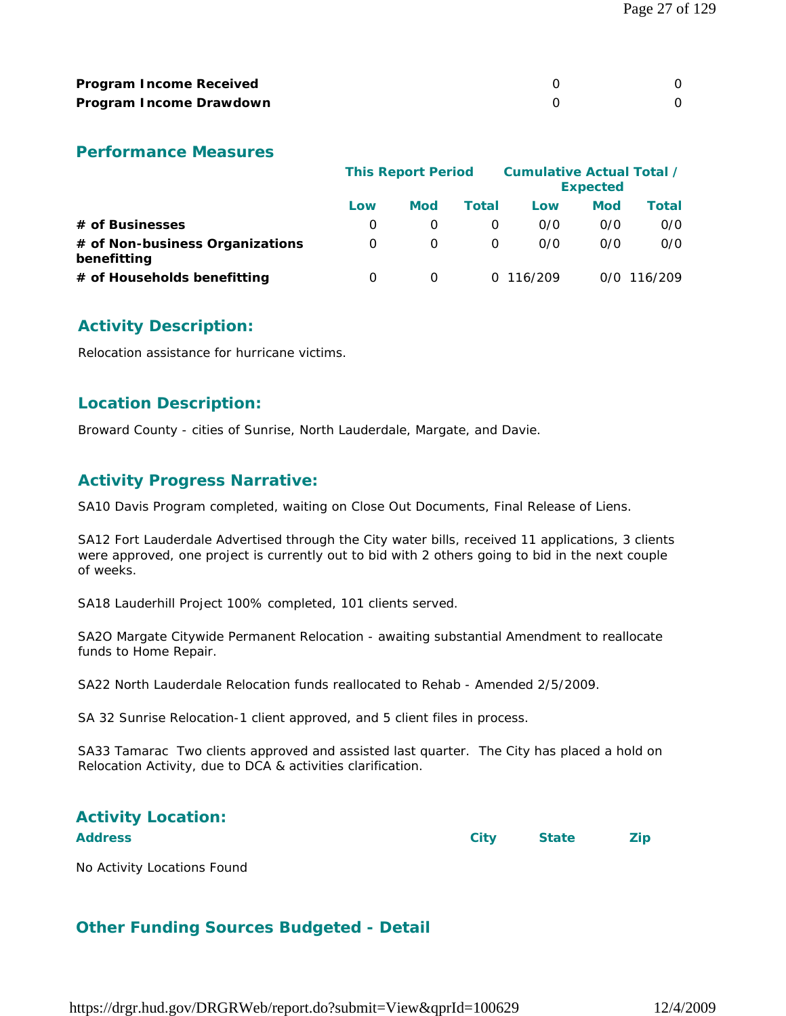| <b>Program Income Received</b> |  |
|--------------------------------|--|
| Program Income Drawdown        |  |

#### **Performance Measures**

|                                                | <b>This Report Period</b> |            |          | <b>Cumulative Actual Total /</b><br><b>Expected</b> |            |               |  |
|------------------------------------------------|---------------------------|------------|----------|-----------------------------------------------------|------------|---------------|--|
|                                                | Low                       | <b>Mod</b> | Total    | Low                                                 | <b>Mod</b> | Total         |  |
| # of Businesses                                | O                         |            | O        | 0/0                                                 | O/O        | 0/0           |  |
| # of Non-business Organizations<br>benefitting | O                         | O          | $\Omega$ | 0/0                                                 | 0/0        | 0/0           |  |
| # of Households benefitting                    | 0                         | $\Omega$   |          | 0.116/209                                           |            | $0/0$ 116/209 |  |

#### **Activity Description:**

Relocation assistance for hurricane victims.

#### **Location Description:**

Broward County - cities of Sunrise, North Lauderdale, Margate, and Davie.

# **Activity Progress Narrative:**

SA10 Davis Program completed, waiting on Close Out Documents, Final Release of Liens.

SA12 Fort Lauderdale Advertised through the City water bills, received 11 applications, 3 clients were approved, one project is currently out to bid with 2 others going to bid in the next couple of weeks.

SA18 Lauderhill Project 100% completed, 101 clients served.

SA2O Margate Citywide Permanent Relocation - awaiting substantial Amendment to reallocate funds to Home Repair.

SA22 North Lauderdale Relocation funds reallocated to Rehab - Amended 2/5/2009.

SA 32 Sunrise Relocation-1 client approved, and 5 client files in process.

SA33 Tamarac Two clients approved and assisted last quarter. The City has placed a hold on Relocation Activity, due to DCA & activities clarification.

# **Activity Location:**

**Address City State Zip**

No Activity Locations Found

# **Other Funding Sources Budgeted - Detail**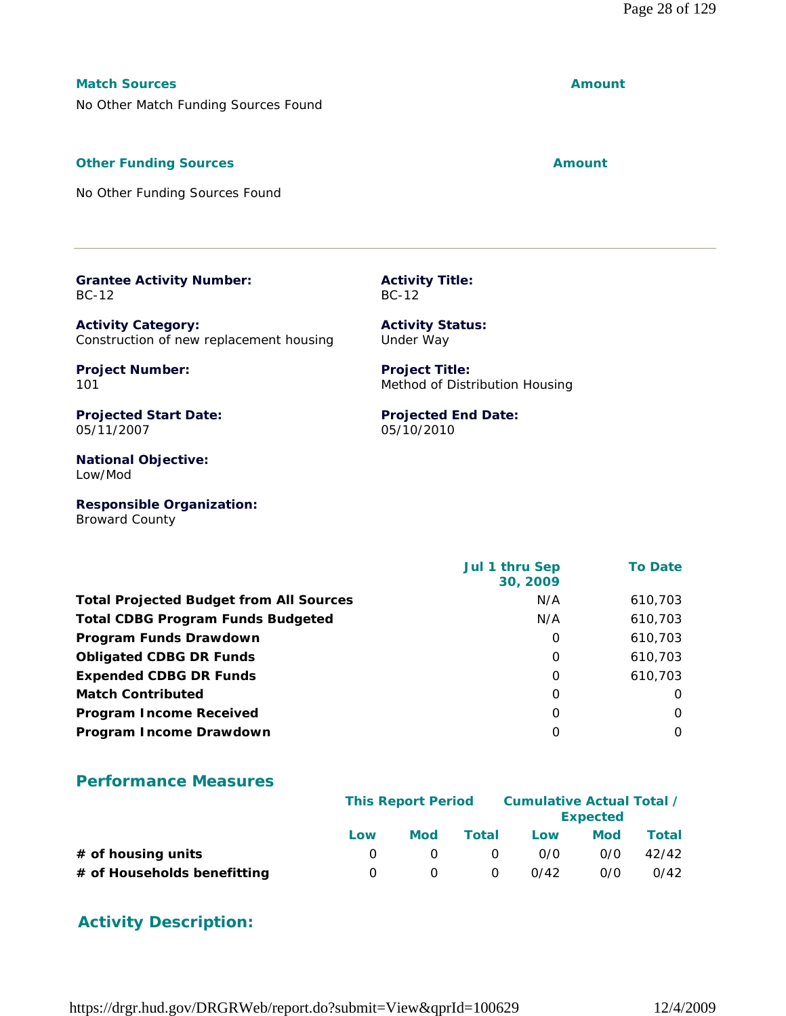#### **Match Sources Amount**

No Other Match Funding Sources Found

#### **Other Funding Sources Amount Amount Amount**

No Other Funding Sources Found

#### **Grantee Activity Number:** BC-12

**Activity Category:** Construction of new replacement housing

**Project Number:** 101

**Projected Start Date:** 05/11/2007

**National Objective:** Low/Mod

**Responsible Organization:** Broward County

|                                                | Jul 1 thru Sep<br>30, 2009 | <b>To Date</b> |
|------------------------------------------------|----------------------------|----------------|
| <b>Total Projected Budget from All Sources</b> | N/A                        | 610,703        |
| <b>Total CDBG Program Funds Budgeted</b>       | N/A                        | 610,703        |
| <b>Program Funds Drawdown</b>                  | O                          | 610,703        |
| <b>Obligated CDBG DR Funds</b>                 | O                          | 610,703        |
| <b>Expended CDBG DR Funds</b>                  | O                          | 610.703        |
| <b>Match Contributed</b>                       | O                          | $\Omega$       |
| <b>Program Income Received</b>                 | O                          | 0              |
| Program Income Drawdown                        | O                          | $\Omega$       |

# **Performance Measures**

|                             | <b>This Report Period</b> |     |          | Cumulative Actual Total /<br><b>Expected</b> |     |       |
|-----------------------------|---------------------------|-----|----------|----------------------------------------------|-----|-------|
|                             | Low                       | Mod | Total    | Low                                          | Mod | Total |
| $#$ of housing units        |                           |     | $\Omega$ | 0/0                                          | 0/0 | 42/42 |
| # of Households benefitting | $\theta$                  |     | $\Omega$ | 0/42                                         | 0/0 | 0/42  |

# **Activity Description:**

**Activity Title:** BC-12

**Activity Status:** Under Way

**Project Title:** Method of Distribution Housing

**Projected End Date:** 05/10/2010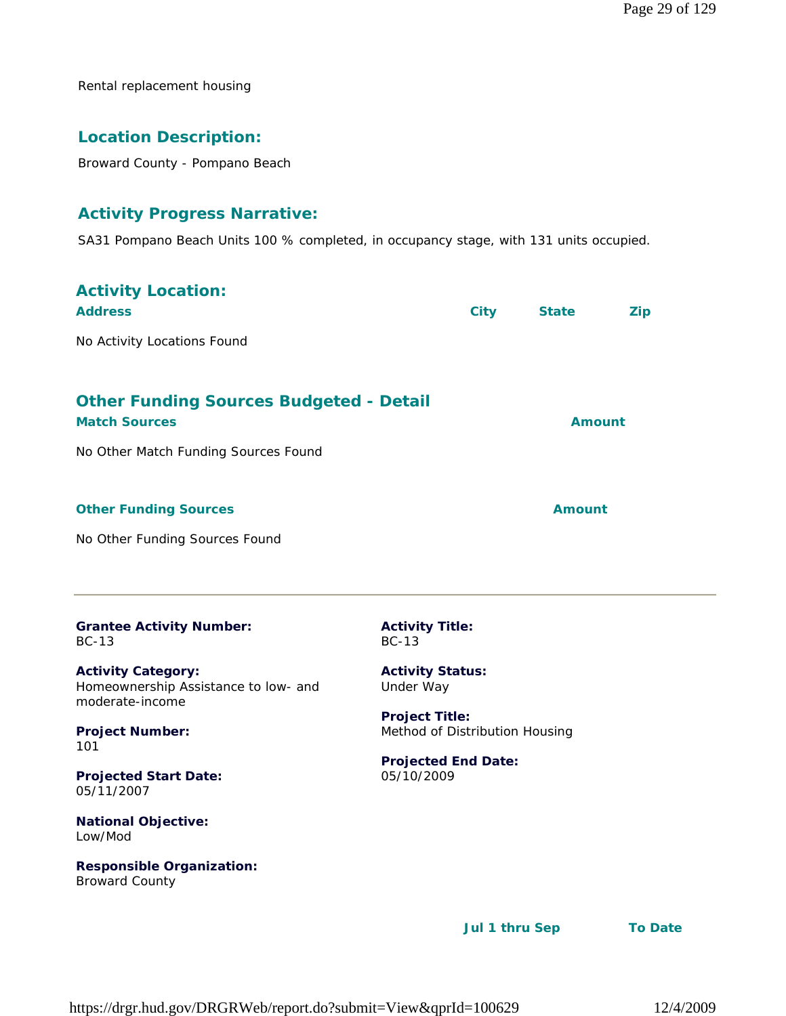Rental replacement housing

# **Location Description:**

Broward County - Pompano Beach

# **Activity Progress Narrative:**

SA31 Pompano Beach Units 100 % completed, in occupancy stage, with 131 units occupied.

| <b>Activity Location:</b><br><b>Address</b><br>No Activity Locations Found                                                                                        |                                                                                                                                      | <b>City</b> | <b>State</b>  | <b>Zip</b> |
|-------------------------------------------------------------------------------------------------------------------------------------------------------------------|--------------------------------------------------------------------------------------------------------------------------------------|-------------|---------------|------------|
| <b>Other Funding Sources Budgeted - Detail</b><br><b>Match Sources</b><br>No Other Match Funding Sources Found                                                    |                                                                                                                                      |             | <b>Amount</b> |            |
| <b>Other Funding Sources</b><br>No Other Funding Sources Found                                                                                                    |                                                                                                                                      |             | Amount        |            |
| <b>Grantee Activity Number:</b><br><b>BC-13</b><br><b>Activity Category:</b><br>Homeownership Assistance to low- and<br>moderate-income<br><b>Project Number:</b> | <b>Activity Title:</b><br>$BC-13$<br><b>Activity Status:</b><br>Under Way<br><b>Project Title:</b><br>Method of Distribution Housing |             |               |            |
| 101<br><b>Projected Start Date:</b><br>05/11/2007<br><b>National Objective:</b><br>Low/Mod                                                                        | <b>Projected End Date:</b><br>05/10/2009                                                                                             |             |               |            |

**Responsible Organization:** Broward County

 **Jul 1 thru Sep To Date**

https://drgr.hud.gov/DRGRWeb/report.do?submit=View&qprId=100629 12/4/2009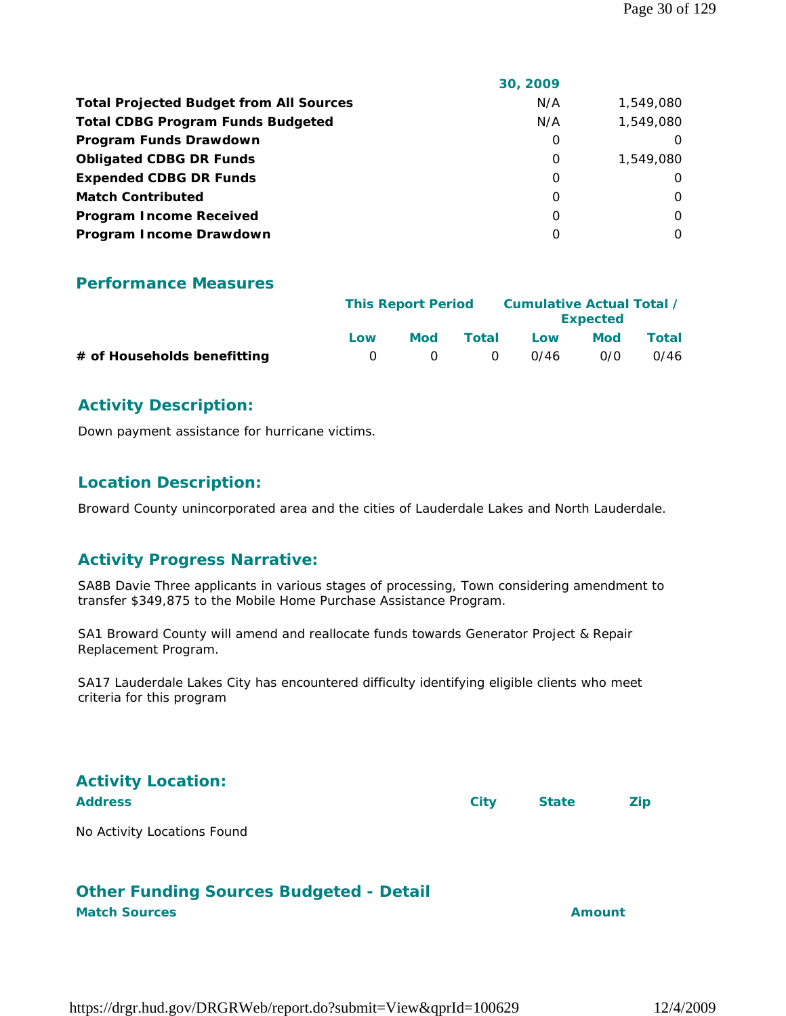| N/A<br><b>Total Projected Budget from All Sources</b><br>1,549,080<br>1,549,080<br><b>Total CDBG Program Funds Budgeted</b><br>N/A<br>Program Funds Drawdown<br>0<br><b>Obligated CDBG DR Funds</b><br>0<br><b>Expended CDBG DR Funds</b><br>0<br>$\Omega$<br><b>Match Contributed</b><br>0<br>$\Omega$<br><b>Program Income Received</b><br>$\Omega$<br>0<br>Program Income Drawdown<br>$\Omega$<br>O | 30, 2009 |           |
|--------------------------------------------------------------------------------------------------------------------------------------------------------------------------------------------------------------------------------------------------------------------------------------------------------------------------------------------------------------------------------------------------------|----------|-----------|
|                                                                                                                                                                                                                                                                                                                                                                                                        |          |           |
|                                                                                                                                                                                                                                                                                                                                                                                                        |          |           |
|                                                                                                                                                                                                                                                                                                                                                                                                        |          |           |
|                                                                                                                                                                                                                                                                                                                                                                                                        |          | 1,549,080 |
|                                                                                                                                                                                                                                                                                                                                                                                                        |          |           |
|                                                                                                                                                                                                                                                                                                                                                                                                        |          |           |
|                                                                                                                                                                                                                                                                                                                                                                                                        |          |           |
|                                                                                                                                                                                                                                                                                                                                                                                                        |          |           |

#### **Performance Measures**

|                             | <b>This Report Period</b> |           | Cumulative Actual Total / |      |                 |       |
|-----------------------------|---------------------------|-----------|---------------------------|------|-----------------|-------|
|                             |                           |           |                           |      | <b>Expected</b> |       |
|                             | Low                       | Mod       | Total                     | Low  | Mod             | Total |
| # of Households benefitting | $\Omega$                  | $\bigcap$ | $\bigcirc$                | 0/46 | O/O             | 0/46  |

#### **Activity Description:**

Down payment assistance for hurricane victims.

#### **Location Description:**

Broward County unincorporated area and the cities of Lauderdale Lakes and North Lauderdale.

#### **Activity Progress Narrative:**

SA8B Davie Three applicants in various stages of processing, Town considering amendment to transfer \$349,875 to the Mobile Home Purchase Assistance Program.

SA1 Broward County will amend and reallocate funds towards Generator Project & Repair Replacement Program.

SA17 Lauderdale Lakes City has encountered difficulty identifying eligible clients who meet criteria for this program

| <b>Activity Location:</b>   |             |              |     |
|-----------------------------|-------------|--------------|-----|
| <b>Address</b>              | <b>City</b> | <b>State</b> | Zip |
| No Activity Locations Found |             |              |     |

# **Other Funding Sources Budgeted - Detail Match Sources Amount**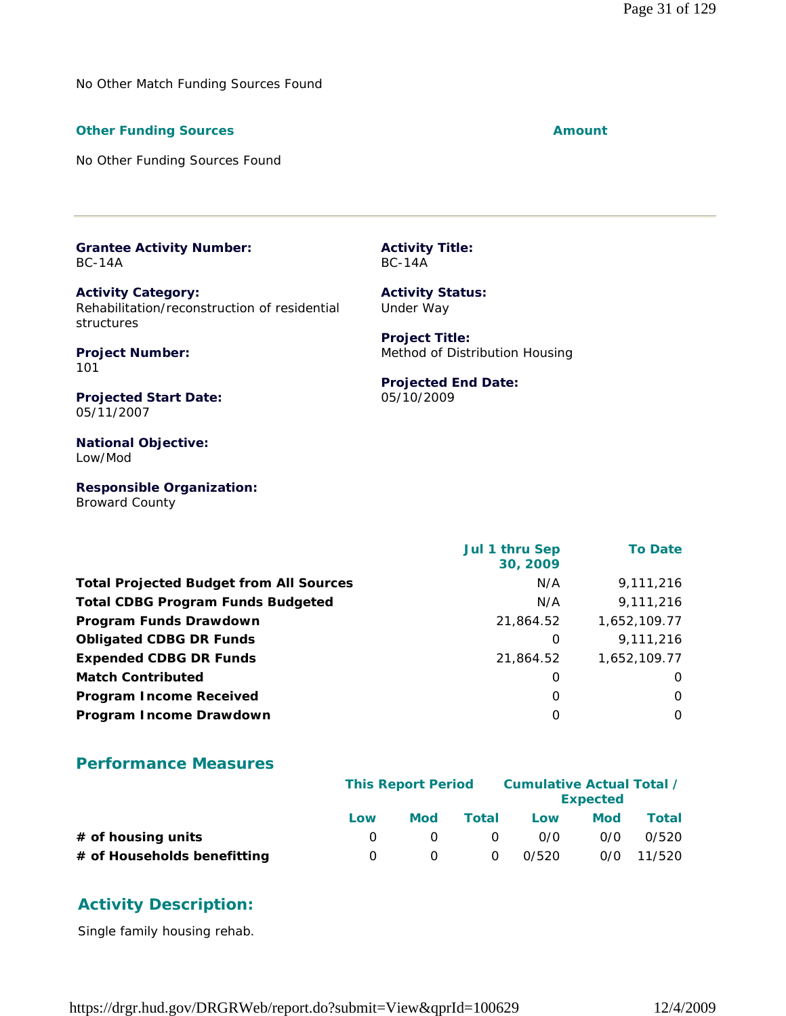No Other Match Funding Sources Found

#### **Other Funding Sources Amount Amount Amount**

No Other Funding Sources Found

**Grantee Activity Number:** BC-14A

**Activity Category:** Rehabilitation/reconstruction of residential structures

**Project Number:** 101

**Projected Start Date:** 05/11/2007

**National Objective:** Low/Mod

**Responsible Organization:** Broward County

 **Jul 1 thru Sep 30, 2009 To Date Total Projected Budget from All Sources** M/A 9,111,216 **Total CDBG Program Funds Budgeted** N/A 9,111,216 **Program Funds Drawdown** 21,864.52 1,652,109.77 **Obligated CDBG DR Funds 1 8 and 7 and 7 and 7 and 7 and 7 and 7 and 7 and 7 and 7 and 7 and 7 and 7 and 7 and 7 and 7 and 7 and 7 and 7 and 7 and 7 and 7 and 7 and 7 and 7 and 7 and 7 and 7 and 7 and 7 and 7 and 7 and 7 Expended CDBG DR Funds** 21,864.52 1,652,109.77 **Match Contributed** 0 0 **Program Income Received** 0 0 **Program Income Drawdown** 0 0

#### **Performance Measures**

|                             | <b>This Report Period</b> |     |          | Cumulative Actual Total / | <b>Expected</b> |              |
|-----------------------------|---------------------------|-----|----------|---------------------------|-----------------|--------------|
|                             | Low                       | Mod | Total    | Low                       | Mod             | Total        |
| $#$ of housing units        |                           |     | $\Omega$ | 0/0                       | 0/0             | 0/520        |
| # of Households benefitting |                           |     | $\Omega$ | 0/520                     |                 | $0/0$ 11/520 |

# **Activity Description:**

Single family housing rehab.

https://drgr.hud.gov/DRGRWeb/report.do?submit=View&qprId=100629 12/4/2009

**Activity Title:** BC-14A

**Activity Status:** Under Way

**Project Title:** Method of Distribution Housing

#### **Projected End Date:** 05/10/2009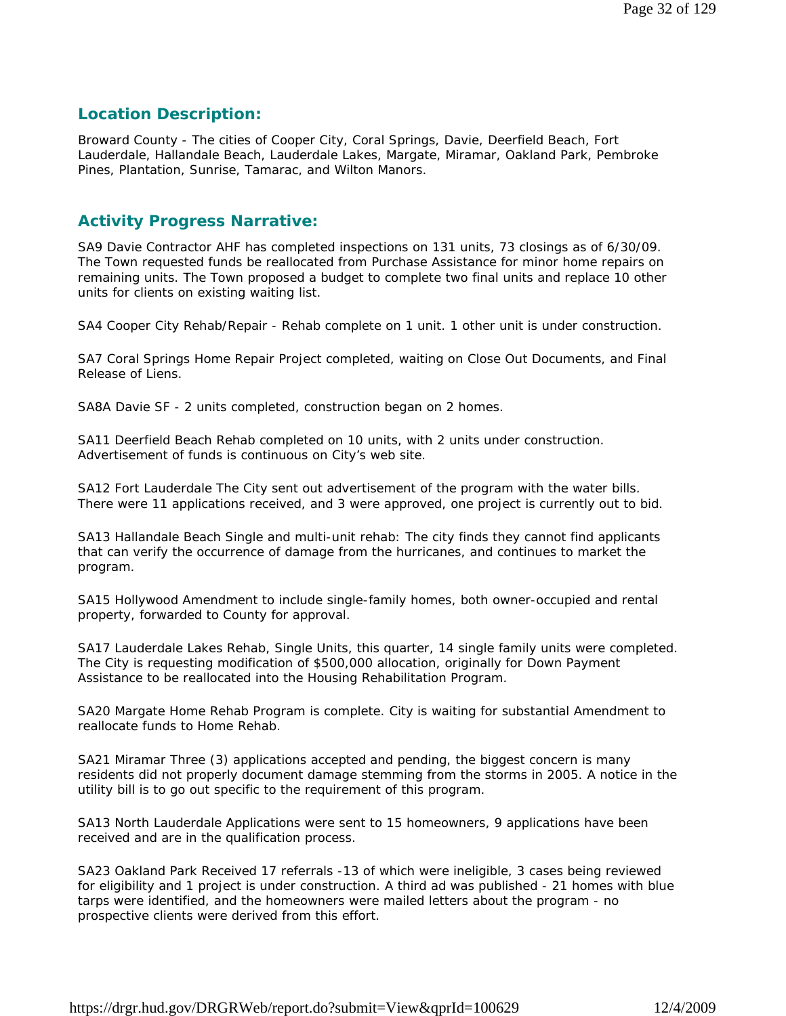## **Location Description:**

Broward County - The cities of Cooper City, Coral Springs, Davie, Deerfield Beach, Fort Lauderdale, Hallandale Beach, Lauderdale Lakes, Margate, Miramar, Oakland Park, Pembroke Pines, Plantation, Sunrise, Tamarac, and Wilton Manors.

#### **Activity Progress Narrative:**

SA9 Davie Contractor AHF has completed inspections on 131 units, 73 closings as of 6/30/09. The Town requested funds be reallocated from Purchase Assistance for minor home repairs on remaining units. The Town proposed a budget to complete two final units and replace 10 other units for clients on existing waiting list.

SA4 Cooper City Rehab/Repair - Rehab complete on 1 unit. 1 other unit is under construction.

SA7 Coral Springs Home Repair Project completed, waiting on Close Out Documents, and Final Release of Liens.

SA8A Davie SF - 2 units completed, construction began on 2 homes.

SA11 Deerfield Beach Rehab completed on 10 units, with 2 units under construction. Advertisement of funds is continuous on City's web site.

SA12 Fort Lauderdale The City sent out advertisement of the program with the water bills. There were 11 applications received, and 3 were approved, one project is currently out to bid.

SA13 Hallandale Beach Single and multi-unit rehab: The city finds they cannot find applicants that can verify the occurrence of damage from the hurricanes, and continues to market the program.

SA15 Hollywood Amendment to include single-family homes, both owner-occupied and rental property, forwarded to County for approval.

SA17 Lauderdale Lakes Rehab, Single Units, this quarter, 14 single family units were completed. The City is requesting modification of \$500,000 allocation, originally for Down Payment Assistance to be reallocated into the Housing Rehabilitation Program.

SA20 Margate Home Rehab Program is complete. City is waiting for substantial Amendment to reallocate funds to Home Rehab.

SA21 Miramar Three (3) applications accepted and pending, the biggest concern is many residents did not properly document damage stemming from the storms in 2005. A notice in the utility bill is to go out specific to the requirement of this program.

SA13 North Lauderdale Applications were sent to 15 homeowners, 9 applications have been received and are in the qualification process.

SA23 Oakland Park Received 17 referrals -13 of which were ineligible, 3 cases being reviewed for eligibility and 1 project is under construction. A third ad was published - 21 homes with blue tarps were identified, and the homeowners were mailed letters about the program - no prospective clients were derived from this effort.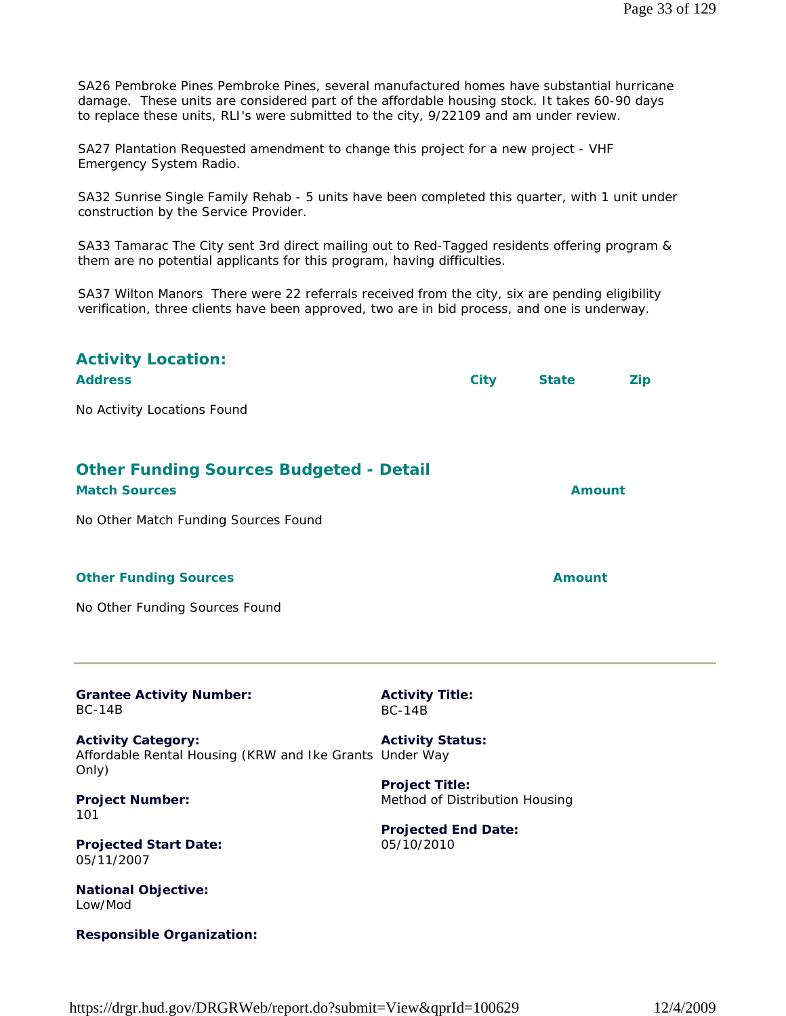SA26 Pembroke Pines Pembroke Pines, several manufactured homes have substantial hurricane damage. These units are considered part of the affordable housing stock. It takes 60-90 days to replace these units, RLI's were submitted to the city, 9/22109 and am under review.

SA27 Plantation Requested amendment to change this project for a new project - VHF Emergency System Radio.

SA32 Sunrise Single Family Rehab - 5 units have been completed this quarter, with 1 unit under construction by the Service Provider.

SA33 Tamarac The City sent 3rd direct mailing out to Red-Tagged residents offering program & them are no potential applicants for this program, having difficulties.

SA37 Wilton Manors There were 22 referrals received from the city, six are pending eligibility verification, three clients have been approved, two are in bid process, and one is underway.

| <b>Activity Location:</b><br><b>Address</b>                                                   |                                                         | <b>City</b> | <b>State</b>  | <b>Zip</b> |
|-----------------------------------------------------------------------------------------------|---------------------------------------------------------|-------------|---------------|------------|
| No Activity Locations Found                                                                   |                                                         |             |               |            |
| <b>Other Funding Sources Budgeted - Detail</b><br><b>Match Sources</b>                        |                                                         |             | <b>Amount</b> |            |
| No Other Match Funding Sources Found                                                          |                                                         |             |               |            |
| <b>Other Funding Sources</b>                                                                  |                                                         |             | <b>Amount</b> |            |
| No Other Funding Sources Found                                                                |                                                         |             |               |            |
| <b>Grantee Activity Number:</b><br><b>BC-14B</b>                                              | <b>Activity Title:</b><br><b>BC-14B</b>                 |             |               |            |
| <b>Activity Category:</b><br>Affordable Rental Housing (KRW and Ike Grants Under Way<br>Only) | <b>Activity Status:</b>                                 |             |               |            |
| <b>Project Number:</b><br>101                                                                 | <b>Project Title:</b><br>Method of Distribution Housing |             |               |            |
| <b>Projected Start Date:</b><br>05/11/2007                                                    | <b>Projected End Date:</b><br>05/10/2010                |             |               |            |
| <b>National Objective:</b><br>Low/Mod                                                         |                                                         |             |               |            |

**Responsible Organization:**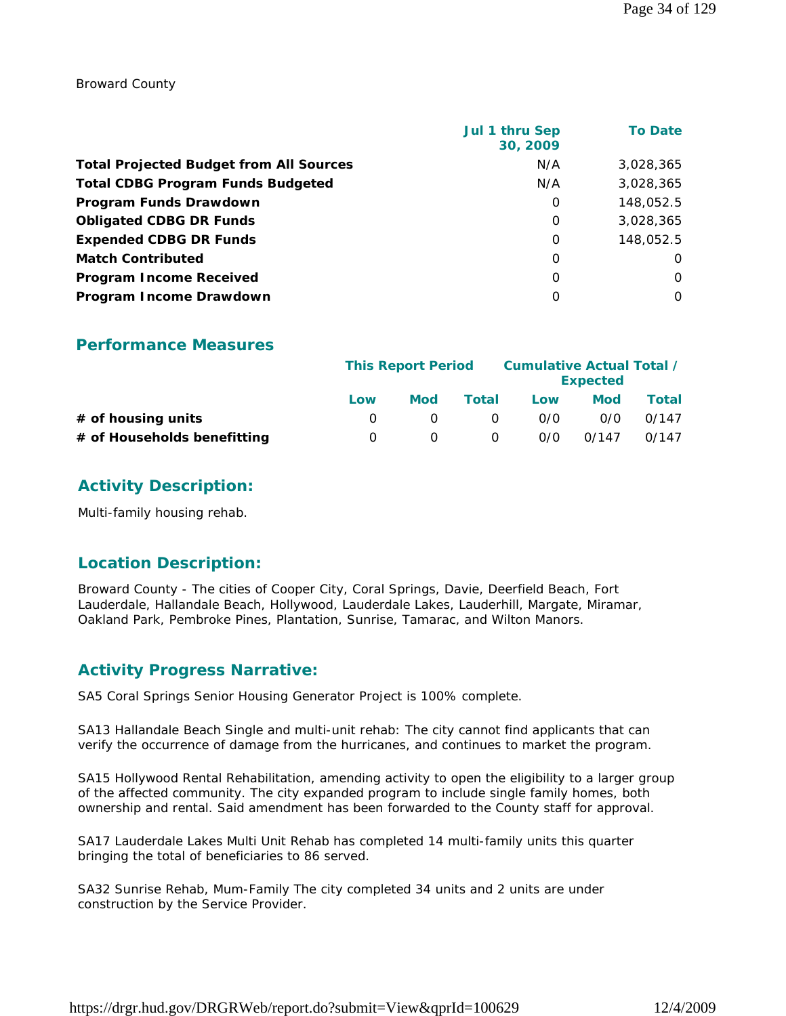Broward County

|                                                | Jul 1 thru Sep<br>30, 2009 | <b>To Date</b> |
|------------------------------------------------|----------------------------|----------------|
| <b>Total Projected Budget from All Sources</b> | N/A                        | 3,028,365      |
| <b>Total CDBG Program Funds Budgeted</b>       | N/A                        | 3,028,365      |
| Program Funds Drawdown                         | 0                          | 148,052.5      |
| <b>Obligated CDBG DR Funds</b>                 | 0                          | 3,028,365      |
| <b>Expended CDBG DR Funds</b>                  | 0                          | 148,052.5      |
| <b>Match Contributed</b>                       | $\Omega$                   | $\Omega$       |
| <b>Program Income Received</b>                 | $\Omega$                   | $\Omega$       |
| Program Income Drawdown                        | O                          | $\Omega$       |

#### **Performance Measures**

|                             | <b>This Report Period</b> |            |          | Cumulative Actual Total /<br><b>Expected</b> |            |       |
|-----------------------------|---------------------------|------------|----------|----------------------------------------------|------------|-------|
|                             | Low                       | <b>Mod</b> | Total    | Low                                          | <b>Mod</b> | Total |
| $#$ of housing units        |                           |            | $\Omega$ | 0/0                                          | 0/0        | 0/147 |
| # of Households benefitting | $\left( \right)$          |            | $\Omega$ | 0/0                                          | 0/147      | 0/147 |

# **Activity Description:**

Multi-family housing rehab.

# **Location Description:**

Broward County - The cities of Cooper City, Coral Springs, Davie, Deerfield Beach, Fort Lauderdale, Hallandale Beach, Hollywood, Lauderdale Lakes, Lauderhill, Margate, Miramar, Oakland Park, Pembroke Pines, Plantation, Sunrise, Tamarac, and Wilton Manors.

# **Activity Progress Narrative:**

SA5 Coral Springs Senior Housing Generator Project is 100% complete.

SA13 Hallandale Beach Single and multi-unit rehab: The city cannot find applicants that can verify the occurrence of damage from the hurricanes, and continues to market the program.

SA15 Hollywood Rental Rehabilitation, amending activity to open the eligibility to a larger group of the affected community. The city expanded program to include single family homes, both ownership and rental. Said amendment has been forwarded to the County staff for approval.

SA17 Lauderdale Lakes Multi Unit Rehab has completed 14 multi-family units this quarter bringing the total of beneficiaries to 86 served.

SA32 Sunrise Rehab, Mum-Family The city completed 34 units and 2 units are under construction by the Service Provider.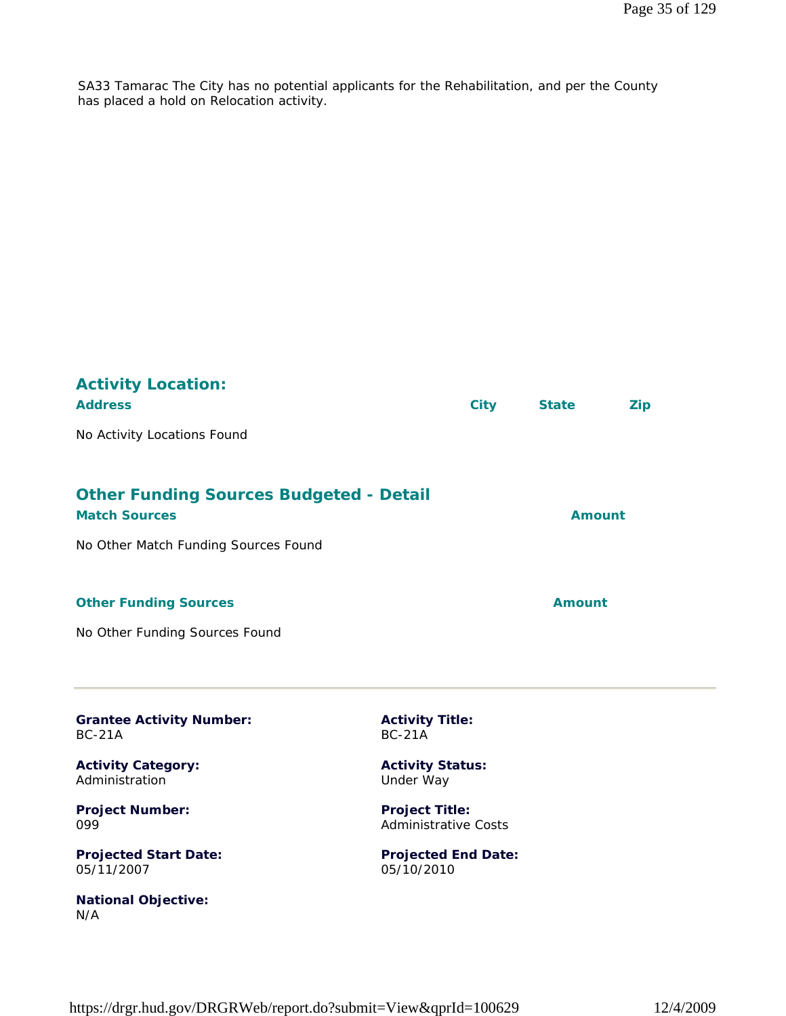SA33 Tamarac The City has no potential applicants for the Rehabilitation, and per the County has placed a hold on Relocation activity.

| <b>Activity Location:</b><br><b>Address</b><br>No Activity Locations Found | <b>City</b>                                          | <b>State</b>  | Zip |
|----------------------------------------------------------------------------|------------------------------------------------------|---------------|-----|
|                                                                            |                                                      |               |     |
| <b>Other Funding Sources Budgeted - Detail</b><br><b>Match Sources</b>     |                                                      | <b>Amount</b> |     |
| No Other Match Funding Sources Found                                       |                                                      |               |     |
| <b>Other Funding Sources</b>                                               |                                                      | <b>Amount</b> |     |
| No Other Funding Sources Found                                             |                                                      |               |     |
|                                                                            |                                                      |               |     |
| <b>Grantee Activity Number:</b><br><b>BC-21A</b>                           | <b>Activity Title:</b><br><b>BC-21A</b>              |               |     |
| <b>Activity Category:</b><br>Administration                                | <b>Activity Status:</b><br>Under Way                 |               |     |
| <b>Project Number:</b><br>099                                              | <b>Project Title:</b><br><b>Administrative Costs</b> |               |     |
|                                                                            |                                                      |               |     |

**Projected Start Date:** 05/11/2007

**National Objective:** N/A

**Projected End Date:** 05/10/2010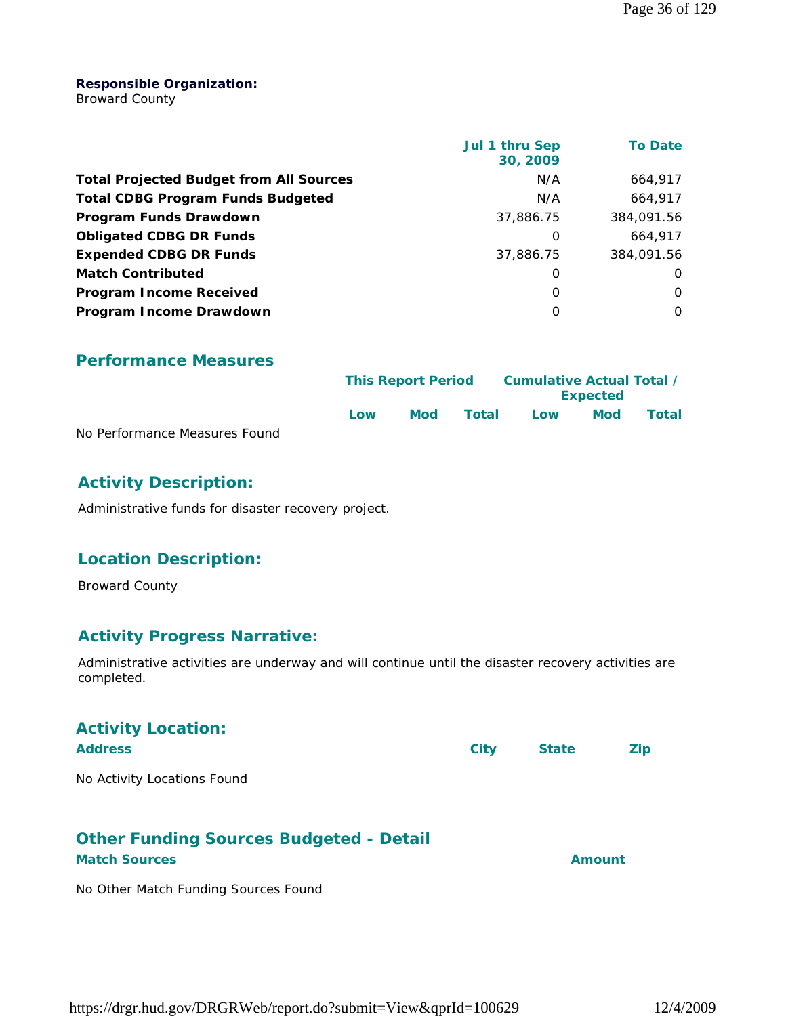#### **Responsible Organization:**

Broward County

|                                                | Jul 1 thru Sep<br>30, 2009 | <b>To Date</b> |
|------------------------------------------------|----------------------------|----------------|
| <b>Total Projected Budget from All Sources</b> | N/A                        | 664,917        |
| <b>Total CDBG Program Funds Budgeted</b>       | N/A                        | 664.917        |
| Program Funds Drawdown                         | 37,886.75                  | 384,091.56     |
| <b>Obligated CDBG DR Funds</b>                 | 0                          | 664,917        |
| <b>Expended CDBG DR Funds</b>                  | 37,886.75                  | 384,091.56     |
| <b>Match Contributed</b>                       | 0                          | O              |
| <b>Program Income Received</b>                 | O                          | $\Omega$       |
| Program Income Drawdown                        | O                          | $\Omega$       |

**Performance Measures**

|                               |      | <b>This Report Period</b> |       |     | Cumulative Actual Total /<br><b>Expected</b> |       |  |
|-------------------------------|------|---------------------------|-------|-----|----------------------------------------------|-------|--|
|                               | l ow | <b>Mod</b>                | Total | Low | Mod                                          | Total |  |
| No Performance Measures Found |      |                           |       |     |                                              |       |  |

# **Activity Description:**

Administrative funds for disaster recovery project.

# **Location Description:**

Broward County

# **Activity Progress Narrative:**

Administrative activities are underway and will continue until the disaster recovery activities are completed.

| <b>Activity Location:</b><br><b>Address</b>    | <b>City</b> | <b>State</b> | <b>Zip</b> |
|------------------------------------------------|-------------|--------------|------------|
| No Activity Locations Found                    |             |              |            |
| <b>Other Funding Sources Budgeted - Detail</b> |             |              |            |
| <b>Match Sources</b>                           |             | Amount       |            |

No Other Match Funding Sources Found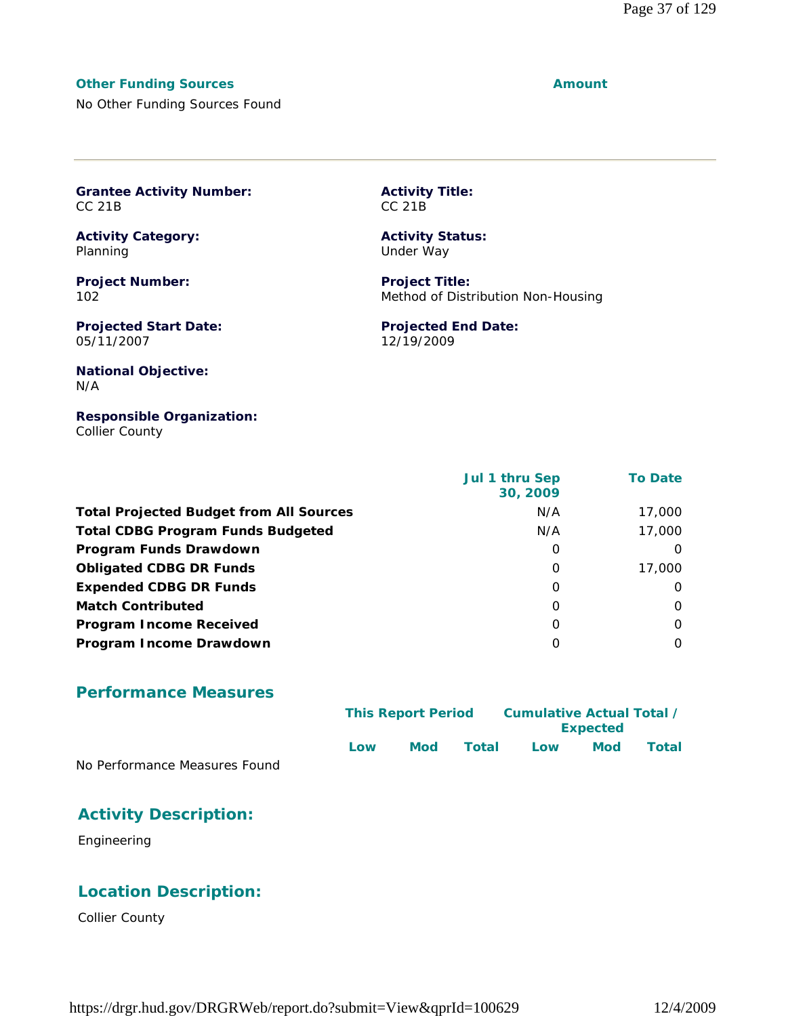#### **Other Funding Sources Amount Amount**

No Other Funding Sources Found

|                   | <b>Grantee Activity Number:</b> |
|-------------------|---------------------------------|
| CC <sub>21B</sub> |                                 |

**Activity Category:** Planning

**Project Number:** 102

**Projected Start Date:** 05/11/2007

**Activity Title:** CC 21B

**Activity Status:** Under Way

**Project Title:** Method of Distribution Non-Housing

**Projected End Date:** 12/19/2009

#### **National Objective:** N/A

#### **Responsible Organization:** Collier County

|                                                | Jul 1 thru Sep<br>30, 2009 | <b>To Date</b> |
|------------------------------------------------|----------------------------|----------------|
| <b>Total Projected Budget from All Sources</b> | N/A                        | 17,000         |
| <b>Total CDBG Program Funds Budgeted</b>       | N/A                        | 17,000         |
| Program Funds Drawdown                         | 0                          | $\Omega$       |
| <b>Obligated CDBG DR Funds</b>                 | $\Omega$                   | 17,000         |
| <b>Expended CDBG DR Funds</b>                  | $\Omega$                   | 0              |
| <b>Match Contributed</b>                       | $\Omega$                   | $\Omega$       |
| <b>Program Income Received</b>                 | $\Omega$                   | $\Omega$       |
| Program Income Drawdown                        | O                          | $\Omega$       |

#### **Performance Measures**

|                               |     | <b>This Report Period</b> |       | Cumulative Actual Total /<br><b>Expected</b> |            |       |  |
|-------------------------------|-----|---------------------------|-------|----------------------------------------------|------------|-------|--|
|                               | Low | Mod                       | Total | Low                                          | <b>Mod</b> | Total |  |
| No Performance Measures Found |     |                           |       |                                              |            |       |  |

#### **Activity Description:**

Engineering

#### **Location Description:**

Collier County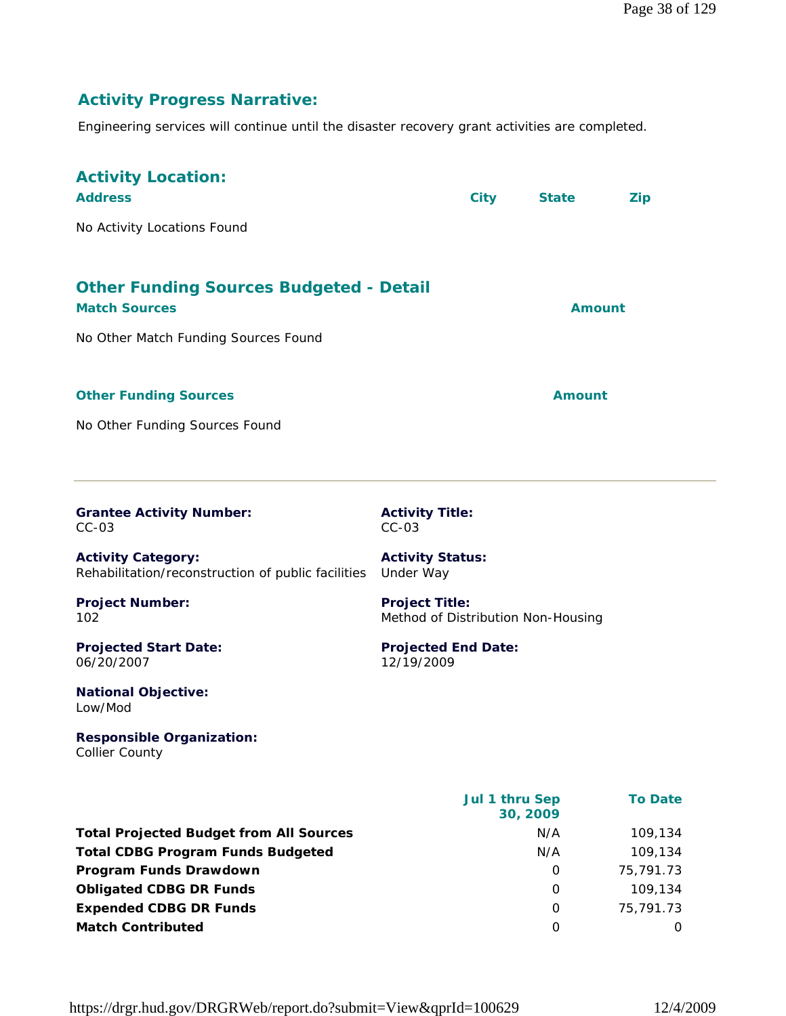# **Activity Progress Narrative:**

Engineering services will continue until the disaster recovery grant activities are completed.

| <b>Activity Location:</b><br><b>Address</b><br>No Activity Locations Found                                     | <b>City</b>                                                 | <b>State</b>  | <b>Zip</b>     |
|----------------------------------------------------------------------------------------------------------------|-------------------------------------------------------------|---------------|----------------|
| <b>Other Funding Sources Budgeted - Detail</b><br><b>Match Sources</b><br>No Other Match Funding Sources Found |                                                             | <b>Amount</b> |                |
| <b>Other Funding Sources</b><br>No Other Funding Sources Found                                                 |                                                             | <b>Amount</b> |                |
| <b>Grantee Activity Number:</b><br>$CC-03$                                                                     | <b>Activity Title:</b><br>$CC-03$                           |               |                |
| <b>Activity Category:</b><br>Rehabilitation/reconstruction of public facilities                                | <b>Activity Status:</b><br>Under Way                        |               |                |
| <b>Project Number:</b><br>102                                                                                  | <b>Project Title:</b><br>Method of Distribution Non-Housing |               |                |
| <b>Projected Start Date:</b><br>06/20/2007                                                                     | <b>Projected End Date:</b><br>12/19/2009                    |               |                |
| <b>National Objective:</b><br>Low/Mod                                                                          |                                                             |               |                |
| <b>Responsible Organization:</b><br><b>Collier County</b>                                                      |                                                             |               |                |
|                                                                                                                | Jul 1 thru Sep<br>30, 2009                                  |               | <b>To Date</b> |
| <b>Total Projected Budget from All Sources</b>                                                                 | N/A                                                         |               | 109,134        |
| <b>Total CDBG Program Funds Budgeted</b>                                                                       | N/A                                                         |               | 109,134        |
| Program Funds Drawdown                                                                                         |                                                             | 0             | 75,791.73      |

**Obligated CDBG DR Funds 109,134 Expended CDBG DR Funds** 0 75,791.73 **Match Contributed** 0 0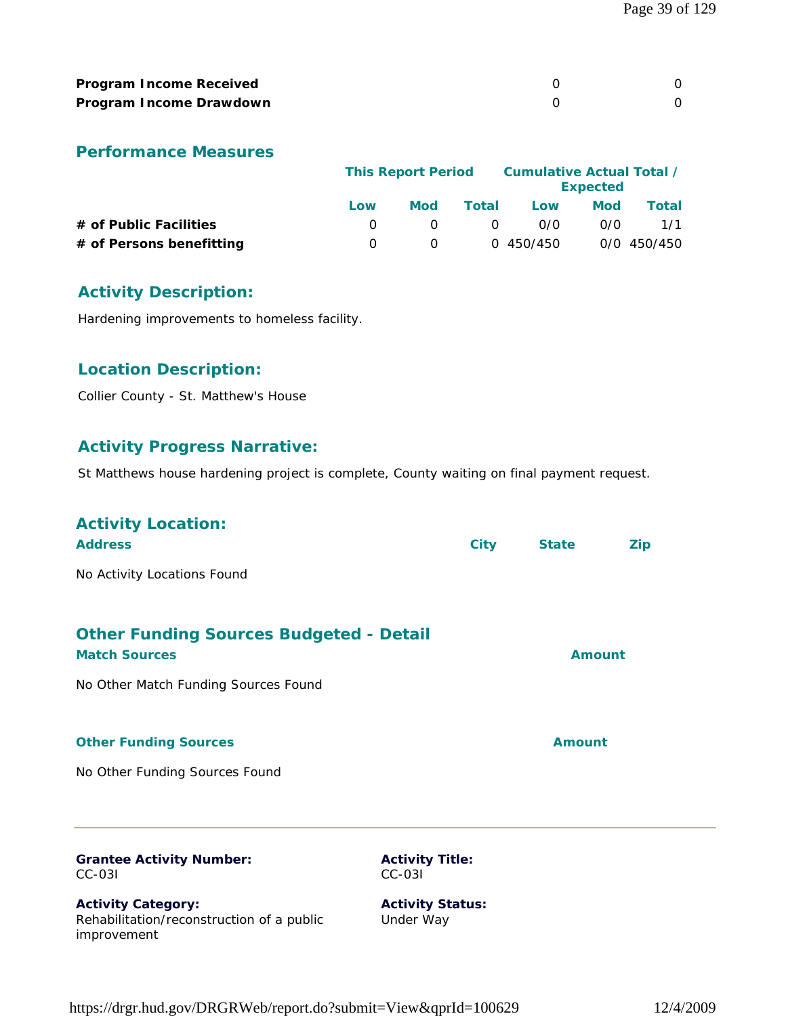| <b>Program Income Received</b> |  |
|--------------------------------|--|
| Program Income Drawdown        |  |

|                          | <b>This Report Period</b> |              |       |           | <b>Expected</b> | Cumulative Actual Total / |  |
|--------------------------|---------------------------|--------------|-------|-----------|-----------------|---------------------------|--|
|                          | Low                       | <b>Mod</b>   | Total | Low       | <b>Mod</b>      | Total                     |  |
| # of Public Facilities   |                           | $\Omega$     | - 0   | 0/0       | 0/0             | 1/1                       |  |
| # of Persons benefitting |                           | <sup>n</sup> |       | 0 450/450 |                 | 0/0 450/450               |  |

# **Activity Description:**

Hardening improvements to homeless facility.

# **Location Description:**

Collier County - St. Matthew's House

# **Activity Progress Narrative:**

St Matthews house hardening project is complete, County waiting on final payment request.

| <b>Activity Location:</b><br><b>Address</b>                                           |                                      | <b>City</b> | <b>State</b>  | <b>Zip</b> |
|---------------------------------------------------------------------------------------|--------------------------------------|-------------|---------------|------------|
| No Activity Locations Found                                                           |                                      |             |               |            |
| <b>Other Funding Sources Budgeted - Detail</b><br><b>Match Sources</b>                |                                      |             | <b>Amount</b> |            |
| No Other Match Funding Sources Found                                                  |                                      |             |               |            |
| <b>Other Funding Sources</b>                                                          |                                      |             | <b>Amount</b> |            |
| No Other Funding Sources Found                                                        |                                      |             |               |            |
| <b>Grantee Activity Number:</b><br>$CC-03I$                                           | <b>Activity Title:</b><br>$CC-031$   |             |               |            |
| <b>Activity Category:</b><br>Rehabilitation/reconstruction of a public<br>improvement | <b>Activity Status:</b><br>Under Way |             |               |            |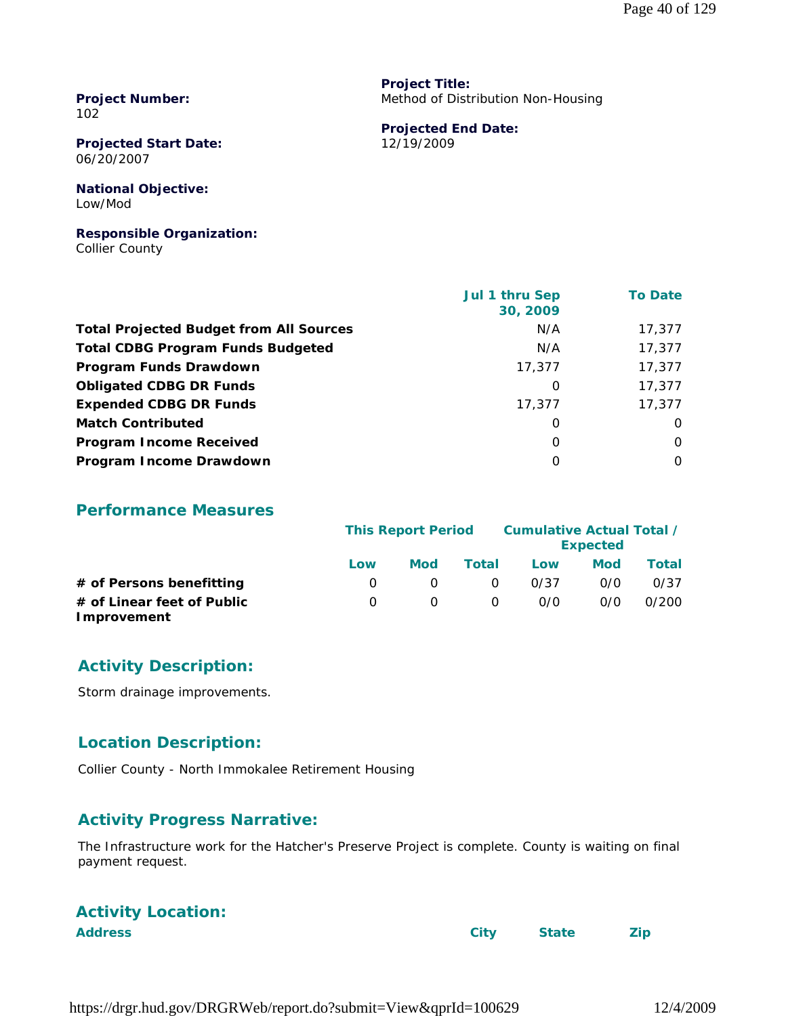**Project Number:** 102

**Projected Start Date:** 06/20/2007

**National Objective:** Low/Mod

**Responsible Organization:** Collier County

 **Jul 1 thru Sep 30, 2009 To Date Total Projected Budget from All Sources** M/A 17,377 **Total CDBG Program Funds Budgeted NA 17,377 Program Funds Drawdown** 17,377 17,377 17,377 **Obligated CDBG DR Funds 17,377 Expended CDBG DR Funds** 17,377 17,377 17,377 **Match Contributed** 0 0 **Program Income Received** 0 0 **Program Income Drawdown** 0 0

**Performance Measures**

|                                           |              | <b>This Report Period</b> |          |      | Cumulative Actual Total /<br><b>Expected</b> |       |  |  |
|-------------------------------------------|--------------|---------------------------|----------|------|----------------------------------------------|-------|--|--|
|                                           | Low          | <b>Mod</b>                | Total    | Low  | <b>Mod</b>                                   | Total |  |  |
| # of Persons benefitting                  | $\Omega$     |                           | $\Omega$ | 0/37 | 0/0                                          | 0/37  |  |  |
| # of Linear feet of Public<br>Improvement | <sup>o</sup> | <sup>o</sup>              | $\Omega$ | 0/0  | 0/0                                          | 0/200 |  |  |

#### **Activity Description:**

Storm drainage improvements.

#### **Location Description:**

Collier County - North Immokalee Retirement Housing

# **Activity Progress Narrative:**

The Infrastructure work for the Hatcher's Preserve Project is complete. County is waiting on final payment request.

# **Activity Location:**

**Address City State Zip**

**Project Title:** Method of Distribution Non-Housing

**Projected End Date:** 12/19/2009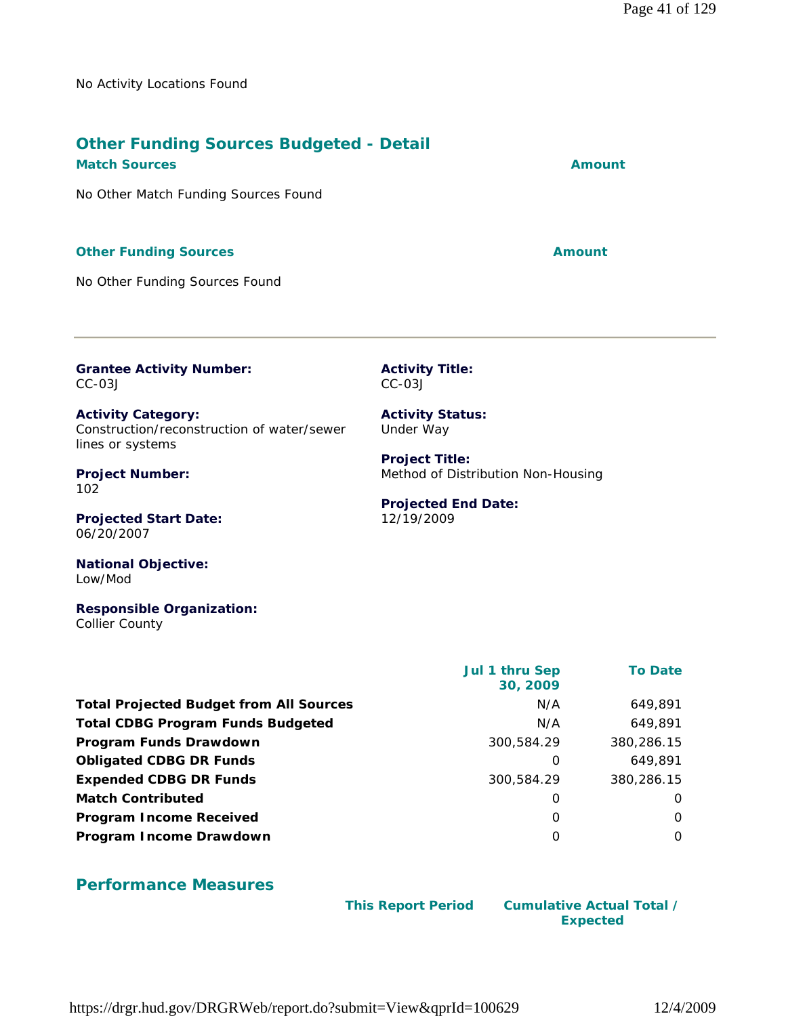No Activity Locations Found

# **Other Funding Sources Budgeted - Detail**

No Other Match Funding Sources Found

#### **Other Funding Sources Amount** 2008 2012 12:30 Amount

No Other Funding Sources Found

**Grantee Activity Number:** CC-03J

**Activity Category:** Construction/reconstruction of water/sewer lines or systems

**Project Number:** 102

**Projected Start Date:** 06/20/2007

**National Objective:** Low/Mod

**Responsible Organization:** Collier County

|                                                | Jul 1 thru Sep<br>30, 2009 | <b>To Date</b> |
|------------------------------------------------|----------------------------|----------------|
| <b>Total Projected Budget from All Sources</b> | N/A                        | 649,891        |
| <b>Total CDBG Program Funds Budgeted</b>       | N/A                        | 649,891        |
| Program Funds Drawdown                         | 300,584.29                 | 380,286.15     |
| <b>Obligated CDBG DR Funds</b>                 | O                          | 649,891        |
| <b>Expended CDBG DR Funds</b>                  | 300,584.29                 | 380,286.15     |
| <b>Match Contributed</b>                       | O                          | $\Omega$       |
| <b>Program Income Received</b>                 | 0                          | $\Omega$       |
| Program Income Drawdown                        | O                          | $\Omega$       |

#### **Performance Measures**

 **This Report Period Cumulative Actual Total /**

**Expected** 

**Activity Title:** CC-03J

**Activity Status:** Under Way

**Project Title:** Method of Distribution Non-Housing

**Projected End Date:** 12/19/2009

**Match Sources Amount**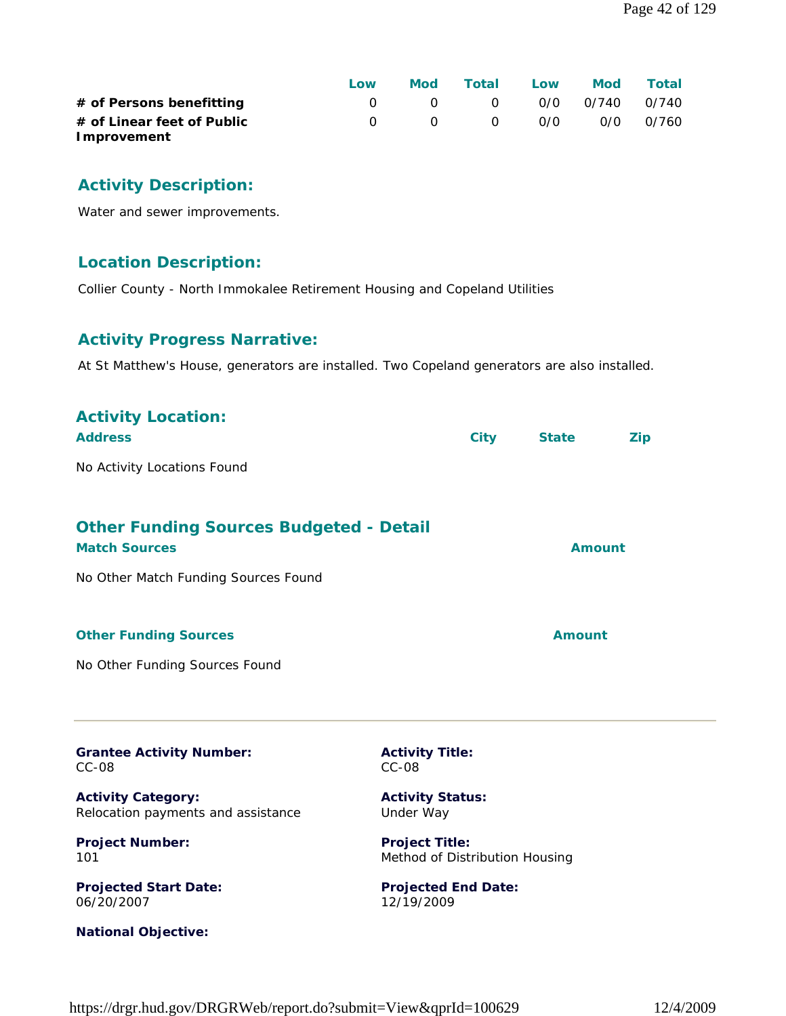|                            | Low | Mod | Total                 | Low | Mod Total |
|----------------------------|-----|-----|-----------------------|-----|-----------|
| # of Persons benefitting   |     |     | 0 0 0 0/0 0/740 0/740 |     |           |
| # of Linear feet of Public |     |     | 0 0 0 0/0 0/0 0/760   |     |           |
| Improvement                |     |     |                       |     |           |

# **Activity Description:**

Water and sewer improvements.

#### **Location Description:**

Collier County - North Immokalee Retirement Housing and Copeland Utilities

#### **Activity Progress Narrative:**

At St Matthew's House, generators are installed. Two Copeland generators are also installed.

| <b>Activity Location:</b><br><b>Address</b>                            |                                                         | <b>City</b> | <b>State</b>  | <b>Zip</b> |
|------------------------------------------------------------------------|---------------------------------------------------------|-------------|---------------|------------|
| No Activity Locations Found                                            |                                                         |             |               |            |
| <b>Other Funding Sources Budgeted - Detail</b><br><b>Match Sources</b> |                                                         |             | <b>Amount</b> |            |
| No Other Match Funding Sources Found                                   |                                                         |             |               |            |
| <b>Other Funding Sources</b>                                           |                                                         |             | <b>Amount</b> |            |
| No Other Funding Sources Found                                         |                                                         |             |               |            |
| <b>Grantee Activity Number:</b><br>$CC-08$                             | <b>Activity Title:</b><br>$CC-08$                       |             |               |            |
| <b>Activity Category:</b><br>Relocation payments and assistance        | <b>Activity Status:</b><br>Under Way                    |             |               |            |
| <b>Project Number:</b><br>101                                          | <b>Project Title:</b><br>Method of Distribution Housing |             |               |            |
| <b>Projected Start Date:</b><br>06/20/2007                             | <b>Projected End Date:</b><br>12/19/2009                |             |               |            |
| <b>National Objective:</b>                                             |                                                         |             |               |            |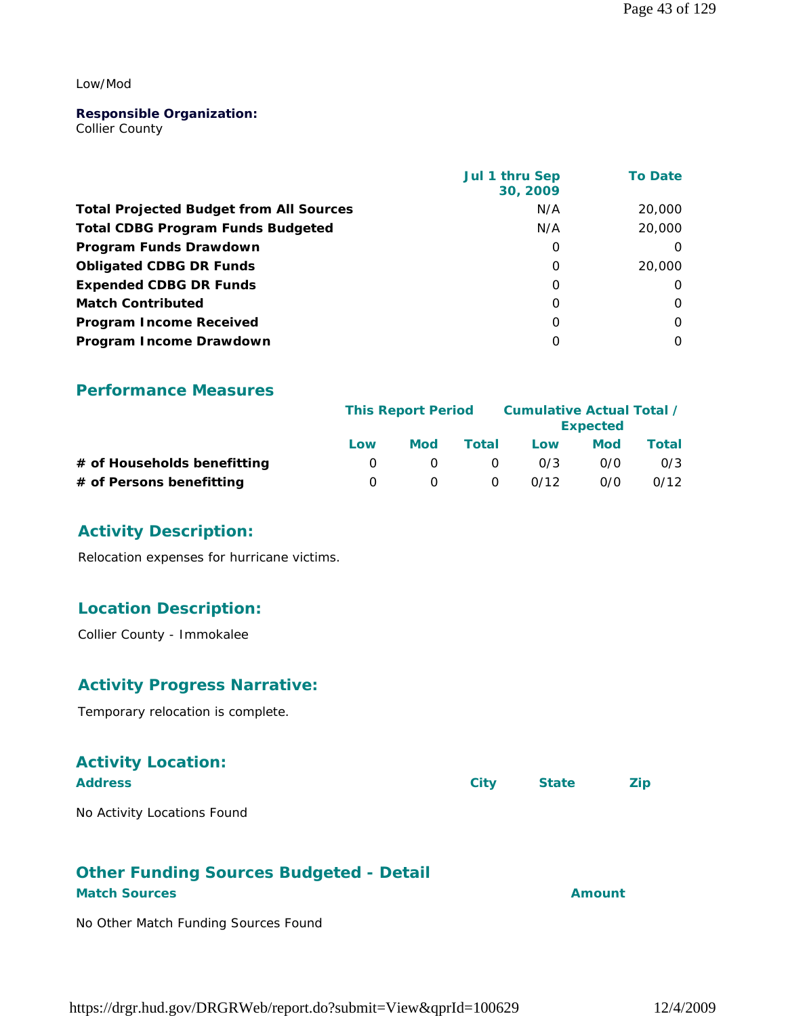#### Low/Mod

#### **Responsible Organization:**

Collier County

|                                                | Jul 1 thru Sep<br>30, 2009 | <b>To Date</b> |
|------------------------------------------------|----------------------------|----------------|
| <b>Total Projected Budget from All Sources</b> | N/A                        | 20,000         |
| <b>Total CDBG Program Funds Budgeted</b>       | N/A                        | 20,000         |
| Program Funds Drawdown                         | 0                          | $\Omega$       |
| <b>Obligated CDBG DR Funds</b>                 | $\Omega$                   | 20,000         |
| <b>Expended CDBG DR Funds</b>                  | 0                          | $\Omega$       |
| <b>Match Contributed</b>                       | $\Omega$                   | $\Omega$       |
| <b>Program Income Received</b>                 | $\Omega$                   | $\Omega$       |
| Program Income Drawdown                        | 0                          | $\Omega$       |

#### **Performance Measures**

|                             | <b>This Report Period</b> |                  |          | Cumulative Actual Total / | <b>Expected</b> |       |
|-----------------------------|---------------------------|------------------|----------|---------------------------|-----------------|-------|
|                             | Low                       | <b>Mod</b>       | Total    | Low                       | Mod             | Total |
| # of Households benefitting |                           | $\left( \right)$ | $\Omega$ | 0/3                       | 0/0             | 0/3   |
| # of Persons benefitting    |                           |                  | $\Omega$ | 0/12                      | 0/0             | 0/12  |

#### **Activity Description:**

Relocation expenses for hurricane victims.

#### **Location Description:**

Collier County - Immokalee

#### **Activity Progress Narrative:**

Temporary relocation is complete.

# **Activity Location:**

| <b>Address</b>              | City State | <b>Example 2</b> |
|-----------------------------|------------|------------------|
| $N = \Lambda + \frac{1}{2}$ |            |                  |

#### No Activity Locations Found

# **Other Funding Sources Budgeted - Detail**

#### **Match Sources Amount**

No Other Match Funding Sources Found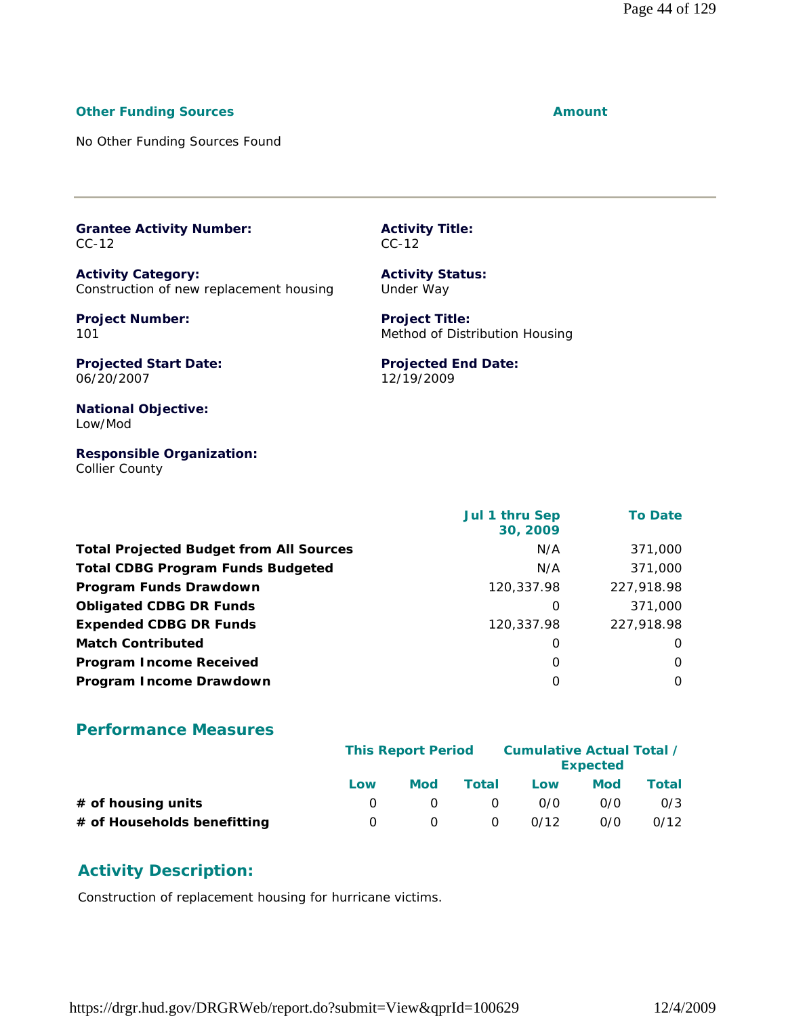#### **Other Funding Sources Amount** 2008 2012 12:30 Amount

No Other Funding Sources Found

**Grantee Activity Number:** CC-12

**Activity Category:** Construction of new replacement housing

**Project Number:** 101

**Projected Start Date:** 06/20/2007

**Activity Title:** CC-12

**Activity Status:** Under Way

**Project Title:** Method of Distribution Housing

**Projected End Date:** 12/19/2009

**National Objective:** Low/Mod

**Responsible Organization:** Collier County

|                                                | Jul 1 thru Sep<br>30, 2009 | <b>To Date</b> |
|------------------------------------------------|----------------------------|----------------|
| <b>Total Projected Budget from All Sources</b> | N/A                        | 371,000        |
| <b>Total CDBG Program Funds Budgeted</b>       | N/A                        | 371,000        |
| Program Funds Drawdown                         | 120,337.98                 | 227,918.98     |
| <b>Obligated CDBG DR Funds</b>                 | 0                          | 371,000        |
| <b>Expended CDBG DR Funds</b>                  | 120,337.98                 | 227,918.98     |
| <b>Match Contributed</b>                       | 0                          | 0              |
| <b>Program Income Received</b>                 | 0                          | 0              |
| Program Income Drawdown                        | O                          | $\Omega$       |

#### **Performance Measures**

|                             | <b>This Report Period</b> |     |          | Cumulative Actual Total / | <b>Expected</b> |       |
|-----------------------------|---------------------------|-----|----------|---------------------------|-----------------|-------|
|                             | Low                       | Mod | Total    | Low                       | Mod             | Total |
| $#$ of housing units        |                           |     | $\Omega$ | 0/0                       | 0/0             | 0/3   |
| # of Households benefitting |                           |     | $\Omega$ | 0/12                      | 0/0             | 0/12  |

#### **Activity Description:**

Construction of replacement housing for hurricane victims.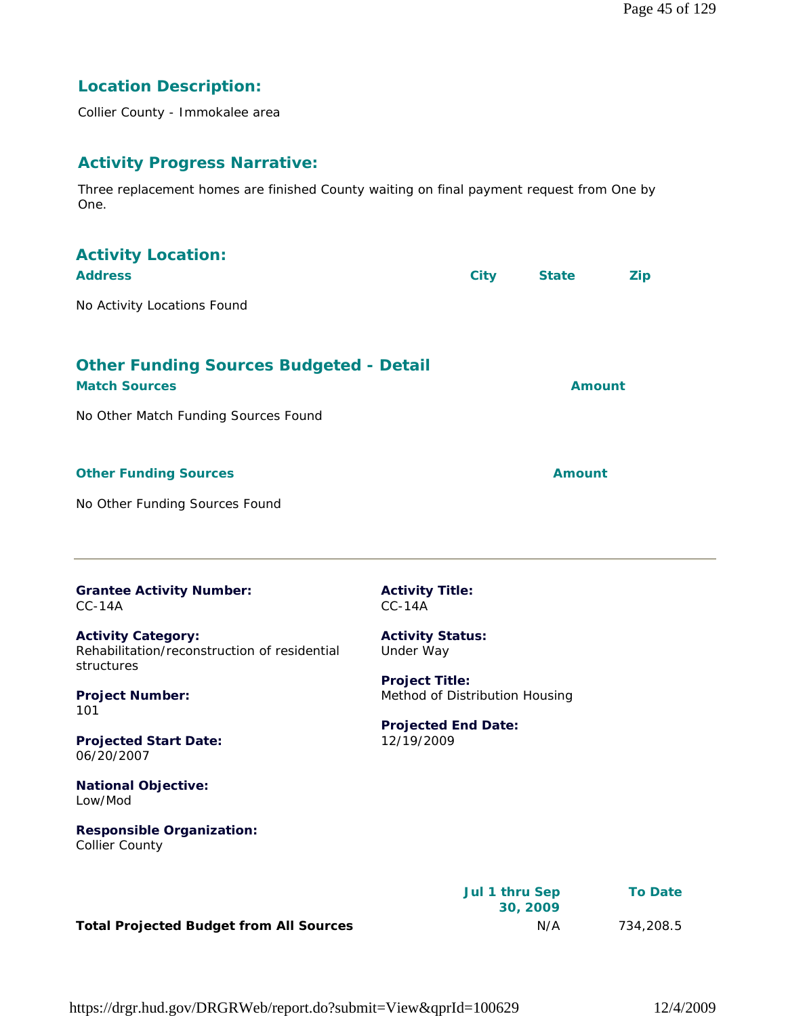# **Location Description:**

Collier County - Immokalee area

#### **Activity Progress Narrative:**

Three replacement homes are finished County waiting on final payment request from One by One.

| <b>Activity Location:</b><br><b>Address</b>                                                                                                                            |                                                                                                                                             | <b>City</b> | <b>State</b>  | <b>Zip</b> |
|------------------------------------------------------------------------------------------------------------------------------------------------------------------------|---------------------------------------------------------------------------------------------------------------------------------------------|-------------|---------------|------------|
| No Activity Locations Found                                                                                                                                            |                                                                                                                                             |             |               |            |
| <b>Other Funding Sources Budgeted - Detail</b><br><b>Match Sources</b><br>No Other Match Funding Sources Found                                                         |                                                                                                                                             |             | Amount        |            |
| <b>Other Funding Sources</b>                                                                                                                                           |                                                                                                                                             |             | <b>Amount</b> |            |
| No Other Funding Sources Found                                                                                                                                         |                                                                                                                                             |             |               |            |
| <b>Grantee Activity Number:</b><br>$CC-14A$                                                                                                                            | <b>Activity Title:</b><br>$CC-14A$                                                                                                          |             |               |            |
| <b>Activity Category:</b><br>Rehabilitation/reconstruction of residential<br>structures<br><b>Project Number:</b><br>101<br><b>Projected Start Date:</b><br>06/20/2007 | <b>Activity Status:</b><br>Under Way<br><b>Project Title:</b><br>Method of Distribution Housing<br><b>Projected End Date:</b><br>12/19/2009 |             |               |            |
| <b>National Objective:</b><br>Low/Mod<br><b>Responsible Organization:</b><br><b>Collier County</b>                                                                     |                                                                                                                                             |             |               |            |

|                                                | Jul 1 thru Sep<br>30, 2009 | <b>To Date</b> |
|------------------------------------------------|----------------------------|----------------|
| <b>Total Projected Budget from All Sources</b> | N/A                        | 734,208.5      |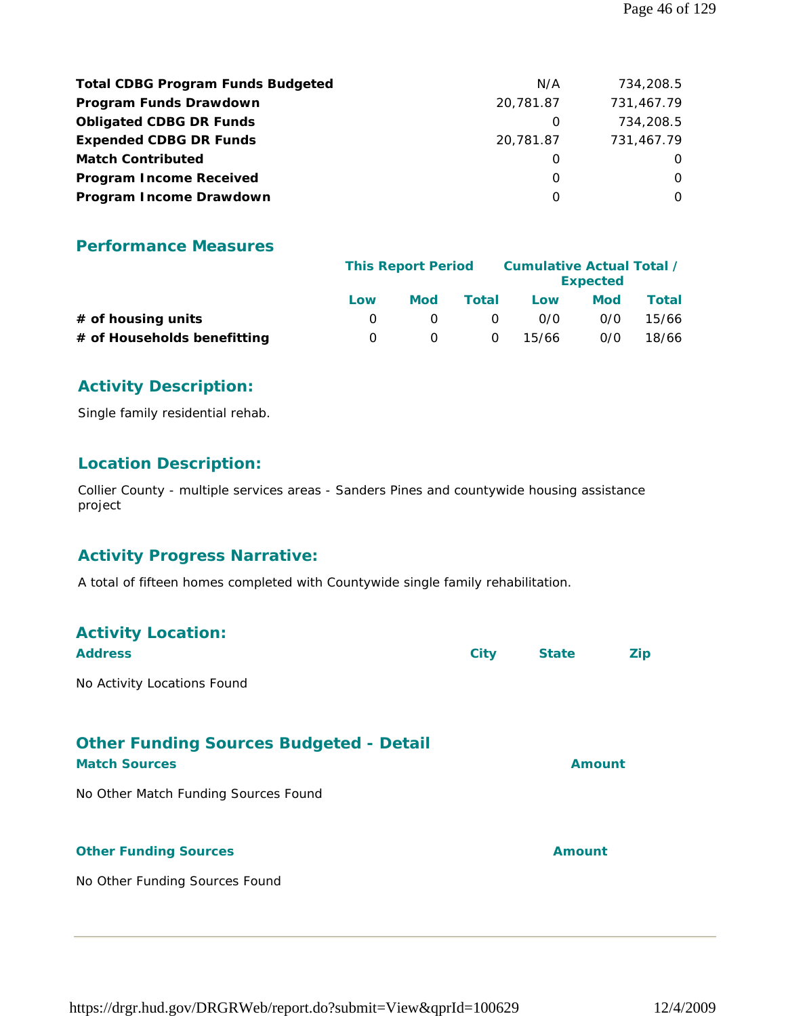| <b>Total CDBG Program Funds Budgeted</b> | N/A       | 734,208.5  |
|------------------------------------------|-----------|------------|
| Program Funds Drawdown                   | 20.781.87 | 731,467.79 |
| <b>Obligated CDBG DR Funds</b>           | O         | 734,208.5  |
| <b>Expended CDBG DR Funds</b>            | 20,781.87 | 731,467.79 |
| <b>Match Contributed</b>                 | O         | $\Omega$   |
| <b>Program Income Received</b>           | O         | $\Omega$   |
| Program Income Drawdown                  | O         | $\Omega$   |

|                             | <b>This Report Period</b> |     |          | Cumulative Actual Total / | <b>Expected</b> |       |
|-----------------------------|---------------------------|-----|----------|---------------------------|-----------------|-------|
|                             | Low                       | Mod | Total    | Low                       | Mod             | Total |
| $#$ of housing units        |                           |     | $\Omega$ | 0/0                       | 0/0             | 15/66 |
| # of Households benefitting |                           |     | $\Omega$ | 15/66                     | 0/0             | 18/66 |

#### **Activity Description:**

Single family residential rehab.

#### **Location Description:**

Collier County - multiple services areas - Sanders Pines and countywide housing assistance project

#### **Activity Progress Narrative:**

A total of fifteen homes completed with Countywide single family rehabilitation.

| <b>Activity Location:</b><br><b>Address</b>                                                                    | <b>City</b> | <b>State</b>  | Zip |
|----------------------------------------------------------------------------------------------------------------|-------------|---------------|-----|
| No Activity Locations Found                                                                                    |             |               |     |
| <b>Other Funding Sources Budgeted - Detail</b><br><b>Match Sources</b><br>No Other Match Funding Sources Found |             | Amount        |     |
| <b>Other Funding Sources</b>                                                                                   |             | <b>Amount</b> |     |
| No Other Funding Sources Found                                                                                 |             |               |     |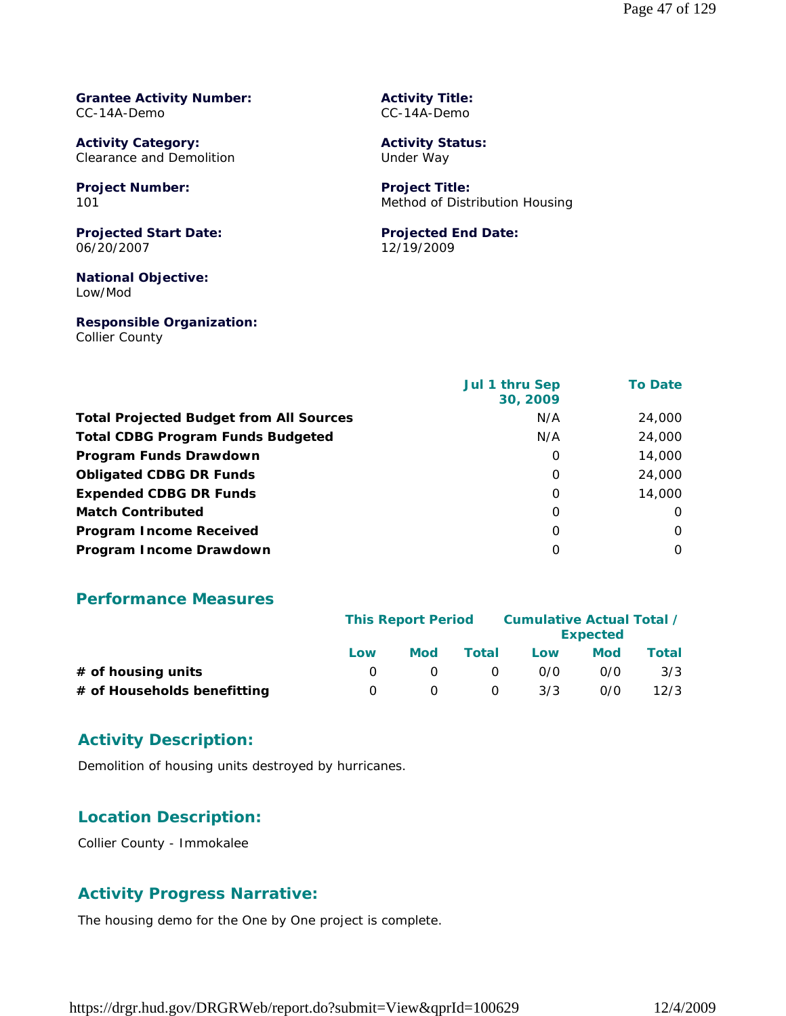#### **Grantee Activity Number:** CC-14A-Demo

**Activity Category:** Clearance and Demolition

**Project Number:** 101

**Projected Start Date:** 06/20/2007

**National Objective:** Low/Mod

**Responsible Organization:** Collier County

**Activity Title:** CC-14A-Demo

**Activity Status:** Under Way

**Project Title:** Method of Distribution Housing

#### **Projected End Date:** 12/19/2009

| Collier County |  |
|----------------|--|
|                |  |

| <b>Jul 1 thru Sep</b><br>30, 2009 | <b>To Date</b> |
|-----------------------------------|----------------|
| N/A                               | 24,000         |
| N/A                               | 24,000         |
| 0                                 | 14,000         |
| 0                                 | 24,000         |
| $\Omega$                          | 14,000         |
| $\Omega$                          | $\Omega$       |
| 0                                 | $\Omega$       |
| O                                 | $\Omega$       |
|                                   |                |

#### **Performance Measures**

|                             | <b>This Report Period</b> |     |          | Cumulative Actual Total / | <b>Expected</b> |       |
|-----------------------------|---------------------------|-----|----------|---------------------------|-----------------|-------|
|                             | Low                       | Mod | Total    | Low                       | Mod             | Total |
| $#$ of housing units        |                           |     | $\Omega$ | 0/0                       | 0/0             | 3/3   |
| # of Households benefitting |                           |     | 0        | 3/3                       | 0/0             | 12/3  |

#### **Activity Description:**

Demolition of housing units destroyed by hurricanes.

#### **Location Description:**

Collier County - Immokalee

#### **Activity Progress Narrative:**

The housing demo for the One by One project is complete.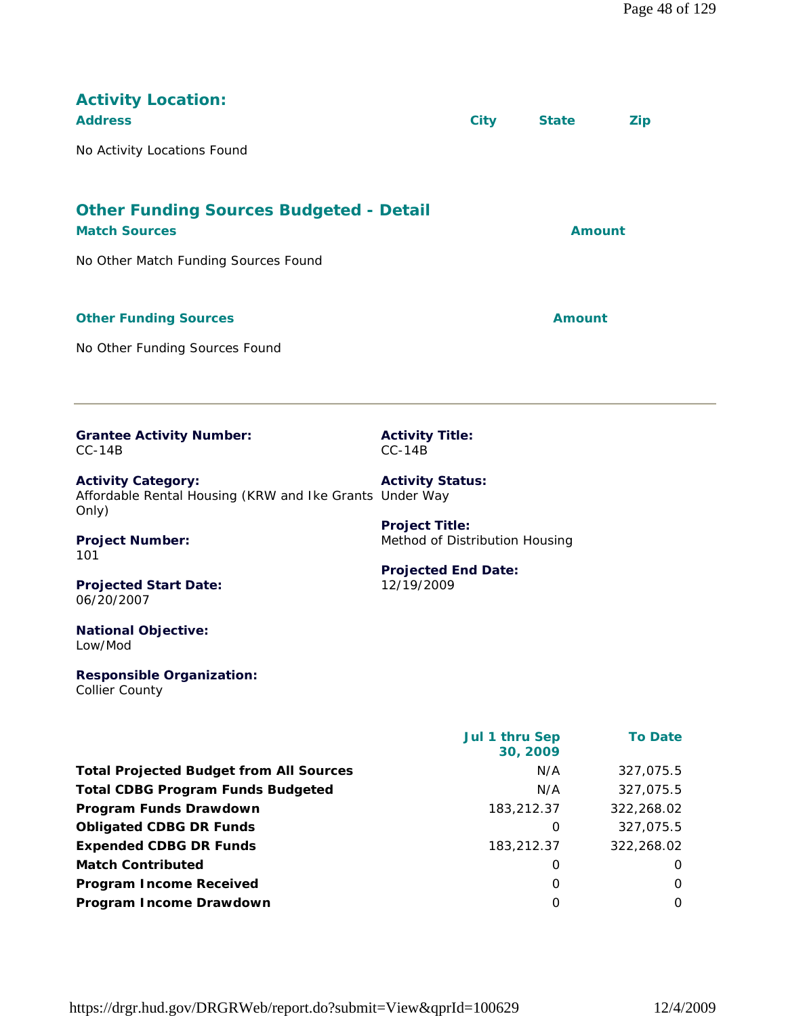| <b>Activity Location:</b><br><b>Address</b><br>No Activity Locations Found                                     |                                                         | <b>City</b>                | <b>State</b>  | <b>Zip</b>     |
|----------------------------------------------------------------------------------------------------------------|---------------------------------------------------------|----------------------------|---------------|----------------|
| <b>Other Funding Sources Budgeted - Detail</b><br><b>Match Sources</b><br>No Other Match Funding Sources Found |                                                         |                            | <b>Amount</b> |                |
| <b>Other Funding Sources</b><br>No Other Funding Sources Found                                                 |                                                         |                            | Amount        |                |
| <b>Grantee Activity Number:</b><br>$CC-14B$                                                                    | <b>Activity Title:</b><br>$CC-14B$                      |                            |               |                |
| <b>Activity Category:</b><br>Affordable Rental Housing (KRW and Ike Grants Under Way<br>Only)                  | <b>Activity Status:</b>                                 |                            |               |                |
| <b>Project Number:</b><br>101                                                                                  | <b>Project Title:</b><br>Method of Distribution Housing |                            |               |                |
| <b>Projected Start Date:</b><br>06/20/2007                                                                     | <b>Projected End Date:</b><br>12/19/2009                |                            |               |                |
| <b>National Objective:</b><br>Low/Mod                                                                          |                                                         |                            |               |                |
| <b>Responsible Organization:</b><br><b>Collier County</b>                                                      |                                                         |                            |               |                |
|                                                                                                                |                                                         | Jul 1 thru Sep<br>30, 2009 |               | <b>To Date</b> |
| <b>Total Projected Budget from All Sources</b>                                                                 |                                                         |                            | N/A           | 327,075.5      |
| <b>Total CDBG Program Funds Budgeted</b>                                                                       |                                                         |                            | N/A           | 327,075.5      |
| Program Funds Drawdown                                                                                         |                                                         | 183,212.37                 |               | 322,268.02     |

**Obligated CDBG DR Funds 0** 327,075.5 **Expended CDBG DR Funds** 183,212.37 322,268.02 **Match Contributed** 0 0 **Program Income Received** 0 0 **Program Income Drawdown** 0 0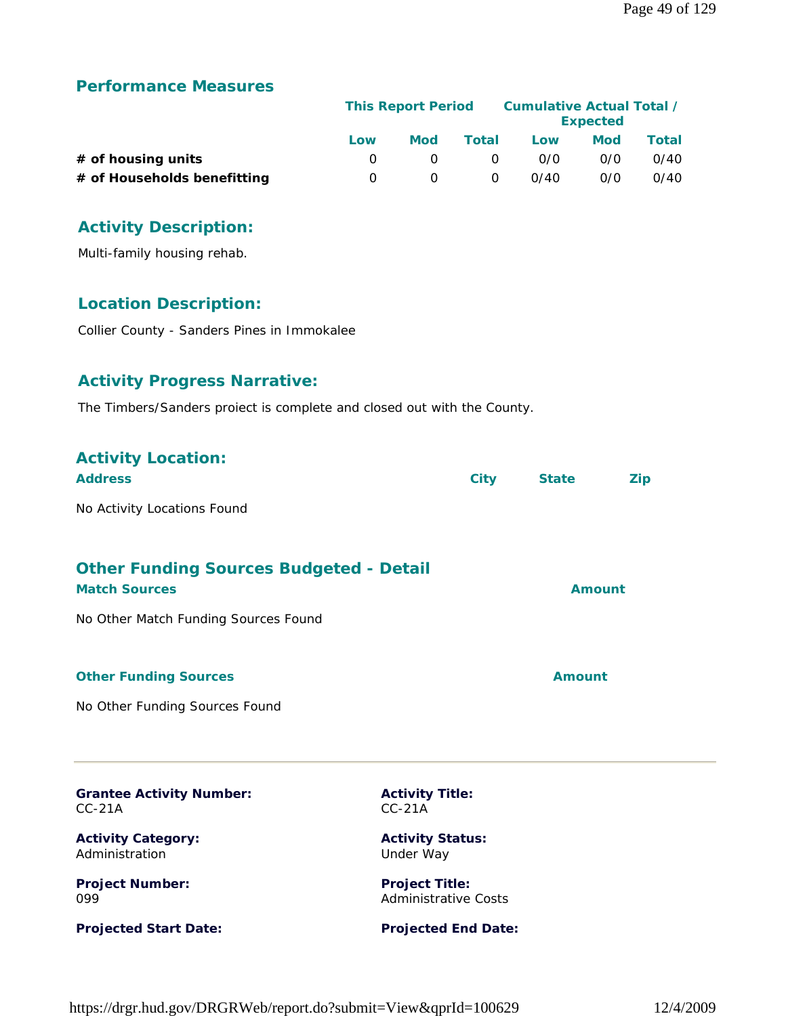|                             |     | <b>This Report Period</b> |          |      | Cumulative Actual Total /<br><b>Expected</b> |       |
|-----------------------------|-----|---------------------------|----------|------|----------------------------------------------|-------|
|                             | Low | Mod                       | Total    | Low  | Mod                                          | Total |
| $#$ of housing units        |     |                           | $\Omega$ | 0/0  | 0/0                                          | 0/40  |
| # of Households benefitting |     |                           | 0        | 0/40 | 0/0                                          | 0/40  |

# **Activity Description:**

Multi-family housing rehab.

# **Location Description:**

Collier County - Sanders Pines in Immokalee

#### **Activity Progress Narrative:**

The Timbers/Sanders proiect is complete and closed out with the County.

| <b>Activity Location:</b><br><b>Address</b>                            | <b>City</b>                                          | <b>State</b>  | <b>Zip</b> |
|------------------------------------------------------------------------|------------------------------------------------------|---------------|------------|
| No Activity Locations Found                                            |                                                      |               |            |
| <b>Other Funding Sources Budgeted - Detail</b><br><b>Match Sources</b> |                                                      | Amount        |            |
| No Other Match Funding Sources Found                                   |                                                      |               |            |
| <b>Other Funding Sources</b>                                           |                                                      | <b>Amount</b> |            |
| No Other Funding Sources Found                                         |                                                      |               |            |
| <b>Grantee Activity Number:</b><br>$CC-21A$                            | <b>Activity Title:</b><br>$CC-21A$                   |               |            |
| <b>Activity Category:</b><br>Administration                            | <b>Activity Status:</b><br>Under Way                 |               |            |
| <b>Project Number:</b><br>099                                          | <b>Project Title:</b><br><b>Administrative Costs</b> |               |            |
| <b>Projected Start Date:</b>                                           | <b>Projected End Date:</b>                           |               |            |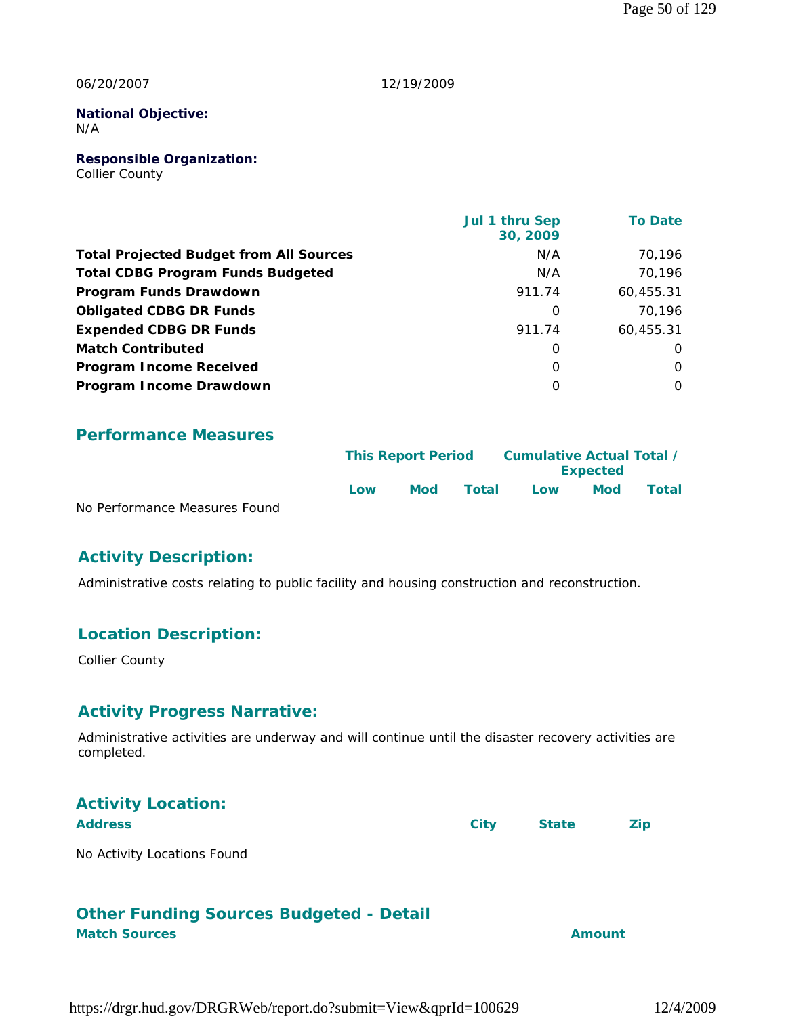#### 06/20/2007

#### 12/19/2009

#### **National Objective:** N/A

**Responsible Organization:** Collier County

|                                                | Jul 1 thru Sep<br>30, 2009 | <b>To Date</b> |
|------------------------------------------------|----------------------------|----------------|
| <b>Total Projected Budget from All Sources</b> | N/A                        | 70,196         |
| <b>Total CDBG Program Funds Budgeted</b>       | N/A                        | 70.196         |
| Program Funds Drawdown                         | 911.74                     | 60,455.31      |
| <b>Obligated CDBG DR Funds</b>                 | $\Omega$                   | 70.196         |
| <b>Expended CDBG DR Funds</b>                  | 911.74                     | 60,455.31      |
| <b>Match Contributed</b>                       | O                          | O              |
| <b>Program Income Received</b>                 | $\Omega$                   | 0              |
| Program Income Drawdown                        | O                          | 0              |

#### **Performance Measures**

|                               |     | <b>This Report Period</b> |       | Cumulative Actual Total / |                 |              |
|-------------------------------|-----|---------------------------|-------|---------------------------|-----------------|--------------|
|                               |     |                           |       |                           | <b>Expected</b> |              |
|                               | Low | Mod                       | Total | Low                       | <b>Mod</b>      | <b>Total</b> |
| No Performance Measures Found |     |                           |       |                           |                 |              |

**Activity Description:** 

Administrative costs relating to public facility and housing construction and reconstruction.

#### **Location Description:**

Collier County

#### **Activity Progress Narrative:**

Administrative activities are underway and will continue until the disaster recovery activities are completed.

| <b>Activity Location:</b>   |      |              |            |
|-----------------------------|------|--------------|------------|
| <b>Address</b>              | City | <b>State</b> | <b>Zip</b> |
| No Activity Locations Found |      |              |            |

# **Other Funding Sources Budgeted - Detail**

**Match Sources Amount**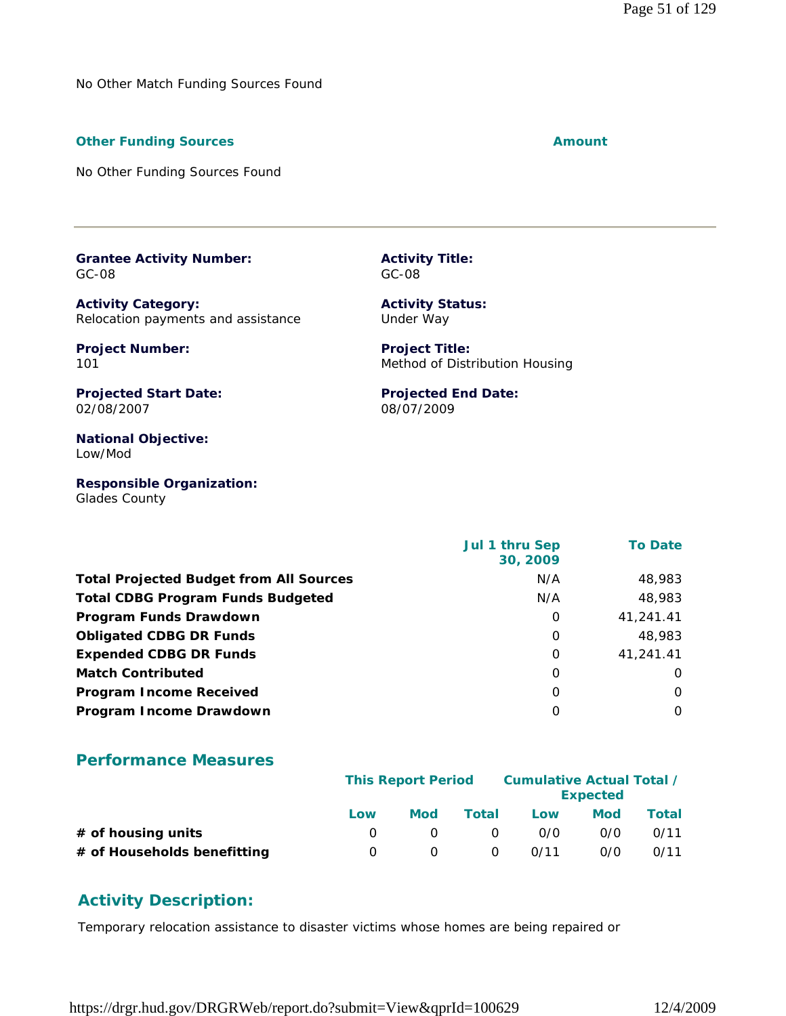No Other Match Funding Sources Found

#### **Other Funding Sources Amount Amount Amount**

No Other Funding Sources Found

**Grantee Activity Number:** GC-08

**Activity Category:** Relocation payments and assistance

**Project Number:** 101

**Activity Title:** GC-08

**Activity Status:** Under Way

**Projected End Date:**

08/07/2009

**Project Title:** Method of Distribution Housing

**Projected Start Date:** 02/08/2007

**National Objective:** Low/Mod

**Responsible Organization:** Glades County

 **Jul 1 thru Sep 30, 2009 To Date Total Projected Budget from All Sources** M/A 48,983 **Total CDBG Program Funds Budgeted NATE RESOURDER 18,983 Program Funds Drawdown** 0 41,241.41 **Obligated CDBG DR Funds 18,083 0 48,983 Expended CDBG DR Funds 1.241.41 Match Contributed** 0 0 **Program Income Received** 0 0 **Program Income Drawdown** 0 0

#### **Performance Measures**

|                             | <b>This Report Period</b> |     |          | Cumulative Actual Total / | <b>Expected</b> |       |
|-----------------------------|---------------------------|-----|----------|---------------------------|-----------------|-------|
|                             | Low                       | Mod | Total    | Low                       | <b>Mod</b>      | Total |
| # of housing units          |                           |     | $\Omega$ | 0/0                       | 0/0             | 0/11  |
| # of Households benefitting |                           |     | $\Omega$ | 0/11                      | 0/0             | 0/11  |

#### **Activity Description:**

Temporary relocation assistance to disaster victims whose homes are being repaired or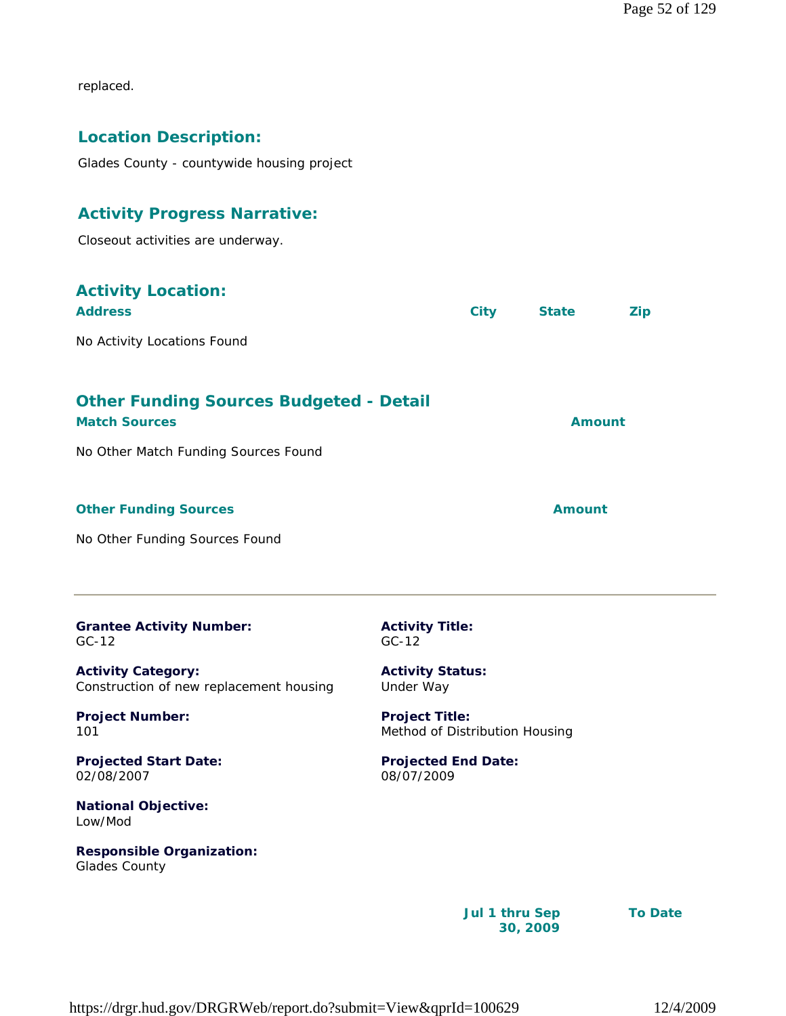replaced.

#### **Location Description:**

Glades County - countywide housing project

#### **Activity Progress Narrative:**

Closeout activities are underway.

| <b>Activity Location:</b><br><b>Address</b>                            | <b>City</b> | <b>State</b> | <b>Zip</b> |
|------------------------------------------------------------------------|-------------|--------------|------------|
| No Activity Locations Found                                            |             |              |            |
| <b>Other Funding Sources Budgeted - Detail</b><br><b>Match Sources</b> |             | Amount       |            |
| No Other Match Funding Sources Found                                   |             |              |            |
| <b>Other Funding Sources</b>                                           |             | Amount       |            |
| No Other Funding Sources Found                                         |             |              |            |

| <b>Grantee Activity Number:</b> |  |
|---------------------------------|--|
| $GC-12$                         |  |

**Activity Category:** Construction of new replacement housing

**Project Number:** 101

**Projected Start Date:** 02/08/2007

**National Objective:** Low/Mod

**Responsible Organization:** Glades County

**Activity Title:** GC-12

**Activity Status:** Under Way

**Project Title:** Method of Distribution Housing

**Projected End Date:** 08/07/2009

> **Jul 1 thru Sep 30, 2009**

**To Date**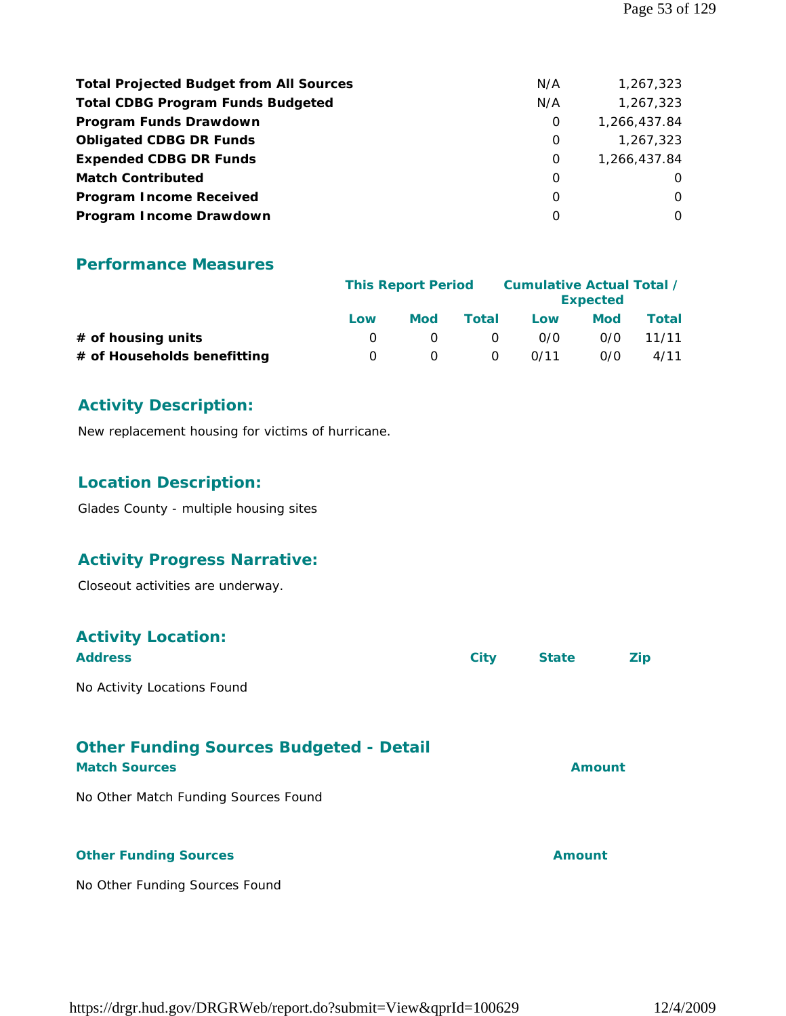| <b>Total Projected Budget from All Sources</b> | N/A | 1,267,323    |
|------------------------------------------------|-----|--------------|
| <b>Total CDBG Program Funds Budgeted</b>       | N/A | 1,267,323    |
| Program Funds Drawdown                         | 0   | 1,266,437.84 |
| <b>Obligated CDBG DR Funds</b>                 | 0   | 1,267,323    |
| <b>Expended CDBG DR Funds</b>                  | 0   | 1,266,437.84 |
| <b>Match Contributed</b>                       | O   | $\Omega$     |
| <b>Program Income Received</b>                 | O   | $\Omega$     |
| Program Income Drawdown                        | O   | $\Omega$     |

|                             |          | <b>This Report Period</b> |          |      | Cumulative Actual Total /<br><b>Expected</b> |              |
|-----------------------------|----------|---------------------------|----------|------|----------------------------------------------|--------------|
|                             | Low      | <b>Mod</b>                | Total    | Low  | Mod                                          | <b>Total</b> |
| # of housing units          |          |                           | $\Omega$ | 0/0  | 0/0                                          | 11/11        |
| # of Households benefitting | $\Omega$ |                           | $\Omega$ | 0/11 | 0/0                                          | 4/11         |

#### **Activity Description:**

New replacement housing for victims of hurricane.

#### **Location Description:**

Glades County - multiple housing sites

#### **Activity Progress Narrative:**

Closeout activities are underway.

### **Activity Location:**

| <b>Address</b>                                 | City | <b>State</b> | Zip. |
|------------------------------------------------|------|--------------|------|
| No Activity Locations Found                    |      |              |      |
| <b>Other Funding Sources Budgeted - Detail</b> |      |              |      |

# **Match Sources Amount** No Other Match Funding Sources Found **Other Funding Sources Amount**

No Other Funding Sources Found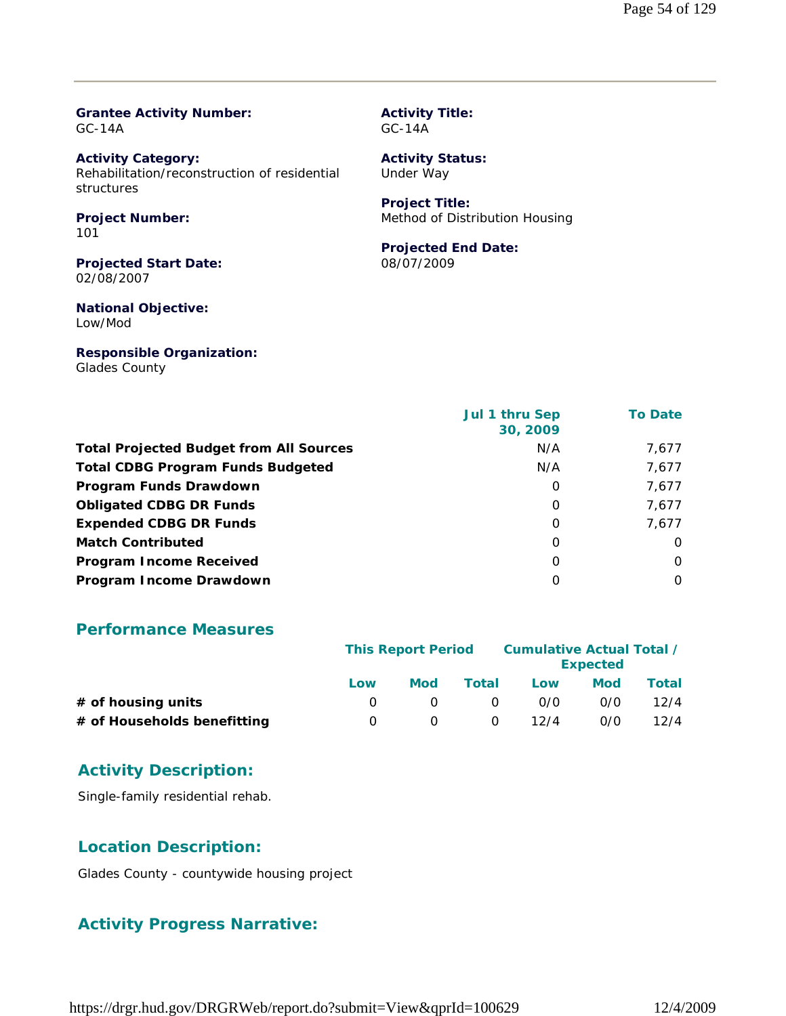#### **Grantee Activity Number:** GC-14A

**Activity Category:** Rehabilitation/reconstruction of residential structures

#### **Project Number:** 101

**Projected Start Date:** 02/08/2007

**National Objective:** Low/Mod

**Responsible Organization:** Glades County

#### **Activity Title:** GC-14A

**Activity Status:** Under Way

# **Project Title:**

Method of Distribution Housing

#### **Projected End Date:**

08/07/2009

|                                                | Jul 1 thru Sep<br>30, 2009 | <b>To Date</b> |
|------------------------------------------------|----------------------------|----------------|
| <b>Total Projected Budget from All Sources</b> | N/A                        | 7,677          |
| <b>Total CDBG Program Funds Budgeted</b>       | N/A                        | 7,677          |
| Program Funds Drawdown                         | O                          | 7,677          |
| <b>Obligated CDBG DR Funds</b>                 | O                          | 7,677          |
| <b>Expended CDBG DR Funds</b>                  | 0                          | 7.677          |
| <b>Match Contributed</b>                       | O                          | $\Omega$       |
| <b>Program Income Received</b>                 | O                          | O              |
| Program Income Drawdown                        | 0                          | O              |

#### **Performance Measures**

|                             | <b>This Report Period</b> |            |          | Cumulative Actual Total / | <b>Expected</b> |       |
|-----------------------------|---------------------------|------------|----------|---------------------------|-----------------|-------|
|                             | Low                       | <b>Mod</b> | Total    | Low                       | Mod             | Total |
| $#$ of housing units        |                           |            | $\Omega$ | 0/0                       | 0/0             | 12/4  |
| # of Households benefitting |                           |            | $\Omega$ | 12/4                      | 0/0             | 12/4  |

#### **Activity Description:**

Single-family residential rehab.

#### **Location Description:**

Glades County - countywide housing project

# **Activity Progress Narrative:**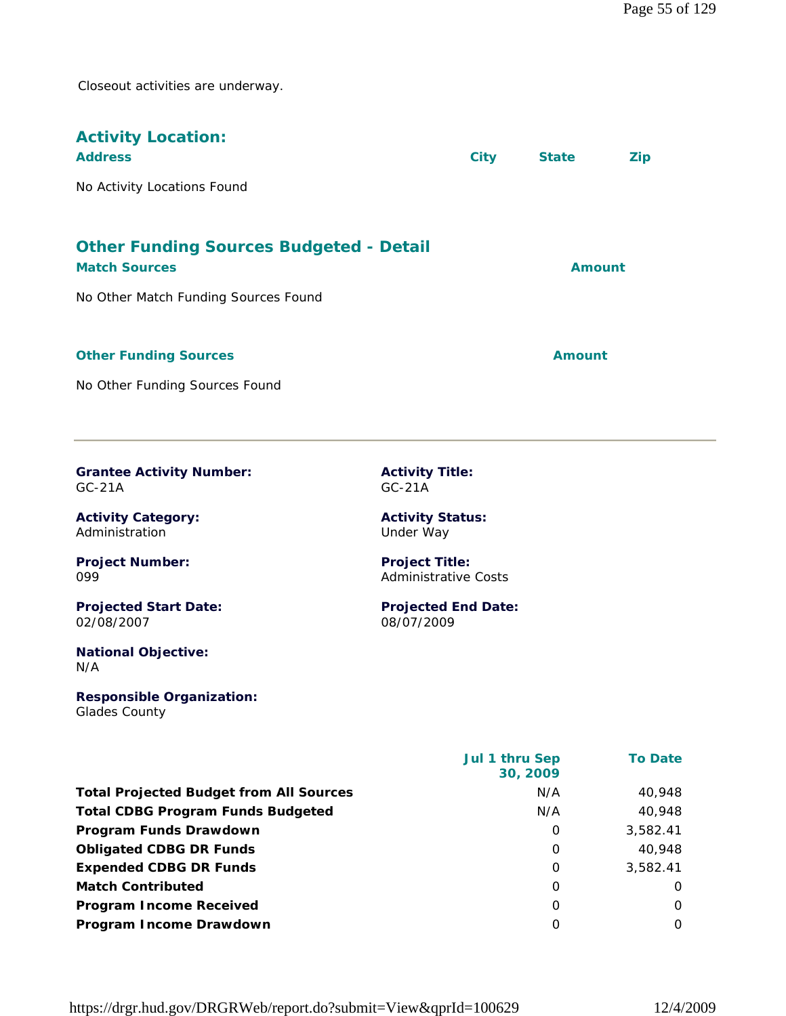Closeout activities are underway.

| <b>Activity Location:</b><br><b>Address</b>                            | <b>City</b> | <b>State</b>  | <b>Zip</b> |
|------------------------------------------------------------------------|-------------|---------------|------------|
| No Activity Locations Found                                            |             |               |            |
| <b>Other Funding Sources Budgeted - Detail</b><br><b>Match Sources</b> |             | Amount        |            |
| No Other Match Funding Sources Found                                   |             |               |            |
| <b>Other Funding Sources</b>                                           |             | <b>Amount</b> |            |
| No Other Funding Sources Found                                         |             |               |            |

|          | <b>Grantee Activity Number:</b> |
|----------|---------------------------------|
| $GC-21A$ |                                 |

**Activity Category:** Administration

**Project Number:** 099

**Projected Start Date:** 02/08/2007

**National Objective:** N/A

**Responsible Organization:** Glades County

**Activity Title:** GC-21A

**Activity Status:** Under Way

**Project Title:** Administrative Costs

**Projected End Date:** 08/07/2009

|                                                | <b>Jul 1 thru Sep</b><br>30, 2009 | <b>To Date</b> |
|------------------------------------------------|-----------------------------------|----------------|
| <b>Total Projected Budget from All Sources</b> | N/A                               | 40,948         |
| <b>Total CDBG Program Funds Budgeted</b>       | N/A                               | 40,948         |
| Program Funds Drawdown                         | O                                 | 3,582.41       |
| <b>Obligated CDBG DR Funds</b>                 | O                                 | 40,948         |
| <b>Expended CDBG DR Funds</b>                  | O                                 | 3,582.41       |
| <b>Match Contributed</b>                       | O                                 | O              |
| <b>Program Income Received</b>                 | O                                 | $\Omega$       |
| Program Income Drawdown                        | Ω                                 | 0              |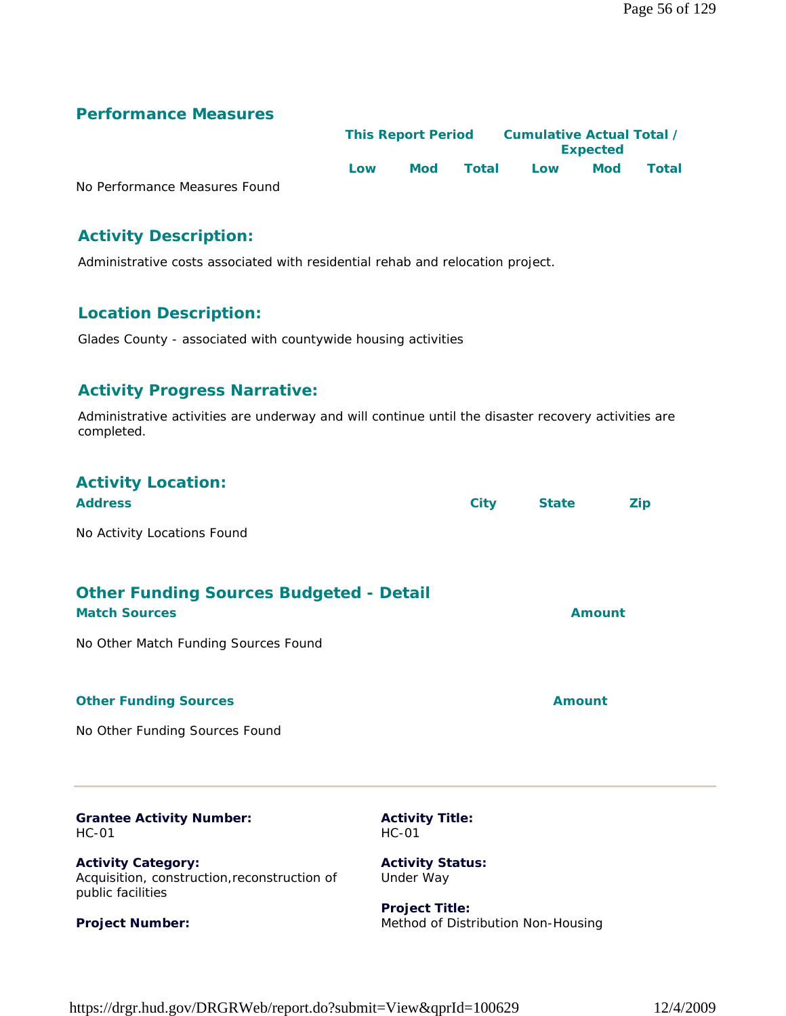|                               |     | <b>This Report Period</b> |       |     | <b>Expected</b> | Cumulative Actual Total / |  |
|-------------------------------|-----|---------------------------|-------|-----|-----------------|---------------------------|--|
|                               | Low | <b>Mod</b>                | Total | Low | <b>Mod</b>      | Total                     |  |
| No Performance Measures Found |     |                           |       |     |                 |                           |  |

**Activity Description:** 

Administrative costs associated with residential rehab and relocation project.

#### **Location Description:**

Glades County - associated with countywide housing activities

#### **Activity Progress Narrative:**

Administrative activities are underway and will continue until the disaster recovery activities are completed.

# **Activity Location:**

| <b>Address</b>              | City | <b>State</b> | Zip |
|-----------------------------|------|--------------|-----|
| No Activity Locations Found |      |              |     |

| <b>Other Funding Sources Budgeted - Detail</b><br><b>Match Sources</b> | Amount |
|------------------------------------------------------------------------|--------|
| No Other Match Funding Sources Found                                   |        |
| <b>Other Funding Sources</b>                                           | Amount |

No Other Funding Sources Found

**Project Number:**

| <b>Grantee Activity Number:</b>                                                                | <b>Activity Title:</b>               |
|------------------------------------------------------------------------------------------------|--------------------------------------|
| HC-01                                                                                          | $HC-01$                              |
| <b>Activity Category:</b><br>Acquisition, construction, reconstruction of<br>public facilities | <b>Activity Status:</b><br>Under Way |

**Project Title:** Method of Distribution Non-Housing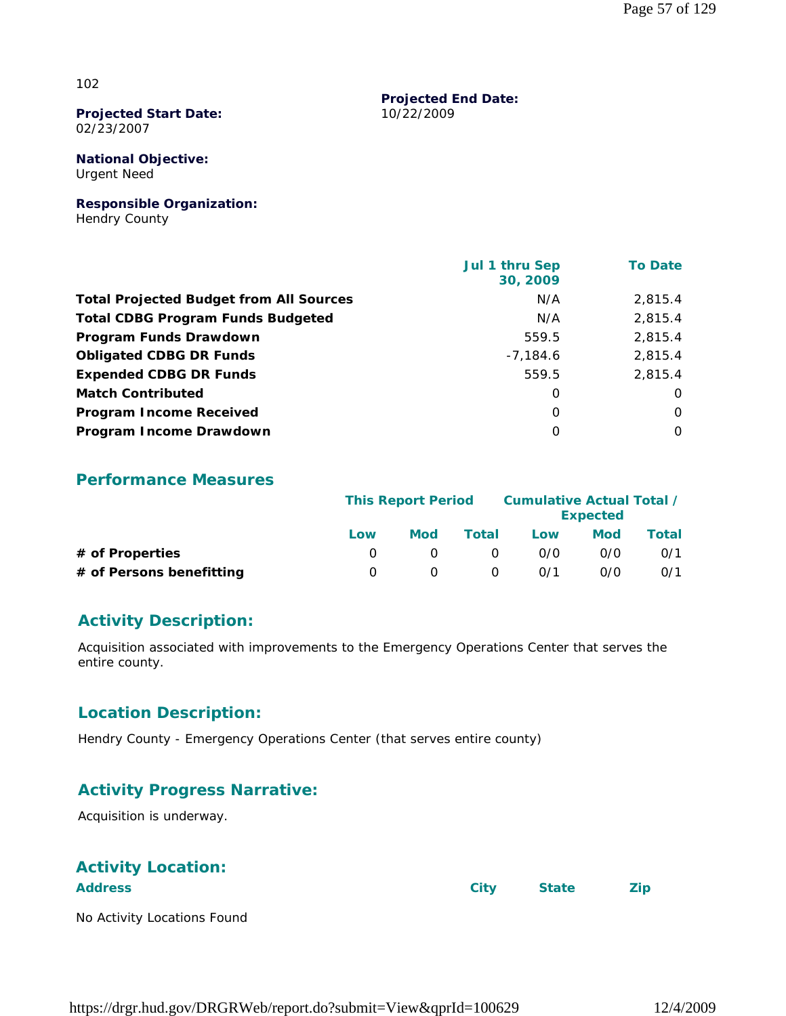#### 102

#### **Projected Start Date:** 02/23/2007

**National Objective:** Urgent Need

#### **Responsible Organization:**

Hendry County

|                                                | Jul 1 thru Sep<br>30, 2009 | <b>To Date</b> |
|------------------------------------------------|----------------------------|----------------|
| <b>Total Projected Budget from All Sources</b> | N/A                        | 2.815.4        |
| <b>Total CDBG Program Funds Budgeted</b>       | N/A                        | 2,815.4        |
| Program Funds Drawdown                         | 559.5                      | 2,815.4        |
| <b>Obligated CDBG DR Funds</b>                 | $-7,184.6$                 | 2,815.4        |
| <b>Expended CDBG DR Funds</b>                  | 559.5                      | 2.815.4        |
| <b>Match Contributed</b>                       | 0                          | $\Omega$       |
| <b>Program Income Received</b>                 | 0                          | $\Omega$       |
| Program Income Drawdown                        | $\Omega$                   | $\Omega$       |

**Projected End Date:**

10/22/2009

#### **Performance Measures**

|                          | <b>This Report Period</b> |            |          | Cumulative Actual Total / | <b>Expected</b> |       |
|--------------------------|---------------------------|------------|----------|---------------------------|-----------------|-------|
|                          | Low                       | <b>Mod</b> | Total    | Low                       | <b>Mod</b>      | Total |
| # of Properties          |                           |            | $\Omega$ | 0/0                       | O/O             | 0/1   |
| # of Persons benefitting |                           |            | $\Omega$ | 0/1                       | n/n             | 0/1   |

#### **Activity Description:**

Acquisition associated with improvements to the Emergency Operations Center that serves the entire county.

#### **Location Description:**

Hendry County - Emergency Operations Center (that serves entire county)

#### **Activity Progress Narrative:**

Acquisition is underway.

| <b>Activity Location:</b>   |      |              |            |
|-----------------------------|------|--------------|------------|
| <b>Address</b>              | City | <b>State</b> | <b>Zip</b> |
| No Activity Locations Found |      |              |            |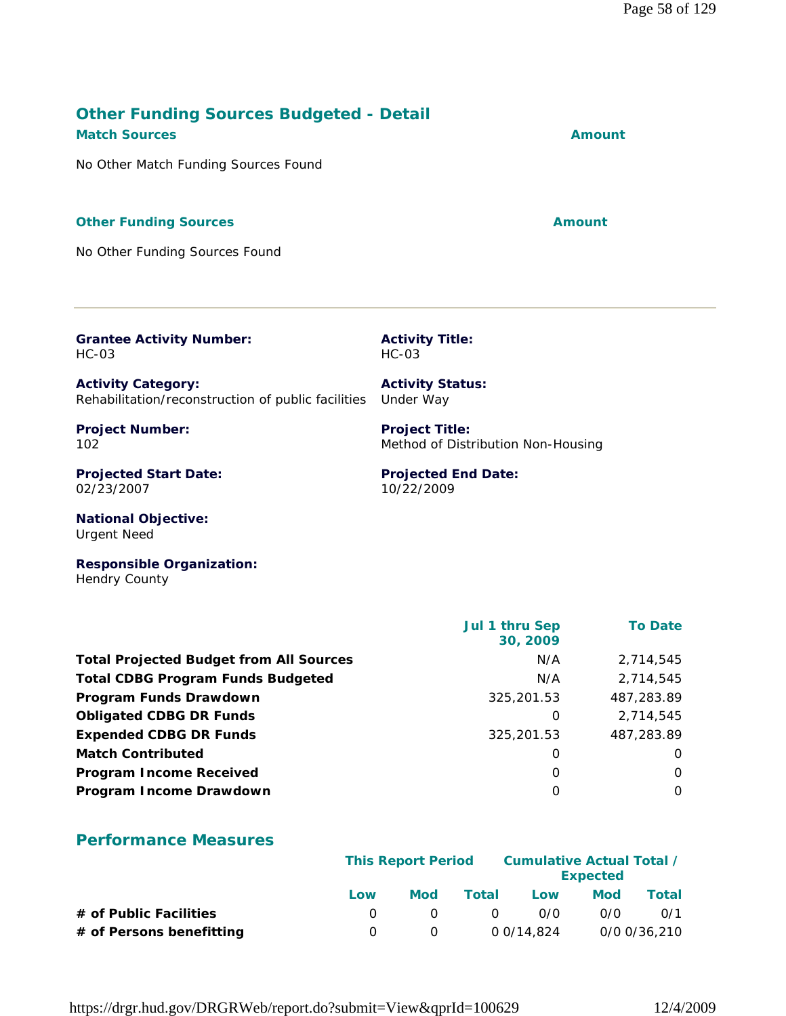#### **Other Funding Sources Budgeted - Detail Match Sources Amount**

No Other Match Funding Sources Found

#### **Other Funding Sources Amount**

No Other Funding Sources Found

**Grantee Activity Number:** HC-03

**Activity Category:** Rehabilitation/reconstruction of public facilities Under Way

**Project Number:** 102

**Projected Start Date:** 02/23/2007

**National Objective:** Urgent Need

**Responsible Organization:** Hendry County

|                                                | Jul 1 thru Sep<br>30, 2009 | <b>To Date</b> |
|------------------------------------------------|----------------------------|----------------|
| <b>Total Projected Budget from All Sources</b> | N/A                        | 2.714.545      |
| <b>Total CDBG Program Funds Budgeted</b>       | N/A                        | 2,714,545      |
| Program Funds Drawdown                         | 325,201.53                 | 487,283.89     |
| <b>Obligated CDBG DR Funds</b>                 | 0                          | 2,714,545      |
| <b>Expended CDBG DR Funds</b>                  | 325,201.53                 | 487,283.89     |
| <b>Match Contributed</b>                       | 0                          | $\Omega$       |
| <b>Program Income Received</b>                 | 0                          | $\Omega$       |
| Program Income Drawdown                        | O                          | $\Omega$       |

**Activity Title:**

**Activity Status:**

**Project Title:**

10/22/2009

**Projected End Date:**

Method of Distribution Non-Housing

HC-03

#### **Performance Measures**

|                          |     | <b>This Report Period</b> |          |            | Cumulative Actual Total /<br><b>Expected</b> |              |
|--------------------------|-----|---------------------------|----------|------------|----------------------------------------------|--------------|
|                          | Low | Mod                       | Total    | Low        | <b>Mod</b>                                   | Total        |
| # of Public Facilities   |     |                           | $\Omega$ | 0/0        | 0/0                                          | 0/1          |
| # of Persons benefitting |     | <sup>n</sup>              |          | 0 0/14,824 |                                              | 0/0 0/36,210 |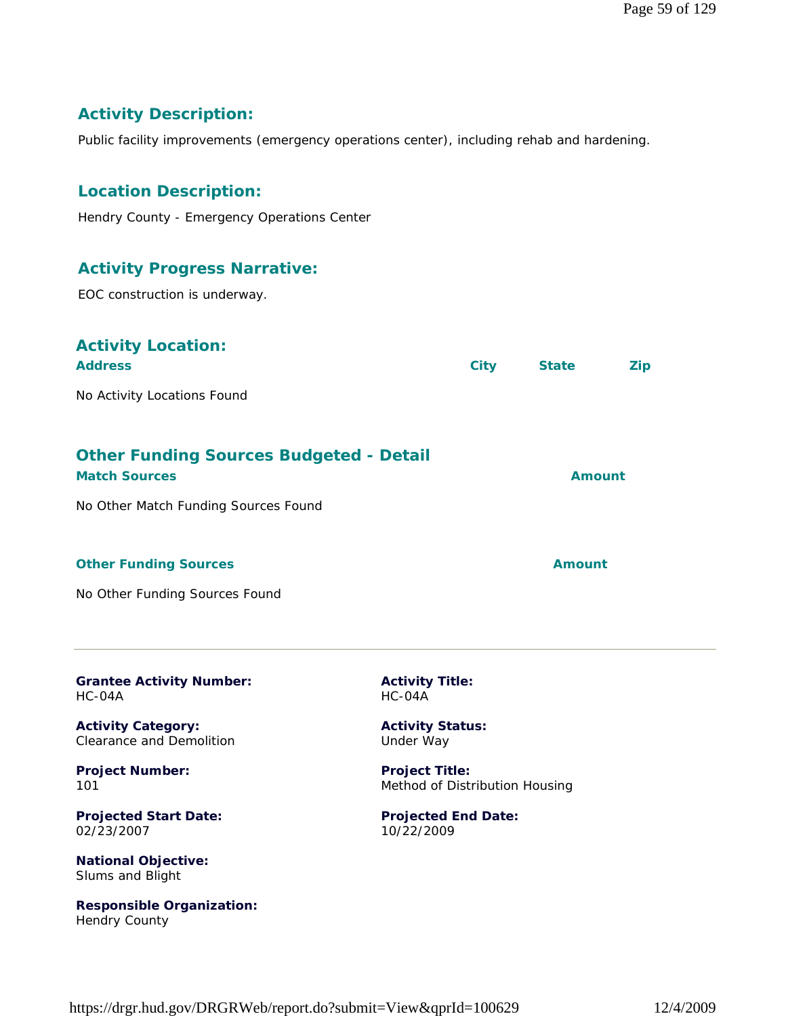# **Activity Description:**

Public facility improvements (emergency operations center), including rehab and hardening.

# **Location Description:**

Hendry County - Emergency Operations Center

#### **Activity Progress Narrative:**

EOC construction is underway.

| <b>Activity Location:</b><br><b>Address</b>                            |                                                         | <b>City</b> | <b>State</b>  | <b>Zip</b> |
|------------------------------------------------------------------------|---------------------------------------------------------|-------------|---------------|------------|
| No Activity Locations Found                                            |                                                         |             |               |            |
|                                                                        |                                                         |             |               |            |
| <b>Other Funding Sources Budgeted - Detail</b><br><b>Match Sources</b> |                                                         |             | <b>Amount</b> |            |
| No Other Match Funding Sources Found                                   |                                                         |             |               |            |
|                                                                        |                                                         |             |               |            |
| <b>Other Funding Sources</b>                                           |                                                         |             | <b>Amount</b> |            |
| No Other Funding Sources Found                                         |                                                         |             |               |            |
|                                                                        |                                                         |             |               |            |
| <b>Grantee Activity Number:</b><br>HC-04A                              | <b>Activity Title:</b><br>$HC-04A$                      |             |               |            |
| <b>Activity Category:</b><br><b>Clearance and Demolition</b>           | <b>Activity Status:</b><br>Under Way                    |             |               |            |
| <b>Project Number:</b><br>101                                          | <b>Project Title:</b><br>Method of Distribution Housing |             |               |            |
| <b>Projected Start Date:</b><br>02/23/2007                             | <b>Projected End Date:</b><br>10/22/2009                |             |               |            |
| National Ohioetive:                                                    |                                                         |             |               |            |

**National Objective:** Slums and Blight

**Responsible Organization:** Hendry County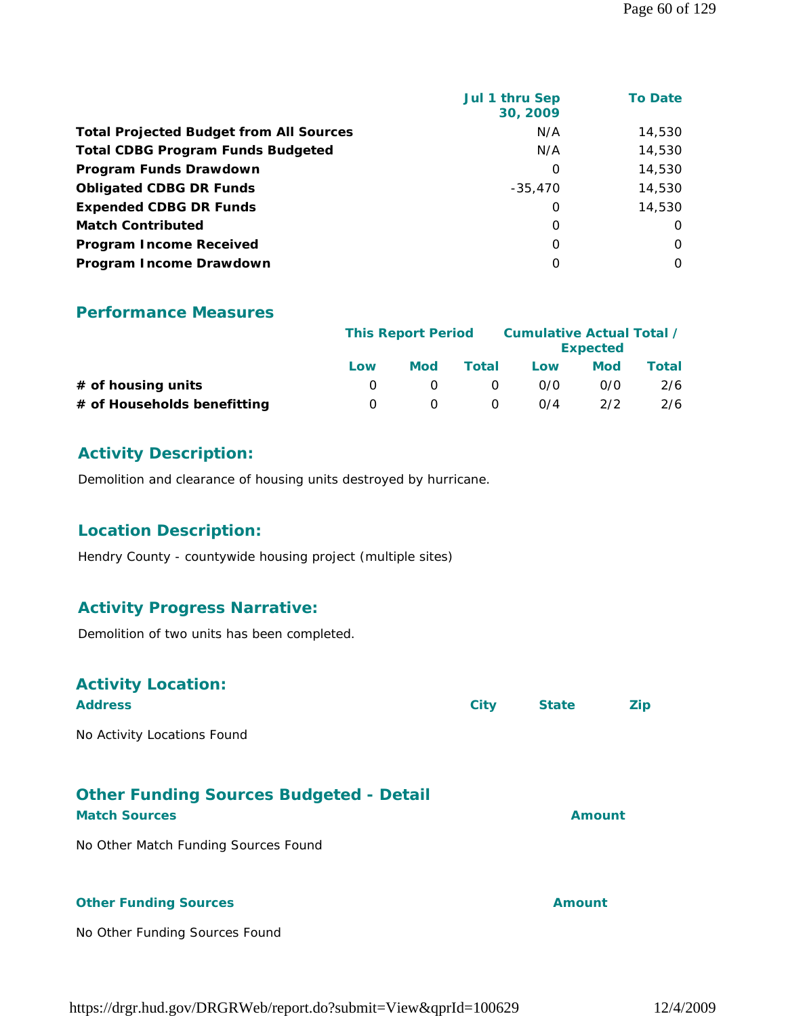|                                                | Jul 1 thru Sep<br>30, 2009 | <b>To Date</b> |
|------------------------------------------------|----------------------------|----------------|
| <b>Total Projected Budget from All Sources</b> | N/A                        | 14,530         |
| <b>Total CDBG Program Funds Budgeted</b>       | N/A                        | 14,530         |
| Program Funds Drawdown                         | 0                          | 14,530         |
| <b>Obligated CDBG DR Funds</b>                 | $-35.470$                  | 14,530         |
| <b>Expended CDBG DR Funds</b>                  | 0                          | 14,530         |
| <b>Match Contributed</b>                       | 0                          | O              |
| <b>Program Income Received</b>                 | $\Omega$                   | 0              |
| Program Income Drawdown                        | $\Omega$                   | $\Omega$       |

|                             | <b>This Report Period</b> |            |       | Cumulative Actual Total / | <b>Expected</b> |       |
|-----------------------------|---------------------------|------------|-------|---------------------------|-----------------|-------|
|                             | Low                       | <b>Mod</b> | Total | Low                       | <b>Mod</b>      | Total |
| # of housing units          |                           |            |       | 0/0                       | 0/0             | 2/6   |
| # of Households benefitting | $\left( \right)$          |            |       | $\Omega$ /4               | 2/2             | 2/6   |

#### **Activity Description:**

Demolition and clearance of housing units destroyed by hurricane.

# **Location Description:**

Hendry County - countywide housing project (multiple sites)

#### **Activity Progress Narrative:**

Demolition of two units has been completed.

#### **Activity Location:**

| <b>City</b> | <b>State</b> | Zip                     |
|-------------|--------------|-------------------------|
|             |              |                         |
|             |              |                         |
|             |              |                         |
|             |              | <b>Amount</b><br>Amount |

No Other Funding Sources Found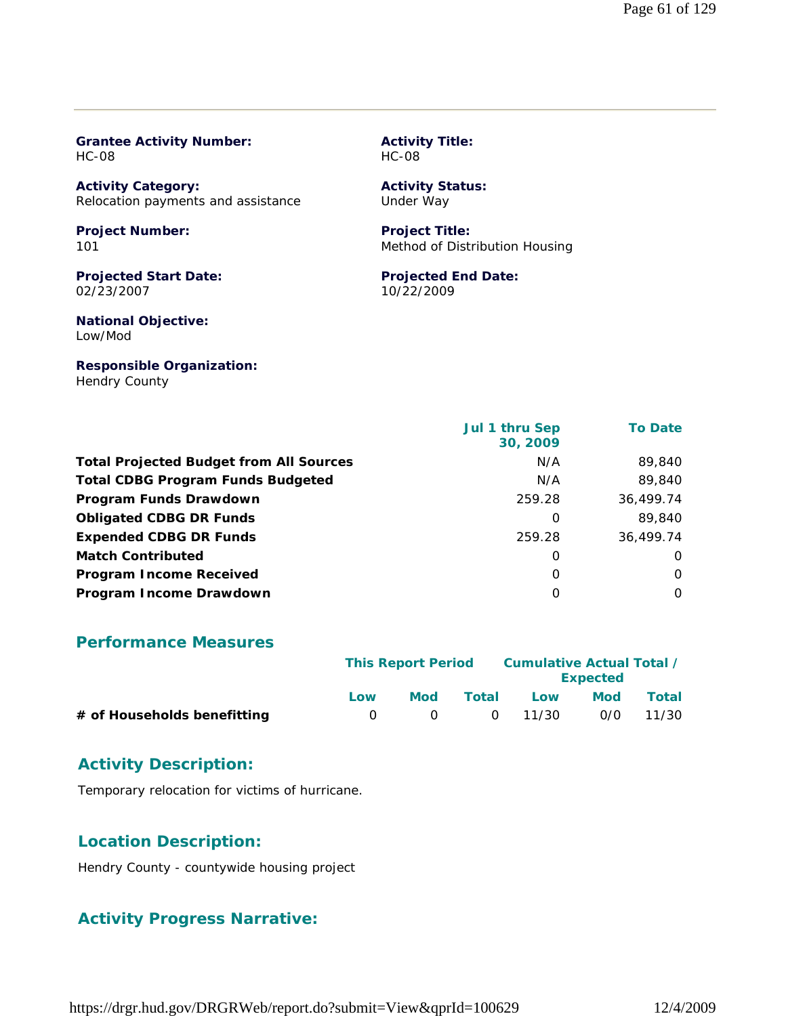| <b>HC-08</b>                                                    | <b>HC-08</b>                                            |                |  |  |
|-----------------------------------------------------------------|---------------------------------------------------------|----------------|--|--|
| <b>Activity Category:</b><br>Relocation payments and assistance | <b>Activity Status:</b><br>Under Way                    |                |  |  |
| <b>Project Number:</b><br>101                                   | <b>Project Title:</b><br>Method of Distribution Housing |                |  |  |
| <b>Projected Start Date:</b><br>02/23/2007                      | <b>Projected End Date:</b><br>10/22/2009                |                |  |  |
| <b>National Objective:</b><br>Low/Mod                           |                                                         |                |  |  |
| <b>Responsible Organization:</b><br><b>Hendry County</b>        |                                                         |                |  |  |
|                                                                 | Jul 1 thru Sep                                          | <b>To Date</b> |  |  |

**Activity Title:**

|                                                | $J$ ul I Ullu J $\epsilon$ p<br>30, 2009 | TU Date i |
|------------------------------------------------|------------------------------------------|-----------|
| <b>Total Projected Budget from All Sources</b> | N/A                                      | 89,840    |
| <b>Total CDBG Program Funds Budgeted</b>       | N/A                                      | 89,840    |
| Program Funds Drawdown                         | 259.28                                   | 36,499.74 |
| <b>Obligated CDBG DR Funds</b>                 | 0                                        | 89,840    |
| <b>Expended CDBG DR Funds</b>                  | 259.28                                   | 36,499.74 |
| <b>Match Contributed</b>                       | 0                                        | $\Omega$  |
| <b>Program Income Received</b>                 | $\Omega$                                 | $\Omega$  |
| Program Income Drawdown                        | $\Omega$                                 | $\Omega$  |

#### **Performance Measures**

**Grantee Activity Number:**

|                             |     | <b>This Report Period</b> |       |                 | Cumulative Actual Total /<br><b>Expected</b> |           |
|-----------------------------|-----|---------------------------|-------|-----------------|----------------------------------------------|-----------|
|                             | Low | Mod                       | Total | Low             | <b>Mod</b>                                   | Total     |
| # of Households benefitting |     | $\bigcap$                 |       | $0 \quad 11/30$ |                                              | 0/0 11/30 |

# **Activity Description:**

Temporary relocation for victims of hurricane.

# **Location Description:**

Hendry County - countywide housing project

#### **Activity Progress Narrative:**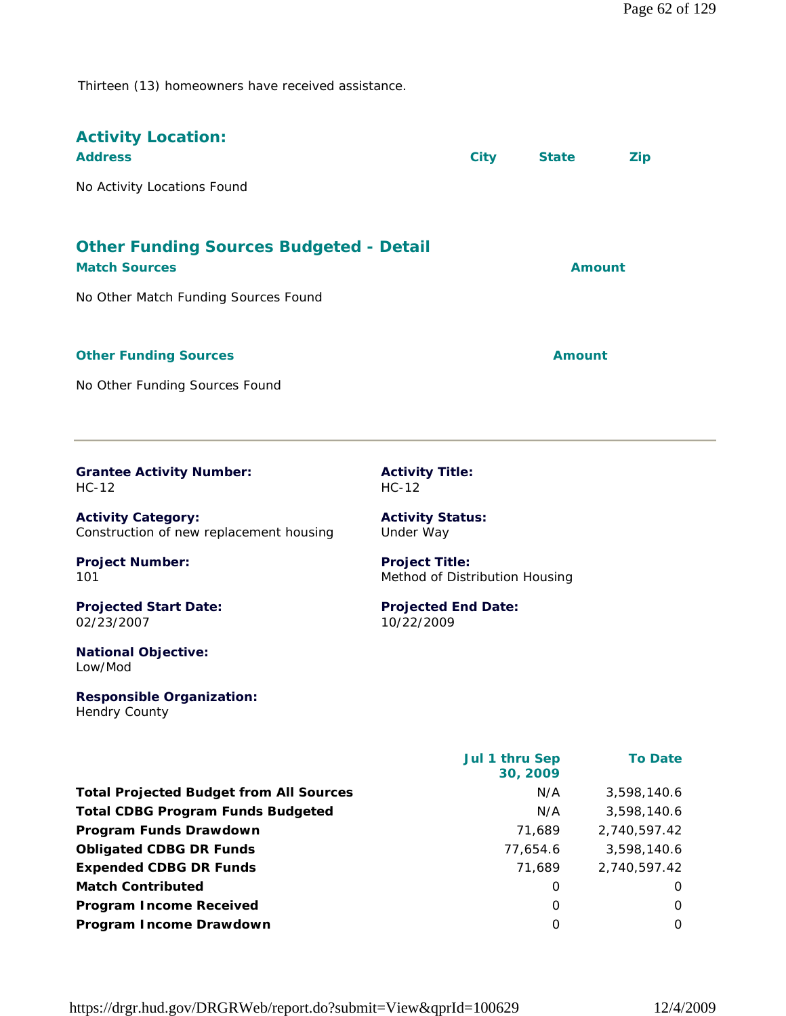Thirteen (13) homeowners have received assistance.

| <b>Activity Location:</b><br><b>Address</b>                            |                                                         | <b>City</b> | <b>State</b>  | <b>Zip</b> |
|------------------------------------------------------------------------|---------------------------------------------------------|-------------|---------------|------------|
| No Activity Locations Found                                            |                                                         |             |               |            |
| <b>Other Funding Sources Budgeted - Detail</b><br><b>Match Sources</b> |                                                         |             | <b>Amount</b> |            |
| No Other Match Funding Sources Found                                   |                                                         |             |               |            |
| <b>Other Funding Sources</b>                                           |                                                         |             | <b>Amount</b> |            |
| No Other Funding Sources Found                                         |                                                         |             |               |            |
| <b>Grantee Activity Number:</b><br>$HC-12$                             | <b>Activity Title:</b><br>$HC-12$                       |             |               |            |
| <b>Activity Category:</b><br>Construction of new replacement housing   | <b>Activity Status:</b><br>Under Way                    |             |               |            |
| <b>Project Number:</b><br>101                                          | <b>Project Title:</b><br>Method of Distribution Housing |             |               |            |
| <b>Projected Start Date:</b><br>02/23/2007                             | <b>Projected End Date:</b><br>10/22/2009                |             |               |            |
| <b>National Objective:</b><br>Low/Mod                                  |                                                         |             |               |            |

**Responsible Organization:** Hendry County

|                                                | Jul 1 thru Sep<br>30, 2009 | <b>To Date</b> |
|------------------------------------------------|----------------------------|----------------|
| <b>Total Projected Budget from All Sources</b> | N/A                        | 3,598,140.6    |
| <b>Total CDBG Program Funds Budgeted</b>       | N/A                        | 3,598,140.6    |
| Program Funds Drawdown                         | 71.689                     | 2,740,597.42   |
| <b>Obligated CDBG DR Funds</b>                 | 77,654.6                   | 3,598,140.6    |
| <b>Expended CDBG DR Funds</b>                  | 71.689                     | 2,740,597.42   |
| <b>Match Contributed</b>                       | 0                          | O              |
| <b>Program Income Received</b>                 | O                          | 0              |
| Program Income Drawdown                        | 0                          | 0              |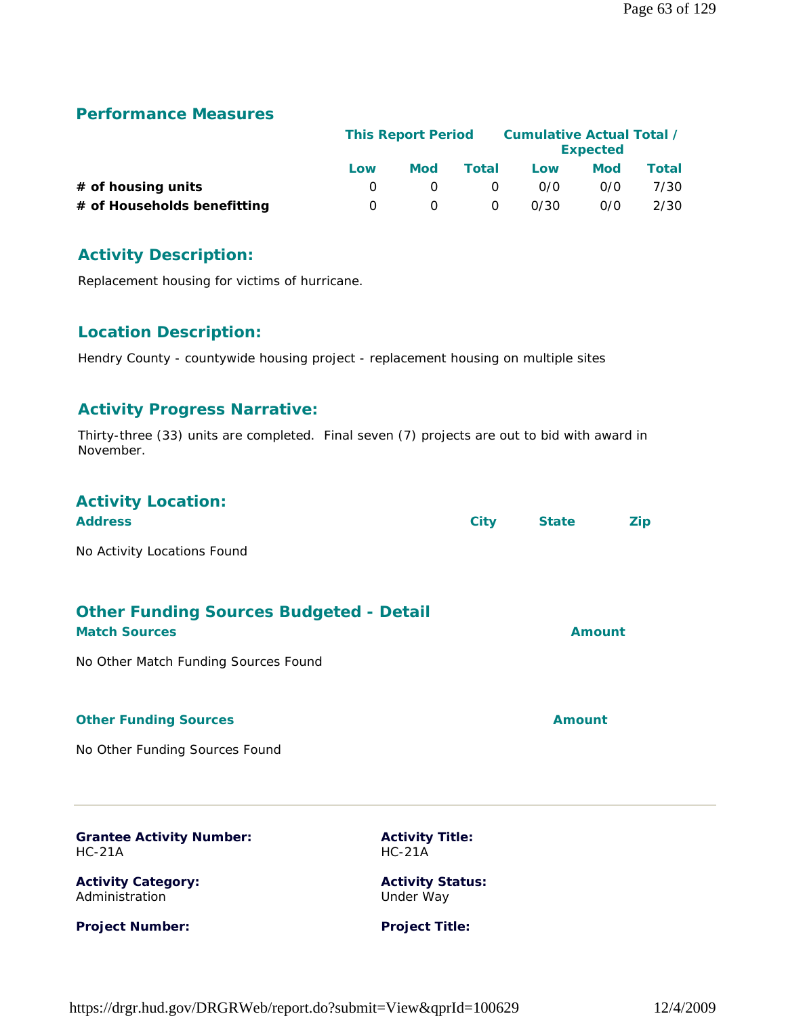|                             | <b>This Report Period</b> |     |          | Cumulative Actual Total / | <b>Expected</b> |       |
|-----------------------------|---------------------------|-----|----------|---------------------------|-----------------|-------|
|                             | Low                       | Mod | Total    | Low                       | <b>Mod</b>      | Total |
| $#$ of housing units        |                           |     | $\Omega$ | 0/0                       | 0/0             | 7/30  |
| # of Households benefitting | $\Omega$                  |     | 0        | 0/30                      | 0/0             | 2/30  |

#### **Activity Description:**

Replacement housing for victims of hurricane.

#### **Location Description:**

Hendry County - countywide housing project - replacement housing on multiple sites

#### **Activity Progress Narrative:**

Thirty-three (33) units are completed. Final seven (7) projects are out to bid with award in November.

| <b>Activity Location:</b>   |      |              |            |
|-----------------------------|------|--------------|------------|
| <b>Address</b>              | City | <b>State</b> | <b>Zip</b> |
| No Activity Locations Found |      |              |            |
|                             |      |              |            |

| <b>Other Funding Sources Budgeted - Detail</b><br><b>Match Sources</b> | Amount |
|------------------------------------------------------------------------|--------|
| No Other Match Funding Sources Found                                   |        |

#### **Other Funding Sources Amount**

No Other Funding Sources Found

**Grantee Activity Number:** HC-21A

**Activity Category:** Administration

**Project Number:**

**Activity Title:** HC-21A

**Activity Status:** Under Way

**Project Title:**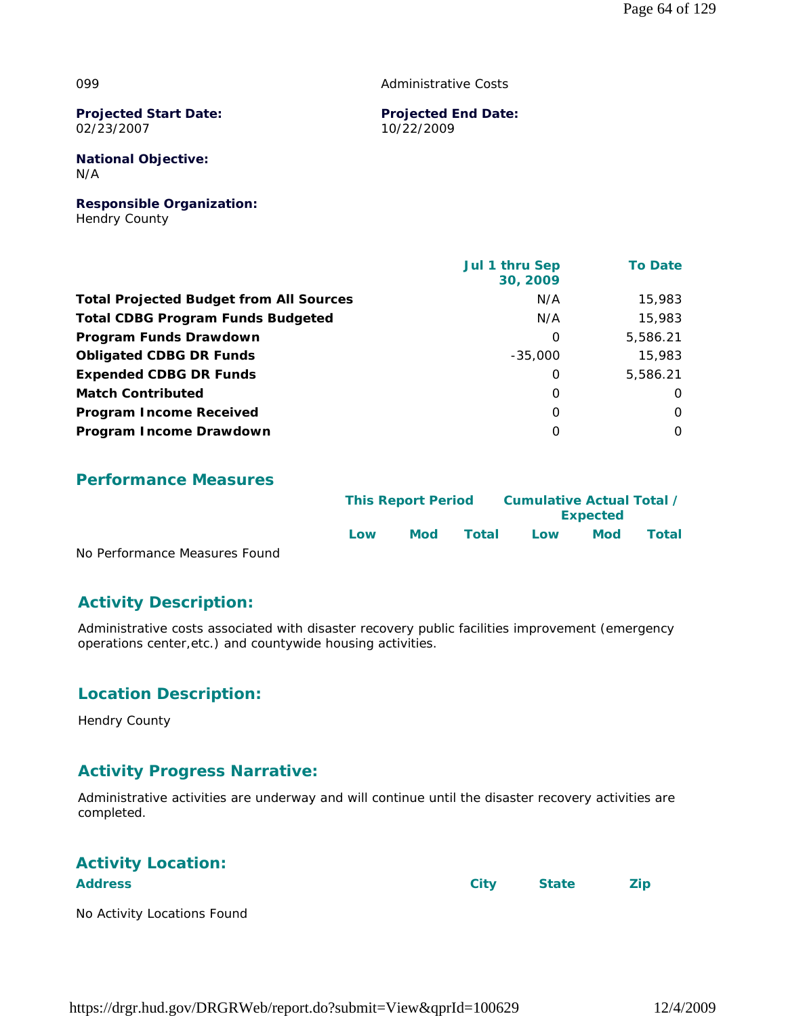#### 099

Administrative Costs

**Projected Start Date:** 02/23/2007

**Projected End Date:** 10/22/2009

**National Objective:** N/A

**Responsible Organization:** Hendry County

|                                                | Jul 1 thru Sep<br>30, 2009 | <b>To Date</b> |
|------------------------------------------------|----------------------------|----------------|
| <b>Total Projected Budget from All Sources</b> | N/A                        | 15,983         |
| <b>Total CDBG Program Funds Budgeted</b>       | N/A                        | 15,983         |
| Program Funds Drawdown                         | 0                          | 5,586.21       |
| <b>Obligated CDBG DR Funds</b>                 | $-35,000$                  | 15,983         |
| <b>Expended CDBG DR Funds</b>                  | 0                          | 5,586.21       |
| <b>Match Contributed</b>                       | 0                          | $\Omega$       |
| <b>Program Income Received</b>                 | $\Omega$                   | $\Omega$       |
| Program Income Drawdown                        | 0                          | $\Omega$       |

#### **Performance Measures**

|                               | <b>This Report Period</b> |            | Cumulative Actual Total / | <b>Expected</b> |            |       |
|-------------------------------|---------------------------|------------|---------------------------|-----------------|------------|-------|
| No Performance Measures Found | Low                       | <b>Mod</b> | Total                     | Low             | <b>Mod</b> | Total |

No Performance Measures Found

#### **Activity Description:**

Administrative costs associated with disaster recovery public facilities improvement (emergency operations center,etc.) and countywide housing activities.

#### **Location Description:**

Hendry County

#### **Activity Progress Narrative:**

Administrative activities are underway and will continue until the disaster recovery activities are completed.

| <b>Activity Location:</b>   |      |              |     |
|-----------------------------|------|--------------|-----|
| <b>Address</b>              | City | <b>State</b> | Zip |
| No Activity Locations Found |      |              |     |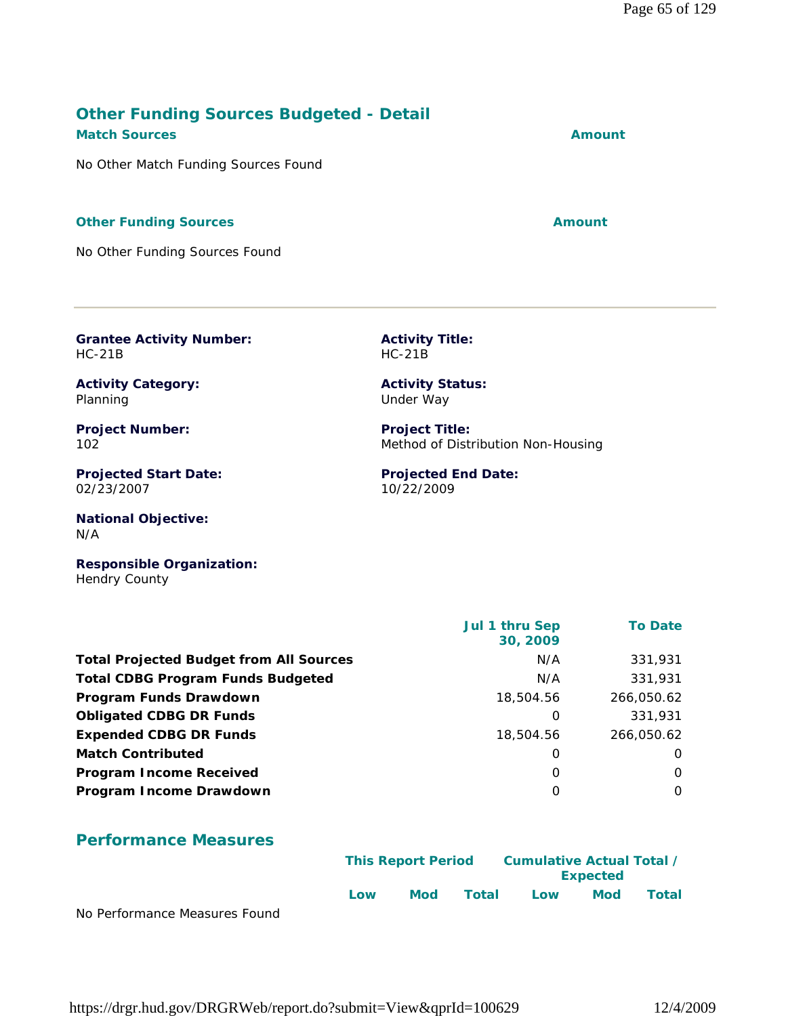#### **Other Funding Sources Budgeted - Detail Match Sources Amount**

No Other Match Funding Sources Found

#### **Other Funding Sources Amount Amount Amount**

No Other Funding Sources Found

**Grantee Activity Number:** HC-21B

**Activity Category:** Planning

**Project Number:** 102

**Projected Start Date:** 02/23/2007

**National Objective:** N/A

**Responsible Organization:** Hendry County

 **Jul 1 thru Sep 30, 2009 To Date Total Projected Budget from All Sources** M/A 331,931 **Total CDBG Program Funds Budgeted NA 231,931** N/A 331,931 **Program Funds Drawdown** 266,050.62 **Obligated CDBG DR Funds** 0 331,931 **Expended CDBG DR Funds** 18,504.56 266,050.62 **Match Contributed** 0 0 **Program Income Received and Second Community Community Community Community Community Community Community Community Program Income Drawdown** 0 0

#### **Performance Measures**

|                               |     | <b>This Report Period</b> |       | <b>Cumulative Actual Total /</b> |            |       |  |
|-------------------------------|-----|---------------------------|-------|----------------------------------|------------|-------|--|
|                               |     |                           |       | <b>Expected</b>                  |            |       |  |
|                               | Low | <b>Mod</b>                | Total | Low                              | <b>Mod</b> | Total |  |
| No Performance Measures Found |     |                           |       |                                  |            |       |  |

**Activity Title:** HC-21B

**Activity Status:** Under Way

**Project Title:** Method of Distribution Non-Housing

**Projected End Date:** 10/22/2009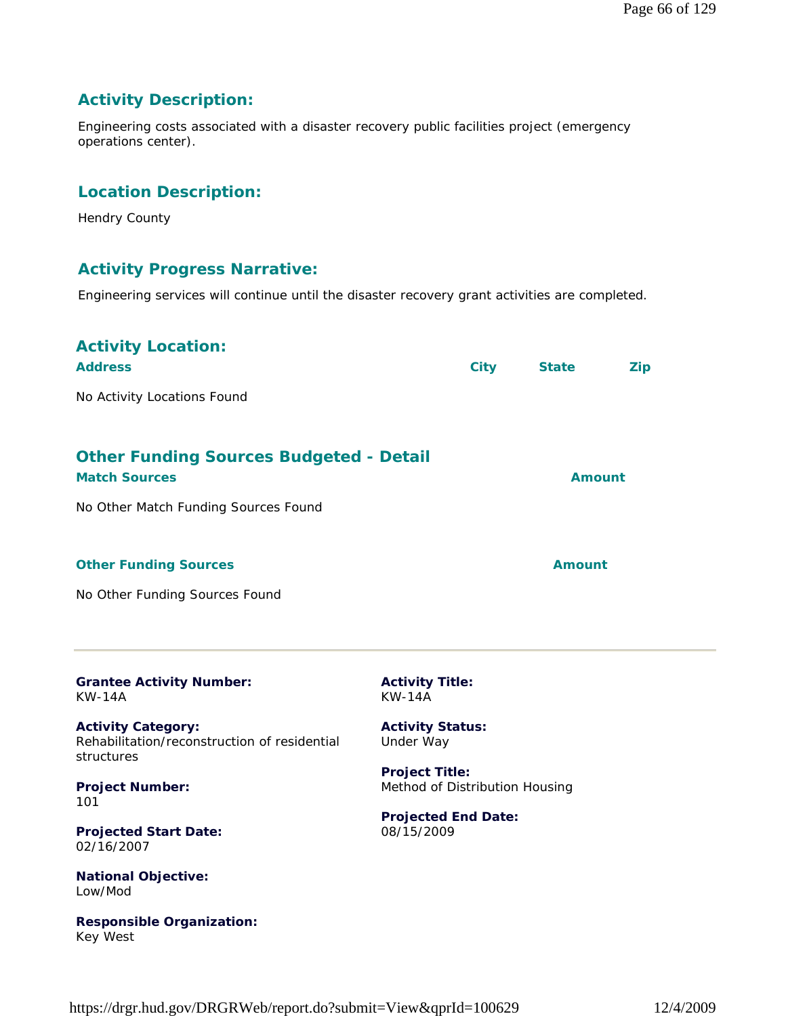# **Activity Description:**

Engineering costs associated with a disaster recovery public facilities project (emergency operations center).

# **Location Description:**

Hendry County

Key West

#### **Activity Progress Narrative:**

Engineering services will continue until the disaster recovery grant activities are completed.

| <b>Activity Location:</b><br><b>Address</b><br>No Activity Locations Found                                     |                                                         | <b>City</b> | <b>State</b>  | <b>Zip</b>    |
|----------------------------------------------------------------------------------------------------------------|---------------------------------------------------------|-------------|---------------|---------------|
| <b>Other Funding Sources Budgeted - Detail</b><br><b>Match Sources</b><br>No Other Match Funding Sources Found |                                                         |             |               | <b>Amount</b> |
| <b>Other Funding Sources</b><br>No Other Funding Sources Found                                                 |                                                         |             | <b>Amount</b> |               |
| <b>Grantee Activity Number:</b><br><b>KW-14A</b>                                                               | <b>Activity Title:</b><br><b>KW-14A</b>                 |             |               |               |
| <b>Activity Category:</b><br>Rehabilitation/reconstruction of residential<br>structures                        | <b>Activity Status:</b><br>Under Way                    |             |               |               |
| <b>Project Number:</b><br>101                                                                                  | <b>Project Title:</b><br>Method of Distribution Housing |             |               |               |
| <b>Projected Start Date:</b><br>02/16/2007                                                                     | <b>Projected End Date:</b><br>08/15/2009                |             |               |               |
| <b>National Objective:</b><br>Low/Mod                                                                          |                                                         |             |               |               |
| <b>Responsible Organization:</b>                                                                               |                                                         |             |               |               |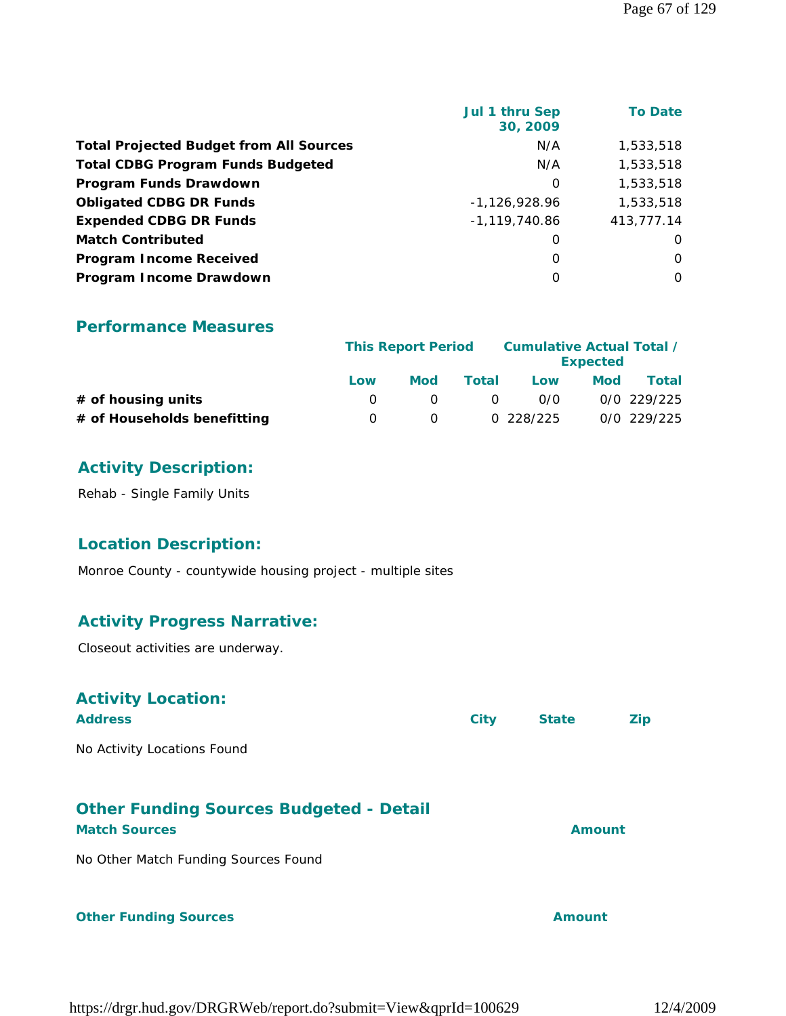| <b>Jul 1 thru Sep</b><br>30, 2009 | <b>To Date</b> |
|-----------------------------------|----------------|
| N/A                               | 1,533,518      |
| N/A                               | 1,533,518      |
| $\Omega$                          | 1,533,518      |
| $-1.126.928.96$                   | 1,533,518      |
| $-1,119,740.86$                   | 413,777.14     |
| O                                 | O              |
| O                                 | $\Omega$       |
| $\Omega$                          | 0              |
|                                   |                |

|                             | <b>This Report Period</b> |     |              | Cumulative Actual Total / | <b>Expected</b> |               |
|-----------------------------|---------------------------|-----|--------------|---------------------------|-----------------|---------------|
|                             | Low                       | Mod | Total        | Low                       | Mod             | Total         |
| $#$ of housing units        |                           |     | <sup>o</sup> | 0/0                       |                 | $0/0$ 229/225 |
| # of Households benefitting |                           |     |              | 0 228/225                 |                 | 0/0 229/225   |

# **Activity Description:**

Rehab - Single Family Units

# **Location Description:**

Monroe County - countywide housing project - multiple sites

# **Activity Progress Narrative:**

Closeout activities are underway.

| <b>Activity Location:</b><br><b>Address</b>                            | <b>City</b> | <b>State</b>  | Zip |
|------------------------------------------------------------------------|-------------|---------------|-----|
| No Activity Locations Found                                            |             |               |     |
| <b>Other Funding Sources Budgeted - Detail</b><br><b>Match Sources</b> |             | <b>Amount</b> |     |
| No Other Match Funding Sources Found                                   |             |               |     |
| <b>Other Funding Sources</b>                                           |             | Amount        |     |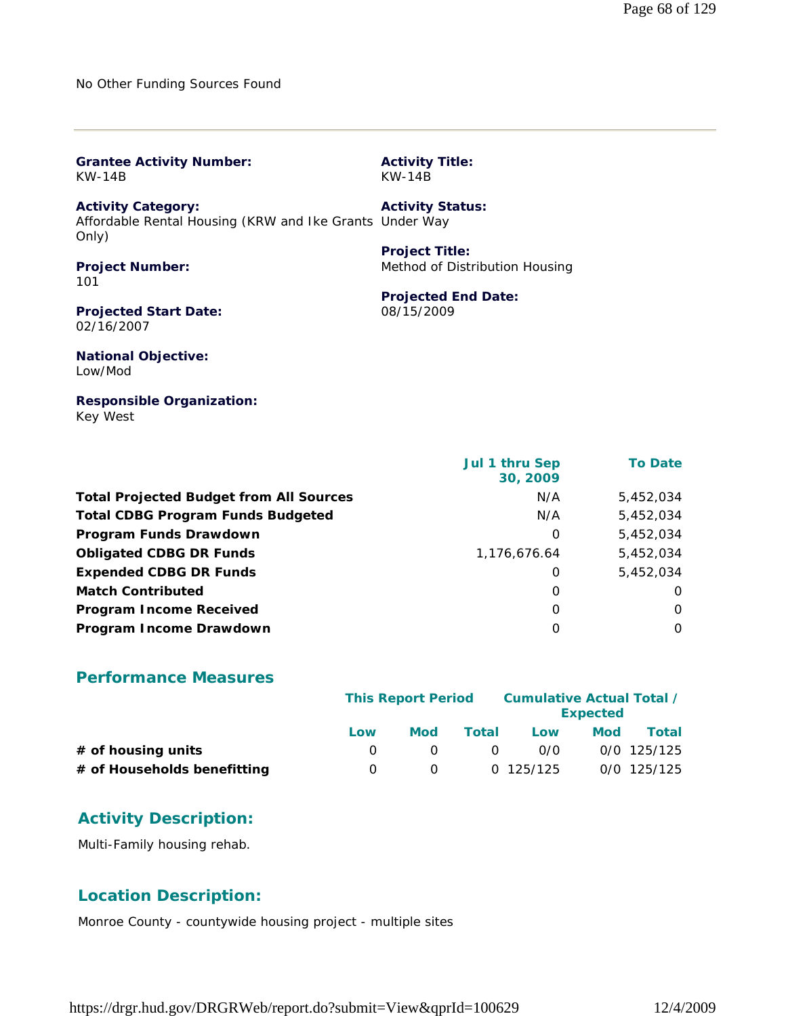No Other Funding Sources Found

| <b>Grantee Activity Number:</b>                                                               | <b>Activity Title:</b>         |
|-----------------------------------------------------------------------------------------------|--------------------------------|
| KW-14B                                                                                        | $KW-14B$                       |
| <b>Activity Category:</b><br>Affordable Rental Housing (KRW and Ike Grants Under Way<br>Only) | <b>Activity Status:</b>        |
| <b>Project Number:</b>                                                                        | <b>Project Title:</b>          |
| 101                                                                                           | Method of Distribution Housing |
| <b>Projected Start Date:</b>                                                                  | <b>Projected End Date:</b>     |
| 02/16/2007                                                                                    | 08/15/2009                     |
| <b>National Objective:</b><br>Low/Mod                                                         |                                |
| <b>Responsible Organization:</b>                                                              |                                |

Key West

| Jul 1 thru Sep<br>30, 2009 | <b>To Date</b> |
|----------------------------|----------------|
| N/A                        | 5,452,034      |
| N/A                        | 5,452,034      |
| $\Omega$                   | 5,452,034      |
| 1.176.676.64               | 5.452.034      |
| 0                          | 5,452,034      |
| $\Omega$                   | $\Omega$       |
| $\Omega$                   | $\Omega$       |
| $\Omega$                   | $\Omega$       |
|                            |                |

#### **Performance Measures**

|                             | <b>This Report Period</b> |                  |          | Cumulative Actual Total / | <b>Expected</b> |               |
|-----------------------------|---------------------------|------------------|----------|---------------------------|-----------------|---------------|
|                             | Low                       | Mod              | Total    | Low                       | <b>Mod</b>      | Total         |
| $#$ of housing units        |                           |                  | $\Omega$ | 0/0                       |                 | $0/0$ 125/125 |
| # of Households benefitting | $\left( \right)$          | $\left( \right)$ |          | 0 125/125                 |                 | $0/0$ 125/125 |

# **Activity Description:**

Multi-Family housing rehab.

# **Location Description:**

Monroe County - countywide housing project - multiple sites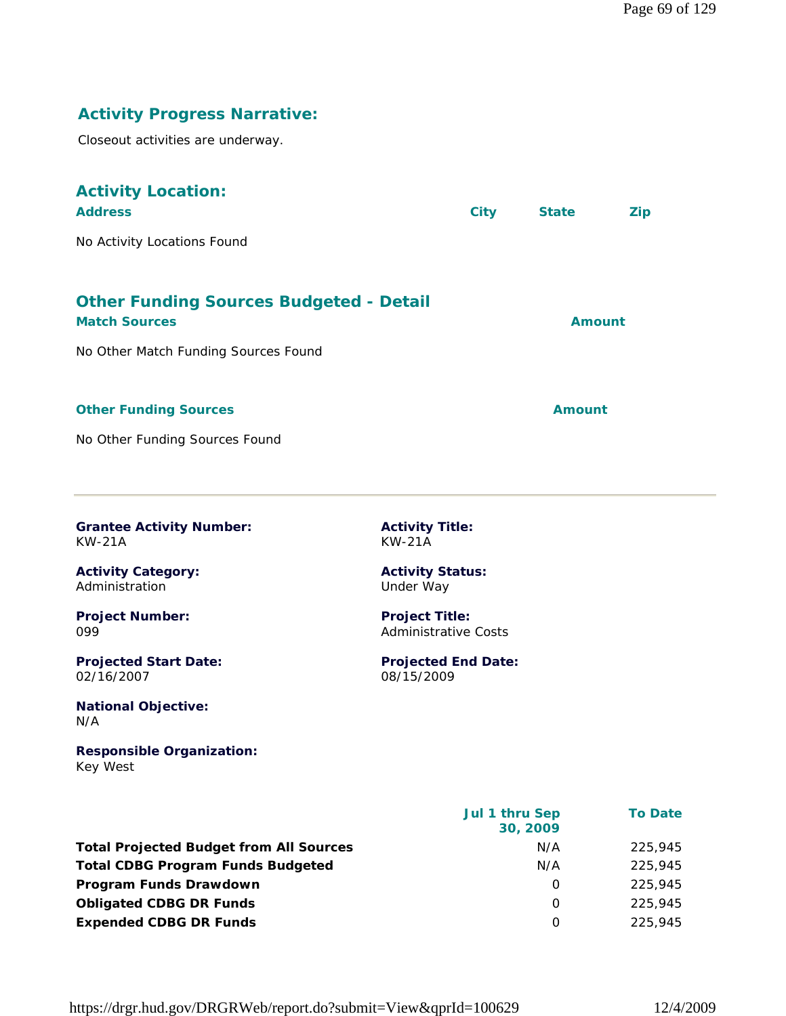# **Activity Progress Narrative:**

Closeout activities are underway.

| <b>Activity Location:</b><br><b>Address</b>                                                                    | <b>City</b> | <b>State</b>  | <b>Zip</b> |
|----------------------------------------------------------------------------------------------------------------|-------------|---------------|------------|
| No Activity Locations Found                                                                                    |             |               |            |
| <b>Other Funding Sources Budgeted - Detail</b><br><b>Match Sources</b><br>No Other Match Funding Sources Found |             | <b>Amount</b> |            |
| <b>Other Funding Sources</b>                                                                                   |             | <b>Amount</b> |            |

No Other Funding Sources Found

**Grantee Activity Number:** KW-21A

**Activity Title:** KW-21A

**Project Title:** Administrative Costs

08/15/2009

**Projected End Date:**

**Activity Status:** Under Way

**Activity Category:** Administration

**Project Number:** 099

**Projected Start Date:** 02/16/2007

**National Objective:** N/A

**Responsible Organization:** Key West

|                                                | Jul 1 thru Sep<br>30, 2009 | <b>To Date</b> |
|------------------------------------------------|----------------------------|----------------|
| <b>Total Projected Budget from All Sources</b> | N/A                        | 225,945        |
| <b>Total CDBG Program Funds Budgeted</b>       | N/A                        | 225,945        |
| Program Funds Drawdown                         | 0                          | 225,945        |
| <b>Obligated CDBG DR Funds</b>                 | O                          | 225,945        |
| <b>Expended CDBG DR Funds</b>                  | $\Omega$                   | 225.945        |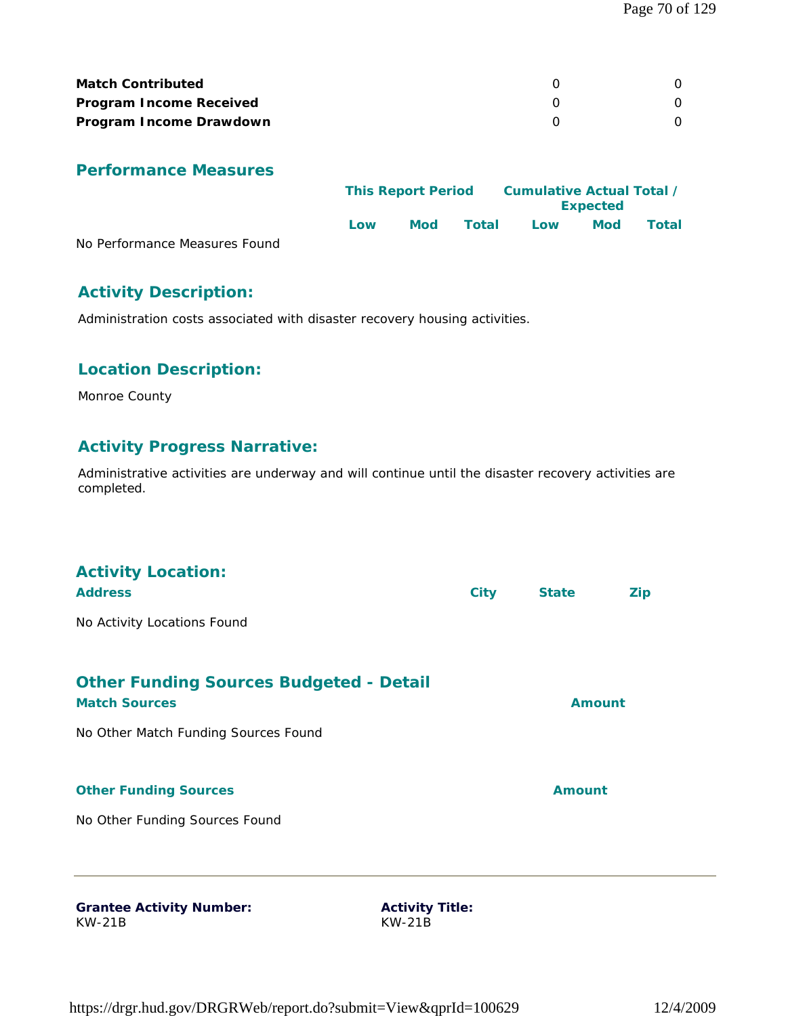| <b>Match Contributed</b>       |  |
|--------------------------------|--|
| <b>Program Income Received</b> |  |
| Program Income Drawdown        |  |

|                               | <b>This Report Period</b> |            | Cumulative Actual Total /<br><b>Expected</b> |     |     |       |
|-------------------------------|---------------------------|------------|----------------------------------------------|-----|-----|-------|
|                               | Low                       | <b>Mod</b> | Total                                        | Low | Mod | Total |
| No Performance Measures Found |                           |            |                                              |     |     |       |

# **Activity Description:**

Administration costs associated with disaster recovery housing activities.

# **Location Description:**

Monroe County

### **Activity Progress Narrative:**

Administrative activities are underway and will continue until the disaster recovery activities are completed.

| <b>Activity Location:</b><br><b>Address</b>                            |                        | <b>City</b> | <b>State</b>  | <b>Zip</b> |
|------------------------------------------------------------------------|------------------------|-------------|---------------|------------|
| No Activity Locations Found                                            |                        |             |               |            |
| <b>Other Funding Sources Budgeted - Detail</b><br><b>Match Sources</b> |                        |             | <b>Amount</b> |            |
| No Other Match Funding Sources Found                                   |                        |             |               |            |
| <b>Other Funding Sources</b>                                           |                        |             | <b>Amount</b> |            |
| No Other Funding Sources Found                                         |                        |             |               |            |
| <b>Grantee Activity Number:</b>                                        | <b>Activity Title:</b> |             |               |            |
| <b>KW-21B</b>                                                          | <b>KW-21B</b>          |             |               |            |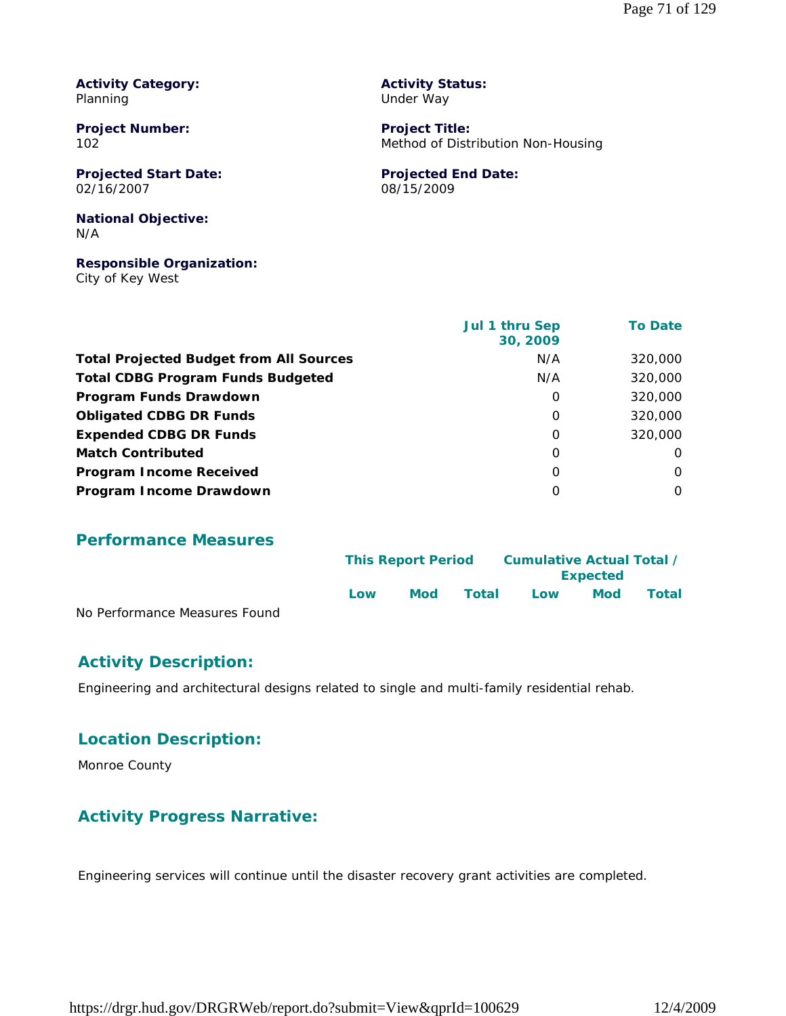**Activity Category:** Planning

**Project Number:** 102

**Projected Start Date:** 02/16/2007

**National Objective:** N/A

**Responsible Organization:** City of Key West

**Activity Status:** Under Way

**Project Title:** Method of Distribution Non-Housing

**Projected End Date:** 08/15/2009

|                                                | Jul 1 thru Sep<br>30, 2009 | <b>To Date</b> |
|------------------------------------------------|----------------------------|----------------|
| <b>Total Projected Budget from All Sources</b> | N/A                        | 320,000        |
| <b>Total CDBG Program Funds Budgeted</b>       | N/A                        | 320,000        |
| Program Funds Drawdown                         | O                          | 320,000        |
| <b>Obligated CDBG DR Funds</b>                 | O                          | 320,000        |
| <b>Expended CDBG DR Funds</b>                  | O                          | 320,000        |
| <b>Match Contributed</b>                       | $\Omega$                   | 0              |
| <b>Program Income Received</b>                 | O                          | $\Omega$       |
| Program Income Drawdown                        | $\Omega$                   | $\Omega$       |

**Performance Measures**

|                               |     | <b>This Report Period</b> |       |     | Cumulative Actual Total /<br><b>Expected</b> |       |  |
|-------------------------------|-----|---------------------------|-------|-----|----------------------------------------------|-------|--|
|                               | Low | <b>Mod</b>                | Total | Low | Mod                                          | Total |  |
| No Performance Measures Found |     |                           |       |     |                                              |       |  |

#### **Activity Description:**

Engineering and architectural designs related to single and multi-family residential rehab.

#### **Location Description:**

Monroe County

#### **Activity Progress Narrative:**

Engineering services will continue until the disaster recovery grant activities are completed.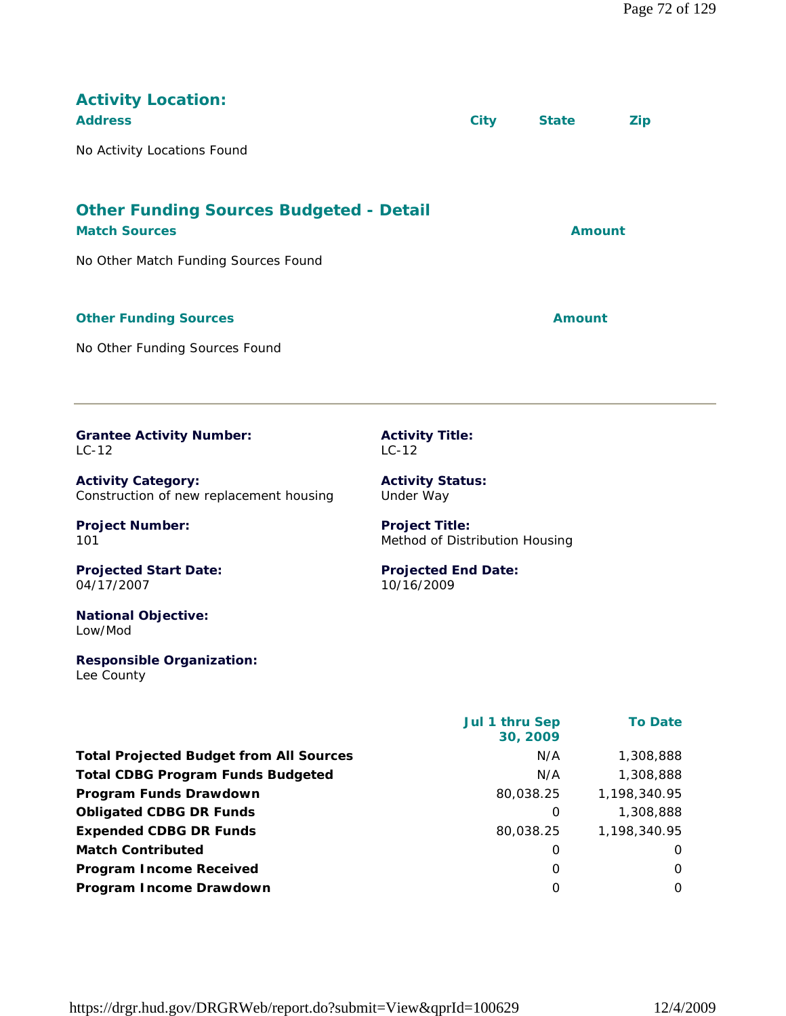| <b>Activity Location:</b><br><b>Address</b>                            | <b>City</b> | <b>State</b>  | <b>Zip</b> |
|------------------------------------------------------------------------|-------------|---------------|------------|
| No Activity Locations Found                                            |             |               |            |
| <b>Other Funding Sources Budgeted - Detail</b><br><b>Match Sources</b> |             | <b>Amount</b> |            |
| No Other Match Funding Sources Found                                   |             |               |            |
| <b>Other Funding Sources</b>                                           |             | Amount        |            |
| No Other Funding Sources Found                                         |             |               |            |

**Grantee Activity Number:** LC-12

**Activity Category:** Construction of new replacement housing

**Project Number:** 101

**Projected Start Date:** 04/17/2007

**National Objective:** Low/Mod

**Responsible Organization:** Lee County

**Activity Title:** LC-12

**Activity Status:** Under Way

**Project Title:** Method of Distribution Housing

**Projected End Date:** 10/16/2009

|                                                | Jul 1 thru Sep<br>30, 2009 | <b>To Date</b> |
|------------------------------------------------|----------------------------|----------------|
| <b>Total Projected Budget from All Sources</b> | N/A                        | 1,308,888      |
| <b>Total CDBG Program Funds Budgeted</b>       | N/A                        | 1,308,888      |
| Program Funds Drawdown                         | 80,038.25                  | 1,198,340.95   |
| <b>Obligated CDBG DR Funds</b>                 | 0                          | 1,308,888      |
| <b>Expended CDBG DR Funds</b>                  | 80.038.25                  | 1,198,340.95   |
| <b>Match Contributed</b>                       | O                          | $\Omega$       |
| <b>Program Income Received</b>                 | 0                          | $\Omega$       |
| Program Income Drawdown                        | $\Omega$                   | $\Omega$       |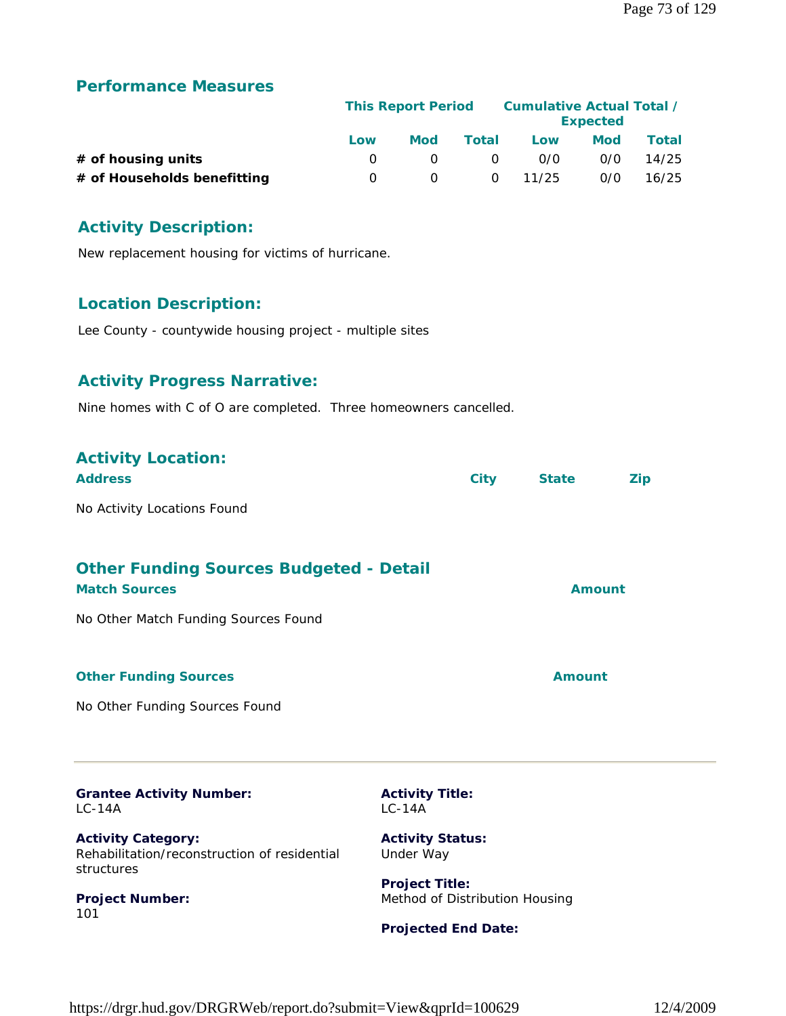#### **Performance Measures**

|                             | <b>This Report Period</b> |     |          | Cumulative Actual Total /<br><b>Expected</b> |            |              |  |
|-----------------------------|---------------------------|-----|----------|----------------------------------------------|------------|--------------|--|
|                             | Low                       | Mod | Total    | Low                                          | <b>Mod</b> | <b>Total</b> |  |
| $#$ of housing units        |                           |     | $\Omega$ | 0/0                                          | 0/0        | 14/25        |  |
| # of Households benefitting | $\Omega$                  |     |          | $0 \quad 11/25$                              | 0/0        | 16/25        |  |

### **Activity Description:**

New replacement housing for victims of hurricane.

#### **Location Description:**

Lee County - countywide housing project - multiple sites

#### **Activity Progress Narrative:**

Nine homes with C of O are completed. Three homeowners cancelled.

| <b>Activity Location:</b><br><b>Address</b>                                             | <b>City</b>                                             | <b>State</b>  | <b>Zip</b> |
|-----------------------------------------------------------------------------------------|---------------------------------------------------------|---------------|------------|
| No Activity Locations Found                                                             |                                                         |               |            |
| <b>Other Funding Sources Budgeted - Detail</b><br><b>Match Sources</b>                  |                                                         | <b>Amount</b> |            |
| No Other Match Funding Sources Found                                                    |                                                         |               |            |
| <b>Other Funding Sources</b>                                                            |                                                         | <b>Amount</b> |            |
| No Other Funding Sources Found                                                          |                                                         |               |            |
| <b>Grantee Activity Number:</b><br>$LC-14A$                                             | <b>Activity Title:</b><br>$LC-14A$                      |               |            |
| <b>Activity Category:</b><br>Rehabilitation/reconstruction of residential<br>structures | <b>Activity Status:</b><br>Under Way                    |               |            |
| <b>Project Number:</b><br>101                                                           | <b>Project Title:</b><br>Method of Distribution Housing |               |            |
|                                                                                         | <b>Projected End Date:</b>                              |               |            |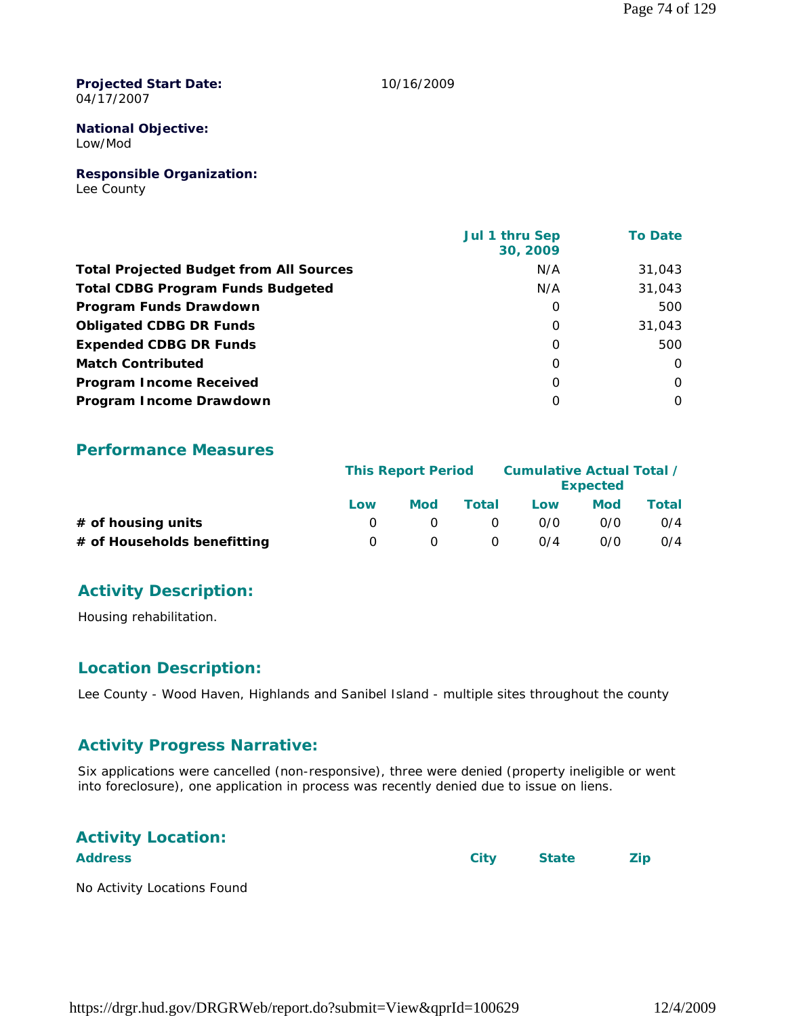**Projected Start Date:** 04/17/2007

10/16/2009

# **National Objective:**

Low/Mod

#### **Responsible Organization:**

Lee County

|                                                | Jul 1 thru Sep<br>30, 2009 | <b>To Date</b> |
|------------------------------------------------|----------------------------|----------------|
| <b>Total Projected Budget from All Sources</b> | N/A                        | 31,043         |
| <b>Total CDBG Program Funds Budgeted</b>       | N/A                        | 31,043         |
| Program Funds Drawdown                         | 0                          | 500            |
| <b>Obligated CDBG DR Funds</b>                 | $\Omega$                   | 31,043         |
| <b>Expended CDBG DR Funds</b>                  | 0                          | 500            |
| <b>Match Contributed</b>                       | $\Omega$                   | $\Omega$       |
| <b>Program Income Received</b>                 | $\Omega$                   | $\Omega$       |
| Program Income Drawdown                        | 0                          | 0              |

#### **Performance Measures**

|                             | <b>This Report Period</b> |     |          | Cumulative Actual Total /<br><b>Expected</b> |            |       |  |
|-----------------------------|---------------------------|-----|----------|----------------------------------------------|------------|-------|--|
|                             | Low                       | Mod | Total    | Low                                          | <b>Mod</b> | Total |  |
| # of housing units          |                           |     | $\Omega$ | 0/0                                          | 0/0        | O/4   |  |
| # of Households benefitting |                           |     | $\Omega$ | $\Omega$ /4                                  | 0/0        | O/4   |  |

#### **Activity Description:**

Housing rehabilitation.

#### **Location Description:**

Lee County - Wood Haven, Highlands and Sanibel Island - multiple sites throughout the county

#### **Activity Progress Narrative:**

Six applications were cancelled (non-responsive), three were denied (property ineligible or went into foreclosure), one application in process was recently denied due to issue on liens.

# **Activity Location:**

**Address City State Zip**

No Activity Locations Found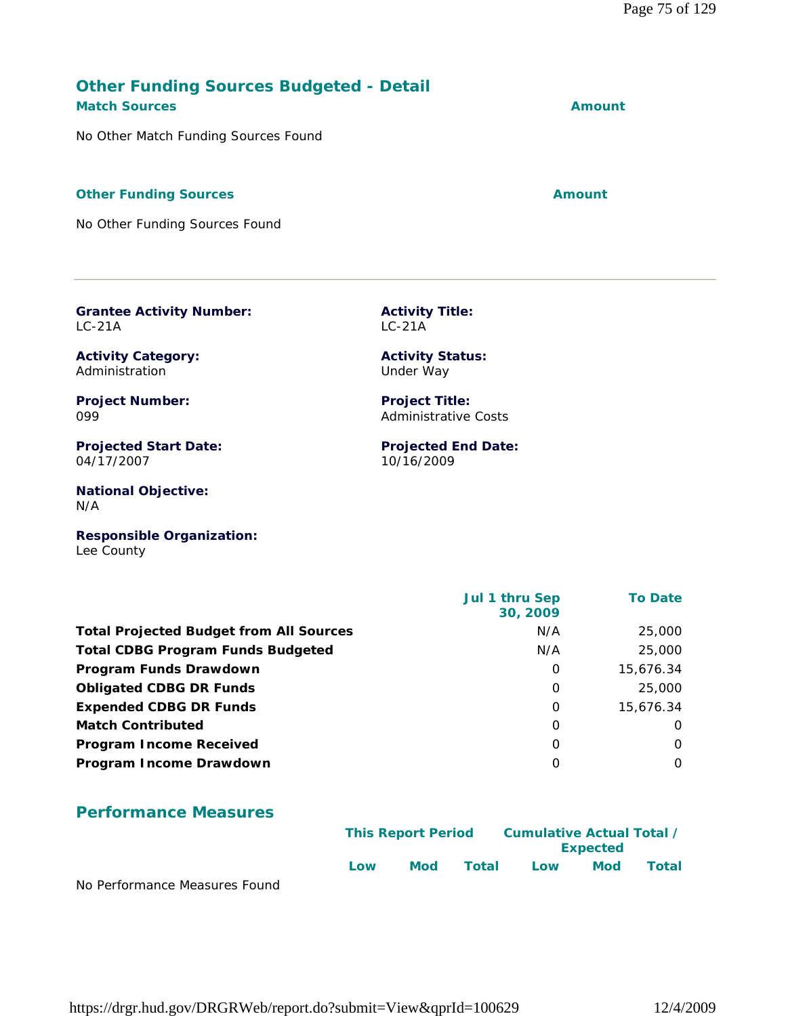# https://drgr.hud.gov/DRGRWeb/report.do?submit=View&qprId=100629 12/4/2009

#### **Other Funding Sources Budgeted - Detail Match Sources Amount**

No Other Match Funding Sources Found

#### **Other Funding Sources Amount**

No Other Funding Sources Found

**Grantee Activity Number:**

**Activity Category:** Administration

**Project Number:**

04/17/2007

**Projected Start Date:**

**National Objective:**

LC-21A

099

N/A

**Activity Title:** LC-21A

> **Activity Status:** Under Way

**Project Title:** Administrative Costs

**Projected End Date:** 10/16/2009

**Responsible Organization:** Lee County

|                                                | Jul 1 thru Sep<br>30, 2009 | <b>To Date</b> |
|------------------------------------------------|----------------------------|----------------|
| <b>Total Projected Budget from All Sources</b> | N/A                        | 25,000         |
| <b>Total CDBG Program Funds Budgeted</b>       | N/A                        | 25,000         |
| Program Funds Drawdown                         | 0                          | 15,676.34      |
| <b>Obligated CDBG DR Funds</b>                 | 0                          | 25,000         |
| <b>Expended CDBG DR Funds</b>                  | 0                          | 15,676.34      |
| <b>Match Contributed</b>                       | 0                          | $\Omega$       |
| <b>Program Income Received</b>                 | 0                          | $\Omega$       |
| Program Income Drawdown                        | 0                          | $\Omega$       |
|                                                |                            |                |

#### **Performance Measures**

|                               | <b>This Report Period</b> |     | Cumulative Actual Total /<br><b>Expected</b> |     |            |       |
|-------------------------------|---------------------------|-----|----------------------------------------------|-----|------------|-------|
| No Derformance Messures Found | Low                       | Mod | Total                                        | Low | <b>Mod</b> | Total |

No Performance Measures Found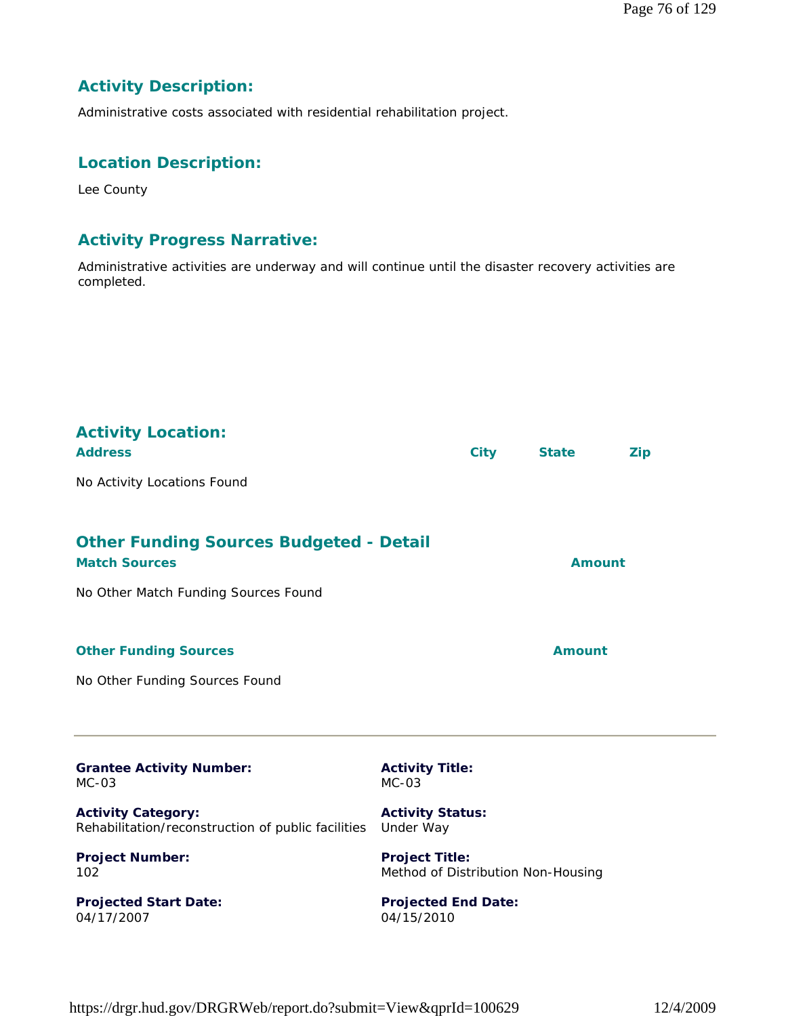#### **Activity Description:**

Administrative costs associated with residential rehabilitation project.

#### **Location Description:**

Lee County

#### **Activity Progress Narrative:**

Administrative activities are underway and will continue until the disaster recovery activities are completed.

| <b>Activity Location:</b><br><b>Address</b><br>No Activity Locations Found                                     | <b>City</b>                                                              | <b>State</b>  | <b>Zip</b> |
|----------------------------------------------------------------------------------------------------------------|--------------------------------------------------------------------------|---------------|------------|
| <b>Other Funding Sources Budgeted - Detail</b><br><b>Match Sources</b><br>No Other Match Funding Sources Found |                                                                          | <b>Amount</b> |            |
| <b>Other Funding Sources</b><br>No Other Funding Sources Found                                                 |                                                                          | <b>Amount</b> |            |
| <b>Grantee Activity Number:</b><br>$MC-03$<br><b>Activity Category:</b>                                        | <b>Activity Title:</b><br>$MC-03$<br><b>Activity Status:</b>             |               |            |
| Rehabilitation/reconstruction of public facilities<br><b>Project Number:</b><br>102                            | Under Way<br><b>Project Title:</b><br>Method of Distribution Non-Housing |               |            |
| <b>Projected Start Date:</b><br>04/17/2007                                                                     | <b>Projected End Date:</b><br>04/15/2010                                 |               |            |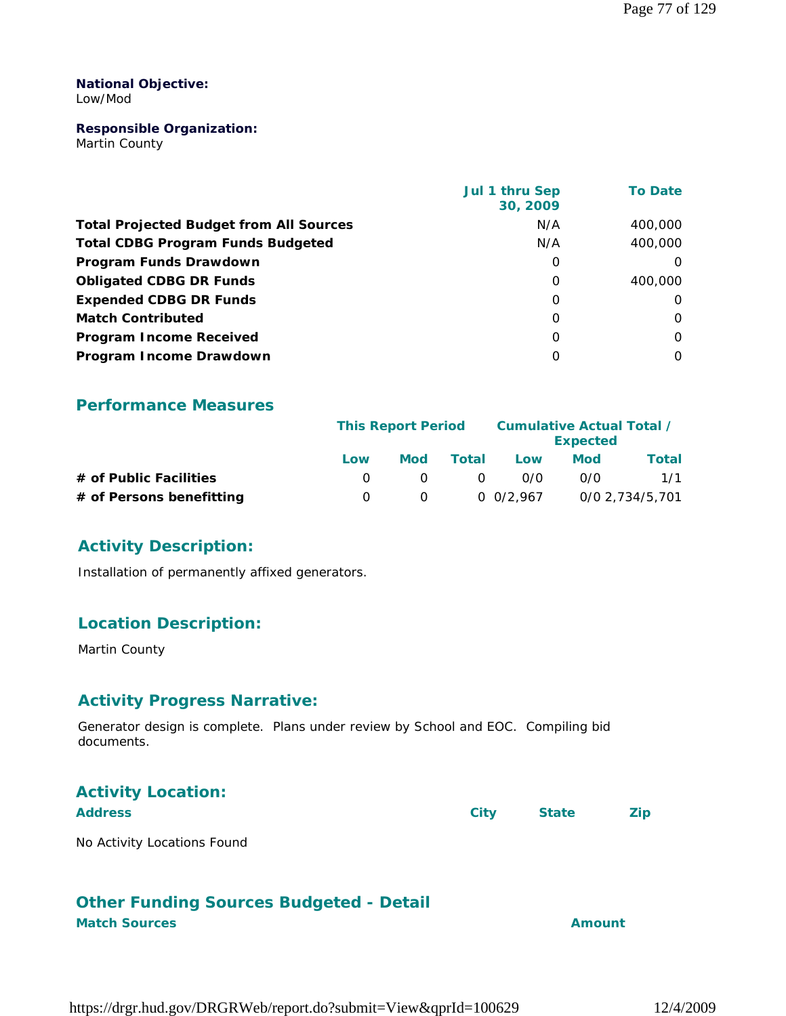#### **National Objective:** Low/Mod

#### **Responsible Organization:**

Martin County

|                                                | Jul 1 thru Sep<br>30, 2009 | <b>To Date</b> |
|------------------------------------------------|----------------------------|----------------|
| <b>Total Projected Budget from All Sources</b> | N/A                        | 400,000        |
| <b>Total CDBG Program Funds Budgeted</b>       | N/A                        | 400,000        |
| Program Funds Drawdown                         | 0                          | $\Omega$       |
| <b>Obligated CDBG DR Funds</b>                 | 0                          | 400,000        |
| <b>Expended CDBG DR Funds</b>                  | $\Omega$                   | 0              |
| <b>Match Contributed</b>                       | $\Omega$                   | $\Omega$       |
| <b>Program Income Received</b>                 | 0                          | $\Omega$       |
| Program Income Drawdown                        | $\Omega$                   | $\Omega$       |

#### **Performance Measures**

|                          |     | <b>This Report Period</b> |       |           | Cumulative Actual Total /<br><b>Expected</b> |                 |  |
|--------------------------|-----|---------------------------|-------|-----------|----------------------------------------------|-----------------|--|
|                          | Low | <b>Mod</b>                | Total | Low       | Mod                                          | Total           |  |
| # of Public Facilities   |     |                           | - റ   | 0/0       | 0/0                                          | 1/1             |  |
| # of Persons benefitting |     |                           |       | 0.0/2.967 |                                              | 0/0 2,734/5,701 |  |

#### **Activity Description:**

Installation of permanently affixed generators.

#### **Location Description:**

Martin County

#### **Activity Progress Narrative:**

Generator design is complete. Plans under review by School and EOC. Compiling bid documents.

| <b>Activity Location:</b>   |      |              |            |
|-----------------------------|------|--------------|------------|
| <b>Address</b>              | City | <b>State</b> | <b>Zip</b> |
| No Activity Locations Found |      |              |            |

#### **Other Funding Sources Budgeted - Detail Match Sources Amount**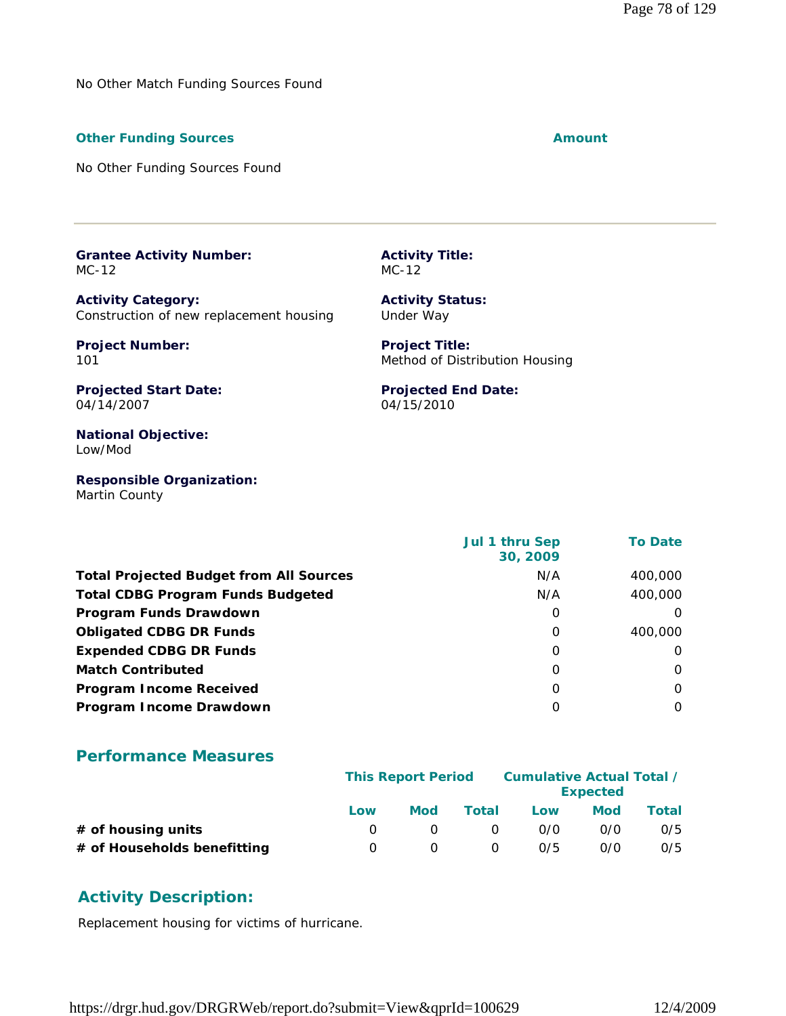No Other Match Funding Sources Found

#### **Other Funding Sources Amount Amount Amount**

No Other Funding Sources Found

**Grantee Activity Number:** MC-12

**Activity Category:** Construction of new replacement housing

**Project Number:** 101

**Activity Status:** Under Way

**Projected End Date:**

04/15/2010

**Activity Title:**

MC-12

**Project Title:** Method of Distribution Housing

**Projected Start Date:** 04/14/2007

**National Objective:** Low/Mod

**Responsible Organization:** Martin County

 **Jul 1 thru Sep 30, 2009 To Date Total Projected Budget from All Sources** M/A 400,000 **Total CDBG Program Funds Budgeted N/A 400,000 Program Funds Drawdown** 0 0 **Obligated CDBG DR Funds** 0 400,000 **Expended CDBG DR Funds** 0 0 **Match Contributed** 0 0 **Program Income Received** 0 0 **Program Income Drawdown** 0 0

#### **Performance Measures**

|                             | <b>This Report Period</b> |     |          | Cumulative Actual Total /<br><b>Expected</b> |            |       |  |
|-----------------------------|---------------------------|-----|----------|----------------------------------------------|------------|-------|--|
|                             | Low                       | Mod | Total    | Low                                          | <b>Mod</b> | Total |  |
| # of housing units          |                           |     | $\Omega$ | 0/0                                          | 0/0        | 0/5   |  |
| # of Households benefitting |                           |     | $\Omega$ | 0/5                                          | 0/0        | 0/5   |  |

#### **Activity Description:**

Replacement housing for victims of hurricane.

https://drgr.hud.gov/DRGRWeb/report.do?submit=View&qprId=100629 12/4/2009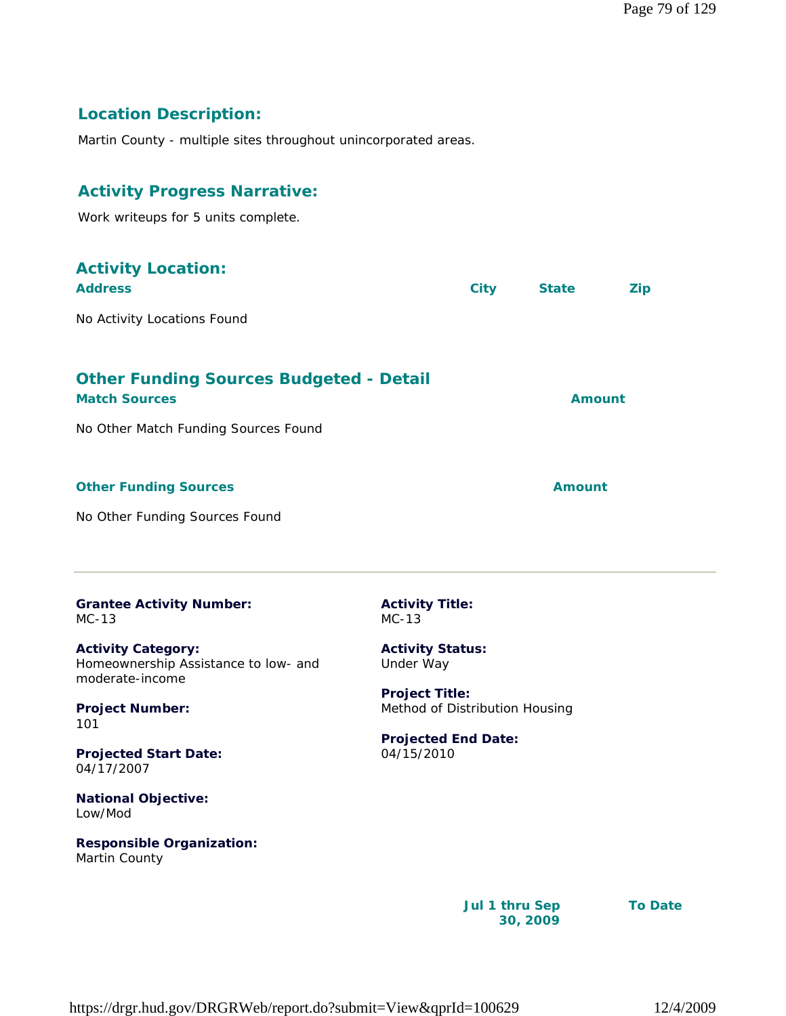#### **Location Description:**

Martin County - multiple sites throughout unincorporated areas.

#### **Activity Progress Narrative:**

Work writeups for 5 units complete.

| <b>Activity Location:</b><br><b>Address</b>                            | <b>City</b>                       | <b>State</b>  | <b>Zip</b>    |
|------------------------------------------------------------------------|-----------------------------------|---------------|---------------|
| No Activity Locations Found                                            |                                   |               |               |
| <b>Other Funding Sources Budgeted - Detail</b><br><b>Match Sources</b> |                                   |               | <b>Amount</b> |
| No Other Match Funding Sources Found                                   |                                   |               |               |
| <b>Other Funding Sources</b>                                           |                                   | <b>Amount</b> |               |
| No Other Funding Sources Found                                         |                                   |               |               |
| <b>Grantee Activity Number:</b><br>$MC-13$                             | <b>Activity Title:</b><br>$MC-13$ |               |               |

**Activity Category:** Homeownership Assistance to low- and moderate-income

**Project Number:** 101

**Projected Start Date:** 04/17/2007

**National Objective:** Low/Mod

**Responsible Organization:** Martin County

**Activity Status:** Under Way

**Project Title:** Method of Distribution Housing

**Projected End Date:** 04/15/2010

> **Jul 1 thru Sep 30, 2009**

**To Date**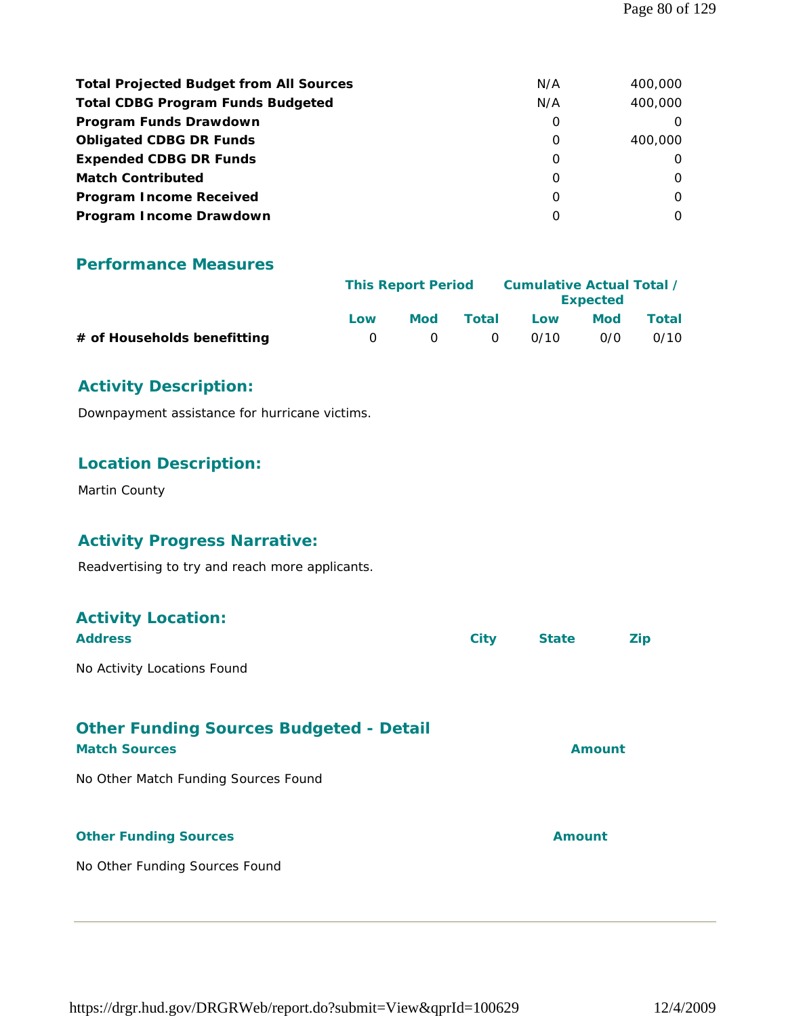| <b>Total Projected Budget from All Sources</b> | N/A      | 400,000  |
|------------------------------------------------|----------|----------|
| <b>Total CDBG Program Funds Budgeted</b>       | N/A      | 400,000  |
| Program Funds Drawdown                         | 0        |          |
| <b>Obligated CDBG DR Funds</b>                 | 0        | 400,000  |
| <b>Expended CDBG DR Funds</b>                  | 0        | $\Omega$ |
| <b>Match Contributed</b>                       | 0        | O        |
| <b>Program Income Received</b>                 | $\Omega$ | $\Omega$ |
| Program Income Drawdown                        | 0        | 0        |

#### **Performance Measures**

|                             | <b>This Report Period</b> |              |           | Cumulative Actual Total / | <b>Expected</b> |       |
|-----------------------------|---------------------------|--------------|-----------|---------------------------|-----------------|-------|
|                             | Low                       | Mod          | Total     | Low                       | Mod             | Total |
| # of Households benefitting | $\Omega$                  | $\mathbf{r}$ | $\bigcap$ | 0/10                      | 0/0             | 0/10  |

#### **Activity Description:**

Downpayment assistance for hurricane victims.

#### **Location Description:**

Martin County

#### **Activity Progress Narrative:**

Readvertising to try and reach more applicants.

| <b>Activity Location:</b><br><b>Address</b>                            | <b>City</b> | <b>State</b>  | Zip |
|------------------------------------------------------------------------|-------------|---------------|-----|
| No Activity Locations Found                                            |             |               |     |
| <b>Other Funding Sources Budgeted - Detail</b><br><b>Match Sources</b> |             | Amount        |     |
| No Other Match Funding Sources Found                                   |             |               |     |
| <b>Other Funding Sources</b>                                           |             | <b>Amount</b> |     |
| No Other Funding Sources Found                                         |             |               |     |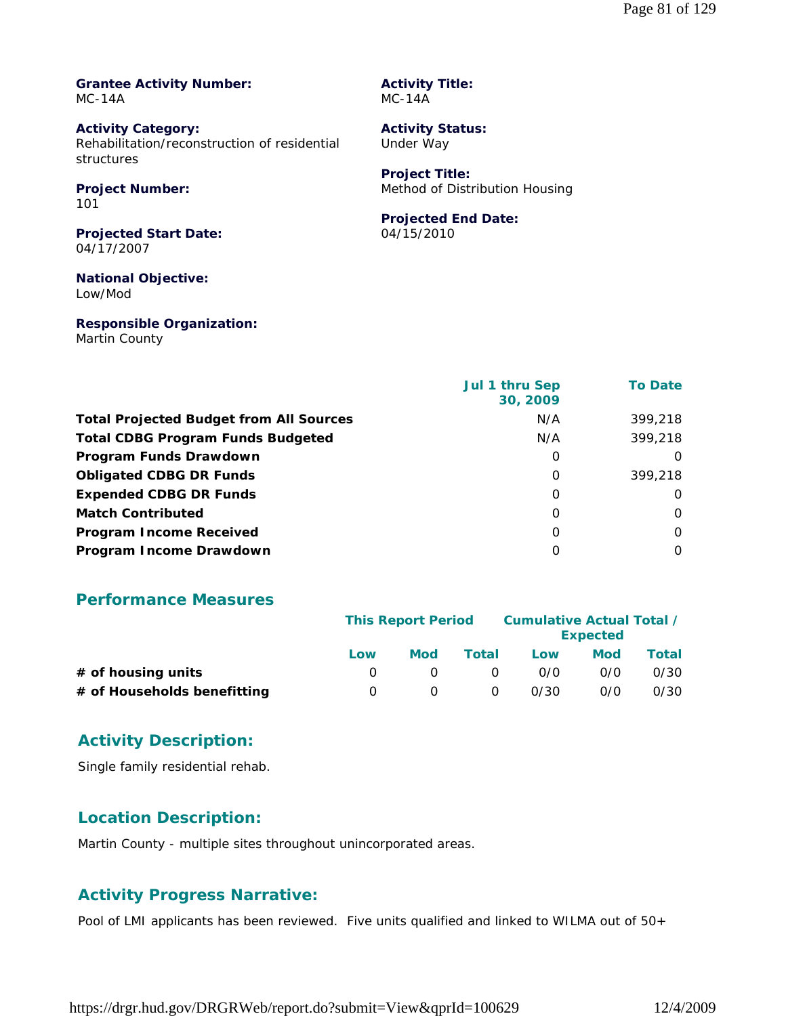**Grantee Activity Number:** MC-14A

**Activity Category:** Rehabilitation/reconstruction of residential structures

**Project Number:** 101

**Projected Start Date:** 04/17/2007

**National Objective:** Low/Mod

**Responsible Organization:** Martin County

**Activity Title:** MC-14A

**Activity Status:** Under Way

**Project Title:** Method of Distribution Housing

#### **Projected End Date:**

04/15/2010

|                                                | <b>Jul 1 thru Sep</b><br>30, 2009 | <b>To Date</b> |
|------------------------------------------------|-----------------------------------|----------------|
| <b>Total Projected Budget from All Sources</b> | N/A                               | 399,218        |
| <b>Total CDBG Program Funds Budgeted</b>       | N/A                               | 399,218        |
| Program Funds Drawdown                         | 0                                 | O              |
| <b>Obligated CDBG DR Funds</b>                 | O                                 | 399,218        |
| <b>Expended CDBG DR Funds</b>                  | 0                                 | O              |
| <b>Match Contributed</b>                       | O                                 | O              |
| <b>Program Income Received</b>                 | O                                 | $\Omega$       |
| Program Income Drawdown                        | 0                                 | O              |

#### **Performance Measures**

|                             | <b>This Report Period</b> |     |          | Cumulative Actual Total / | <b>Expected</b> |       |
|-----------------------------|---------------------------|-----|----------|---------------------------|-----------------|-------|
|                             | Low                       | Mod | Total    | Low                       | Mod             | Total |
| $#$ of housing units        |                           |     | $\Omega$ | 0/0                       | 0/0             | 0/30  |
| # of Households benefitting |                           |     | $\Omega$ | 0/30                      | 0/0             | 0/30  |

#### **Activity Description:**

Single family residential rehab.

#### **Location Description:**

Martin County - multiple sites throughout unincorporated areas.

#### **Activity Progress Narrative:**

Pool of LMI applicants has been reviewed. Five units qualified and linked to WILMA out of 50+

https://drgr.hud.gov/DRGRWeb/report.do?submit=View&qprId=100629 12/4/2009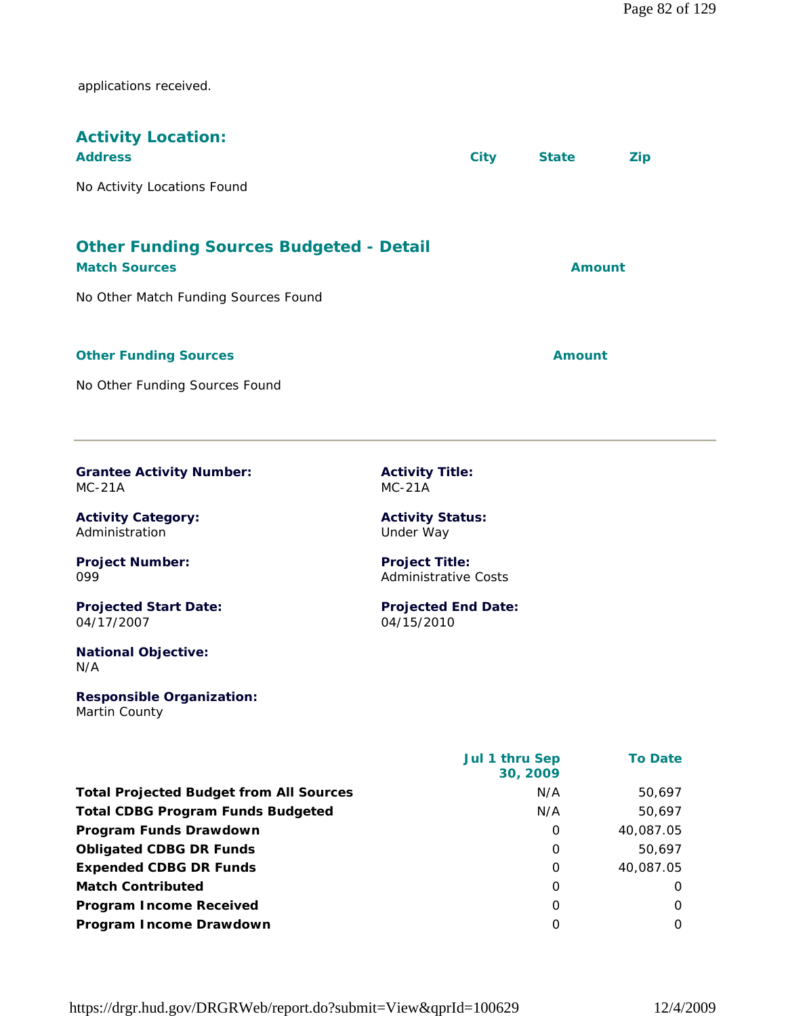applications received.

| <b>Activity Location:</b><br><b>Address</b>                            | <b>City</b> | <b>State</b> | Zip |
|------------------------------------------------------------------------|-------------|--------------|-----|
| No Activity Locations Found                                            |             |              |     |
| <b>Other Funding Sources Budgeted - Detail</b><br><b>Match Sources</b> |             | Amount       |     |
| No Other Match Funding Sources Found                                   |             |              |     |
| <b>Other Funding Sources</b>                                           |             | Amount       |     |
| No Other Funding Sources Found                                         |             |              |     |

**Grantee Activity Number:** MC-21A

**Activity Category:** Administration

**Project Number:** 099

**Projected Start Date:** 04/17/2007

**National Objective:** N/A

**Responsible Organization:** Martin County

**Activity Title:** MC-21A

**Activity Status:** Under Way

**Project Title:** Administrative Costs

**Projected End Date:** 04/15/2010

|                                                | <b>Jul 1 thru Sep</b><br>30, 2009 | <b>To Date</b> |
|------------------------------------------------|-----------------------------------|----------------|
| <b>Total Projected Budget from All Sources</b> | N/A                               | 50,697         |
| <b>Total CDBG Program Funds Budgeted</b>       | N/A                               | 50,697         |
| Program Funds Drawdown                         | 0                                 | 40,087.05      |
| <b>Obligated CDBG DR Funds</b>                 | 0                                 | 50.697         |
| <b>Expended CDBG DR Funds</b>                  | 0                                 | 40,087.05      |
| <b>Match Contributed</b>                       | O                                 | O              |
| <b>Program Income Received</b>                 | O                                 | 0              |
| Program Income Drawdown                        | O                                 | 0              |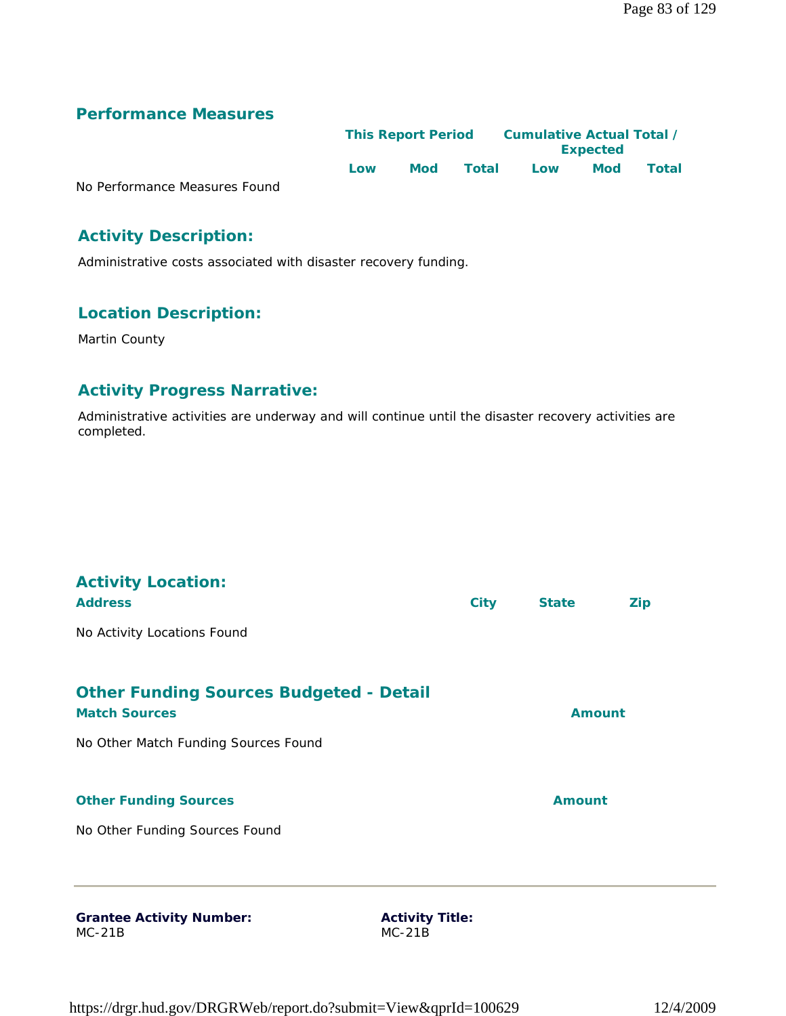### **Performance Measures**

|                               |     | <b>This Report Period</b> |       | Cumulative Actual Total /<br><b>Expected</b> |            |              |  |
|-------------------------------|-----|---------------------------|-------|----------------------------------------------|------------|--------------|--|
|                               | Low | <b>Mod</b>                | Total | Low                                          | <b>Mod</b> | <b>Total</b> |  |
| No Performance Measures Found |     |                           |       |                                              |            |              |  |

# **Activity Description:**

Administrative costs associated with disaster recovery funding.

# **Location Description:**

Martin County

### **Activity Progress Narrative:**

Administrative activities are underway and will continue until the disaster recovery activities are completed.

| <b>Grantee Activity Number:</b><br>$\overline{100}$                    | <b>Activity Title:</b><br>$\sim$ $\sim$ $\sim$ |               |            |
|------------------------------------------------------------------------|------------------------------------------------|---------------|------------|
|                                                                        |                                                |               |            |
| No Other Funding Sources Found                                         |                                                |               |            |
| <b>Other Funding Sources</b>                                           |                                                | <b>Amount</b> |            |
| No Other Match Funding Sources Found                                   |                                                |               |            |
| <b>Other Funding Sources Budgeted - Detail</b><br><b>Match Sources</b> |                                                | <b>Amount</b> |            |
| No Activity Locations Found                                            |                                                |               |            |
| <b>Activity Location:</b><br><b>Address</b>                            | <b>City</b>                                    | <b>State</b>  | <b>Zip</b> |

MC-21B

MC-21B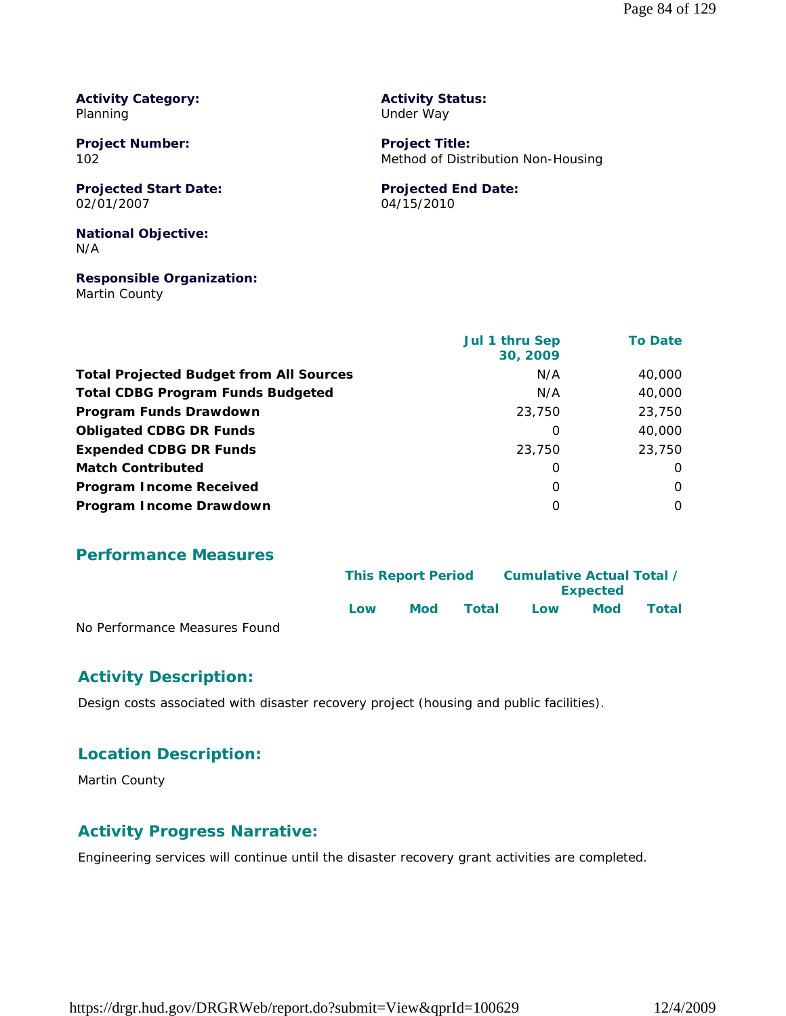**Activity Category:** Planning

**Project Number:** 102

**Projected Start Date:** 02/01/2007

#### **National Objective:** N/A

#### **Responsible Organization:** Martin County

**Activity Status:** Under Way

**Project Title:** Method of Distribution Non-Housing

#### **Projected End Date:** 04/15/2010

 **Jul 1 thru Sep 30, 2009 To Date Total Projected Budget from All Sources** M/A 40,000 **Total CDBG Program Funds Budgeted Network COBG Program Funds Budgeted Network COBG Program Program Network COBG Program Funds Drawdown** 23,750 23,750 **Obligated CDBG DR Funds 10.000 10.000 10.000 10.000 10.000 10.000 10.000 10.000 10.000 10.000 10.000 10.000 10.000 10.000 10.000 10.000 10.000 10.000 10.000 10.000 10.000 10.000 10.000 10.000 10.000 10.000 10.000 10.000 Expended CDBG DR Funds** 23,750 23,750 **Match Contributed** 0 0 **Program Income Received** 0 0 **Program Income Drawdown** 0 0

#### **Performance Measures**

|                               | <b>This Report Period</b> |     | Cumulative Actual Total /<br><b>Expected</b> |     |            |       |
|-------------------------------|---------------------------|-----|----------------------------------------------|-----|------------|-------|
|                               | l ow                      | Mod | Total                                        | Low | <b>Mod</b> | Total |
| No Performance Measures Found |                           |     |                                              |     |            |       |

#### **Activity Description:**

Design costs associated with disaster recovery project (housing and public facilities).

#### **Location Description:**

Martin County

#### **Activity Progress Narrative:**

Engineering services will continue until the disaster recovery grant activities are completed.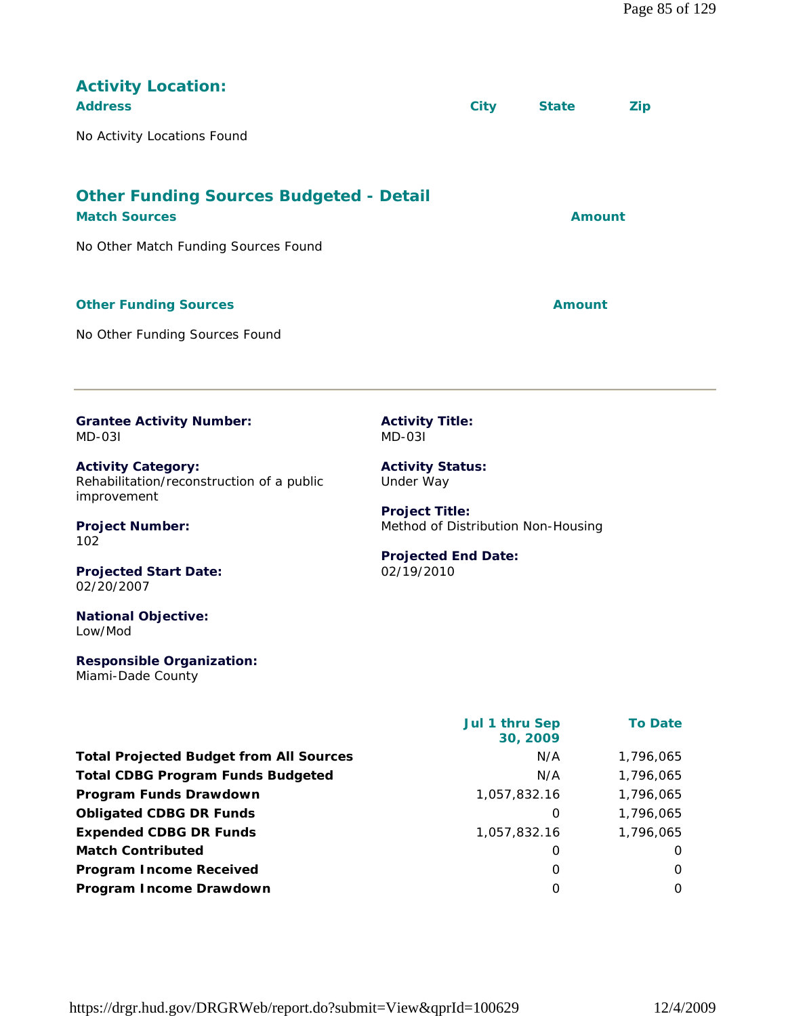| <b>Activity Location:</b><br><b>Address</b><br>No Activity Locations Found                                                 |                                                                                                         | <b>City</b> | <b>State</b>  | <b>Zip</b> |
|----------------------------------------------------------------------------------------------------------------------------|---------------------------------------------------------------------------------------------------------|-------------|---------------|------------|
| <b>Other Funding Sources Budgeted - Detail</b><br><b>Match Sources</b><br>No Other Match Funding Sources Found             |                                                                                                         |             | <b>Amount</b> |            |
| <b>Other Funding Sources</b><br>No Other Funding Sources Found                                                             |                                                                                                         |             | Amount        |            |
| <b>Grantee Activity Number:</b><br><b>MD-031</b><br><b>Activity Category:</b><br>Rehabilitation/reconstruction of a public | <b>Activity Title:</b><br>$MD-031$<br><b>Activity Status:</b><br>Under Way                              |             |               |            |
| improvement<br><b>Project Number:</b><br>102<br><b>Projected Start Date:</b><br>02/20/2007                                 | <b>Project Title:</b><br>Method of Distribution Non-Housing<br><b>Projected End Date:</b><br>02/19/2010 |             |               |            |
| <b>National Objective:</b>                                                                                                 |                                                                                                         |             |               |            |

**Responsible Organization:** Miami-Dade County

Low/Mod

|                                                | Jul 1 thru Sep<br>30, 2009 | <b>To Date</b> |
|------------------------------------------------|----------------------------|----------------|
| <b>Total Projected Budget from All Sources</b> | N/A                        | 1,796,065      |
| <b>Total CDBG Program Funds Budgeted</b>       | N/A                        | 1,796,065      |
| Program Funds Drawdown                         | 1,057,832.16               | 1,796,065      |
| <b>Obligated CDBG DR Funds</b>                 | 0                          | 1,796,065      |
| <b>Expended CDBG DR Funds</b>                  | 1,057,832.16               | 1,796,065      |
| <b>Match Contributed</b>                       | 0                          | $\Omega$       |
| <b>Program Income Received</b>                 | $\Omega$                   | $\Omega$       |
| Program Income Drawdown                        | $\Omega$                   | 0              |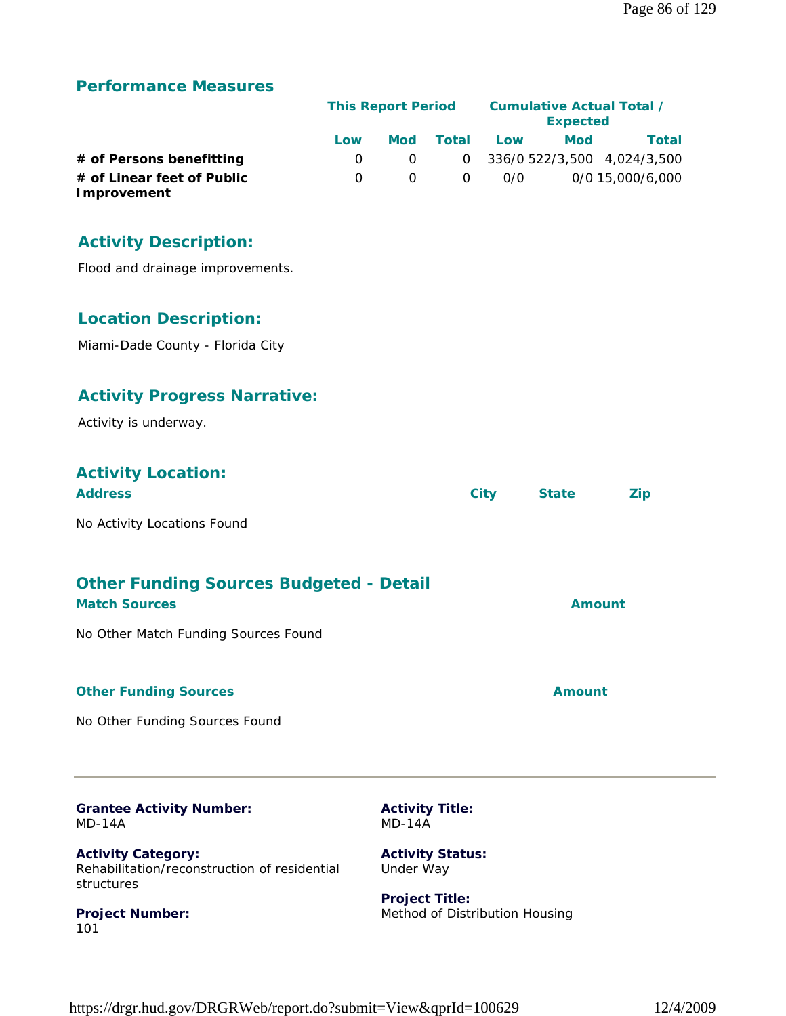#### **Performance Measures**

|                                           |              | <b>This Report Period</b> |          |     | Cumulative Actual Total /<br><b>Expected</b> |                             |  |  |
|-------------------------------------------|--------------|---------------------------|----------|-----|----------------------------------------------|-----------------------------|--|--|
|                                           | Low          | <b>Mod</b>                | Total    | Low | Mod                                          | Total                       |  |  |
| # of Persons benefitting                  |              |                           | $\Omega$ |     |                                              | 336/0 522/3,500 4,024/3,500 |  |  |
| # of Linear feet of Public<br>Improvement | <sup>n</sup> |                           | $\Omega$ | 0/0 |                                              | 0/0 15,000/6,000            |  |  |

#### **Activity Description:**

Flood and drainage improvements.

#### **Location Description:**

Miami-Dade County - Florida City

### **Activity Progress Narrative:**

Activity is underway.

#### **Activity Location:**

| <b>Address</b>              | City | <b>State</b> | Zip |
|-----------------------------|------|--------------|-----|
| No Activity Locations Found |      |              |     |

# **Other Funding Sources Budgeted - Detail**

| <b>Match Sources</b>                 | <b>Amount</b> |
|--------------------------------------|---------------|
| No Other Match Funding Sources Found |               |
| <b>Other Funding Sources</b>         | Amount        |

No Other Funding Sources Found

**Project Number:**

101

| <b>Grantee Activity Number:</b>                                                         | <b>Activity Title:</b>               |
|-----------------------------------------------------------------------------------------|--------------------------------------|
| $MD-14A$                                                                                | $MD-14A$                             |
| <b>Activity Category:</b><br>Rehabilitation/reconstruction of residential<br>structures | <b>Activity Status:</b><br>Under Way |

**Project Title:** Method of Distribution Housing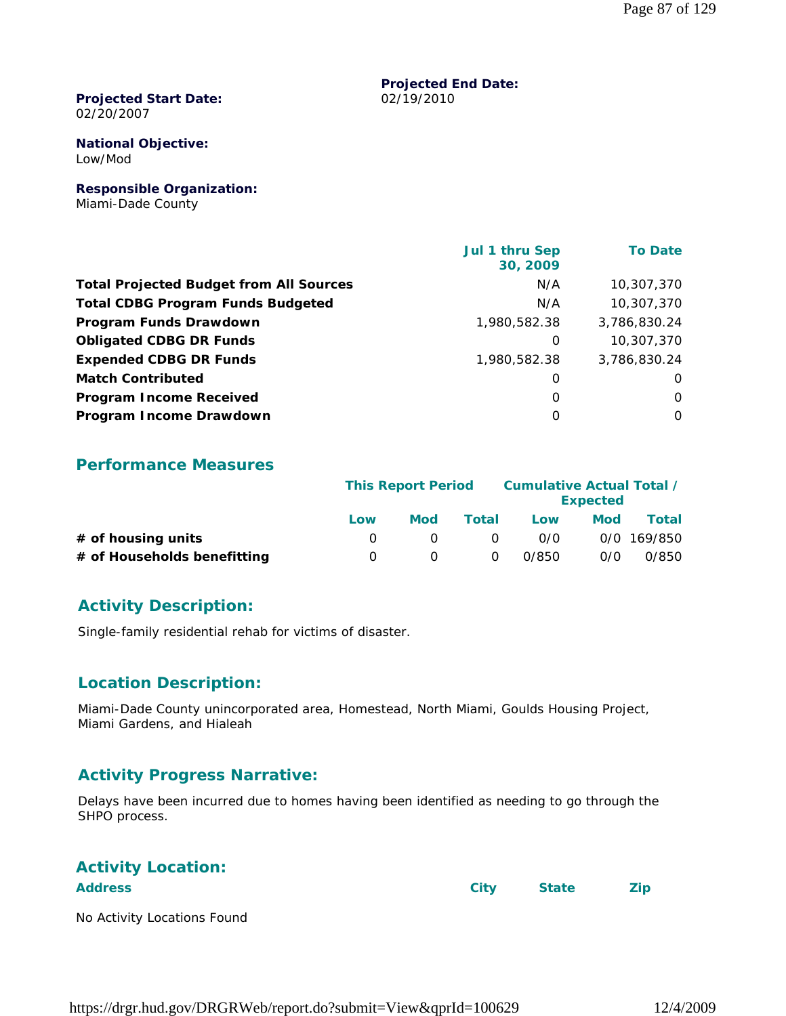#### **Projected Start Date:** 02/20/2007

#### **National Objective:** Low/Mod

**Responsible Organization:** Miami-Dade County

|                                                | Jul 1 thru Sep<br>30, 2009 | <b>To Date</b> |
|------------------------------------------------|----------------------------|----------------|
| <b>Total Projected Budget from All Sources</b> | N/A                        | 10,307,370     |
| <b>Total CDBG Program Funds Budgeted</b>       | N/A                        | 10,307,370     |
| Program Funds Drawdown                         | 1,980,582.38               | 3,786,830.24   |
| <b>Obligated CDBG DR Funds</b>                 | 0                          | 10,307,370     |
| <b>Expended CDBG DR Funds</b>                  | 1,980,582.38               | 3,786,830.24   |
| <b>Match Contributed</b>                       | 0                          | $\Omega$       |
| <b>Program Income Received</b>                 | 0                          | $\Omega$       |
| Program Income Drawdown                        | O                          | $\Omega$       |

**Projected End Date:**

02/19/2010

#### **Performance Measures**

|                             |                  | <b>This Report Period</b> |              | Cumulative Actual Total /<br><b>Expected</b> |     |             |
|-----------------------------|------------------|---------------------------|--------------|----------------------------------------------|-----|-------------|
|                             | Low              | Mod                       | <b>Total</b> | Low                                          | Mod | Total       |
| $#$ of housing units        |                  |                           | 0            | 0/0                                          |     | 0/0 169/850 |
| # of Households benefitting | $\left( \right)$ |                           | $\Omega$     | 0/850                                        | 0/0 | 0/850       |

#### **Activity Description:**

Single-family residential rehab for victims of disaster.

#### **Location Description:**

Miami-Dade County unincorporated area, Homestead, North Miami, Goulds Housing Project, Miami Gardens, and Hialeah

#### **Activity Progress Narrative:**

Delays have been incurred due to homes having been identified as needing to go through the SHPO process.

| <b>Activity Location:</b>   |      |              |     |
|-----------------------------|------|--------------|-----|
| <b>Address</b>              | City | <b>State</b> | Zip |
| No Activity Locations Found |      |              |     |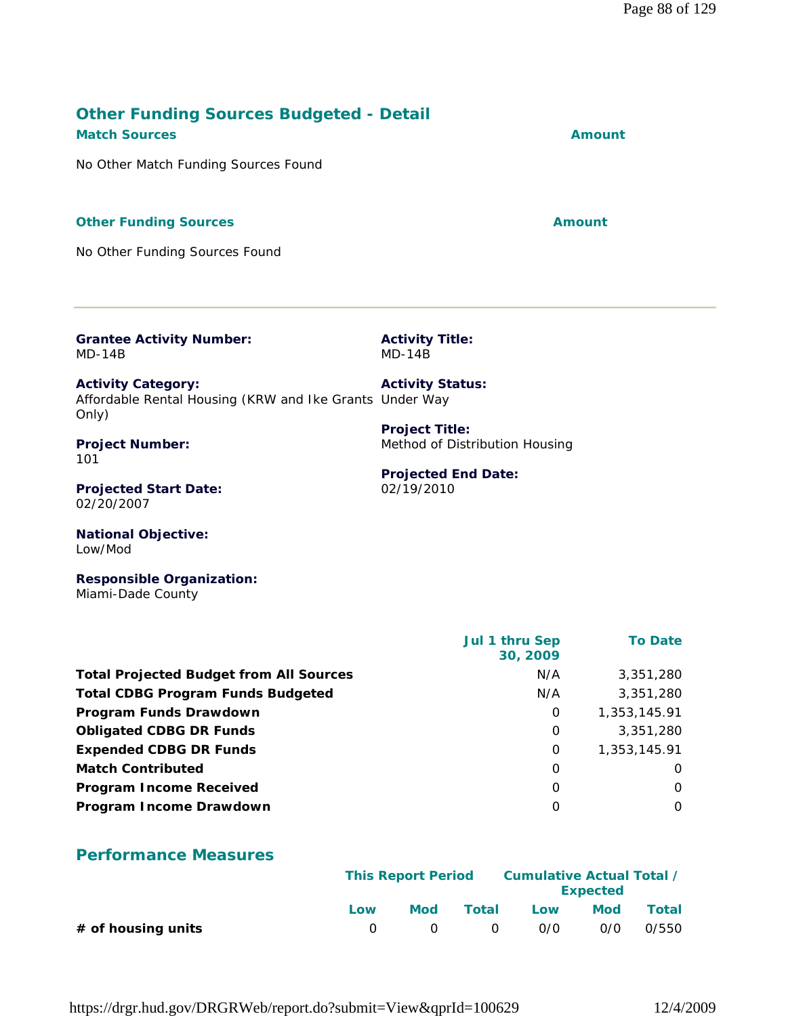#### **Other Funding Sources Budgeted - Detail Match Sources Amount**

No Other Match Funding Sources Found

#### **Other Funding Sources Amount**

No Other Funding Sources Found

**Grantee Activity Number:** MD-14B

**Activity Category:** Affordable Rental Housing (KRW and Ike Grants Under Way Only) **Activity Status: Project Title:**

**Project Number:** 101

**Projected Start Date:** 02/20/2007

**National Objective:** Low/Mod

**Responsible Organization:** Miami-Dade County

|                                                | Jul 1 thru Sep<br>30, 2009 | <b>To Date</b> |
|------------------------------------------------|----------------------------|----------------|
| <b>Total Projected Budget from All Sources</b> | N/A                        | 3,351,280      |
| <b>Total CDBG Program Funds Budgeted</b>       | N/A                        | 3,351,280      |
| Program Funds Drawdown                         | 0                          | 1,353,145.91   |
| <b>Obligated CDBG DR Funds</b>                 | 0                          | 3,351,280      |
| <b>Expended CDBG DR Funds</b>                  | 0                          | 1,353,145.91   |
| <b>Match Contributed</b>                       | 0                          | 0              |
| <b>Program Income Received</b>                 | $\Omega$                   | $\Omega$       |
| Program Income Drawdown                        | O                          | $\Omega$       |

# **Performance Measures**

|                      |     | <b>This Report Period</b> |            | Cumulative Actual Total /<br><b>Expected</b> |            |       |
|----------------------|-----|---------------------------|------------|----------------------------------------------|------------|-------|
|                      | Low | <b>Mod</b>                | Total      | Low                                          | <b>Mod</b> | Total |
| $#$ of housing units |     | $\bigcirc$                | $\bigcirc$ | 0/0                                          | 0/0        | 0/550 |

https://drgr.hud.gov/DRGRWeb/report.do?submit=View&qprId=100629 12/4/2009

**Projected End Date:**

Method of Distribution Housing

**Activity Title:** MD-14B

02/19/2010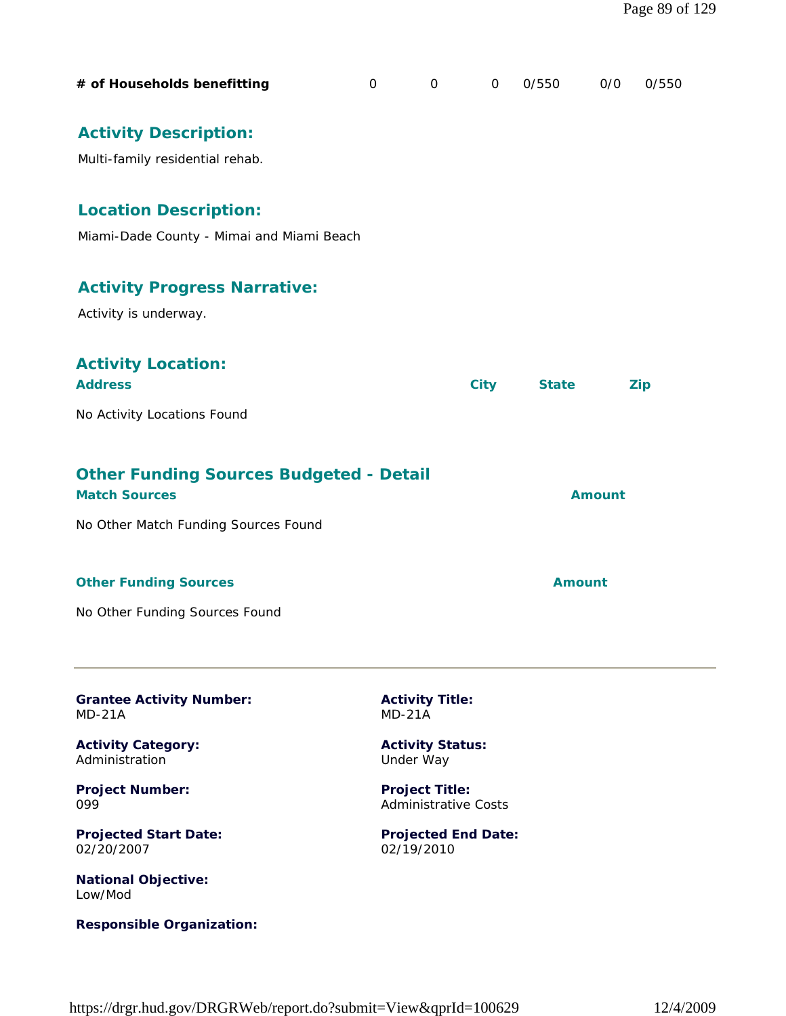| # of Households benefitting                                               | $\mathbf 0$ | $\mathbf 0$                          | $\mathbf 0$ | 0/550         | 0/0           | 0/550      |
|---------------------------------------------------------------------------|-------------|--------------------------------------|-------------|---------------|---------------|------------|
| <b>Activity Description:</b><br>Multi-family residential rehab.           |             |                                      |             |               |               |            |
| <b>Location Description:</b><br>Miami-Dade County - Mimai and Miami Beach |             |                                      |             |               |               |            |
| <b>Activity Progress Narrative:</b><br>Activity is underway.              |             |                                      |             |               |               |            |
| <b>Activity Location:</b><br><b>Address</b>                               |             |                                      | <b>City</b> | <b>State</b>  |               | <b>Zip</b> |
| No Activity Locations Found                                               |             |                                      |             |               |               |            |
| <b>Other Funding Sources Budgeted - Detail</b><br><b>Match Sources</b>    |             |                                      |             |               | <b>Amount</b> |            |
| No Other Match Funding Sources Found                                      |             |                                      |             |               |               |            |
| <b>Other Funding Sources</b>                                              |             |                                      |             | <b>Amount</b> |               |            |
| No Other Funding Sources Found                                            |             |                                      |             |               |               |            |
| <b>Grantee Activity Number:</b><br>$MD-21A$                               |             | <b>Activity Title:</b><br>$MD-21A$   |             |               |               |            |
| <b>Activity Category:</b><br>Administration                               |             | <b>Activity Status:</b><br>Under Way |             |               |               |            |

**Project Number:** 099

**Projected Start Date:** 02/20/2007

**National Objective:** Low/Mod

**Responsible Organization:**

**Project Title:** Administrative Costs

**Projected End Date:** 02/19/2010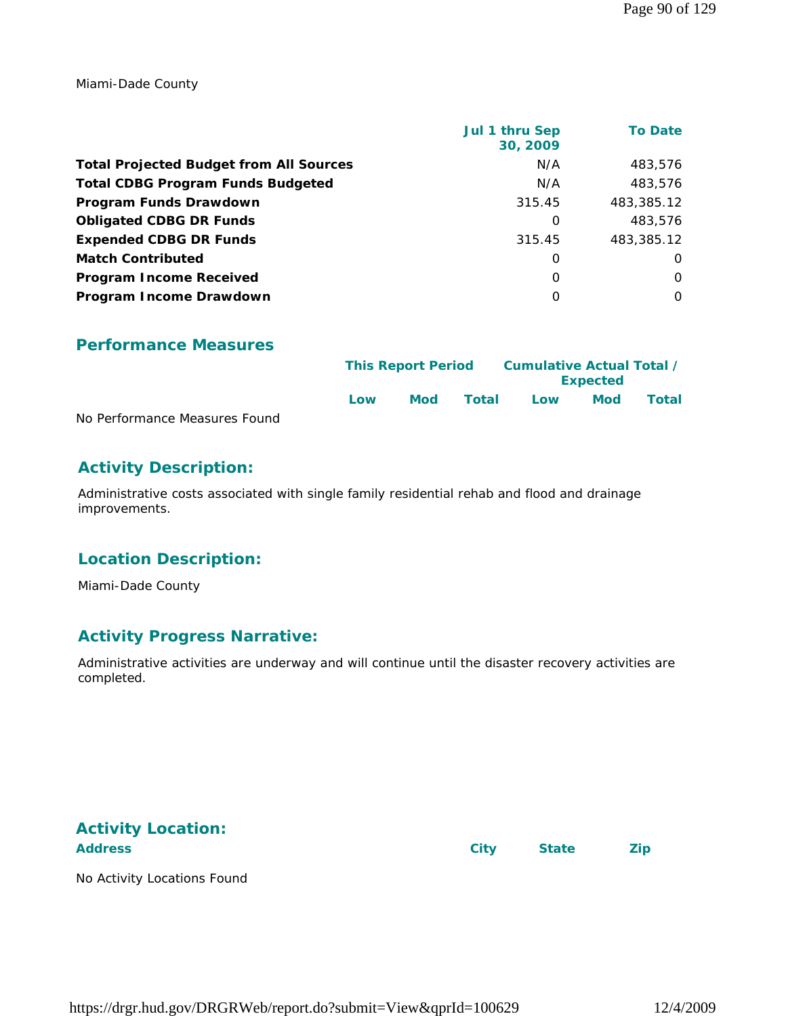Miami-Dade County

|                                                | <b>Jul 1 thru Sep</b><br>30, 2009 | <b>To Date</b> |
|------------------------------------------------|-----------------------------------|----------------|
| <b>Total Projected Budget from All Sources</b> | N/A                               | 483.576        |
| <b>Total CDBG Program Funds Budgeted</b>       | N/A                               | 483,576        |
| Program Funds Drawdown                         | 315.45                            | 483,385.12     |
| <b>Obligated CDBG DR Funds</b>                 | 0                                 | 483,576        |
| <b>Expended CDBG DR Funds</b>                  | 315.45                            | 483,385.12     |
| <b>Match Contributed</b>                       | $\Omega$                          | $\Omega$       |
| <b>Program Income Received</b>                 | 0                                 | $\Omega$       |
| Program Income Drawdown                        | $\Omega$                          | $\Omega$       |

#### **Performance Measures**

|                               |     | <b>This Report Period</b> |       | Cumulative Actual Total / |                 |       |
|-------------------------------|-----|---------------------------|-------|---------------------------|-----------------|-------|
|                               |     |                           |       |                           | <b>Expected</b> |       |
|                               | Low | <b>Mod</b>                | Total | Low                       | Mod             | Total |
| No Performance Measures Found |     |                           |       |                           |                 |       |

#### **Activity Description:**

Administrative costs associated with single family residential rehab and flood and drainage improvements.

#### **Location Description:**

Miami-Dade County

#### **Activity Progress Narrative:**

Administrative activities are underway and will continue until the disaster recovery activities are completed.

# **Activity Location:**

Address **City** State **Zip** 

No Activity Locations Found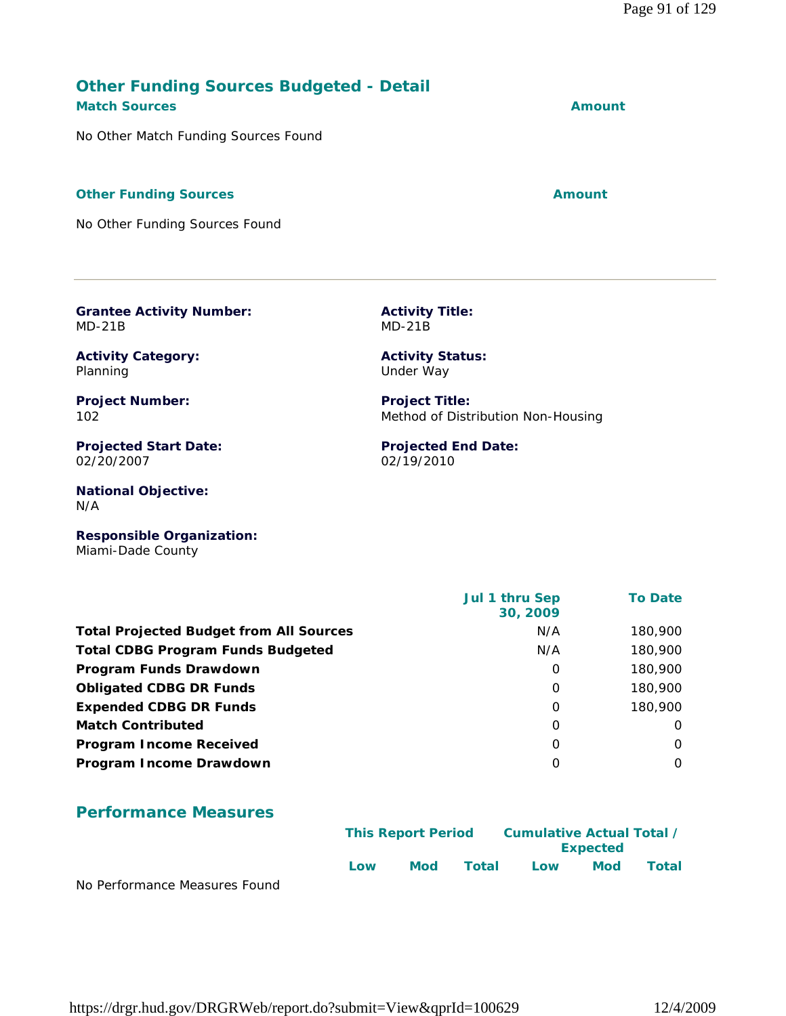#### **Other Funding Sources Budgeted - Detail Match Sources Amount**

No Other Match Funding Sources Found

#### **Other Funding Sources Amount**

No Other Funding Sources Found

**Grantee Activity Number:** MD-21B

**Activity Category:** Planning

**Project Number:** 102

**Projected Start Date:** 02/20/2007

**National Objective:** N/A

**Responsible Organization:** Miami-Dade County

| Jul 1 thru Sep<br>30, 2009 | <b>To Date</b> |
|----------------------------|----------------|
| N/A                        | 180,900        |
| N/A                        | 180,900        |
| 0                          | 180,900        |
| $\Omega$                   | 180,900        |
| 0                          | 180,900        |
| 0                          | $\Omega$       |
| 0                          | O              |
| 0                          | O              |
|                            |                |

#### **Performance Measures**

|                               |     | <b>This Report Period</b> |       | Cumulative Actual Total / | <b>Expected</b> |       |
|-------------------------------|-----|---------------------------|-------|---------------------------|-----------------|-------|
| No Derformance Messures Found | Low | Mod                       | Total | Low                       | <b>Mod</b>      | Total |

No Performance Measures Found

**Activity Title:** MD-21B

**Activity Status:** Under Way

**Project Title:** Method of Distribution Non-Housing

**Projected End Date:** 02/19/2010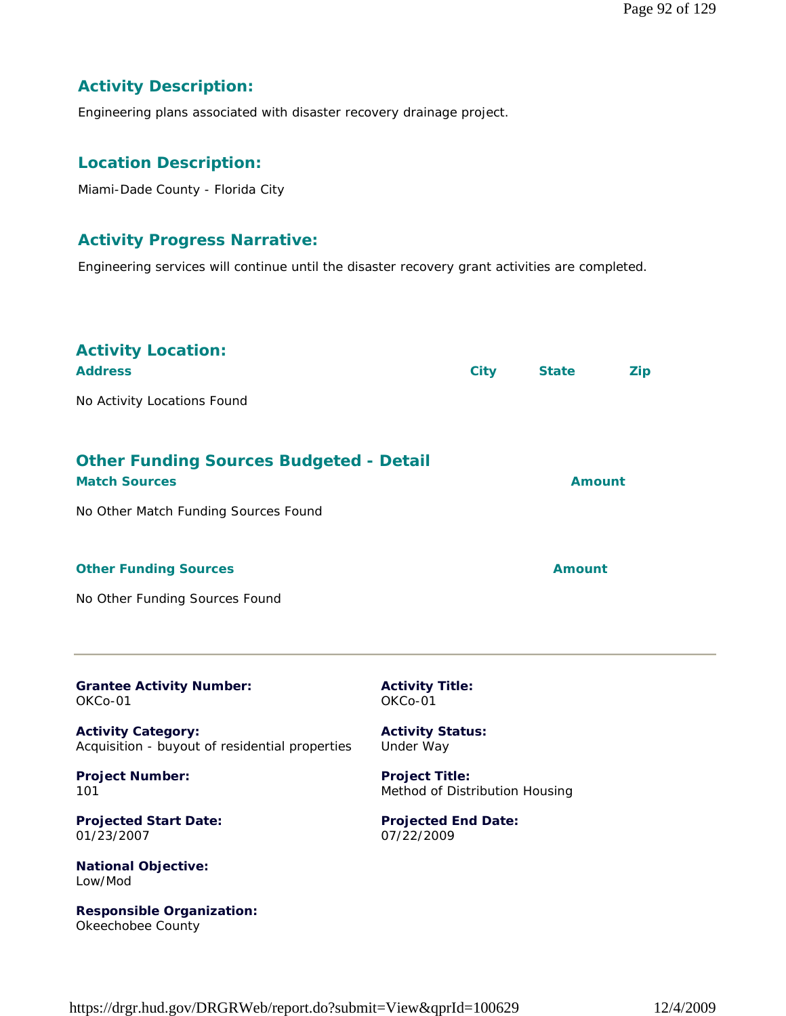### **Activity Description:**

Engineering plans associated with disaster recovery drainage project.

#### **Location Description:**

Miami-Dade County - Florida City

#### **Activity Progress Narrative:**

Engineering services will continue until the disaster recovery grant activities are completed.

| <b>Activity Location:</b><br><b>Address</b><br>No Activity Locations Found                                     |                                                         | <b>City</b> | <b>State</b>  | <b>Zip</b> |
|----------------------------------------------------------------------------------------------------------------|---------------------------------------------------------|-------------|---------------|------------|
|                                                                                                                |                                                         |             |               |            |
| <b>Other Funding Sources Budgeted - Detail</b><br><b>Match Sources</b><br>No Other Match Funding Sources Found |                                                         |             | <b>Amount</b> |            |
| <b>Other Funding Sources</b><br>No Other Funding Sources Found                                                 |                                                         |             | <b>Amount</b> |            |
| <b>Grantee Activity Number:</b><br>OKCo-01                                                                     | <b>Activity Title:</b><br>OKCo-01                       |             |               |            |
| <b>Activity Category:</b><br>Acquisition - buyout of residential properties                                    | <b>Activity Status:</b><br>Under Way                    |             |               |            |
| <b>Project Number:</b><br>101                                                                                  | <b>Project Title:</b><br>Method of Distribution Housing |             |               |            |
| <b>Projected Start Date:</b><br>01/23/2007                                                                     | <b>Projected End Date:</b><br>07/22/2009                |             |               |            |
| <b>National Objective:</b><br>Low/Mod                                                                          |                                                         |             |               |            |

**Responsible Organization:**

Okeechobee County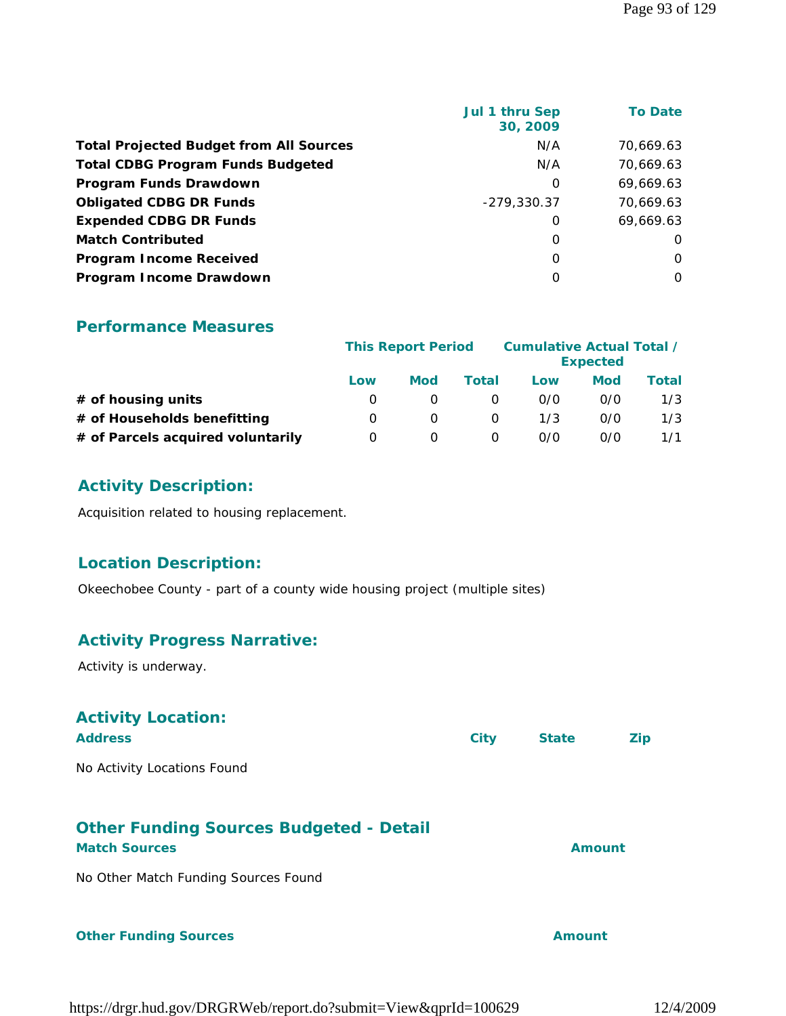| <b>Total Projected Budget from All Sources</b><br>N/A | 70,669.63<br>70,669.63 |
|-------------------------------------------------------|------------------------|
|                                                       |                        |
| <b>Total CDBG Program Funds Budgeted</b><br>N/A       |                        |
| Program Funds Drawdown<br>0                           | 69,669.63              |
| <b>Obligated CDBG DR Funds</b><br>$-279,330.37$       | 70.669.63              |
| <b>Expended CDBG DR Funds</b><br>0                    | 69,669.63              |
| <b>Match Contributed</b><br>0                         | O                      |
| <b>Program Income Received</b><br>$\Omega$            | 0                      |
| Program Income Drawdown<br>0                          | $\Omega$               |

#### **Performance Measures**

|                                   | <b>This Report Period</b> |            |          | Cumulative Actual Total / | <b>Expected</b> |       |
|-----------------------------------|---------------------------|------------|----------|---------------------------|-----------------|-------|
|                                   | Low                       | <b>Mod</b> | Total    | Low                       | Mod             | Total |
| $#$ of housing units              |                           |            |          | 0/0                       | 0/0             | 1/3   |
| # of Households benefitting       | $\left( \right)$          | $\Omega$   | $\Omega$ | 1/3                       | 0/0             | 1/3   |
| # of Parcels acquired voluntarily | O                         |            | $\Omega$ | 0/0                       | 0/0             | 1/1   |

#### **Activity Description:**

Acquisition related to housing replacement.

#### **Location Description:**

Okeechobee County - part of a county wide housing project (multiple sites)

# **Activity Progress Narrative:**

Activity is underway.

| <b>Activity Location:</b><br><b>Address</b>                            | <b>City</b> | <b>State</b> | Zip |
|------------------------------------------------------------------------|-------------|--------------|-----|
| No Activity Locations Found                                            |             |              |     |
| <b>Other Funding Sources Budgeted - Detail</b><br><b>Match Sources</b> |             | Amount       |     |
| No Other Match Funding Sources Found                                   |             |              |     |

#### **Other Funding Sources Amount Amount**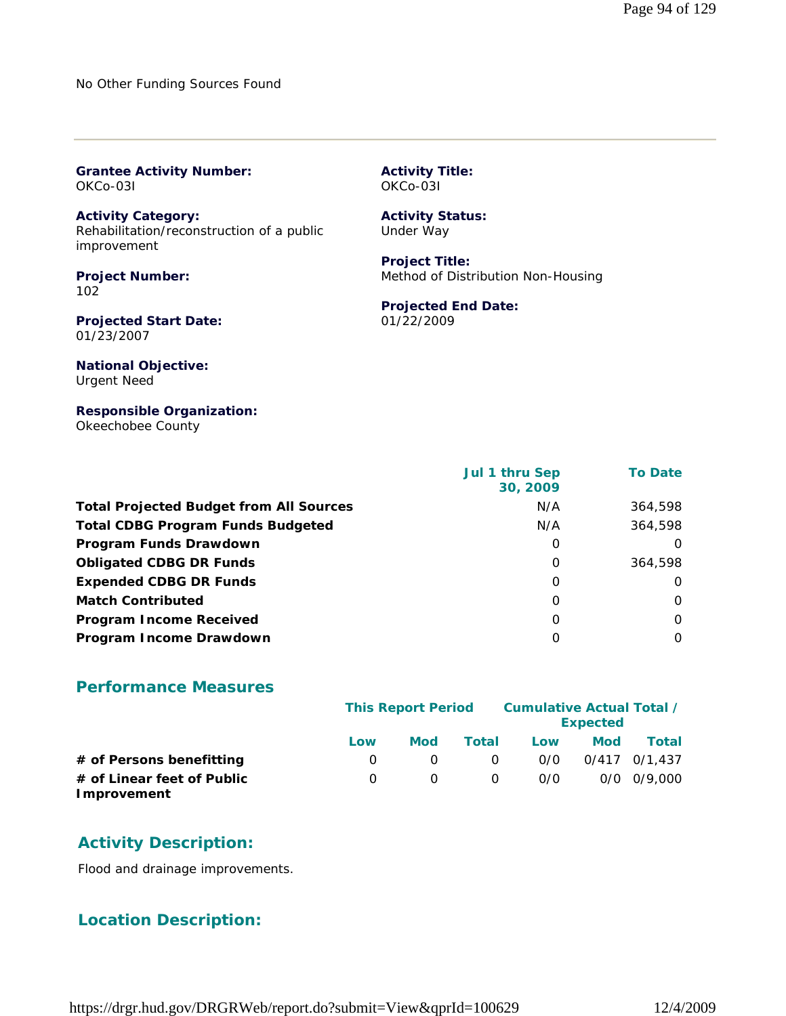No Other Funding Sources Found

| <b>Grantee Activity Number:</b> |  |
|---------------------------------|--|
| OKCo-03I                        |  |

**Activity Category:** Rehabilitation/reconstruction of a public improvement

**Project Number:** 102

**Projected Start Date:** 01/23/2007

**National Objective:** Urgent Need

**Responsible Organization:** Okeechobee County

|                                                | Jul 1 thru Sep<br>30, 2009 | <b>To Date</b> |
|------------------------------------------------|----------------------------|----------------|
| <b>Total Projected Budget from All Sources</b> | N/A                        | 364,598        |
| <b>Total CDBG Program Funds Budgeted</b>       | N/A                        | 364,598        |
| Program Funds Drawdown                         | 0                          | O              |
| <b>Obligated CDBG DR Funds</b>                 | 0                          | 364,598        |
| <b>Expended CDBG DR Funds</b>                  | 0                          | $\Omega$       |
| <b>Match Contributed</b>                       | $\Omega$                   | $\Omega$       |
| <b>Program Income Received</b>                 | $\Omega$                   | $\Omega$       |
| Program Income Drawdown                        | O                          | $\Omega$       |

**Activity Title:** OKCo-03I

**Activity Status:** Under Way

**Project Title:**

01/22/2009

**Projected End Date:**

Method of Distribution Non-Housing

#### **Performance Measures**

|                                           | <b>This Report Period</b> | Cumulative Actual Total / | <b>Expected</b> |     |            |                 |
|-------------------------------------------|---------------------------|---------------------------|-----------------|-----|------------|-----------------|
|                                           | Low                       | <b>Mod</b>                | Total           | Low | <b>Mod</b> | <b>Total</b>    |
| # of Persons benefitting                  |                           |                           | $\Omega$        | 0/0 |            | 0/417 0/1.437   |
| # of Linear feet of Public<br>Improvement |                           |                           | $\Omega$        | 0/0 |            | $0/0$ $0/9.000$ |

#### **Activity Description:**

Flood and drainage improvements.

#### **Location Description:**

https://drgr.hud.gov/DRGRWeb/report.do?submit=View&qprId=100629 12/4/2009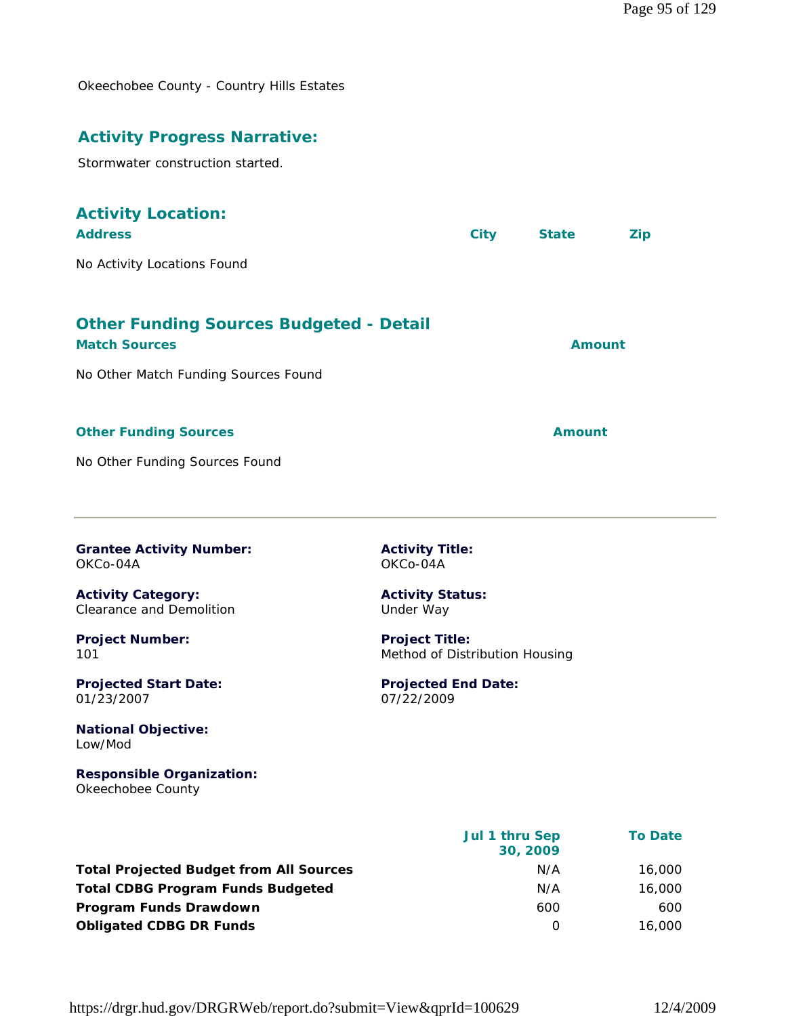Okeechobee County - Country Hills Estates

#### **Activity Progress Narrative:**

Stormwater construction started.

#### **Activity Location:**

| <b>Address</b>                                 | <b>City</b> | <b>State</b> | Zip |
|------------------------------------------------|-------------|--------------|-----|
| No Activity Locations Found                    |             |              |     |
| <b>Other Funding Sources Budgeted - Detail</b> |             |              |     |
| <b>Match Sources</b>                           |             | Amount       |     |

No Other Match Funding Sources Found

#### **Other Funding Sources Amount Amount Amount**

No Other Funding Sources Found

**Grantee Activity Number:** OKCo-04A

**Activity Category:** Clearance and Demolition

**Project Number:** 101

**Projected Start Date:** 01/23/2007

**National Objective:** Low/Mod

**Responsible Organization:** Okeechobee County

 **Jul 1 thru Sep 30, 2009 To Date Total Projected Budget from All Sources** M/A 16,000 **Total CDBG Program Funds Budgeted N/A 16,000 Program Funds Drawdown 600 600 600 600 600 600 600 600 Obligated CDBG DR Funds 16,000 16,000** 

**Activity Title:** OKCo-04A

**Activity Status:** Under Way

**Project Title:** Method of Distribution Housing

**Projected End Date:** 07/22/2009

https://drgr.hud.gov/DRGRWeb/report.do?submit=View&qprId=100629 12/4/2009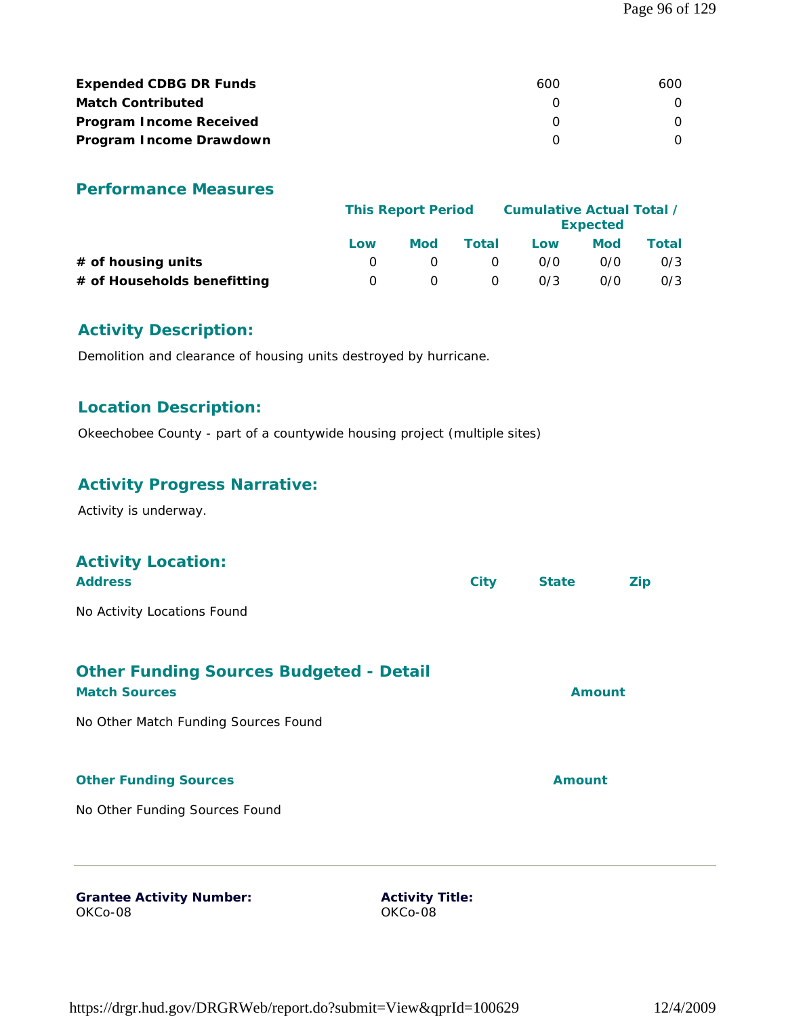| <b>Expended CDBG DR Funds</b>  | 600 | 600 |
|--------------------------------|-----|-----|
| <b>Match Contributed</b>       |     |     |
| <b>Program Income Received</b> |     |     |
| Program Income Drawdown        |     |     |

#### **Performance Measures**

|                             | Cumulative Actual Total /<br><b>This Report Period</b> |     |          |     | <b>Expected</b> |       |
|-----------------------------|--------------------------------------------------------|-----|----------|-----|-----------------|-------|
|                             | Low                                                    | Mod | Total    | Low | <b>Mod</b>      | Total |
| $#$ of housing units        |                                                        |     | $\Omega$ | 0/0 | 0/0             | 0/3   |
| # of Households benefitting | $\left( \right)$                                       |     | $\Omega$ | 0/3 | 0/0             | 0/3   |

#### **Activity Description:**

Demolition and clearance of housing units destroyed by hurricane.

#### **Location Description:**

Okeechobee County - part of a countywide housing project (multiple sites)

#### **Activity Progress Narrative:**

Activity is underway.

#### **Activity Location:**

| <b>Address</b>              | City | <b>State</b> | <b>Zip</b> |
|-----------------------------|------|--------------|------------|
| No Activity Locations Found |      |              |            |

#### **Other Funding Sources Budgeted - Detail Match Sources Amount**

No Other Match Funding Sources Found

#### **Other Funding Sources Amount**

No Other Funding Sources Found

**Grantee Activity Number:** OKCo-08

**Activity Title:** OKCo-08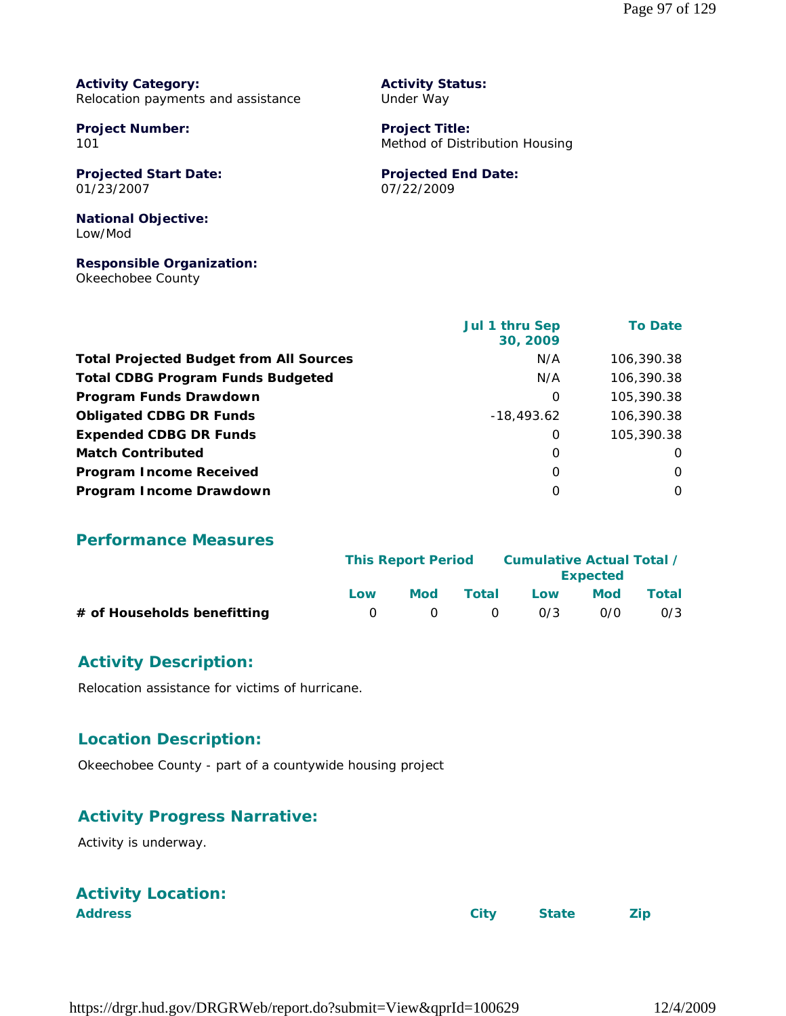**Activity Category:** Relocation payments and assistance

**Project Number:** 101

**Projected Start Date:** 01/23/2007

**National Objective:** Low/Mod

**Responsible Organization:** Okeechobee County

|                                                | Jul 1 thru Sep<br>30, 2009 | <b>To Date</b> |
|------------------------------------------------|----------------------------|----------------|
| <b>Total Projected Budget from All Sources</b> | N/A                        | 106,390.38     |
| <b>Total CDBG Program Funds Budgeted</b>       | N/A                        | 106,390.38     |
| Program Funds Drawdown                         | 0                          | 105,390.38     |
| <b>Obligated CDBG DR Funds</b>                 | $-18,493.62$               | 106,390.38     |
| <b>Expended CDBG DR Funds</b>                  | 0                          | 105,390.38     |
| <b>Match Contributed</b>                       | 0                          | 0              |
| <b>Program Income Received</b>                 | 0                          | 0              |
| Program Income Drawdown                        | 0                          | 0              |

**Activity Status:** Under Way

**Project Title:**

07/22/2009

**Projected End Date:**

Method of Distribution Housing

#### **Performance Measures**

|                             | <b>This Report Period</b> |        |                | Cumulative Actual Total /<br><b>Expected</b> |            |       |
|-----------------------------|---------------------------|--------|----------------|----------------------------------------------|------------|-------|
|                             | Low                       | Mod    | Total          | Low                                          | <b>Mod</b> | Total |
| # of Households benefitting |                           | $\cap$ | $\overline{0}$ | 0/3                                          | 0/0        | 0/3   |

#### **Activity Description:**

Relocation assistance for victims of hurricane.

#### **Location Description:**

Okeechobee County - part of a countywide housing project

#### **Activity Progress Narrative:**

Activity is underway.

# **Activity Location:**

**Address City State Zip**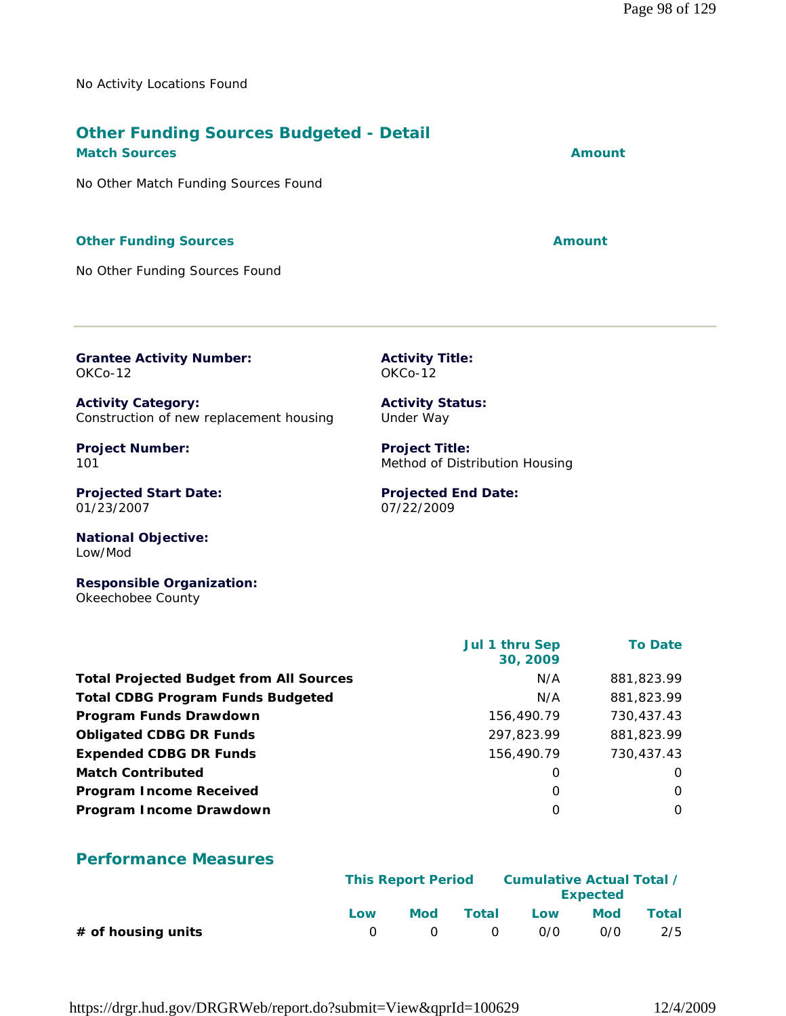No Activity Locations Found

# **Other Funding Sources Budgeted - Detail**

**Match Sources Amount Amount Amount Amount** 

No Other Match Funding Sources Found

#### **Other Funding Sources Amount Amount Amount**

No Other Funding Sources Found

**Grantee Activity Number:** OKCo-12

**Activity Title:** OKCo-12

**Activity Category:** Construction of new replacement housing

**Project Number:** 101

**Projected Start Date:** 01/23/2007

**National Objective:** Low/Mod

**Responsible Organization:** Okeechobee County

|                                                | Jul 1 thru Sep<br>30, 2009 | <b>To Date</b> |
|------------------------------------------------|----------------------------|----------------|
| <b>Total Projected Budget from All Sources</b> | N/A                        | 881,823.99     |
| <b>Total CDBG Program Funds Budgeted</b>       | N/A                        | 881,823.99     |
| Program Funds Drawdown                         | 156,490.79                 | 730,437.43     |
| <b>Obligated CDBG DR Funds</b>                 | 297,823.99                 | 881,823.99     |
| <b>Expended CDBG DR Funds</b>                  | 156,490.79                 | 730,437.43     |
| <b>Match Contributed</b>                       | O                          | O              |
| <b>Program Income Received</b>                 | 0                          | 0              |
| Program Income Drawdown                        | O                          | $\Omega$       |

#### **Performance Measures**

|                      | <b>This Report Period</b> |            |          | Cumulative Actual Total /<br><b>Expected</b> |     |       |
|----------------------|---------------------------|------------|----------|----------------------------------------------|-----|-------|
|                      | Low                       | Mod        | Total    | Low                                          | Mod | Total |
| $#$ of housing units |                           | $\bigcirc$ | $\Omega$ | 0/0                                          | 0/0 | 2/5   |

**Activity Status:** Under Way

**Project Title:** Method of Distribution Housing

**Projected End Date:** 07/22/2009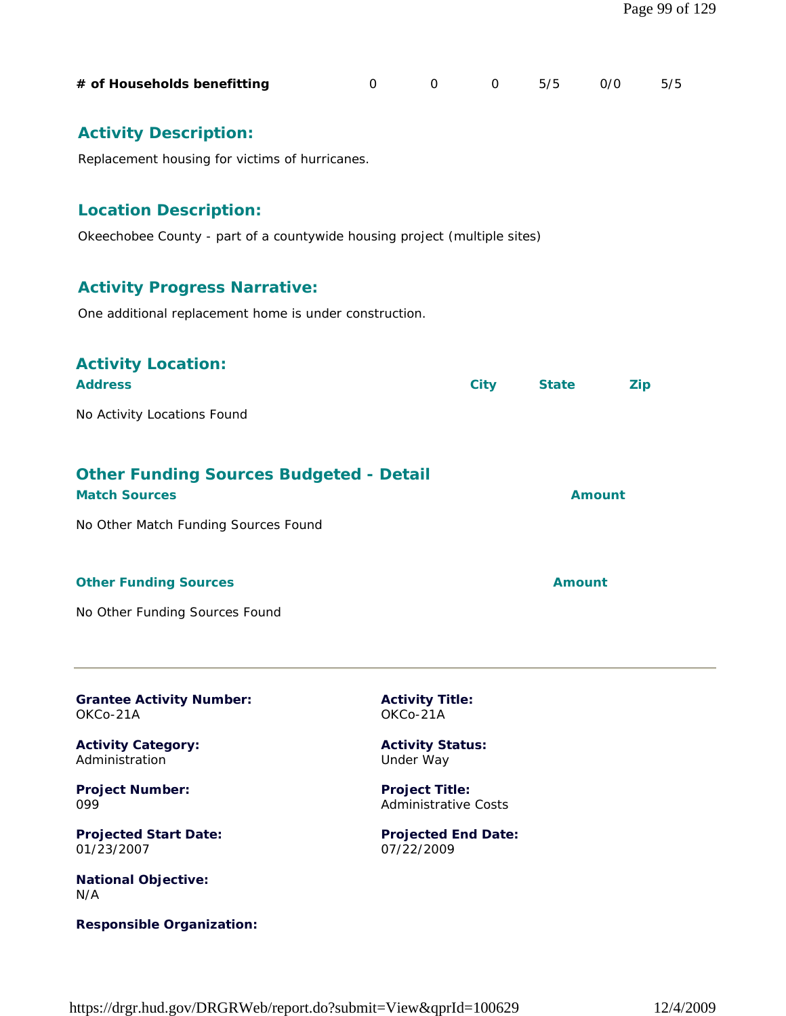| # of Households benefitting                                                                               | $\Omega$ | $\Omega$                                             | $\overline{O}$ and $\overline{O}$ | 5/5           | O/O           | 5/5 |  |  |  |
|-----------------------------------------------------------------------------------------------------------|----------|------------------------------------------------------|-----------------------------------|---------------|---------------|-----|--|--|--|
| <b>Activity Description:</b><br>Replacement housing for victims of hurricanes.                            |          |                                                      |                                   |               |               |     |  |  |  |
| <b>Location Description:</b><br>Okeechobee County - part of a countywide housing project (multiple sites) |          |                                                      |                                   |               |               |     |  |  |  |
| <b>Activity Progress Narrative:</b><br>One additional replacement home is under construction.             |          |                                                      |                                   |               |               |     |  |  |  |
| <b>Activity Location:</b><br><b>Address</b>                                                               |          |                                                      | <b>City</b>                       | <b>State</b>  | <b>Zip</b>    |     |  |  |  |
| No Activity Locations Found                                                                               |          |                                                      |                                   |               |               |     |  |  |  |
| <b>Other Funding Sources Budgeted - Detail</b><br><b>Match Sources</b>                                    |          |                                                      |                                   |               | <b>Amount</b> |     |  |  |  |
| No Other Match Funding Sources Found                                                                      |          |                                                      |                                   |               |               |     |  |  |  |
| <b>Other Funding Sources</b>                                                                              |          |                                                      |                                   | <b>Amount</b> |               |     |  |  |  |
| No Other Funding Sources Found                                                                            |          |                                                      |                                   |               |               |     |  |  |  |
| <b>Grantee Activity Number:</b><br>OKCo-21A                                                               |          | <b>Activity Title:</b><br>OKCo-21A                   |                                   |               |               |     |  |  |  |
| <b>Activity Category:</b><br>Administration                                                               |          | <b>Activity Status:</b><br>Under Way                 |                                   |               |               |     |  |  |  |
| <b>Project Number:</b><br>099                                                                             |          | <b>Project Title:</b><br><b>Administrative Costs</b> |                                   |               |               |     |  |  |  |
| <b>Projected Start Date:</b><br>01/23/2007                                                                |          | 07/22/2009                                           | <b>Projected End Date:</b>        |               |               |     |  |  |  |

**National Objective:** N/A

**Responsible Organization:**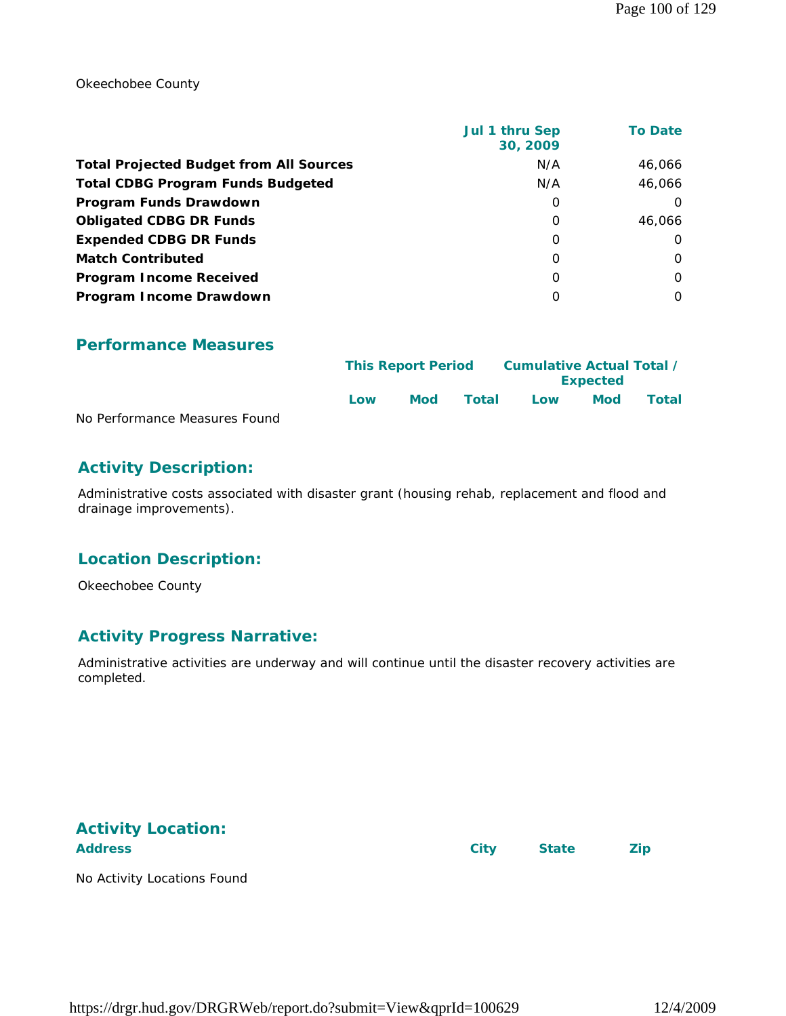Okeechobee County

|                                                | Jul 1 thru Sep<br>30, 2009 | <b>To Date</b> |
|------------------------------------------------|----------------------------|----------------|
| <b>Total Projected Budget from All Sources</b> | N/A                        | 46,066         |
| <b>Total CDBG Program Funds Budgeted</b>       | N/A                        | 46.066         |
| Program Funds Drawdown                         | 0                          | $\Omega$       |
| <b>Obligated CDBG DR Funds</b>                 | $\Omega$                   | 46.066         |
| <b>Expended CDBG DR Funds</b>                  | 0                          | $\Omega$       |
| <b>Match Contributed</b>                       | $\Omega$                   | $\Omega$       |
| <b>Program Income Received</b>                 | $\Omega$                   | $\Omega$       |
| Program Income Drawdown                        | O                          | $\Omega$       |

#### **Performance Measures**

|                               | <b>This Report Period</b> |            | Cumulative Actual Total / |     |                 |       |
|-------------------------------|---------------------------|------------|---------------------------|-----|-----------------|-------|
|                               |                           |            |                           |     | <b>Expected</b> |       |
|                               | Low                       | <b>Mod</b> | Total                     | Low | Mod             | Total |
| No Performance Measures Found |                           |            |                           |     |                 |       |

#### **Activity Description:**

Administrative costs associated with disaster grant (housing rehab, replacement and flood and drainage improvements).

#### **Location Description:**

Okeechobee County

#### **Activity Progress Narrative:**

Administrative activities are underway and will continue until the disaster recovery activities are completed.

# **Activity Location:**

Address **City** State **Zip** 

No Activity Locations Found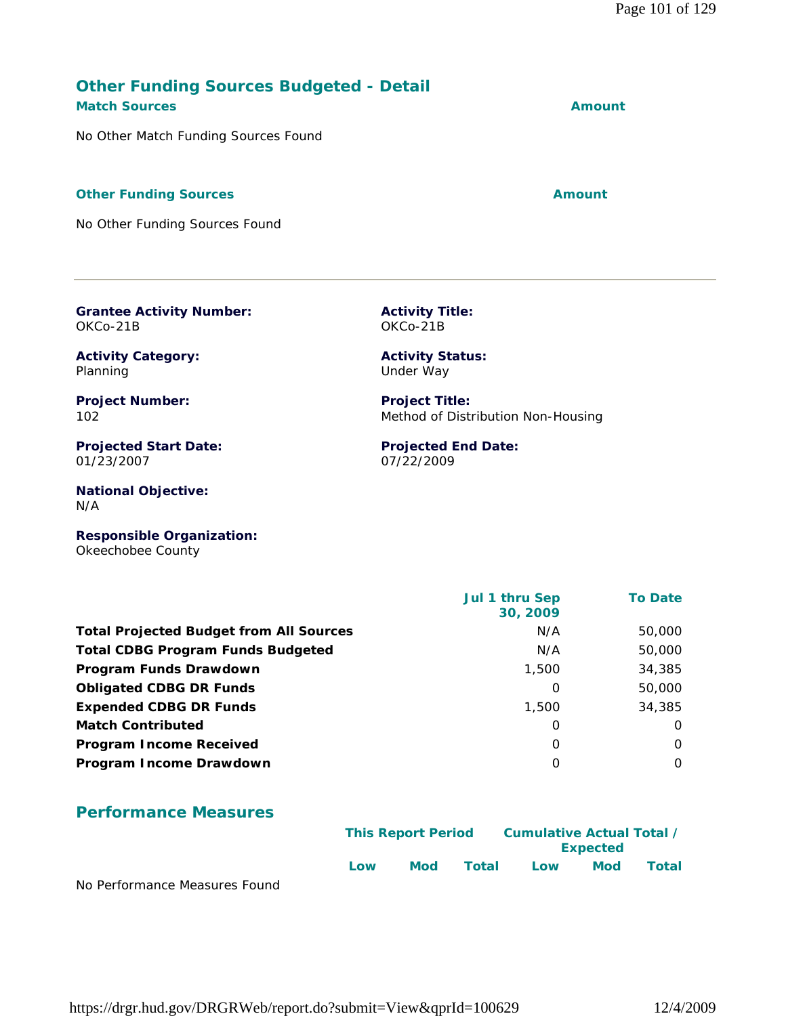# https://drgr.hud.gov/DRGRWeb/report.do?submit=View&qprId=100629 12/4/2009

#### **Other Funding Sources Budgeted - Detail Match Sources Amount**

No Other Match Funding Sources Found

#### **Other Funding Sources Amount Amount Amount**

No Other Funding Sources Found

**Grantee Activity Number:**

**Activity Title:** OKCo-21B

> **Activity Status:** Under Way

**Project Title:**

07/22/2009

**Projected End Date:**

Method of Distribution Non-Housing

**Activity Category:**

**Project Number:** 102

OKCo-21B

Planning

**Projected Start Date:** 01/23/2007

**National Objective:** N/A

**Responsible Organization:** Okeechobee County

 **Jul 1 thru Sep 30, 2009 To Date Total Projected Budget from All Sources** M/A 50,000 **Total CDBG Program Funds Budgeted** N/A 50,000 **Program Funds Drawdown** 2008 2012 12:00 34,385 **Obligated CDBG DR Funds** 0 50,000 **Expended CDBG DR Funds** 1,500 34,385 **Match Contributed** 0 0 **Program Income Received** 0 0 **Program Income Drawdown** 0 0

#### **Performance Measures**

|                               | <b>This Report Period</b> |     | Cumulative Actual Total /<br><b>Expected</b> |     |            |       |
|-------------------------------|---------------------------|-----|----------------------------------------------|-----|------------|-------|
| No Dorformance Moncures Found | Low                       | Mod | Total                                        | Low | <b>Mod</b> | Total |

No Performance Measures Found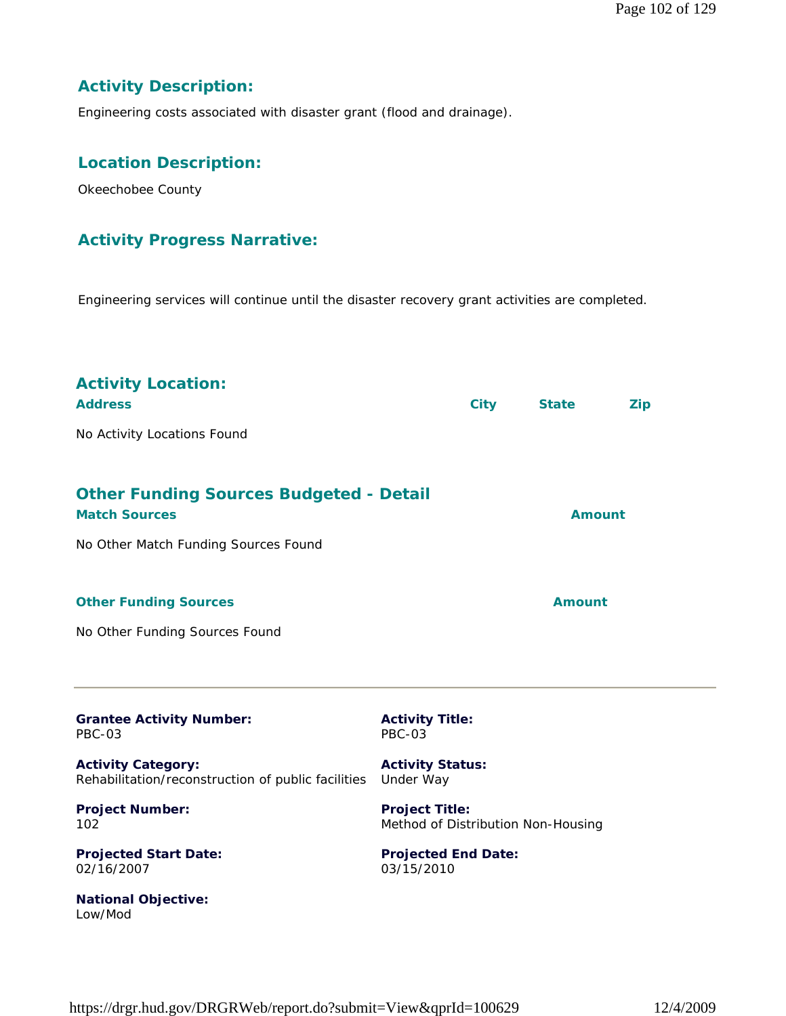### **Activity Description:**

Engineering costs associated with disaster grant (flood and drainage).

#### **Location Description:**

Okeechobee County

#### **Activity Progress Narrative:**

Engineering services will continue until the disaster recovery grant activities are completed.

| <b>Activity Location:</b><br><b>Address</b><br>No Activity Locations Found                                     |                                                             | <b>City</b> | <b>State</b>  | <b>Zip</b> |  |
|----------------------------------------------------------------------------------------------------------------|-------------------------------------------------------------|-------------|---------------|------------|--|
| <b>Other Funding Sources Budgeted - Detail</b><br><b>Match Sources</b><br>No Other Match Funding Sources Found |                                                             |             | <b>Amount</b> |            |  |
| <b>Other Funding Sources</b><br>No Other Funding Sources Found                                                 |                                                             |             | <b>Amount</b> |            |  |
| <b>Grantee Activity Number:</b><br><b>PBC-03</b>                                                               | <b>Activity Title:</b><br><b>PBC-03</b>                     |             |               |            |  |
| <b>Activity Category:</b><br>Rehabilitation/reconstruction of public facilities                                | <b>Activity Status:</b><br>Under Way                        |             |               |            |  |
| <b>Project Number:</b><br>102                                                                                  | <b>Project Title:</b><br>Method of Distribution Non-Housing |             |               |            |  |
| <b>Projected Start Date:</b><br>02/16/2007                                                                     | <b>Projected End Date:</b><br>03/15/2010                    |             |               |            |  |
| <b>National Objective:</b><br>Low/Mod                                                                          |                                                             |             |               |            |  |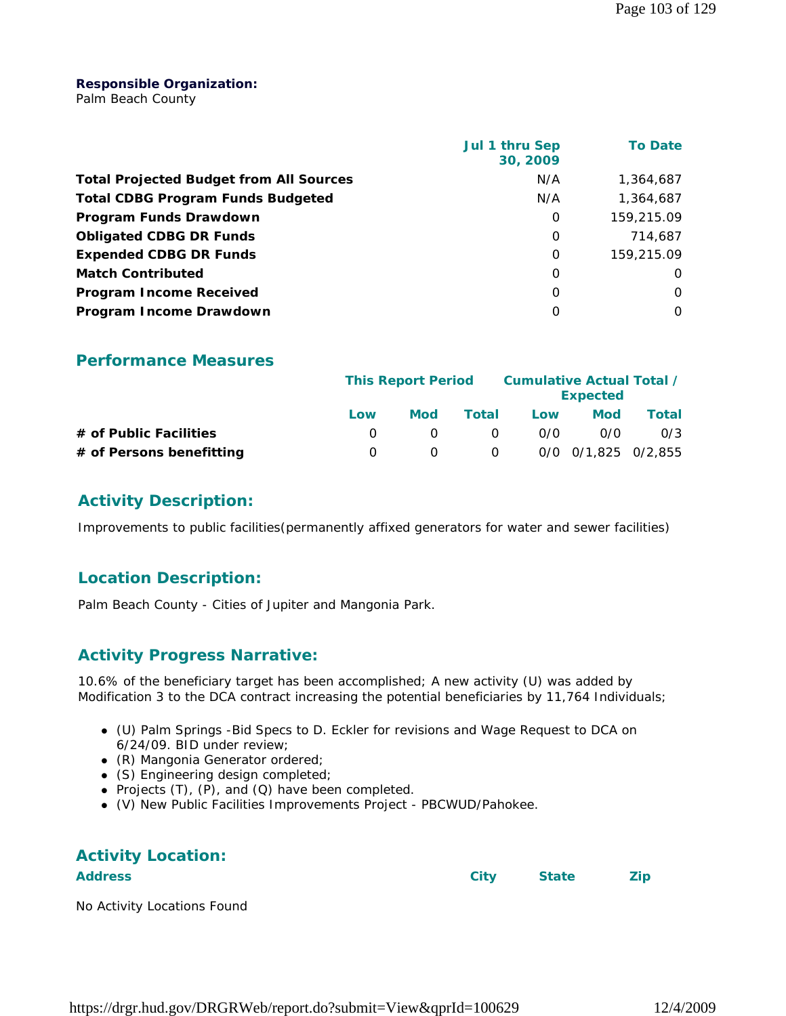#### **Responsible Organization:**

Palm Beach County

|                                                | Jul 1 thru Sep<br>30, 2009 | <b>To Date</b> |
|------------------------------------------------|----------------------------|----------------|
| <b>Total Projected Budget from All Sources</b> | N/A                        | 1,364,687      |
| <b>Total CDBG Program Funds Budgeted</b>       | N/A                        | 1,364,687      |
| Program Funds Drawdown                         | 0                          | 159,215.09     |
| <b>Obligated CDBG DR Funds</b>                 | $\Omega$                   | 714.687        |
| <b>Expended CDBG DR Funds</b>                  | $\Omega$                   | 159,215.09     |
| <b>Match Contributed</b>                       | $\Omega$                   | O              |
| <b>Program Income Received</b>                 | O                          | O              |
| Program Income Drawdown                        | O                          | 0              |

#### **Performance Measures**

|                          | <b>This Report Period</b> |            |          | Cumulative Actual Total /<br><b>Expected</b> |                     |       |  |
|--------------------------|---------------------------|------------|----------|----------------------------------------------|---------------------|-------|--|
|                          | Low                       | <b>Mod</b> | Total    | Low                                          | <b>Mod</b>          | Total |  |
| # of Public Facilities   |                           |            | $\Omega$ | 0/0                                          | 0/0                 | 0/3   |  |
| # of Persons benefitting |                           |            | $\Omega$ |                                              | 0/0 0/1.825 0/2.855 |       |  |

### **Activity Description:**

Improvements to public facilities(permanently affixed generators for water and sewer facilities)

#### **Location Description:**

Palm Beach County - Cities of Jupiter and Mangonia Park.

# **Activity Progress Narrative:**

10.6% of the beneficiary target has been accomplished; A new activity (U) was added by Modification 3 to the DCA contract increasing the potential beneficiaries by 11,764 Individuals;

- (U) Palm Springs -Bid Specs to D. Eckler for revisions and Wage Request to DCA on *6/24/09.* BID under review;
- (R) Mangonia Generator ordered;
- (S) Engineering design completed;
- Projects  $(T)$ ,  $(P)$ , and  $(Q)$  have been completed.
- (V) New Public Facilities Improvements Project PBCWUD/Pahokee.

# **Activity Location:**

**Address City State Zip**

No Activity Locations Found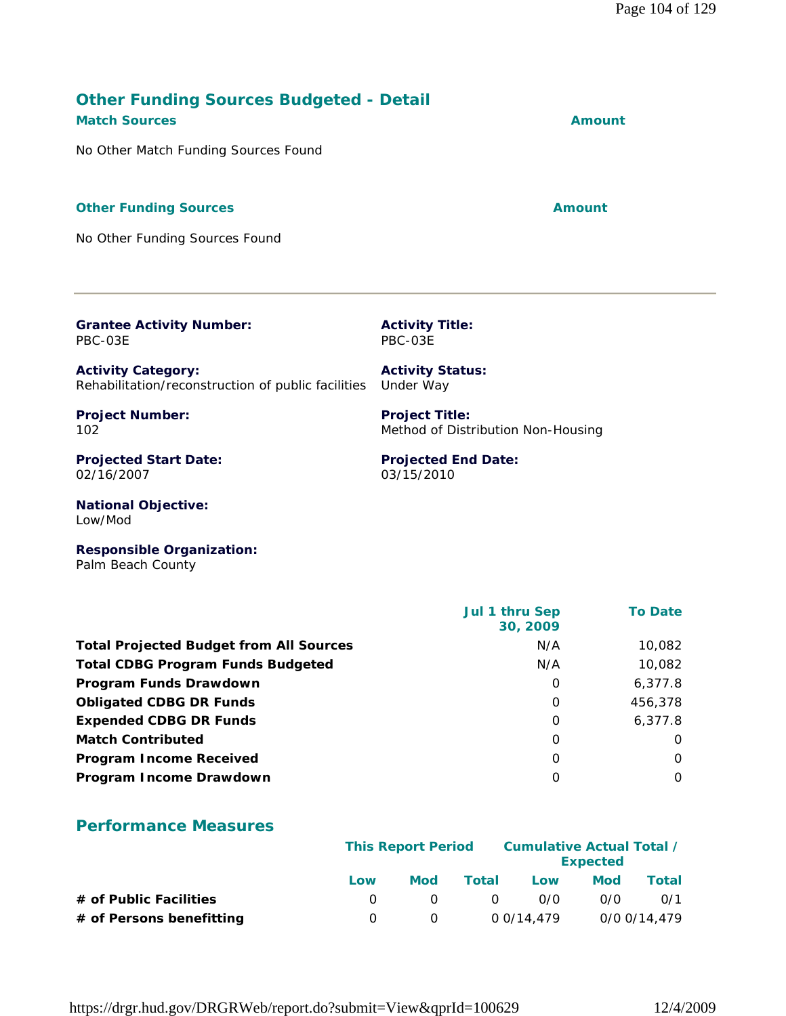# **Other Funding Sources Budgeted - Detail Match Sources Amount**

No Other Match Funding Sources Found

#### **Other Funding Sources Amount Amount Amount**

No Other Funding Sources Found

**Grantee Activity Number:** PBC-03E

**Activity Category:** Rehabilitation/reconstruction of public facilities Under Way

**Project Number:** 102

**Projected Start Date:** 02/16/2007

**National Objective:** Low/Mod

**Responsible Organization:** Palm Beach County

|                                                | <b>Jul 1 thru Sep</b><br>30, 2009 | <b>To Date</b> |
|------------------------------------------------|-----------------------------------|----------------|
| <b>Total Projected Budget from All Sources</b> | N/A                               | 10,082         |
| <b>Total CDBG Program Funds Budgeted</b>       | N/A                               | 10,082         |
| Program Funds Drawdown                         | 0                                 | 6,377.8        |
| <b>Obligated CDBG DR Funds</b>                 | 0                                 | 456,378        |
| <b>Expended CDBG DR Funds</b>                  | 0                                 | 6,377.8        |
| <b>Match Contributed</b>                       | 0                                 | $\Omega$       |
| <b>Program Income Received</b>                 | 0                                 | $\Omega$       |
| Program Income Drawdown                        | 0                                 | $\Omega$       |
|                                                |                                   |                |

#### **Performance Measures**

|                          |     |          |       |            | <b>Cumulative Actual Total /</b><br><b>This Report Period</b><br><b>Expected</b> |              |  |  |  |
|--------------------------|-----|----------|-------|------------|----------------------------------------------------------------------------------|--------------|--|--|--|
|                          | Low | Mod      | Total | Low        | Mod                                                                              | Total        |  |  |  |
| # of Public Facilities   |     | $\cap$   | - 0   | 0/0        | 0/0                                                                              | 0/1          |  |  |  |
| # of Persons benefitting |     | $\Omega$ |       | 0 0/14.479 |                                                                                  | 0/0 0/14,479 |  |  |  |

**Projected End Date:**

Method of Distribution Non-Housing

03/15/2010

**Project Title:**

**Activity Title:** PBC-03E

**Activity Status:**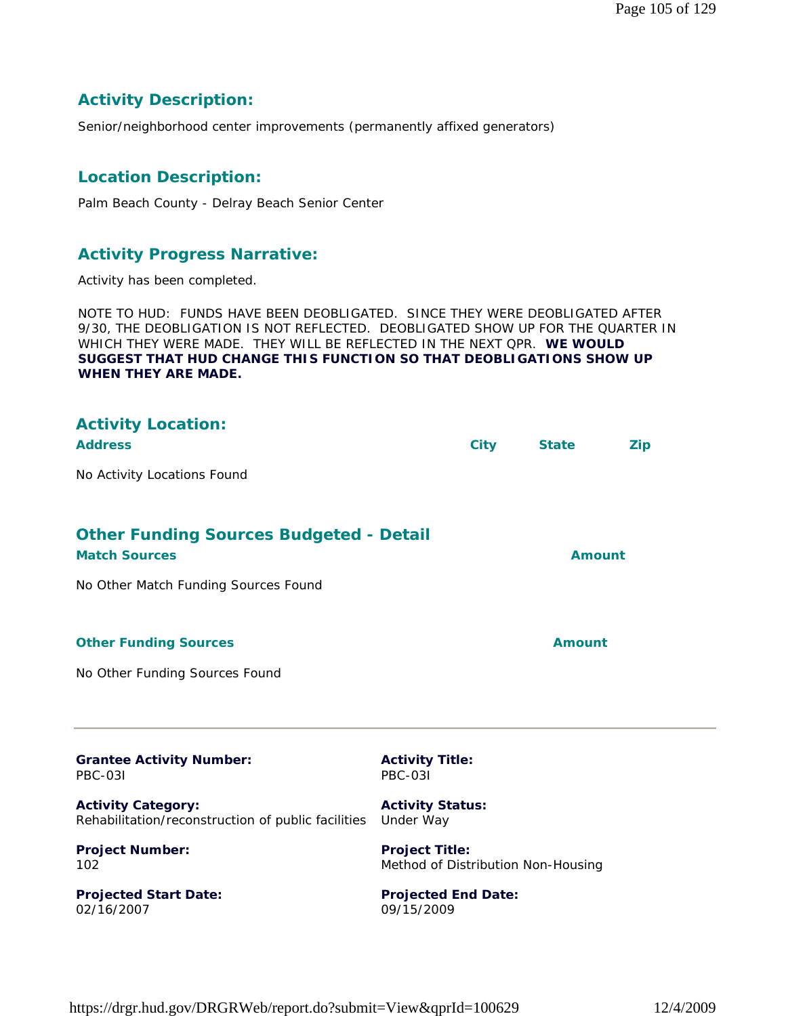#### **Activity Description:**

Senior/neighborhood center improvements (permanently affixed generators)

#### **Location Description:**

Palm Beach County - Delray Beach Senior Center

#### **Activity Progress Narrative:**

Activity has been completed.

NOTE TO HUD: FUNDS HAVE BEEN DEOBLIGATED. SINCE THEY WERE DEOBLIGATED AFTER 9/30, THE DEOBLIGATION IS NOT REFLECTED. DEOBLIGATED SHOW UP FOR THE QUARTER IN WHICH THEY WERE MADE. THEY WILL BE REFLECTED IN THE NEXT QPR. **WE WOULD SUGGEST THAT HUD CHANGE THIS FUNCTION SO THAT DEOBLIGATIONS SHOW UP WHEN THEY ARE MADE.**

| <b>Activity Location:</b><br><b>Address</b>                                     |                                                             | <b>City</b> | <b>State</b>  | <b>Zip</b> |
|---------------------------------------------------------------------------------|-------------------------------------------------------------|-------------|---------------|------------|
| No Activity Locations Found                                                     |                                                             |             |               |            |
| <b>Other Funding Sources Budgeted - Detail</b><br><b>Match Sources</b>          |                                                             |             | <b>Amount</b> |            |
| No Other Match Funding Sources Found                                            |                                                             |             |               |            |
| <b>Other Funding Sources</b>                                                    |                                                             |             | <b>Amount</b> |            |
| No Other Funding Sources Found                                                  |                                                             |             |               |            |
| <b>Grantee Activity Number:</b><br><b>PBC-031</b>                               | <b>Activity Title:</b><br><b>PBC-031</b>                    |             |               |            |
| <b>Activity Category:</b><br>Rehabilitation/reconstruction of public facilities | <b>Activity Status:</b><br>Under Way                        |             |               |            |
| <b>Project Number:</b><br>102                                                   | <b>Project Title:</b><br>Method of Distribution Non-Housing |             |               |            |

**Projected Start Date:** 02/16/2007

**Projected End Date:** 09/15/2009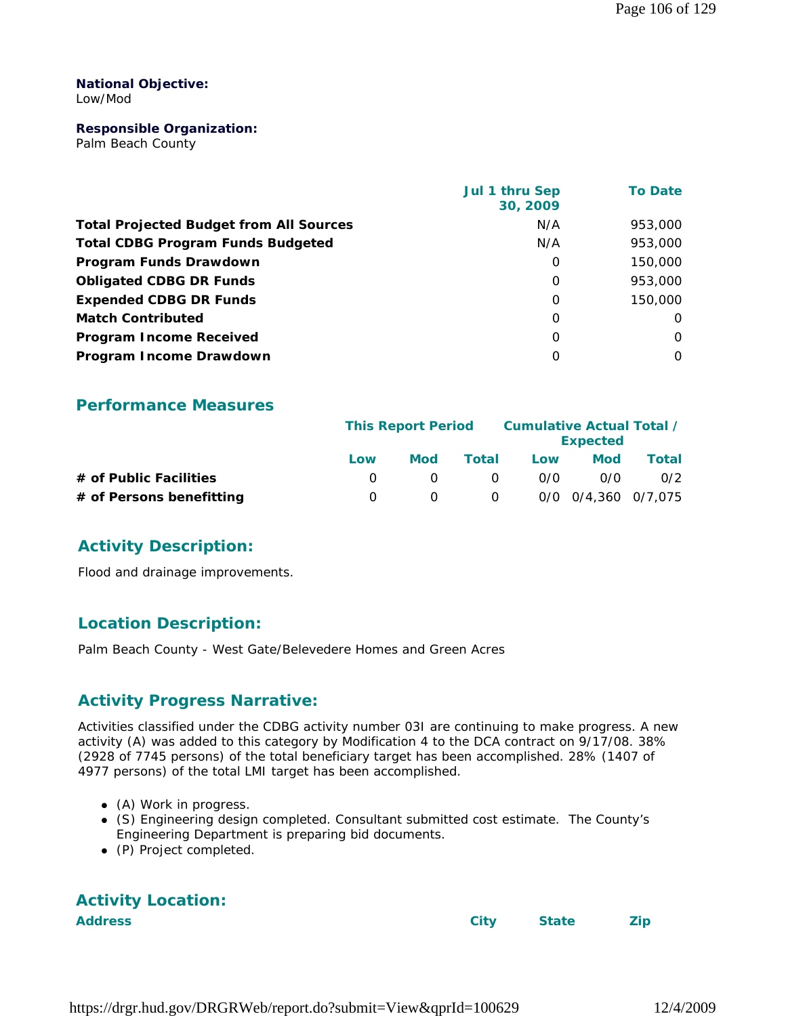#### **National Objective:** Low/Mod

#### **Responsible Organization:**

Palm Beach County

|                                                | Jul 1 thru Sep<br>30, 2009 | <b>To Date</b> |
|------------------------------------------------|----------------------------|----------------|
| <b>Total Projected Budget from All Sources</b> | N/A                        | 953,000        |
| <b>Total CDBG Program Funds Budgeted</b>       | N/A                        | 953,000        |
| Program Funds Drawdown                         | 0                          | 150,000        |
| <b>Obligated CDBG DR Funds</b>                 | O                          | 953,000        |
| <b>Expended CDBG DR Funds</b>                  | $\Omega$                   | 150,000        |
| <b>Match Contributed</b>                       | O                          | $\Omega$       |
| <b>Program Income Received</b>                 | 0                          | $\Omega$       |
| Program Income Drawdown                        | O                          | $\Omega$       |

#### **Performance Measures**

|                          | <b>This Report Period</b> |     |                | Cumulative Actual Total /<br><b>Expected</b> |                     |       |
|--------------------------|---------------------------|-----|----------------|----------------------------------------------|---------------------|-------|
|                          | Low                       | Mod | Total          | Low                                          | Mod                 | Total |
| # of Public Facilities   |                           |     | <u>വ</u>       | 0/0                                          | 0/0                 | 0/2   |
| # of Persons benefitting |                           |     | $\overline{0}$ |                                              | 0/0 0/4,360 0/7,075 |       |

#### **Activity Description:**

Flood and drainage improvements.

#### **Location Description:**

Palm Beach County - West Gate/Belevedere Homes and Green Acres

#### **Activity Progress Narrative:**

Activities classified under the CDBG activity number 03I are continuing to make progress. A new activity (A) was added to this category by Modification 4 to the DCA contract on *9/17/08. 38%*  (2928 of 7745 persons) of the total beneficiary target has been accomplished. *28%* (1407 of 4977 persons) of the total LMI target has been accomplished.

- (A) Work in progress.
- (S) Engineering design completed. Consultant submitted cost estimate. The County's Engineering Department is preparing bid documents.
- (P) Project completed.

| <b>Activity Location:</b> |  |
|---------------------------|--|
| <b>Address</b>            |  |

City State Zip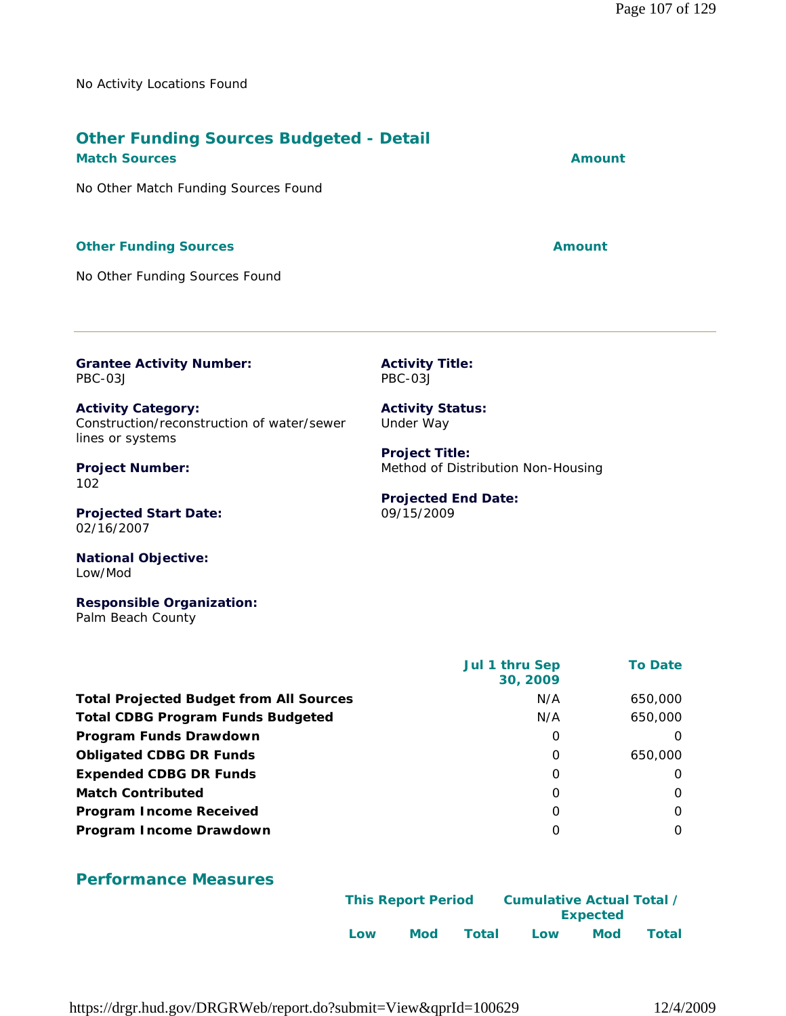No Activity Locations Found

# **Other Funding Sources Budgeted - Detail**

**Match Sources Amount** 

No Other Match Funding Sources Found

#### **Other Funding Sources Amount**

No Other Funding Sources Found

**Grantee Activity Number:** PBC-03J

**Activity Category:** Construction/reconstruction of water/sewer lines or systems

**Project Number:** 102

**Projected Start Date:** 02/16/2007

**National Objective:** Low/Mod

**Responsible Organization:** Palm Beach County

|                                                | Jul 1 thru Sep<br>30, 2009 | <b>To Date</b> |
|------------------------------------------------|----------------------------|----------------|
| <b>Total Projected Budget from All Sources</b> | N/A                        | 650,000        |
| <b>Total CDBG Program Funds Budgeted</b>       | N/A                        | 650,000        |
| Program Funds Drawdown                         | O                          | $\Omega$       |
| <b>Obligated CDBG DR Funds</b>                 | O                          | 650,000        |
| <b>Expended CDBG DR Funds</b>                  | O                          | 0              |
| <b>Match Contributed</b>                       | $\Omega$                   | $\Omega$       |
| <b>Program Income Received</b>                 | 0                          | $\Omega$       |
| Program Income Drawdown                        | $\Omega$                   | $\Omega$       |

# **Performance Measures**

| <b>This Report Period</b> |
|---------------------------|
|                           |
| Low                       |

https://drgr.hud.gov/DRGRWeb/report.do?submit=View&qprId=100629 12/4/2009

**Activity Title:** PBC-03J

**Activity Status:** Under Way

**Project Title:** Method of Distribution Non-Housing

#### **Projected End Date:** 09/15/2009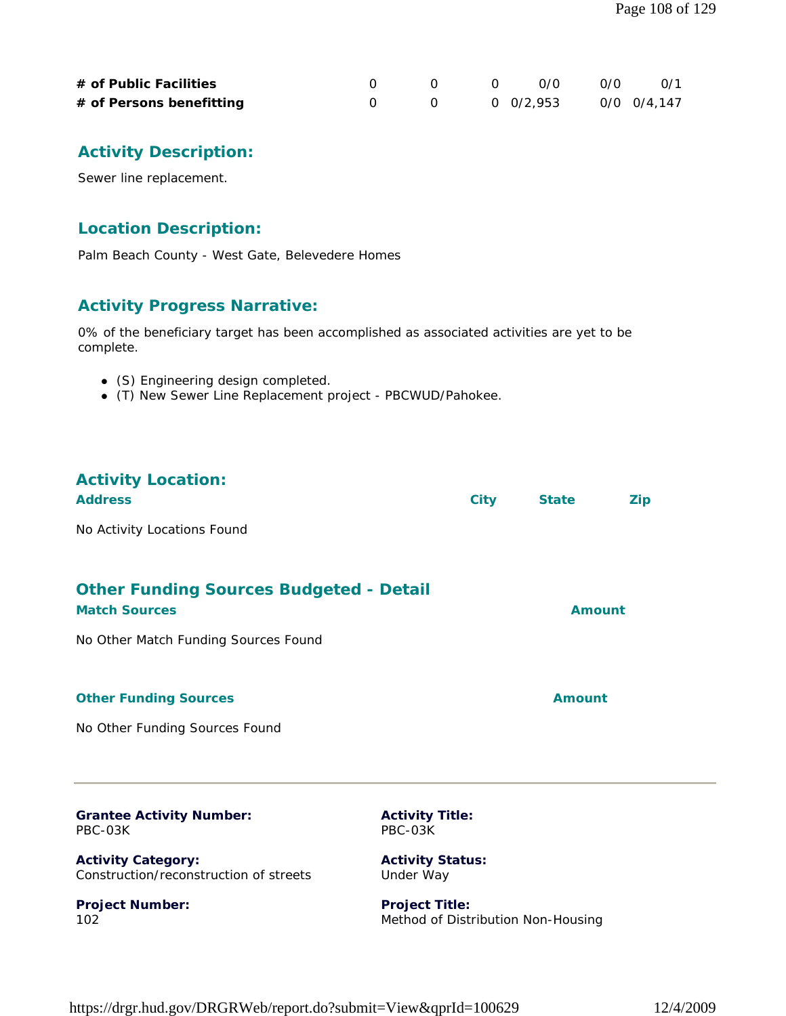| # of Public Facilities   | $\begin{array}{cccc} 0 & 0 & 0 \end{array}$ |  | റ ⁄റ        | 0/1 |
|--------------------------|---------------------------------------------|--|-------------|-----|
| # of Persons benefitting | $0 \t 0 \t 0/2,953$                         |  | 0/0 0/4.147 |     |

### **Activity Description:**

Sewer line replacement.

#### **Location Description:**

Palm Beach County - West Gate, Belevedere Homes

#### **Activity Progress Narrative:**

0% of the beneficiary target has been accomplished as associated activities are yet to be complete.

- (S) Engineering design completed.
- (T) New Sewer Line Replacement project PBCWUD/Pahokee.

# **Activity Location:**

| <b>Address</b>                                                         | <b>City</b> | <b>State</b> | <b>Zip</b> |
|------------------------------------------------------------------------|-------------|--------------|------------|
| No Activity Locations Found                                            |             |              |            |
| <b>Other Funding Sources Budgeted - Detail</b><br><b>Match Sources</b> |             | Amount       |            |
| No Other Match Funding Sources Found                                   |             |              |            |
| <b>Other Funding Sources</b>                                           |             | Amount       |            |

No Other Funding Sources Found

**Project Number:**

102

| <b>Grantee Activity Number:</b>        | <b>Activity Title:</b>  |
|----------------------------------------|-------------------------|
| PBC-03K                                | PBC-03K                 |
| <b>Activity Category:</b>              | <b>Activity Status:</b> |
| Construction/reconstruction of streets | Under Way               |

**Project Title:** Method of Distribution Non-Housing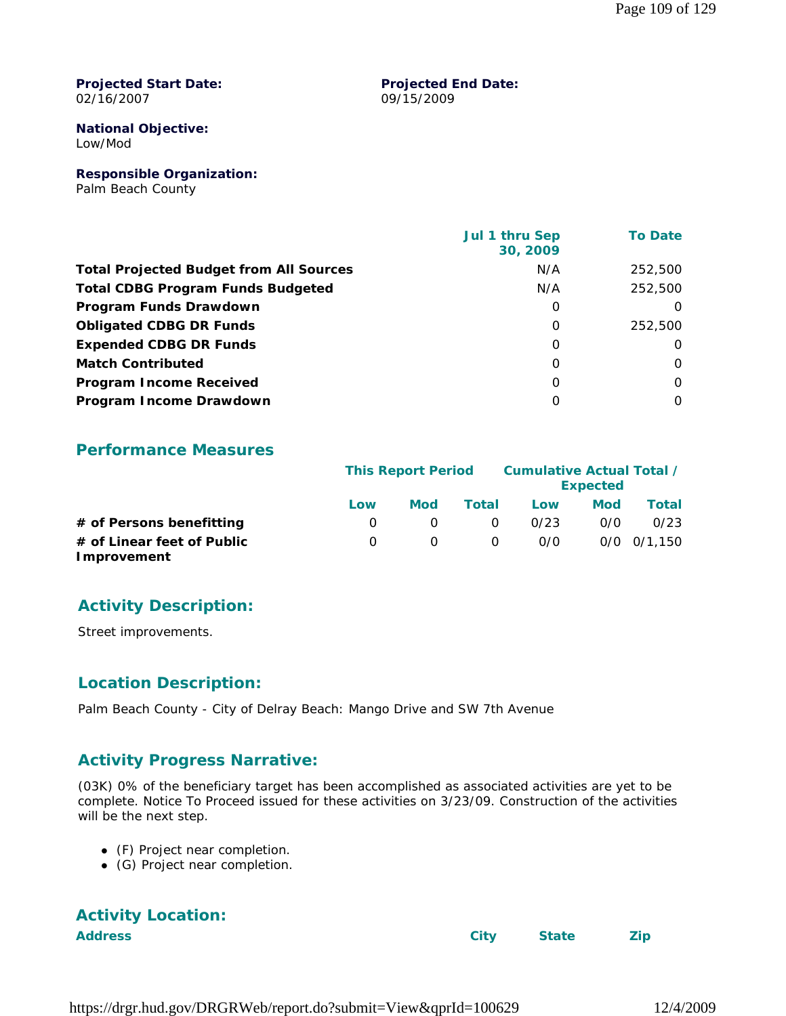#### **Projected Start Date:** 02/16/2007

#### **Projected End Date:** 09/15/2009

## **National Objective:**

Low/Mod

**Responsible Organization:**

Palm Beach County

|                                                | Jul 1 thru Sep<br>30, 2009 | <b>To Date</b> |
|------------------------------------------------|----------------------------|----------------|
| <b>Total Projected Budget from All Sources</b> | N/A                        | 252,500        |
| <b>Total CDBG Program Funds Budgeted</b>       | N/A                        | 252,500        |
| Program Funds Drawdown                         | 0                          | $\Omega$       |
| <b>Obligated CDBG DR Funds</b>                 | $\Omega$                   | 252,500        |
| <b>Expended CDBG DR Funds</b>                  | 0                          | $\Omega$       |
| <b>Match Contributed</b>                       | $\Omega$                   | $\Omega$       |
| <b>Program Income Received</b>                 | $\Omega$                   | $\Omega$       |
| Program Income Drawdown                        | $\Omega$                   | $\Omega$       |

#### **Performance Measures**

|                                           |              | <b>This Report Period</b> |          | Cumulative Actual Total / | <b>Expected</b> |             |
|-------------------------------------------|--------------|---------------------------|----------|---------------------------|-----------------|-------------|
|                                           | Low          | Mod                       | Total    | Low                       | <b>Mod</b>      | Total       |
| # of Persons benefitting                  | <sup>o</sup> |                           | $\Omega$ | 0/23                      | 0/0             | 0/23        |
| # of Linear feet of Public<br>Improvement | O.           | $\Omega$                  | $\Omega$ | 0/0                       |                 | 0/0 0/1.150 |

### **Activity Description:**

Street improvements.

### **Location Description:**

Palm Beach County - City of Delray Beach: Mango Drive and SW 7th Avenue

#### **Activity Progress Narrative:**

(03K) 0% of the beneficiary target has been accomplished as associated activities are yet to be complete. Notice To Proceed issued for these activities on *3/23/09.* Construction of the activities will be the next step.

- (F) Project near completion.
- (G) Project near completion.

# **Activity Location:**

**Address City State Zip**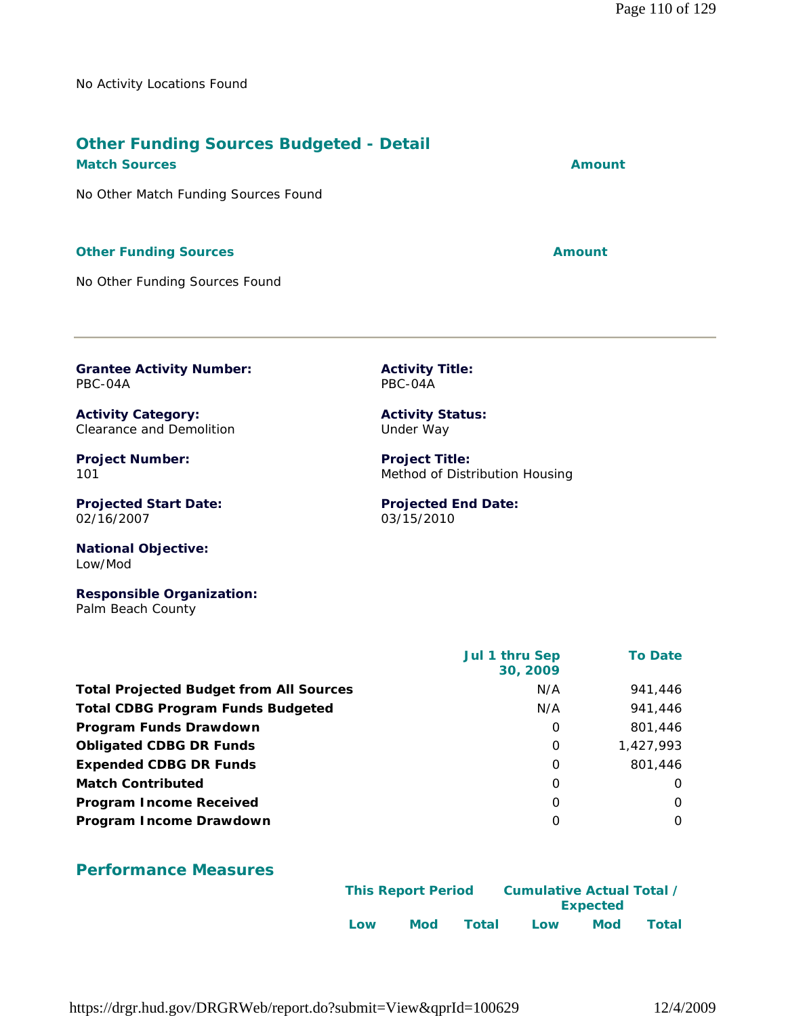No Activity Locations Found

#### **Other Funding Sources Budgeted - Detail Match Sources Amount**

No Other Match Funding Sources Found

#### **Other Funding Sources Amount** 2008 2012 12:30 Amount

No Other Funding Sources Found

**Grantee Activity Number:** PBC-04A

**Activity Category:** Clearance and Demolition

**Project Number:** 101

**Projected Start Date:** 02/16/2007

**National Objective:** Low/Mod

**Responsible Organization:** Palm Beach County

|                                                | <b>Jul 1 thru Sep</b><br>30, 2009 | <b>To Date</b> |
|------------------------------------------------|-----------------------------------|----------------|
| <b>Total Projected Budget from All Sources</b> | N/A                               | 941,446        |
| <b>Total CDBG Program Funds Budgeted</b>       | N/A                               | 941,446        |
| Program Funds Drawdown                         | 0                                 | 801,446        |
| <b>Obligated CDBG DR Funds</b>                 | $\Omega$                          | 1,427,993      |
| <b>Expended CDBG DR Funds</b>                  | 0                                 | 801,446        |
| <b>Match Contributed</b>                       | 0                                 | $\Omega$       |
| <b>Program Income Received</b>                 | $\Omega$                          | 0              |
| Program Income Drawdown                        | O                                 | $\Omega$       |

### **Performance Measures**

|     | <b>This Report Period</b> |       | Cumulative Actual Total / | <b>Expected</b> |       |
|-----|---------------------------|-------|---------------------------|-----------------|-------|
| Low | Mod                       | Total | Low                       | <b>Mod</b>      | Total |

**Activity Title:** PBC-04A

**Activity Status:** Under Way

**Project Title:** Method of Distribution Housing

**Projected End Date:** 03/15/2010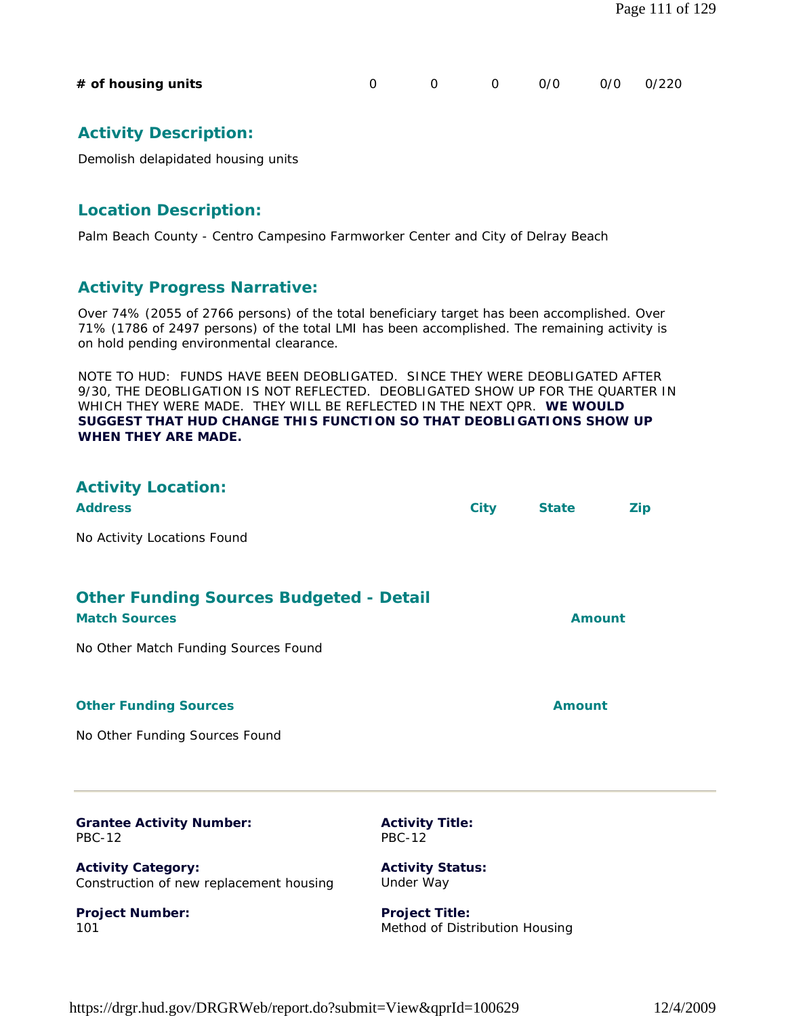| # of housing units |  | 0    0    0/0    0/0   0/220 |  |
|--------------------|--|------------------------------|--|
|                    |  |                              |  |

### **Activity Description:**

Demolish delapidated housing units

#### **Location Description:**

**Project Number:**

101

Palm Beach County - Centro Campesino Farmworker Center and City of Delray Beach

#### **Activity Progress Narrative:**

Over 74% (2055 of 2766 persons) of the total beneficiary target has been accomplished. Over 71% (1786 of 2497 persons) of the total LMI has been accomplished. The remaining activity is on hold pending environmental clearance.

NOTE TO HUD: FUNDS HAVE BEEN DEOBLIGATED. SINCE THEY WERE DEOBLIGATED AFTER 9/30, THE DEOBLIGATION IS NOT REFLECTED. DEOBLIGATED SHOW UP FOR THE QUARTER IN WHICH THEY WERE MADE. THEY WILL BE REFLECTED IN THE NEXT QPR. **WE WOULD SUGGEST THAT HUD CHANGE THIS FUNCTION SO THAT DEOBLIGATIONS SHOW UP WHEN THEY ARE MADE.**

| <b>Activity Location:</b><br><b>Address</b>                            | <b>City</b> | <b>State</b>  | <b>Zip</b> |
|------------------------------------------------------------------------|-------------|---------------|------------|
| No Activity Locations Found                                            |             |               |            |
|                                                                        |             |               |            |
| <b>Other Funding Sources Budgeted - Detail</b><br><b>Match Sources</b> |             | <b>Amount</b> |            |
| No Other Match Funding Sources Found                                   |             |               |            |
|                                                                        |             |               |            |
| <b>Other Funding Sources</b>                                           |             | Amount        |            |
| No Other Funding Sources Found                                         |             |               |            |

| <b>Grantee Activity Number:</b><br>PBC-12                            | <b>Activity Title:</b><br><b>PBC-12</b> |  |
|----------------------------------------------------------------------|-----------------------------------------|--|
| <b>Activity Category:</b><br>Construction of new replacement housing | <b>Activity Status:</b><br>Under Way    |  |

**Project Title:** Method of Distribution Housing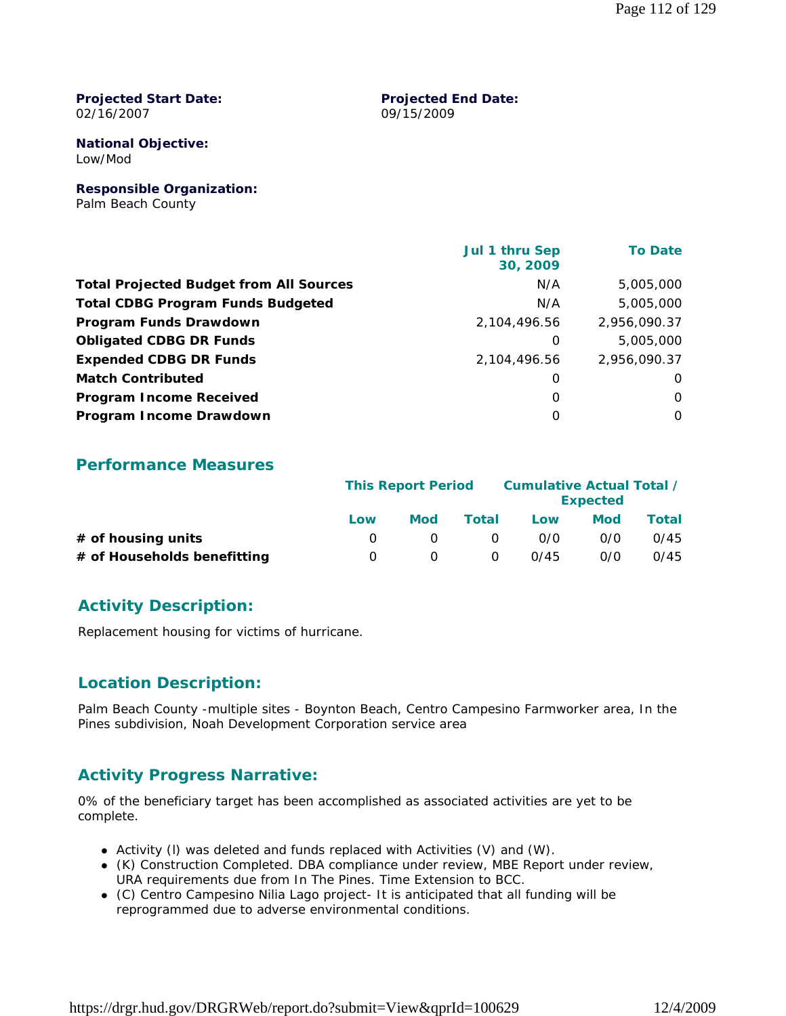#### **Projected Start Date:** 02/16/2007

#### **Projected End Date:** 09/15/2009

**National Objective:** Low/Mod

**Responsible Organization:** Palm Beach County

| Jul 1 thru Sep<br>30, 2009 | <b>To Date</b> |
|----------------------------|----------------|
| N/A                        | 5,005,000      |
| N/A                        | 5,005,000      |
| 2,104,496.56               | 2,956,090.37   |
| 0                          | 5,005,000      |
| 2,104,496.56               | 2,956,090.37   |
| 0                          | $\Omega$       |
| 0                          | $\Omega$       |
| $\Omega$                   | $\Omega$       |
|                            |                |

#### **Performance Measures**

|                             | <b>This Report Period</b> |            |          | Cumulative Actual Total / | <b>Expected</b> |       |
|-----------------------------|---------------------------|------------|----------|---------------------------|-----------------|-------|
|                             | Low                       | <b>Mod</b> | Total    | Low                       | <b>Mod</b>      | Total |
| # of housing units          |                           |            | $\Omega$ | 0/0                       | 0/0             | 0/45  |
| # of Households benefitting | $\left( \right)$          |            | $\Omega$ | 0/45                      | 0/0             | 0/45  |

#### **Activity Description:**

Replacement housing for victims of hurricane.

#### **Location Description:**

Palm Beach County -multiple sites - Boynton Beach, Centro Campesino Farmworker area, In the Pines subdivision, Noah Development Corporation service area

### **Activity Progress Narrative:**

0% of the beneficiary target has been accomplished as associated activities are yet to be complete.

- Activity (l) was deleted and funds replaced with Activities (V) and (W).
- (K) Construction Completed. DBA compliance under review, MBE Report under review, URA requirements due from In The Pines. Time Extension to BCC.
- (C) Centro Campesino Nilia Lago project- It is anticipated that all funding will be reprogrammed due to adverse environmental conditions.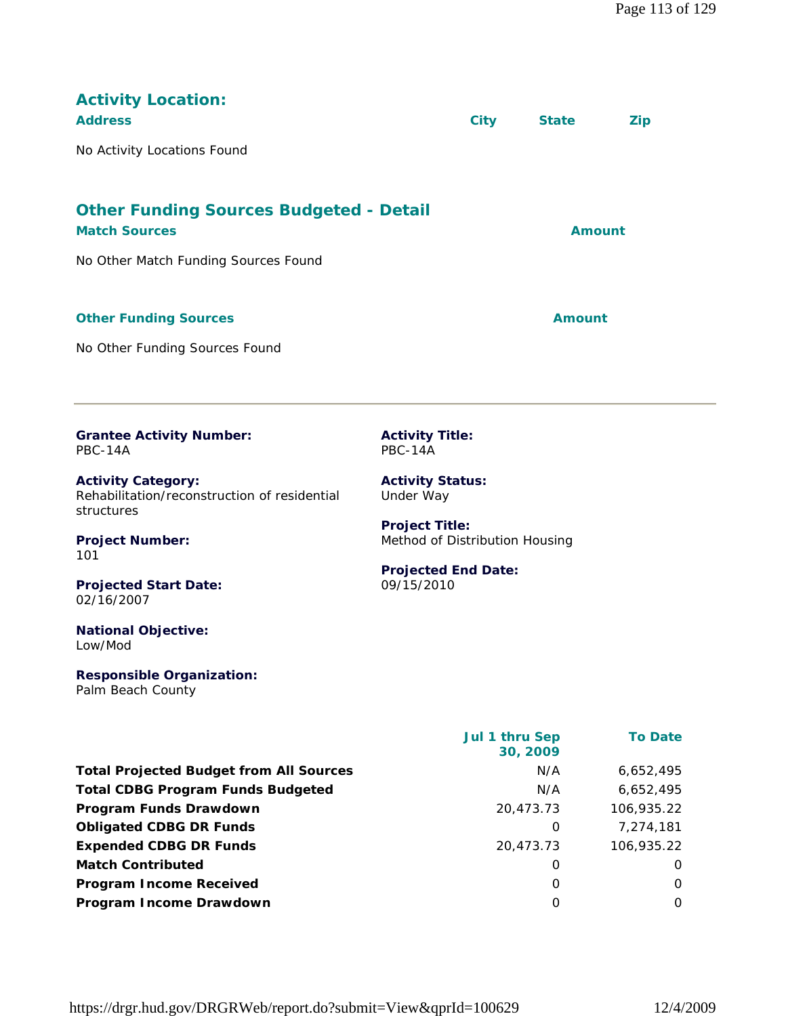| <b>Activity Location:</b><br><b>Address</b><br>No Activity Locations Found              |                                                         | <b>City</b>    | <b>State</b>  | <b>Zip</b>     |  |  |
|-----------------------------------------------------------------------------------------|---------------------------------------------------------|----------------|---------------|----------------|--|--|
| <b>Other Funding Sources Budgeted - Detail</b>                                          |                                                         |                |               |                |  |  |
| <b>Match Sources</b>                                                                    |                                                         |                |               | <b>Amount</b>  |  |  |
| No Other Match Funding Sources Found                                                    |                                                         |                |               |                |  |  |
| <b>Other Funding Sources</b>                                                            |                                                         |                | <b>Amount</b> |                |  |  |
| No Other Funding Sources Found                                                          |                                                         |                |               |                |  |  |
| <b>Grantee Activity Number:</b><br><b>PBC-14A</b>                                       | <b>Activity Title:</b><br>PBC-14A                       |                |               |                |  |  |
| <b>Activity Category:</b><br>Rehabilitation/reconstruction of residential<br>structures | <b>Activity Status:</b><br>Under Way                    |                |               |                |  |  |
| <b>Project Number:</b><br>101                                                           | <b>Project Title:</b><br>Method of Distribution Housing |                |               |                |  |  |
| <b>Projected Start Date:</b><br>02/16/2007                                              | <b>Projected End Date:</b><br>09/15/2010                |                |               |                |  |  |
| <b>National Objective:</b><br>Low/Mod                                                   |                                                         |                |               |                |  |  |
| <b>Responsible Organization:</b><br>Palm Beach County                                   |                                                         |                |               |                |  |  |
|                                                                                         |                                                         | Jul 1 thru Sep | 30, 2009      | <b>To Date</b> |  |  |
| <b>Total Projected Budget from All Sources</b>                                          |                                                         |                | N/A           | 6,652,495      |  |  |

**Total CDBG Program Funds Budgeted** N/A 6,652,495 **Program Funds Drawdown** 20,473.73 106,935.22 **Obligated CDBG DR Funds 0** 7,274,181 **Expended CDBG DR Funds** 20,473.73 106,935.22 **Match Contributed** 0 0 **Program Income Received** 0 0 **Program Income Drawdown** 0 0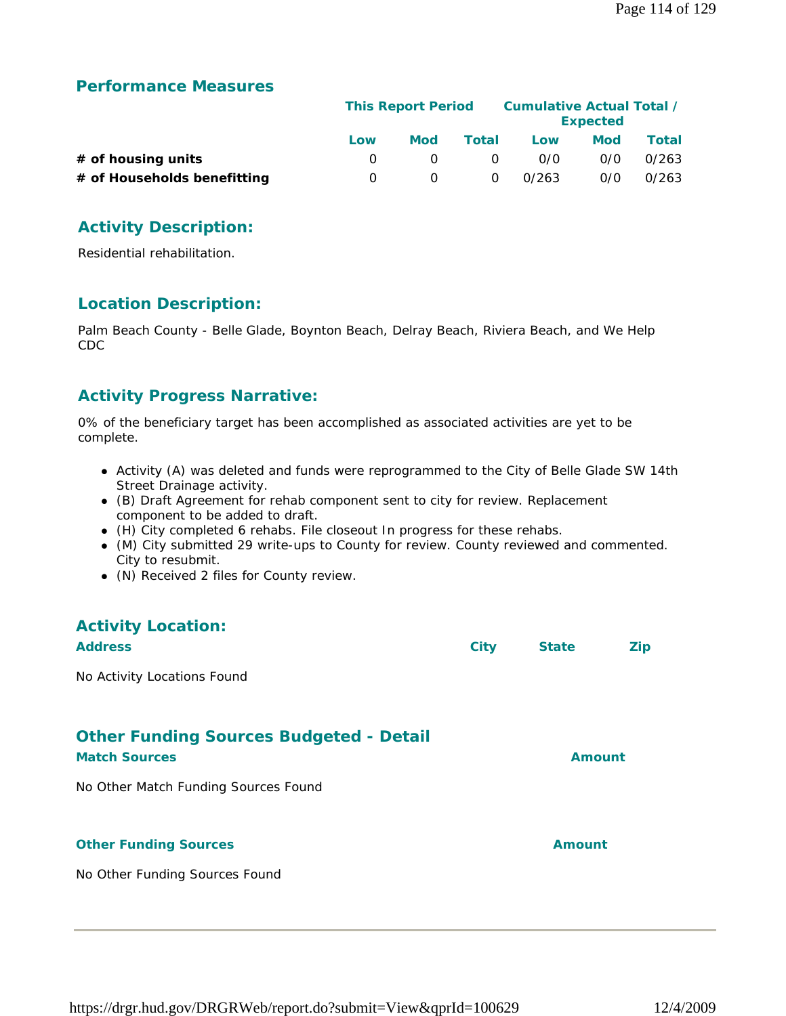#### **Performance Measures**

|                             |     | <b>This Report Period</b> |          |       | Cumulative Actual Total /<br><b>Expected</b> |       |
|-----------------------------|-----|---------------------------|----------|-------|----------------------------------------------|-------|
|                             | Low | <b>Mod</b>                | Total    | Low   | Mod                                          | Total |
| $#$ of housing units        |     |                           | $\Omega$ | 0/0   | 0/0                                          | 0/263 |
| # of Households benefitting | n.  |                           | $\Omega$ | 0/263 | 0/0                                          | 0/263 |

### **Activity Description:**

Residential rehabilitation.

#### **Location Description:**

Palm Beach County - Belle Glade, Boynton Beach, Delray Beach, Riviera Beach, and We Help CDC

### **Activity Progress Narrative:**

0% of the beneficiary target has been accomplished as associated activities are yet to be complete.

- Activity (A) was deleted and funds were reprogrammed to the City of Belle Glade SW 14th Street Drainage activity.
- (B) Draft Agreement for rehab component sent to city for review. Replacement component to be added to draft.
- (H) City completed 6 rehabs. File closeout In progress for these rehabs.
- (M) City submitted 29 write-ups to County for review. County reviewed and commented. City to resubmit.
- (N) Received 2 files for County review.

# **Activity Location: Address City State Zip** No Activity Locations Found **Other Funding Sources Budgeted - Detail Match Sources Amount** No Other Match Funding Sources Found **Other Funding Sources Amount Amount Amount** No Other Funding Sources Found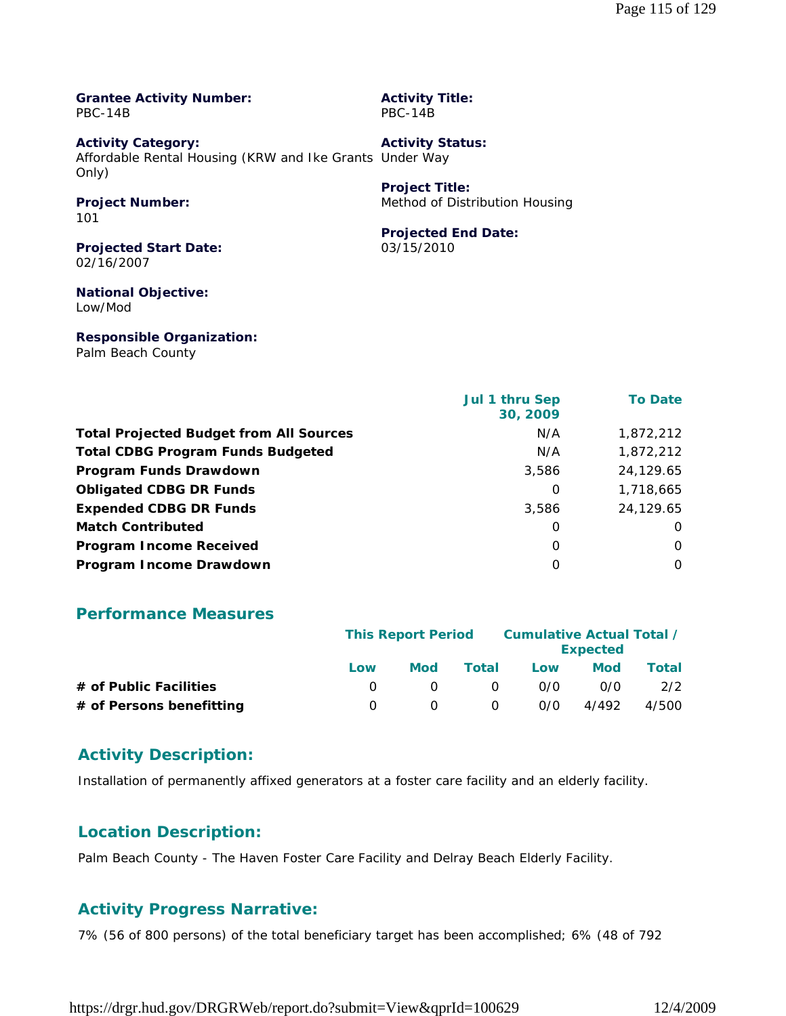#### **Grantee Activity Number:** PBC-14B

**Activity Title:** PBC-14B

**Project Title:**

03/15/2010

**Projected End Date:**

Method of Distribution Housing

**Activity Category:** Affordable Rental Housing (KRW and Ike Grants Under Way Only) **Activity Status:**

#### **Project Number:** 101

**Projected Start Date:** 02/16/2007

### **National Objective:**

Low/Mod

#### **Responsible Organization:**

Palm Beach County

|                                                | Jul 1 thru Sep<br>30, 2009 | <b>To Date</b> |
|------------------------------------------------|----------------------------|----------------|
| <b>Total Projected Budget from All Sources</b> | N/A                        | 1,872,212      |
| <b>Total CDBG Program Funds Budgeted</b>       | N/A                        | 1,872,212      |
| Program Funds Drawdown                         | 3,586                      | 24,129.65      |
| <b>Obligated CDBG DR Funds</b>                 | 0                          | 1,718,665      |
| <b>Expended CDBG DR Funds</b>                  | 3,586                      | 24,129.65      |
| <b>Match Contributed</b>                       | 0                          | $\Omega$       |
| <b>Program Income Received</b>                 | 0                          | O              |
| Program Income Drawdown                        | $\Omega$                   | $\Omega$       |

#### **Performance Measures**

|                          | <b>This Report Period</b> |     |          | Cumulative Actual Total / | <b>Expected</b> |       |
|--------------------------|---------------------------|-----|----------|---------------------------|-----------------|-------|
|                          | Low                       | Mod | Total    | Low                       | Mod             | Total |
| # of Public Facilities   |                           |     | $\Omega$ | 0/0                       | 0/0             | 2/2   |
| # of Persons benefitting |                           |     | 0        | 0/0                       | 4/492           | 4/500 |

#### **Activity Description:**

Installation of permanently affixed generators at a foster care facility and an elderly facility.

#### **Location Description:**

Palm Beach County - The Haven Foster Care Facility and Delray Beach Elderly Facility.

#### **Activity Progress Narrative:**

7% (56 of 800 persons) of the total beneficiary target has been accomplished; 6% (48 of 792

https://drgr.hud.gov/DRGRWeb/report.do?submit=View&qprId=100629 12/4/2009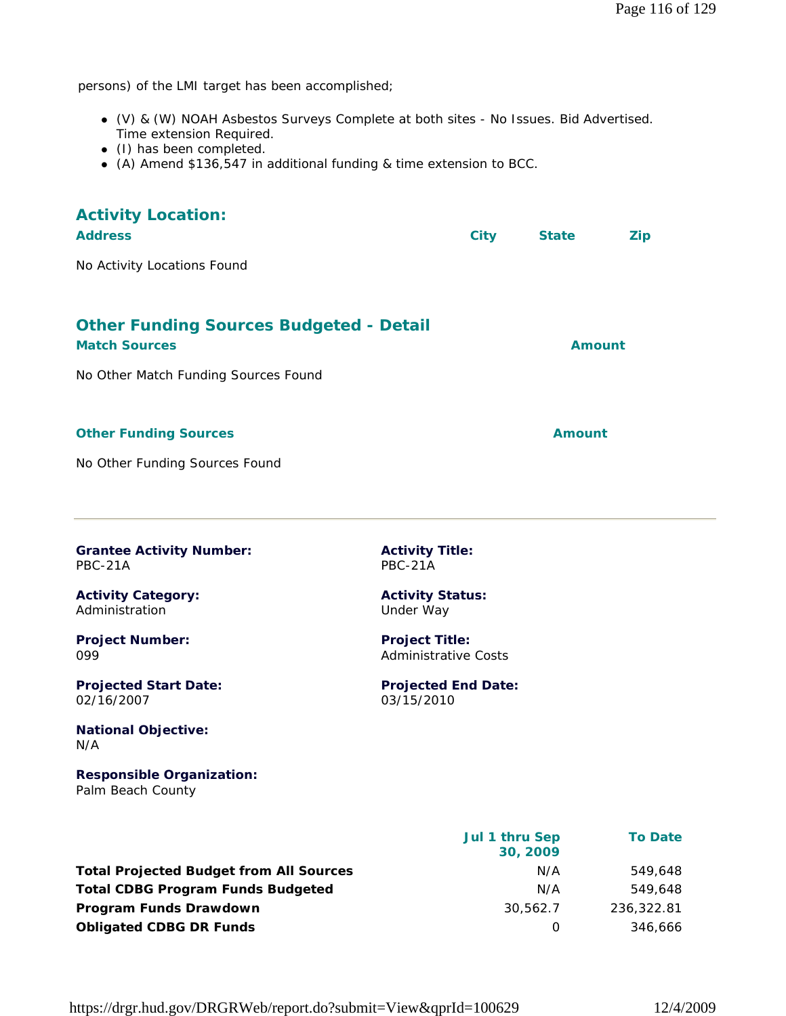persons) of the LMI target has been accomplished;

- (V) & (W) NOAH Asbestos Surveys Complete at both sites No Issues. Bid Advertised. Time extension Required.
- (I) has been completed.
- (A) Amend \$136,547 in additional funding & time extension to BCC.

| <b>Activity Location:</b><br><b>Address</b>                            | <b>City</b> | <b>State</b> | <b>Zip</b> |
|------------------------------------------------------------------------|-------------|--------------|------------|
| No Activity Locations Found                                            |             |              |            |
| <b>Other Funding Sources Budgeted - Detail</b><br><b>Match Sources</b> |             | Amount       |            |
| No Other Match Funding Sources Found                                   |             |              |            |
| <b>Other Funding Sources</b>                                           |             | Amount       |            |
| No Other Funding Sources Found                                         |             |              |            |

**Activity Title:** PBC-21A

**Activity Status:** Under Way

**Project Title:** Administrative Costs

03/15/2010

**Projected End Date:**

**Grantee Activity Number:** PBC-21A

**Activity Category:** Administration

**Project Number:** 099

**Projected Start Date:** 02/16/2007

**National Objective:** N/A

**Responsible Organization:** Palm Beach County

|                                                | Jul 1 thru Sep | <b>To Date</b> |
|------------------------------------------------|----------------|----------------|
|                                                | 30, 2009       |                |
| <b>Total Projected Budget from All Sources</b> | N/A            | 549.648        |
| <b>Total CDBG Program Funds Budgeted</b>       | N/A            | 549.648        |
| Program Funds Drawdown                         | 30,562.7       | 236,322.81     |
| <b>Obligated CDBG DR Funds</b>                 |                | 346,666        |

https://drgr.hud.gov/DRGRWeb/report.do?submit=View&qprId=100629 12/4/2009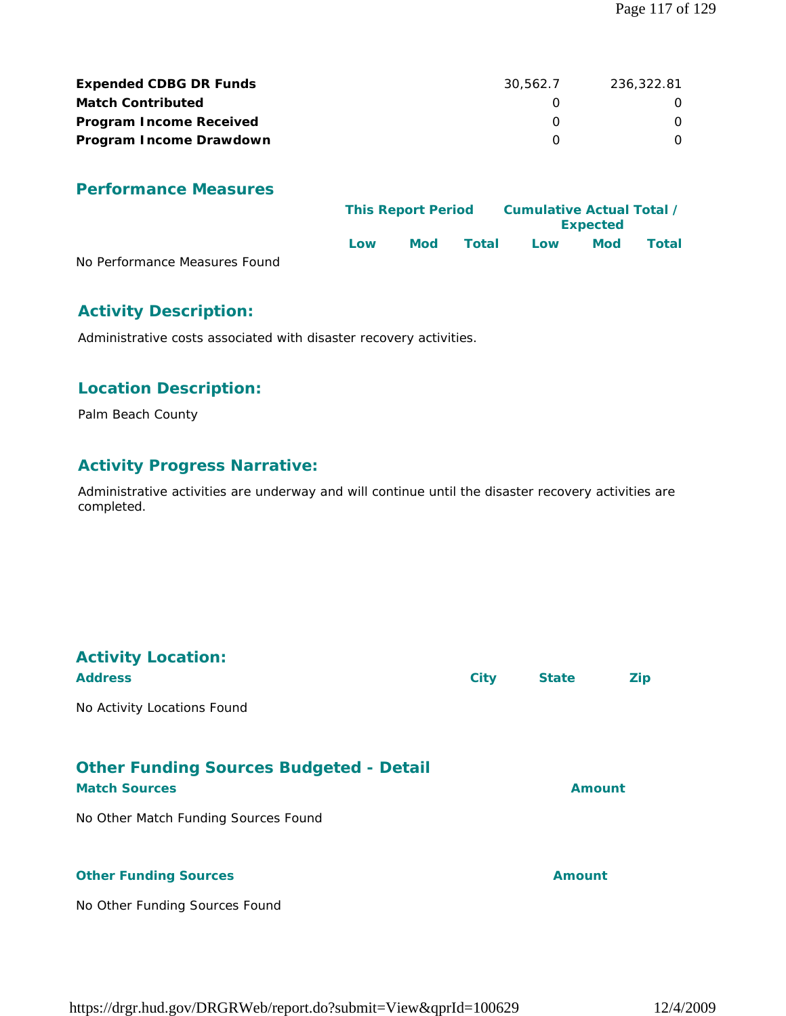| <b>Expended CDBG DR Funds</b>  | 30.562.7 | 236,322.81 |
|--------------------------------|----------|------------|
| <b>Match Contributed</b>       |          |            |
| <b>Program Income Received</b> |          |            |
| Program Income Drawdown        |          |            |

#### **Performance Measures**

|                               | <b>This Report Period</b> |     |       | Cumulative Actual Total / | <b>Expected</b> |       |
|-------------------------------|---------------------------|-----|-------|---------------------------|-----------------|-------|
|                               | l ow                      | Mod | Total | Low                       | <b>Mod</b>      | Total |
| No Performance Measures Found |                           |     |       |                           |                 |       |

#### **Activity Description:**

Administrative costs associated with disaster recovery activities.

#### **Location Description:**

Palm Beach County

#### **Activity Progress Narrative:**

Administrative activities are underway and will continue until the disaster recovery activities are completed.

| <b>Activity Location:</b><br><b>Address</b>                                                                    | <b>City</b> | <b>State</b> | Zip |
|----------------------------------------------------------------------------------------------------------------|-------------|--------------|-----|
| No Activity Locations Found                                                                                    |             |              |     |
| <b>Other Funding Sources Budgeted - Detail</b><br><b>Match Sources</b><br>No Other Match Funding Sources Found |             | Amount       |     |
| <b>Other Funding Sources</b><br>No Other Funding Sources Found                                                 |             | Amount       |     |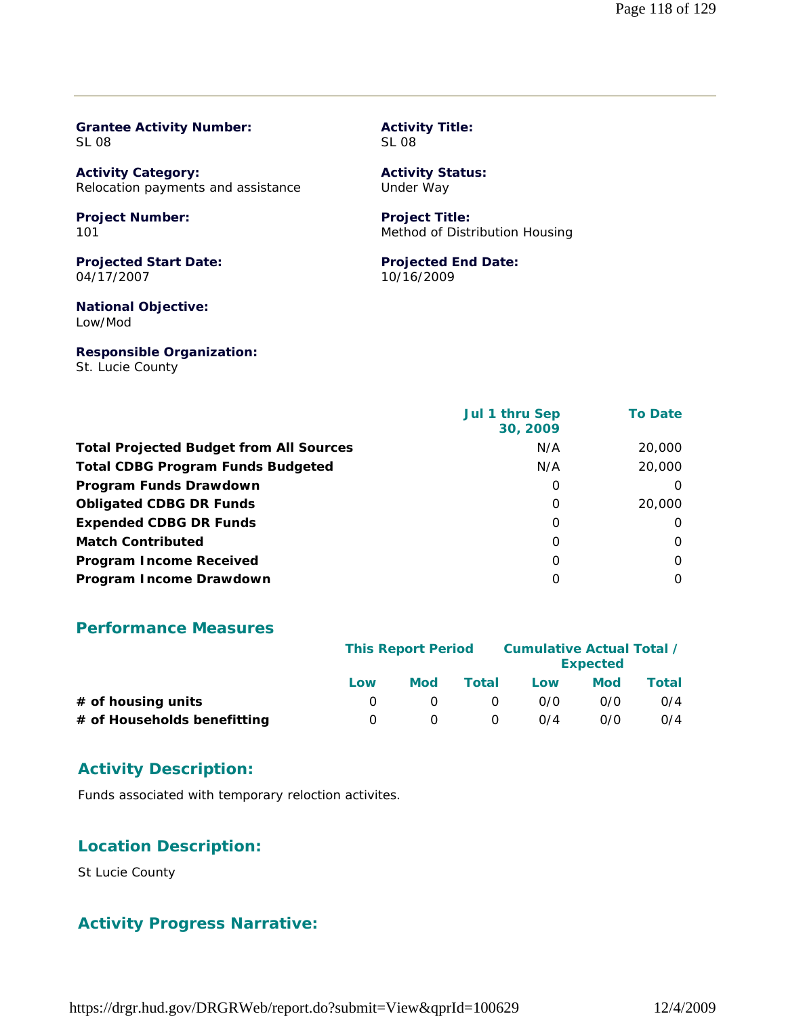| <b>Grantee Activity Number:</b>    | <b>Activity Title:</b>         |
|------------------------------------|--------------------------------|
| SL 08                              | <b>SL 08</b>                   |
| <b>Activity Category:</b>          | <b>Activity Status:</b>        |
| Relocation payments and assistance | Under Way                      |
| <b>Project Number:</b>             | <b>Project Title:</b>          |
| 101                                | Method of Distribution Housing |
| <b>Projected Start Date:</b>       | <b>Projected End Date:</b>     |

04/17/2007

**National Objective:** Low/Mod

**Responsible Organization:** St. Lucie County

10/16/2009

|                                                | Jul 1 thru Sep<br>30, 2009 | <b>To Date</b> |
|------------------------------------------------|----------------------------|----------------|
| <b>Total Projected Budget from All Sources</b> | N/A                        | 20,000         |
| <b>Total CDBG Program Funds Budgeted</b>       | N/A                        | 20,000         |
| Program Funds Drawdown                         | 0                          | $\Omega$       |
| <b>Obligated CDBG DR Funds</b>                 | 0                          | 20,000         |
| <b>Expended CDBG DR Funds</b>                  | 0                          | $\Omega$       |
| <b>Match Contributed</b>                       | 0                          | $\Omega$       |
| <b>Program Income Received</b>                 | $\Omega$                   | $\Omega$       |
| Program Income Drawdown                        | O                          | $\Omega$       |

#### **Performance Measures**

|                             | <b>This Report Period</b> |            |          | Cumulative Actual Total / | <b>Expected</b> |       |
|-----------------------------|---------------------------|------------|----------|---------------------------|-----------------|-------|
|                             | Low                       | <b>Mod</b> | Total    | Low                       | <b>Mod</b>      | Total |
| $#$ of housing units        |                           |            | $\Omega$ | 0/0                       | 0/0             | O/4   |
| # of Households benefitting | $\left( \right)$          |            | $\Omega$ | 0/4                       | 0/0             | O/4   |

#### **Activity Description:**

Funds associated with temporary reloction activites.

#### **Location Description:**

St Lucie County

#### **Activity Progress Narrative:**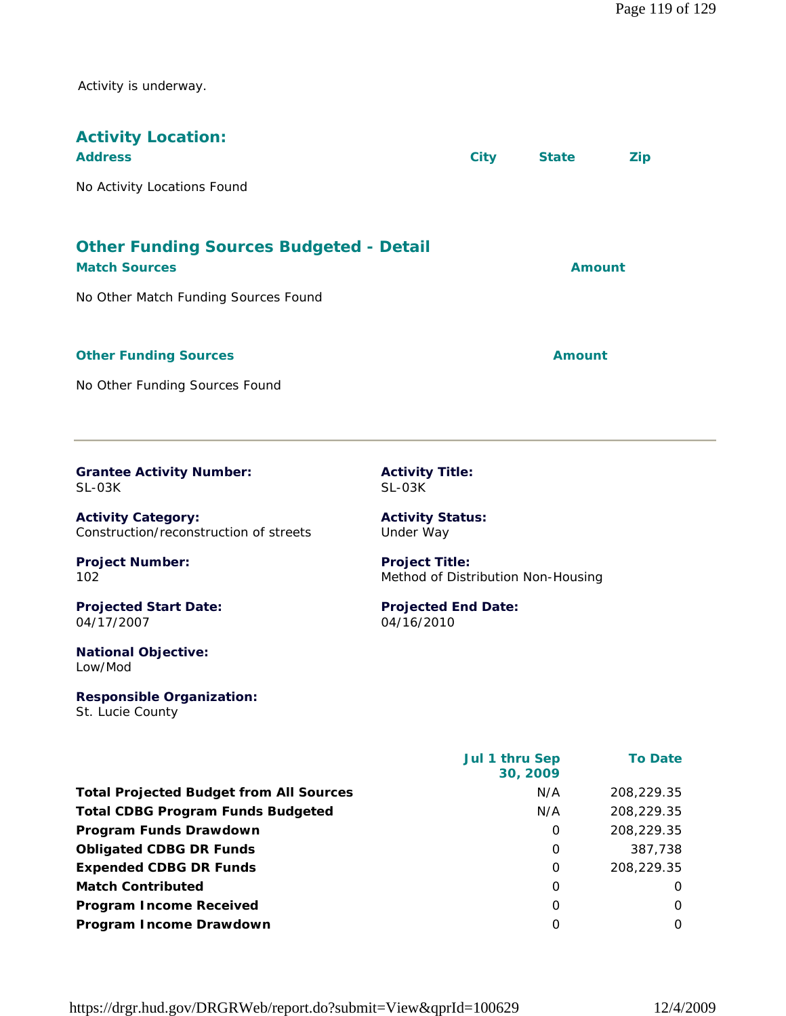Activity is underway.

| <b>Activity Location:</b><br><b>Address</b>                            | <b>City</b> | <b>State</b>  | <b>Zip</b> |
|------------------------------------------------------------------------|-------------|---------------|------------|
| No Activity Locations Found                                            |             |               |            |
| <b>Other Funding Sources Budgeted - Detail</b><br><b>Match Sources</b> |             | Amount        |            |
| No Other Match Funding Sources Found                                   |             |               |            |
| <b>Other Funding Sources</b>                                           |             | <b>Amount</b> |            |
| No Other Funding Sources Found                                         |             |               |            |

**Grantee Activity Number:** SL-03K

**Activity Category:** Construction/reconstruction of streets **Activity Title:** SL-03K

**Project Number:**

**Projected Start Date:** 04/17/2007

102

**National Objective:** Low/Mod

**Responsible Organization:** St. Lucie County

**Activity Status:** Under Way

**Project Title:** Method of Distribution Non-Housing

#### **Projected End Date:** 04/16/2010

|                                                | <b>Jul 1 thru Sep</b><br>30, 2009 | <b>To Date</b> |
|------------------------------------------------|-----------------------------------|----------------|
| <b>Total Projected Budget from All Sources</b> | N/A                               | 208,229.35     |
| <b>Total CDBG Program Funds Budgeted</b>       | N/A                               | 208,229.35     |
| Program Funds Drawdown                         | 0                                 | 208,229.35     |
| <b>Obligated CDBG DR Funds</b>                 | 0                                 | 387.738        |
| <b>Expended CDBG DR Funds</b>                  | $\Omega$                          | 208,229.35     |
| <b>Match Contributed</b>                       | 0                                 | O              |
| <b>Program Income Received</b>                 | O                                 | 0              |
| Program Income Drawdown                        | 0                                 | 0              |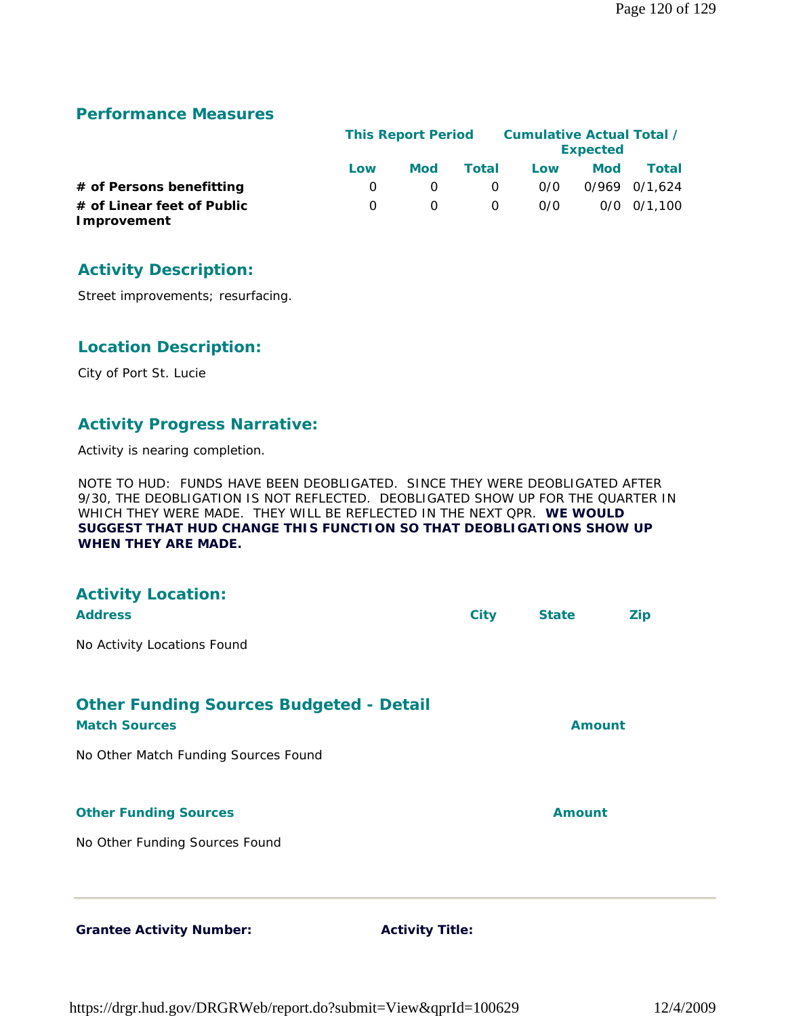#### **Performance Measures**

|                                           |              | <b>This Report Period</b> |          |     | Cumulative Actual Total /<br><b>Expected</b> |                 |
|-------------------------------------------|--------------|---------------------------|----------|-----|----------------------------------------------|-----------------|
|                                           | Low          | Mod                       | Total    | Low | <b>Mod</b>                                   | Total           |
| # of Persons benefitting                  | <sup>o</sup> |                           | 0        | 0/0 |                                              | 0/969 0/1.624   |
| # of Linear feet of Public<br>Improvement | O.           |                           | $\Omega$ | 0/0 |                                              | $0/0$ $0/1.100$ |

### **Activity Description:**

Street improvements; resurfacing.

#### **Location Description:**

City of Port St. Lucie

#### **Activity Progress Narrative:**

Activity is nearing completion.

NOTE TO HUD: FUNDS HAVE BEEN DEOBLIGATED. SINCE THEY WERE DEOBLIGATED AFTER 9/30, THE DEOBLIGATION IS NOT REFLECTED. DEOBLIGATED SHOW UP FOR THE QUARTER IN WHICH THEY WERE MADE. THEY WILL BE REFLECTED IN THE NEXT QPR. **WE WOULD SUGGEST THAT HUD CHANGE THIS FUNCTION SO THAT DEOBLIGATIONS SHOW UP WHEN THEY ARE MADE.**

| <b>Activity Location:</b><br><b>Address</b>                            | <b>City</b> | <b>State</b>  | <b>Zip</b> |
|------------------------------------------------------------------------|-------------|---------------|------------|
| No Activity Locations Found                                            |             |               |            |
| <b>Other Funding Sources Budgeted - Detail</b><br><b>Match Sources</b> |             | <b>Amount</b> |            |
| No Other Match Funding Sources Found                                   |             |               |            |
| <b>Other Funding Sources</b>                                           |             | <b>Amount</b> |            |
| No Other Funding Sources Found                                         |             |               |            |
|                                                                        |             |               |            |

https://drgr.hud.gov/DRGRWeb/report.do?submit=View&qprId=100629 12/4/2009

**Grantee Activity Number: Activity Title:**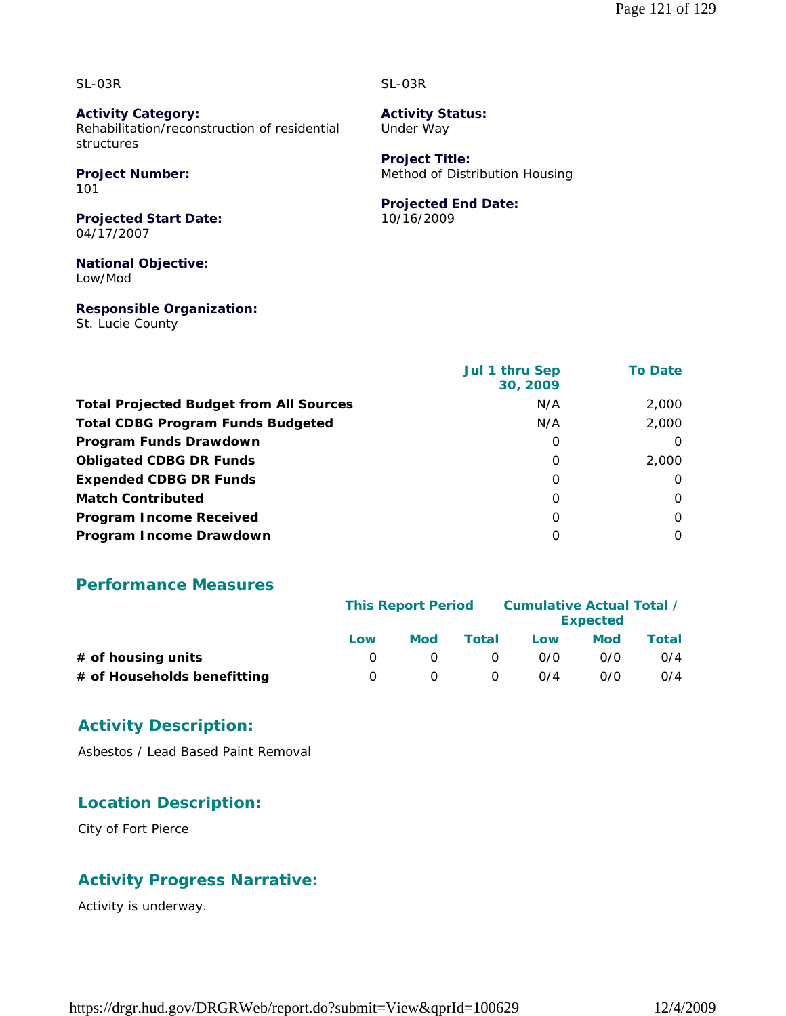SL-03R

**Activity Category:** Rehabilitation/reconstruction of residential structures

## **Project Number:**

101

**Projected Start Date:** 04/17/2007

**National Objective:** Low/Mod

**Responsible Organization:**

St. Lucie County

#### SL-03R

**Activity Status:** Under Way

**Project Title:** Method of Distribution Housing

#### **Projected End Date:**

10/16/2009

|                                                | Jul 1 thru Sep<br>30, 2009 | <b>To Date</b> |
|------------------------------------------------|----------------------------|----------------|
| <b>Total Projected Budget from All Sources</b> | N/A                        | 2,000          |
| <b>Total CDBG Program Funds Budgeted</b>       | N/A                        | 2,000          |
| Program Funds Drawdown                         | O                          | $\Omega$       |
| <b>Obligated CDBG DR Funds</b>                 | 0                          | 2,000          |
| <b>Expended CDBG DR Funds</b>                  | O                          | $\Omega$       |
| <b>Match Contributed</b>                       | O                          | $\Omega$       |
| <b>Program Income Received</b>                 | O                          | $\Omega$       |
| Program Income Drawdown                        | O                          | O              |
|                                                |                            |                |

#### **Performance Measures**

|                             | <b>This Report Period</b> |     |          | <b>Cumulative Actual Total /</b> | <b>Expected</b> |       |
|-----------------------------|---------------------------|-----|----------|----------------------------------|-----------------|-------|
|                             | Low                       | Mod | Total    | Low                              | <b>Mod</b>      | Total |
| $#$ of housing units        |                           |     | $\Omega$ | 0/0                              | 0/0             | O/4   |
| # of Households benefitting | $\cup$                    |     | $\Omega$ | 0/4                              | 0/0             | O/4   |

#### **Activity Description:**

Asbestos / Lead Based Paint Removal

### **Location Description:**

City of Fort Pierce

### **Activity Progress Narrative:**

Activity is underway.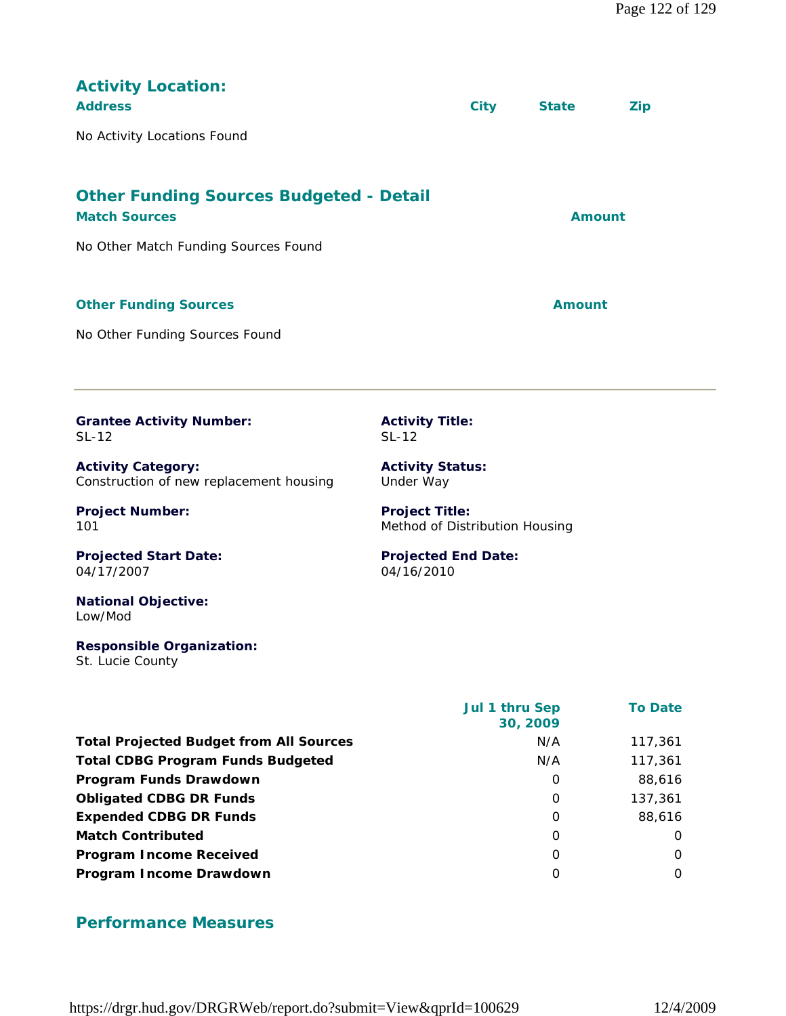| <b>Activity Location:</b><br><b>Address</b><br>No Activity Locations Found                                     |                                                         | <b>City</b> | <b>State</b>  | <b>Zip</b> |  |
|----------------------------------------------------------------------------------------------------------------|---------------------------------------------------------|-------------|---------------|------------|--|
| <b>Other Funding Sources Budgeted - Detail</b><br><b>Match Sources</b><br>No Other Match Funding Sources Found |                                                         |             | <b>Amount</b> |            |  |
| <b>Other Funding Sources</b><br>No Other Funding Sources Found                                                 |                                                         |             | <b>Amount</b> |            |  |
| <b>Grantee Activity Number:</b><br>$SL-12$                                                                     | <b>Activity Title:</b><br>$SL-12$                       |             |               |            |  |
| <b>Activity Category:</b><br>Construction of new replacement housing                                           | <b>Activity Status:</b><br>Under Way                    |             |               |            |  |
| <b>Project Number:</b><br>101                                                                                  | <b>Project Title:</b><br>Method of Distribution Housing |             |               |            |  |
| <b>Projected Start Date:</b><br>04/17/2007                                                                     | <b>Projected End Date:</b><br>04/16/2010                |             |               |            |  |
| <b>National Objective:</b><br>Low/Mod                                                                          |                                                         |             |               |            |  |

**Responsible Organization:** St. Lucie County

|                                                | Jul 1 thru Sep<br>30, 2009 | <b>To Date</b> |
|------------------------------------------------|----------------------------|----------------|
| <b>Total Projected Budget from All Sources</b> | N/A                        | 117,361        |
| <b>Total CDBG Program Funds Budgeted</b>       | N/A                        | 117,361        |
| Program Funds Drawdown                         | 0                          | 88,616         |
| <b>Obligated CDBG DR Funds</b>                 | $\Omega$                   | 137,361        |
| <b>Expended CDBG DR Funds</b>                  | 0                          | 88,616         |
| <b>Match Contributed</b>                       | 0                          | $\Omega$       |
| <b>Program Income Received</b>                 | 0                          | O              |
| Program Income Drawdown                        | $\Omega$                   | $\Omega$       |

#### **Performance Measures**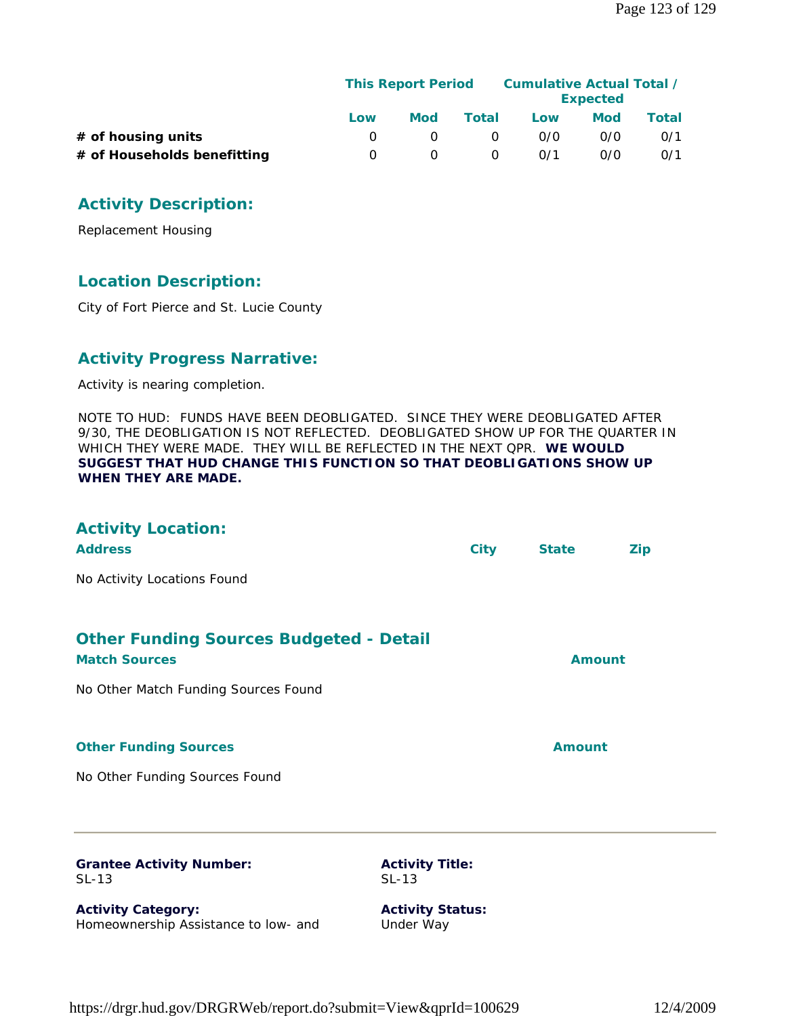|                             | <b>This Report Period</b> |            |              | <b>Cumulative Actual Total /</b> | <b>Expected</b> |       |
|-----------------------------|---------------------------|------------|--------------|----------------------------------|-----------------|-------|
|                             | Low                       | <b>Mod</b> | <b>Total</b> | Low                              | Mod             | Total |
| # of housing units          |                           |            |              | 0/0                              | 0/0             | 0/1   |
| # of Households benefitting | <sup>o</sup>              |            |              | 0/1                              | 0/0             | O/1   |

### **Activity Description:**

Replacement Housing

#### **Location Description:**

City of Fort Pierce and St. Lucie County

#### **Activity Progress Narrative:**

Activity is nearing completion.

NOTE TO HUD: FUNDS HAVE BEEN DEOBLIGATED. SINCE THEY WERE DEOBLIGATED AFTER 9/30, THE DEOBLIGATION IS NOT REFLECTED. DEOBLIGATED SHOW UP FOR THE QUARTER IN WHICH THEY WERE MADE. THEY WILL BE REFLECTED IN THE NEXT QPR. **WE WOULD SUGGEST THAT HUD CHANGE THIS FUNCTION SO THAT DEOBLIGATIONS SHOW UP WHEN THEY ARE MADE.**

| <b>Activity Location:</b><br><b>Address</b>                            | <b>City</b>                          | <b>State</b>  | <b>Zip</b> |  |
|------------------------------------------------------------------------|--------------------------------------|---------------|------------|--|
| No Activity Locations Found                                            |                                      |               |            |  |
| <b>Other Funding Sources Budgeted - Detail</b><br><b>Match Sources</b> |                                      | <b>Amount</b> |            |  |
| No Other Match Funding Sources Found                                   |                                      |               |            |  |
| <b>Other Funding Sources</b>                                           |                                      | <b>Amount</b> |            |  |
| No Other Funding Sources Found                                         |                                      |               |            |  |
| <b>Grantee Activity Number:</b><br>SL-13                               | <b>Activity Title:</b><br>$SL-13$    |               |            |  |
| <b>Activity Category:</b><br>Homeownership Assistance to low- and      | <b>Activity Status:</b><br>Under Way |               |            |  |
|                                                                        |                                      |               |            |  |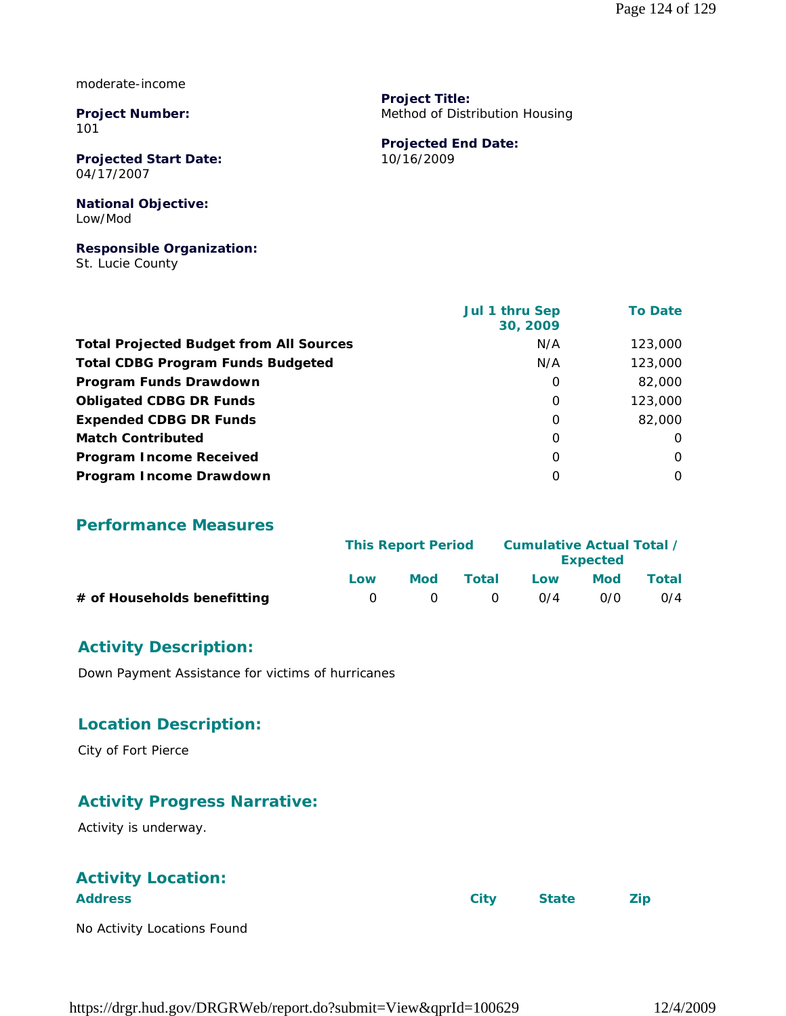moderate-income

**Project Number:** 101

**Projected Start Date:** 04/17/2007

#### **National Objective:** Low/Mod

#### **Responsible Organization:**

St. Lucie County

 **Jul 1 thru Sep 30, 2009 To Date Total Projected Budget from All Sources** M/A 123,000 **Total CDBG Program Funds Budgeted NA 123,000 Program Funds Drawdown 1 82,000 0 82,000 Obligated CDBG DR Funds 123,000 Expended CDBG DR Funds** 0 82,000 **Match Contributed** 0 0 **Program Income Received** 0 0 **Program Income Drawdown** 0 0

**Project Title:**

10/16/2009

**Projected End Date:**

Method of Distribution Housing

#### **Performance Measures**

|                             | <b>This Report Period</b> |        |          | <b>Cumulative Actual Total /</b><br><b>Expected</b> |            |       |  |
|-----------------------------|---------------------------|--------|----------|-----------------------------------------------------|------------|-------|--|
|                             | Low                       | Mod    | Total    | Low                                                 | <b>Mod</b> | Total |  |
| # of Households benefitting | - ( ) -                   | $\cap$ | $\Omega$ | 0/4                                                 | 0/0        | O/4   |  |

#### **Activity Description:**

Down Payment Assistance for victims of hurricanes

#### **Location Description:**

City of Fort Pierce

#### **Activity Progress Narrative:**

Activity is underway.

### **Activity Location:**

| <b>Address</b>              | City | <b>State</b> | Zip |
|-----------------------------|------|--------------|-----|
| No Activity Locations Found |      |              |     |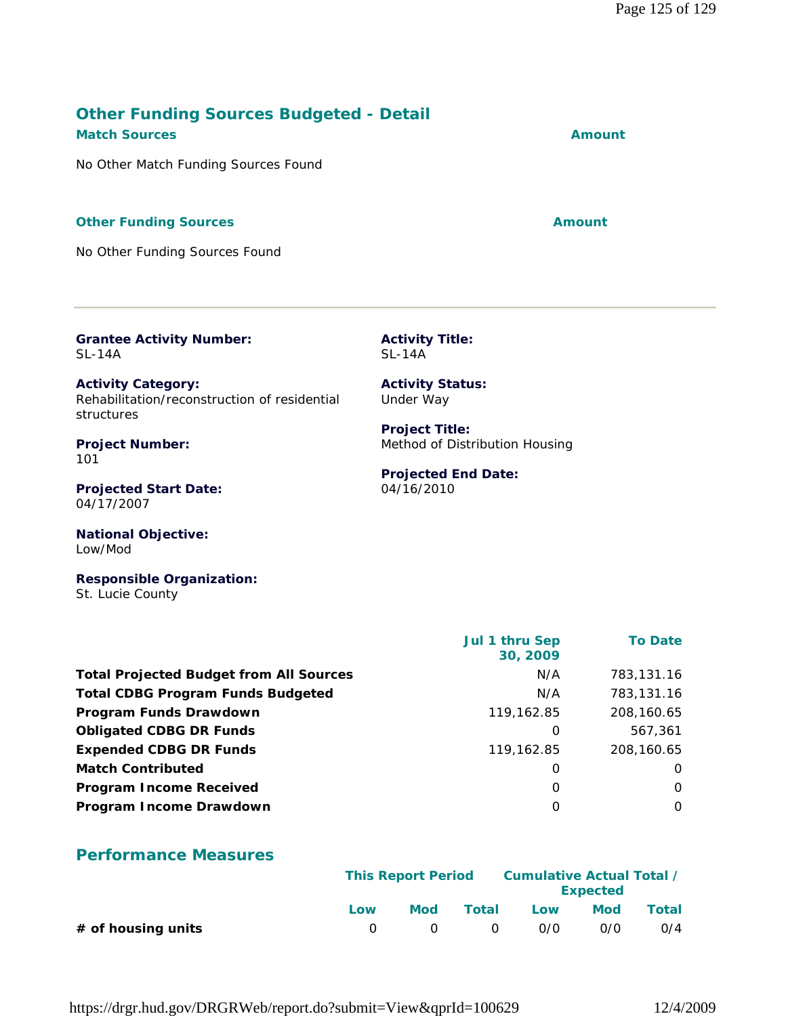#### **Other Funding Sources Budgeted - Detail Match Sources Amount**

No Other Match Funding Sources Found

#### **Other Funding Sources Amount**

No Other Funding Sources Found

**Grantee Activity Number:** SL-14A

**Activity Category:** Rehabilitation/reconstruction of residential structures

**Project Number:** 101

**Projected Start Date:** 04/17/2007

**National Objective:** Low/Mod

**Responsible Organization:** St. Lucie County

|                                                | Jul 1 thru Sep<br>30, 2009 | <b>To Date</b> |
|------------------------------------------------|----------------------------|----------------|
| <b>Total Projected Budget from All Sources</b> | N/A                        | 783,131.16     |
| <b>Total CDBG Program Funds Budgeted</b>       | N/A                        | 783,131.16     |
| Program Funds Drawdown                         | 119,162.85                 | 208,160.65     |
| <b>Obligated CDBG DR Funds</b>                 | 0                          | 567,361        |
| <b>Expended CDBG DR Funds</b>                  | 119,162.85                 | 208,160.65     |
| <b>Match Contributed</b>                       | 0                          | $\Omega$       |
| <b>Program Income Received</b>                 | 0                          | $\Omega$       |
| Program Income Drawdown                        | O                          | $\Omega$       |

### **Performance Measures**

|                      |     | <b>This Report Period</b> |        |     | <b>Expected</b> | Cumulative Actual Total / |
|----------------------|-----|---------------------------|--------|-----|-----------------|---------------------------|
|                      | Low | <b>Mod</b>                | Total  | Low | <b>Mod</b>      | Total                     |
| $#$ of housing units |     | $\bigcirc$                | $\cap$ | 0/0 | 0/0             | O/4                       |

https://drgr.hud.gov/DRGRWeb/report.do?submit=View&qprId=100629 12/4/2009

SL-14A

**Activity Title:**

**Activity Status:** Under Way

**Project Title:** Method of Distribution Housing

#### **Projected End Date:** 04/16/2010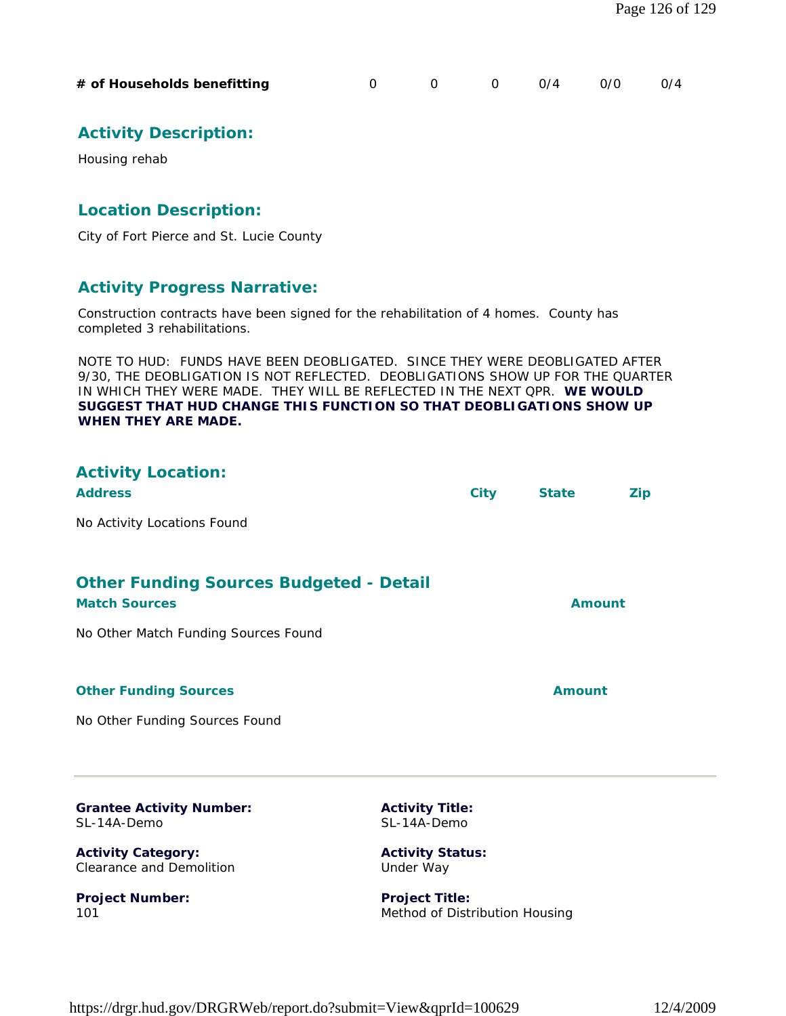| # of Households benefitting |  |  |  |  | $0 \t 0/4 \t 0/0 \t 0/4$ |  |
|-----------------------------|--|--|--|--|--------------------------|--|
|-----------------------------|--|--|--|--|--------------------------|--|

### **Activity Description:**

Housing rehab

#### **Location Description:**

City of Fort Pierce and St. Lucie County

#### **Activity Progress Narrative:**

Construction contracts have been signed for the rehabilitation of 4 homes. County has completed 3 rehabilitations.

NOTE TO HUD: FUNDS HAVE BEEN DEOBLIGATED. SINCE THEY WERE DEOBLIGATED AFTER 9/30, THE DEOBLIGATION IS NOT REFLECTED. DEOBLIGATIONS SHOW UP FOR THE QUARTER IN WHICH THEY WERE MADE. THEY WILL BE REFLECTED IN THE NEXT QPR. **WE WOULD SUGGEST THAT HUD CHANGE THIS FUNCTION SO THAT DEOBLIGATIONS SHOW UP WHEN THEY ARE MADE.**

| <b>Activity Location:</b><br><b>Address</b>                            |                                       | <b>City</b>   | <b>State</b> | <b>Zip</b> |
|------------------------------------------------------------------------|---------------------------------------|---------------|--------------|------------|
| No Activity Locations Found                                            |                                       |               |              |            |
| <b>Other Funding Sources Budgeted - Detail</b><br><b>Match Sources</b> | Amount                                |               |              |            |
| No Other Match Funding Sources Found                                   |                                       |               |              |            |
| <b>Other Funding Sources</b>                                           |                                       | <b>Amount</b> |              |            |
| No Other Funding Sources Found                                         |                                       |               |              |            |
| <b>Grantee Activity Number:</b><br>SL-14A-Demo                         | <b>Activity Title:</b><br>SL-14A-Demo |               |              |            |
| <b>Activity Category:</b><br><b>Clearance and Demolition</b>           | <b>Activity Status:</b><br>Under Way  |               |              |            |

**Project Number:** 101

**Project Title:** Method of Distribution Housing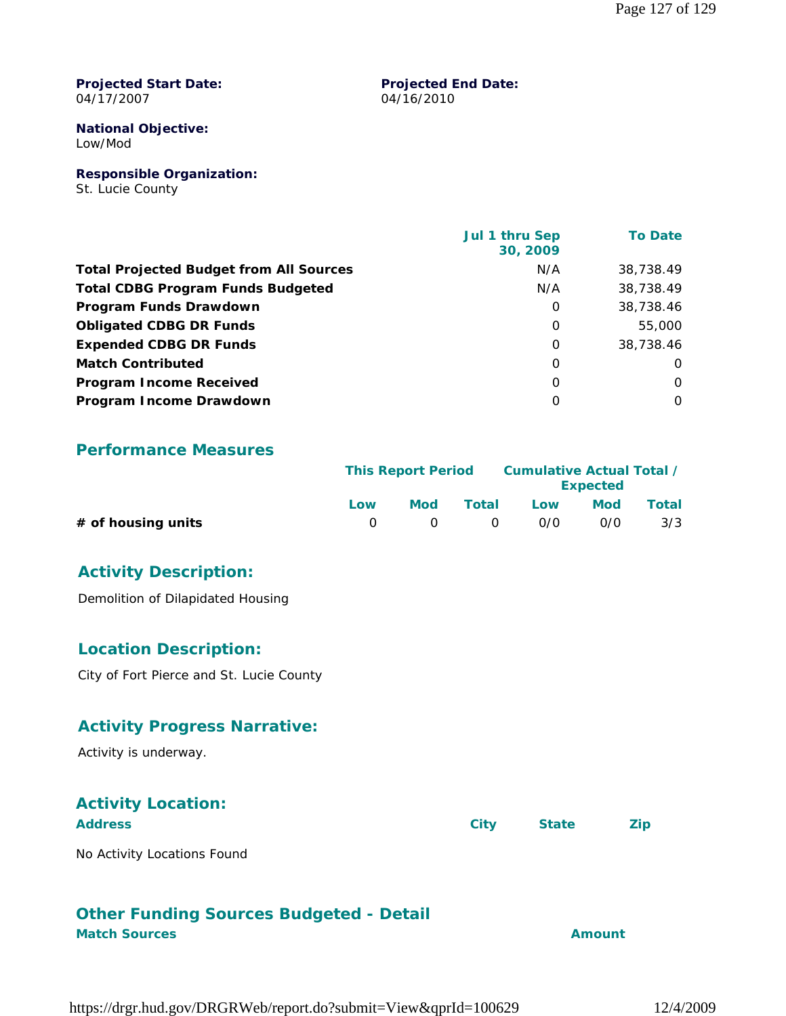#### **Projected Start Date:** 04/17/2007

#### **Projected End Date:** 04/16/2010

**National Objective:** Low/Mod

**Responsible Organization:**

St. Lucie County

|                                                | Jul 1 thru Sep<br>30, 2009 | <b>To Date</b> |
|------------------------------------------------|----------------------------|----------------|
| <b>Total Projected Budget from All Sources</b> | N/A                        | 38,738.49      |
| <b>Total CDBG Program Funds Budgeted</b>       | N/A                        | 38,738.49      |
| Program Funds Drawdown                         | 0                          | 38,738.46      |
| <b>Obligated CDBG DR Funds</b>                 | 0                          | 55,000         |
| <b>Expended CDBG DR Funds</b>                  | $\Omega$                   | 38,738.46      |
| <b>Match Contributed</b>                       | $\Omega$                   | $\Omega$       |
| <b>Program Income Received</b>                 | $\Omega$                   | $\Omega$       |
| Program Income Drawdown                        | $\Omega$                   | 0              |

#### **Performance Measures**

|                      |     | <b>This Report Period</b> |       | Cumulative Actual Total /<br><b>Expected</b> |     |              |
|----------------------|-----|---------------------------|-------|----------------------------------------------|-----|--------------|
|                      | Low | Mod                       | Total | Low                                          | Mod | <b>Total</b> |
| $#$ of housing units |     | $\bigcap$                 | - റ   | 0/0                                          | 0/0 | 3/3          |

#### **Activity Description:**

Demolition of Dilapidated Housing

#### **Location Description:**

City of Fort Pierce and St. Lucie County

#### **Activity Progress Narrative:**

Activity is underway.

### **Activity Location:**

| <b>Address</b>              | City | State |  |
|-----------------------------|------|-------|--|
| No Activity Locations Found |      |       |  |

### **Other Funding Sources Budgeted - Detail**

#### **Match Sources Amount**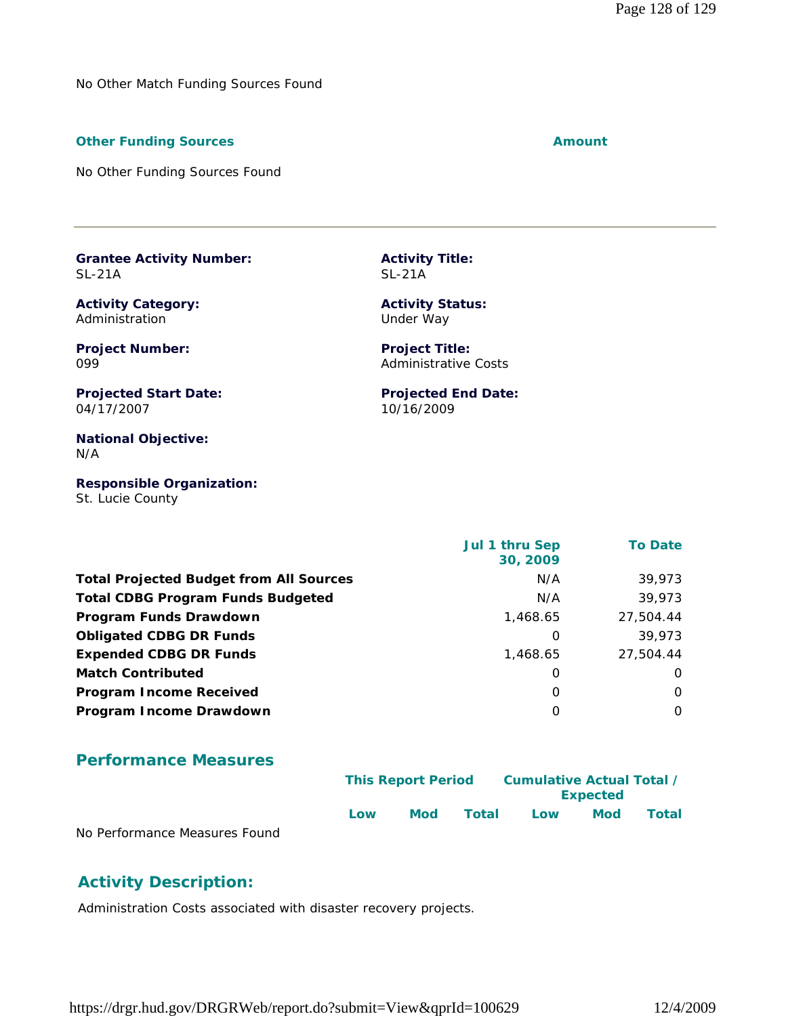No Other Match Funding Sources Found

#### **Other Funding Sources Amount Amount Amount**

No Other Funding Sources Found

**Grantee Activity Number:** SL-21A

**Activity Category:** Administration

**Project Number:** 099

**Projected Start Date:** 04/17/2007

**National Objective:** N/A

**Responsible Organization:** St. Lucie County

 **Jul 1 thru Sep 30, 2009 To Date Total Projected Budget from All Sources** M/A 39,973 **Total CDBG Program Funds Budgeted Network COBG Program Funds Budgeted Network COBG Program Network COBG Program Network COBG Program Network COBG Program Network COBG Program Network COBG Program Network COBG Program Netw Program Funds Drawdown** 27,504.44 **Obligated CDBG DR Funds 1996 1997 1998 1998 1998 1998 1998 1998 1998 1998 1999 1999 1999 1999 1999 1999 1999 1999 1999 1999 1999 1999 1999 1999 1999 1999 1999 1999 Expended CDBG DR Funds 1,468.65** 27,504.44 **Match Contributed** 0 0 **Program Income Received** 0 0 **Program Income Drawdown** 0 0

**Activity Title:**

**Activity Status:** Under Way

**Project Title:** Administrative Costs

10/16/2009

**Projected End Date:**

SL-21A

#### **Performance Measures**

|                               |     | <b>This Report Period</b> |       | Cumulative Actual Total / |                 |              |
|-------------------------------|-----|---------------------------|-------|---------------------------|-----------------|--------------|
|                               |     |                           |       |                           | <b>Expected</b> |              |
|                               | Low | <b>Mod</b>                | Total | Low                       | <b>Mod</b>      | <b>Total</b> |
| No Performance Measures Found |     |                           |       |                           |                 |              |

#### **Activity Description:**

Administration Costs associated with disaster recovery projects.